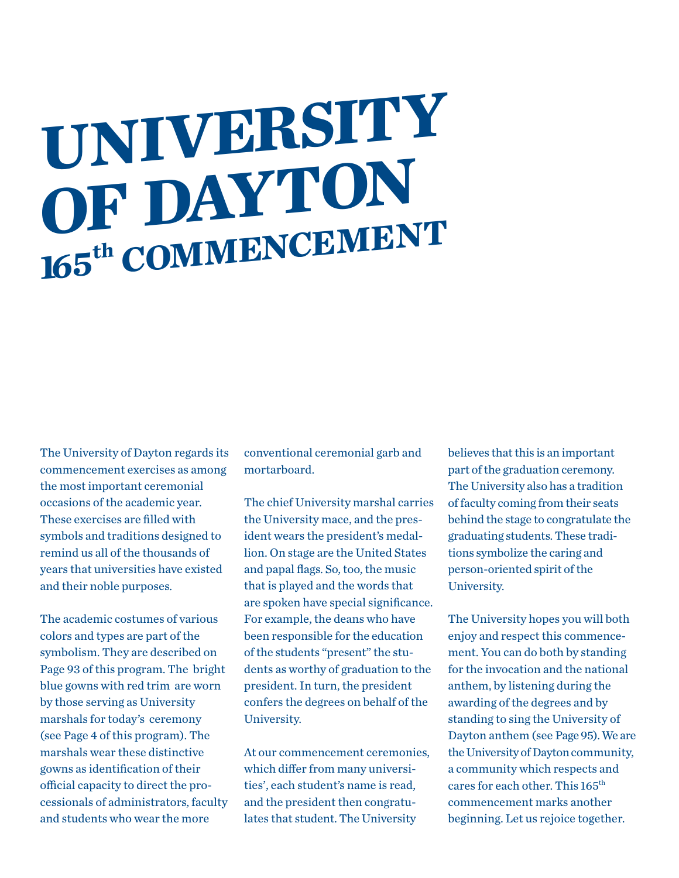# **UNIVERSITY OF DAYTON 165th COMMENCEMENT**

The University of Dayton regards its commencement exercises as among the most important ceremonial occasions of the academic year. These exercises are filled with symbols and traditions designed to remind us all of the thousands of years that universities have existed and their noble purposes.

The academic costumes of various colors and types are part of the symbolism. They are described on Page 93 of this program. The bright blue gowns with red trim are worn by those serving as University marshals for today's ceremony (see Page 4 of this program). The marshals wear these distinctive gowns as identification of their official capacity to direct the processionals of administrators, faculty and students who wear the more

conventional ceremonial garb and mortarboard.

The chief University marshal carries the University mace, and the president wears the president's medallion. On stage are the United States and papal flags. So, too, the music that is played and the words that are spoken have special significance. For example, the deans who have been responsible for the education of the students "present" the students as worthy of graduation to the president. In turn, the president confers the degrees on behalf of the University.

At our commencement ceremonies, which differ from many universities', each student's name is read, and the president then congratulates that student. The University

believes that this is an important part of the graduation ceremony. The University also has a tradition of faculty coming from their seats behind the stage to congratulate the graduating students. These traditions symbolize the caring and person-oriented spirit of the University.

The University hopes you will both enjoy and respect this commencement. You can do both by standing for the invocation and the national anthem, by listening during the awarding of the degrees and by standing to sing the University of Dayton anthem (see Page 95). We are the University of Dayton community, a community which respects and cares for each other. This 165<sup>th</sup> commencement marks another beginning. Let us rejoice together.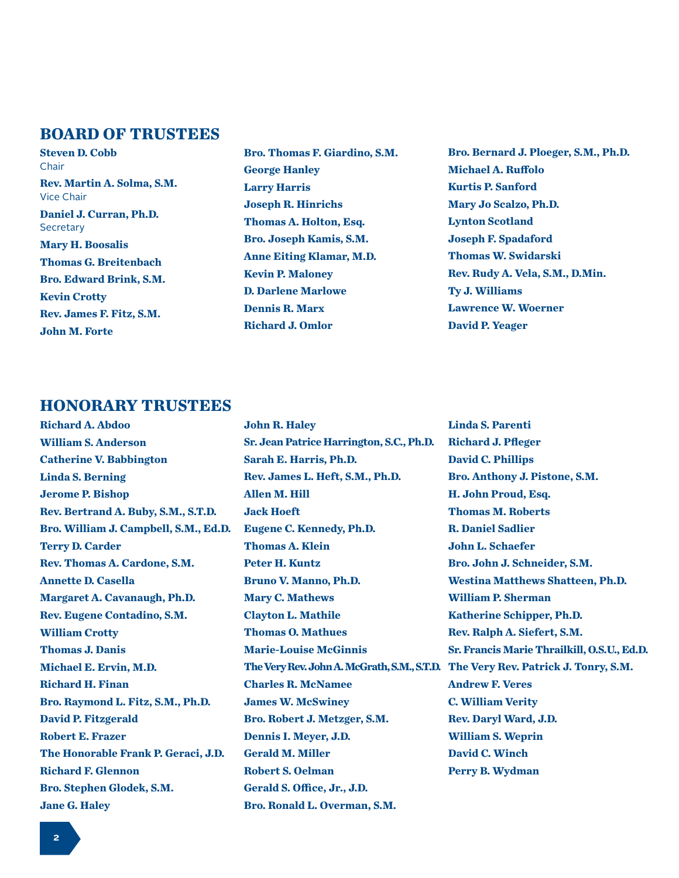# **BOARD OF TRUSTEES**

**Steven D. Cobb** Chair **Rev. Martin A. Solma, S.M.** Vice Chair **Daniel J. Curran, Ph.D. Secretary Mary H. Boosalis Thomas G. Breitenbach Bro. Edward Brink, S.M. Kevin Crotty Rev. James F. Fitz, S.M. John M. Forte**

**Bro. Thomas F. Giardino, S.M. George Hanley Larry Harris Joseph R. Hinrichs Thomas A. Holton, Esq. Bro. Joseph Kamis, S.M. Anne Eiting Klamar, M.D. Kevin P. Maloney D. Darlene Marlowe Dennis R. Marx Richard J. Omlor**

**Bro. Bernard J. Ploeger, S.M., Ph.D. Michael A. Ruffolo Kurtis P. Sanford Mary Jo Scalzo, Ph.D. Lynton Scotland Joseph F. Spadaford Thomas W. Swidarski Rev. Rudy A. Vela, S.M., D.Min. Ty J. Williams Lawrence W. Woerner David P. Yeager**

# **HONORARY TRUSTEES**

**Richard A. Abdoo William S. Anderson Catherine V. Babbington Linda S. Berning Jerome P. Bishop Rev. Bertrand A. Buby, S.M., S.T.D. Bro. William J. Campbell, S.M., Ed.D. Terry D. Carder Rev. Thomas A. Cardone, S.M. Annette D. Casella Margaret A. Cavanaugh, Ph.D. Rev. Eugene Contadino, S.M. William Crotty Thomas J. Danis Michael E. Ervin, M.D. Richard H. Finan Bro. Raymond L. Fitz, S.M., Ph.D. David P. Fitzgerald Robert E. Frazer The Honorable Frank P. Geraci, J.D. Richard F. Glennon Bro. Stephen Glodek, S.M. Jane G. Haley**

**John R. Haley Sr. Jean Patrice Harrington, S.C., Ph.D. Sarah E. Harris, Ph.D. Rev. James L. Heft, S.M., Ph.D. Allen M. Hill Jack Hoeft Eugene C. Kennedy, Ph.D. Thomas A. Klein Peter H. Kuntz Bruno V. Manno, Ph.D. Mary C. Mathews Clayton L. Mathile Thomas O. Mathues Marie-Louise McGinnis The Very Rev. John A. McGrath, S.M., S.T.D. The Very Rev. Patrick J. Tonry, S.M. Charles R. McNamee James W. McSwiney Bro. Robert J. Metzger, S.M. Dennis I. Meyer, J.D. Gerald M. Miller Robert S. Oelman Gerald S. Office, Jr., J.D. Bro. Ronald L. Overman, S.M.**

**Linda S. Parenti Richard J. Pfleger David C. Phillips Bro. Anthony J. Pistone, S.M. H. John Proud, Esq. Thomas M. Roberts R. Daniel Sadlier John L. Schaefer Bro. John J. Schneider, S.M. Westina Matthews Shatteen, Ph.D. William P. Sherman Katherine Schipper, Ph.D. Rev. Ralph A. Siefert, S.M. Sr. Francis Marie Thrailkill, O.S.U., Ed.D. Andrew F. Veres C. William Verity Rev. Daryl Ward, J.D. William S. Weprin David C. Winch Perry B. Wydman**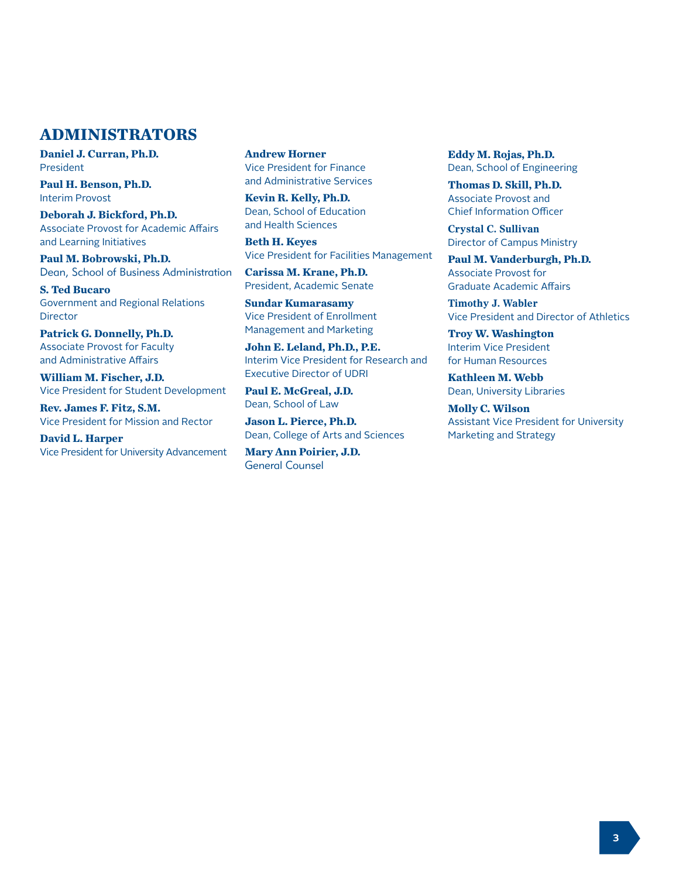# **ADMINISTRATORS**

**Daniel J. Curran, Ph.D.** President

**Paul H. Benson, Ph.D.** Interim Provost

**Deborah J. Bickford, Ph.D.** Associate Provost for Academic Affairs and Learning Initiatives

**Paul M. Bobrowski, Ph.D.** Dean, School of Business Administration

**S. Ted Bucaro** Government and Regional Relations **Director** 

**Patrick G. Donnelly, Ph.D.** Associate Provost for Faculty and Administrative Affairs

**William M. Fischer, J.D.** Vice President for Student Development

**Rev. James F. Fitz, S.M.** Vice President for Mission and Rector

**David L. Harper** Vice President for University Advancement **Andrew Horner** Vice President for Finance and Administrative Services

**Kevin R. Kelly, Ph.D.** Dean, School of Education and Health Sciences

**Beth H. Keyes** Vice President for Facilities Management

**Carissa M. Krane, Ph.D.** President, Academic Senate

**Sundar Kumarasamy** Vice President of Enrollment Management and Marketing

**John E. Leland, Ph.D., P.E.** Interim Vice President for Research and Executive Director of UDRI

**Paul E. McGreal, J.D.** Dean, School of Law

**Jason L. Pierce, Ph.D.** Dean, College of Arts and Sciences

**Mary Ann Poirier, J.D.** General Counsel

**Eddy M. Rojas, Ph.D.** Dean, School of Engineering

**Thomas D. Skill, Ph.D.** Associate Provost and Chief Information Officer

**Crystal C. Sullivan** Director of Campus Ministry

**Paul M. Vanderburgh, Ph.D.** Associate Provost for Graduate Academic Affairs

**Timothy J. Wabler** Vice President and Director of Athletics

**Troy W. Washington** Interim Vice President for Human Resources

**Kathleen M. Webb** Dean, University Libraries

**Molly C. Wilson** Assistant Vice President for University Marketing and Strategy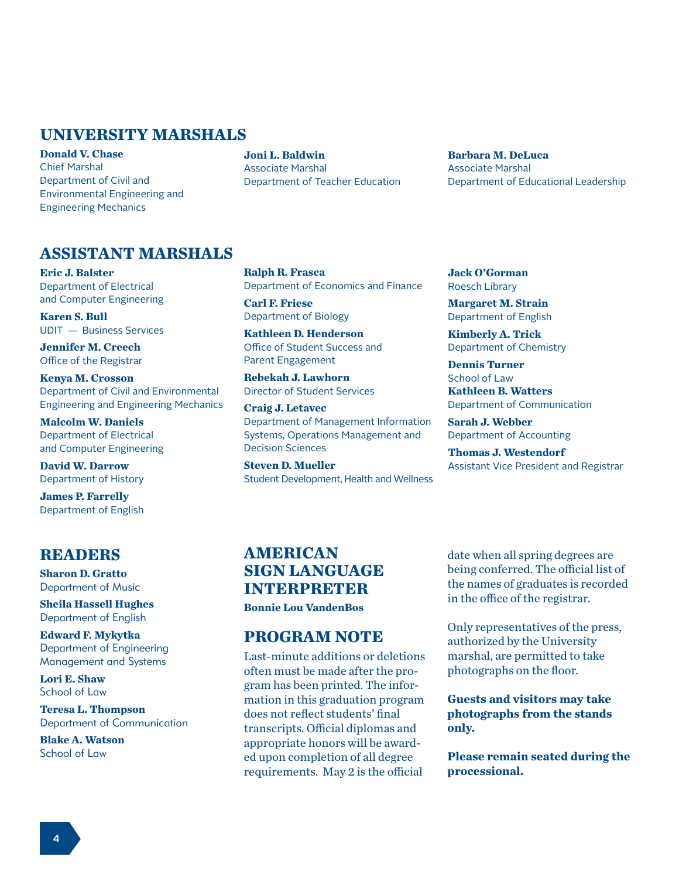# **UNIVERSITY MARSHALS**

**Donald V. Chase** Chief Marshal Department of Civil and Environmental Engineering and Engineering Mechanics

**Joni L. Baldwin** Associate Marshal Department of Teacher Education **Barbara M. DeLuca** Associate Marshal Department of Educational Leadership

# **ASSISTANT MARSHALS**

**Eric J. Balster** Department of Electrical and Computer Engineering

**Karen S. Bull** UDIT — Business Services

**Jennifer M. Creech** Office of the Registrar

**Kenya M. Crosson** Department of Civil and Environmental Engineering and Engineering Mechanics

**Malcolm W. Daniels** Department of Electrical and Computer Engineering

**David W. Darrow** Department of History

**James P. Farrelly** Department of English

# **READERS**

**Sharon D. Gratto** Department of Music

**Sheila Hassell Hughes** Department of English

**Edward F. Mykytka** Department of Engineering Management and Systems

**Lori E. Shaw** School of Law

**Teresa L. Thompson** Department of Communication

**Blake A. Watson** School of Law

**Ralph R. Frasca** Department of Economics and Finance

**Carl F. Friese** Department of Biology

**Kathleen D. Henderson** Office of Student Success and Parent Engagement

**Rebekah J. Lawhorn** Director of Student Services

**Craig J. Letavec** Department of Management Information Systems, Operations Management and Decision Sciences

**Steven D. Mueller** Student Development, Health and Wellness **Jack O'Gorman** Roesch Library

**Margaret M. Strain** Department of English

**Kimberly A. Trick** Department of Chemistry

**Dennis Turner** School of Law **Kathleen B. Watters** Department of Communication

**Sarah J. Webber** Department of Accounting

**Thomas J. Westendorf** Assistant Vice President and Registrar

# **AMERICAN SIGN LANGUAGE INTERPRETER**

**Bonnie Lou VandenBos**

# **PROGRAM NOTE**

Last-minute additions or deletions often must be made after the program has been printed. The information in this graduation program does not reflect students' final transcripts. Official diplomas and appropriate honors will be awarded upon completion of all degree requirements. May 2 is the official

date when all spring degrees are being conferred. The official list of the names of graduates is recorded in the office of the registrar.

Only representatives of the press, authorized by the University marshal, are permitted to take photographs on the floor.

**Guests and visitors may take photographs from the stands only.** 

**Please remain seated during the processional.**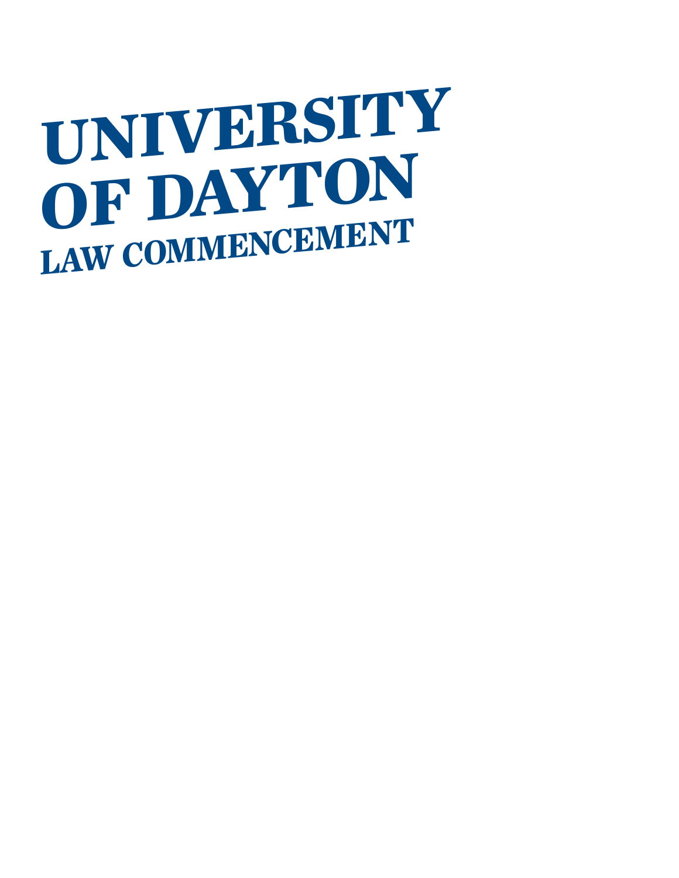# **UNIVERSITY OF DAYTON LAW COMMENCEMENT**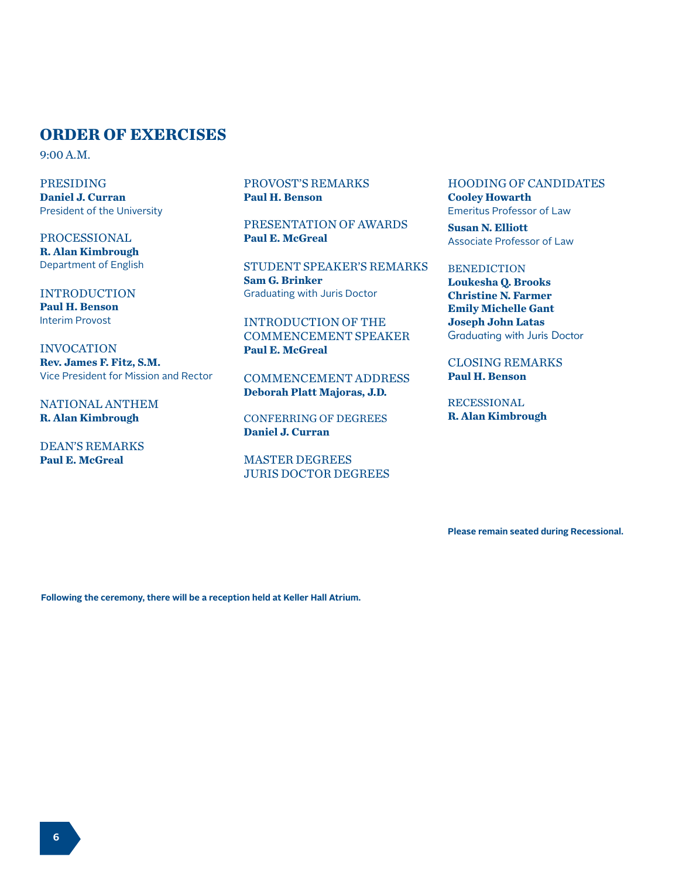# **ORDER OF EXERCISES**

9:00 A.M.

PRESIDING **Daniel J. Curran** President of the University

PROCESSIONAL **R. Alan Kimbrough** Department of English

INTRODUCTION **Paul H. Benson** Interim Provost

INVOCATION **Rev. James F. Fitz, S.M.** Vice President for Mission and Rector

NATIONAL ANTHEM **R. Alan Kimbrough**

DEAN'S REMARKS **Paul E. McGreal**

PROVOST'S REMARKS **Paul H. Benson**

PRESENTATION OF AWARDS **Paul E. McGreal**

STUDENT SPEAKER'S REMARKS **Sam G. Brinker** Graduating with Juris Doctor

INTRODUCTION OF THE COMMENCEMENT SPEAKER **Paul E. McGreal**

COMMENCEMENT ADDRESS **Deborah Platt Majoras, J.D.**

CONFERRING OF DEGREES **Daniel J. Curran**

MASTER DEGREES JURIS DOCTOR DEGREES HOODING OF CANDIDATES **Cooley Howarth** Emeritus Professor of Law

**Susan N. Elliott** Associate Professor of Law

**BENEDICTION** 

**Loukesha Q. Brooks Christine N. Farmer Emily Michelle Gant Joseph John Latas** Graduating with Juris Doctor

CLOSING REMARKS **Paul H. Benson**

RECESSIONAL **R. Alan Kimbrough**

**Please remain seated during Recessional.**

**Following the ceremony, there will be a reception held at Keller Hall Atrium.**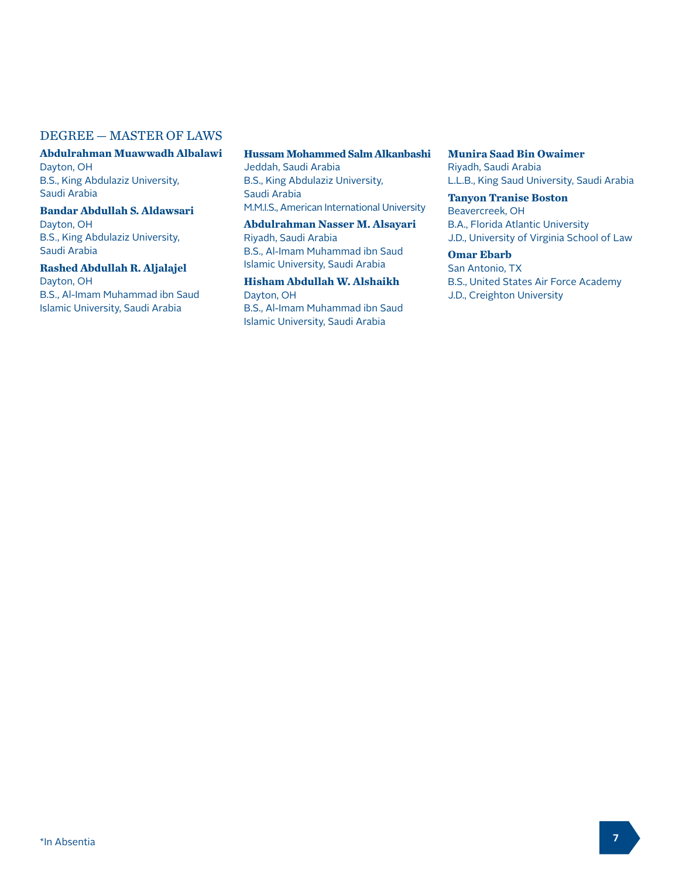## DEGREE — MASTER OF LAWS

**Abdulrahman Muawwadh Albalawi** Dayton, OH B.S., King Abdulaziz University, Saudi Arabia

**Bandar Abdullah S. Aldawsari** Dayton, OH B.S., King Abdulaziz University, Saudi Arabia

**Rashed Abdullah R. Aljalajel** Dayton, OH B.S., Al-Imam Muhammad ibn Saud Islamic University, Saudi Arabia

# **Hussam Mohammed Salm Alkanbashi**

Jeddah, Saudi Arabia B.S., King Abdulaziz University, Saudi Arabia M.M.I.S., American International University

**Abdulrahman Nasser M. Alsayari** Riyadh, Saudi Arabia B.S., Al-Imam Muhammad ibn Saud Islamic University, Saudi Arabia

**Hisham Abdullah W. Alshaikh** Dayton, OH B.S., Al-Imam Muhammad ibn Saud Islamic University, Saudi Arabia

**Munira Saad Bin Owaimer** Riyadh, Saudi Arabia L.L.B., King Saud University, Saudi Arabia

**Tanyon Tranise Boston** Beavercreek, OH B.A., Florida Atlantic University J.D., University of Virginia School of Law

**Omar Ebarb** San Antonio, TX B.S., United States Air Force Academy J.D., Creighton University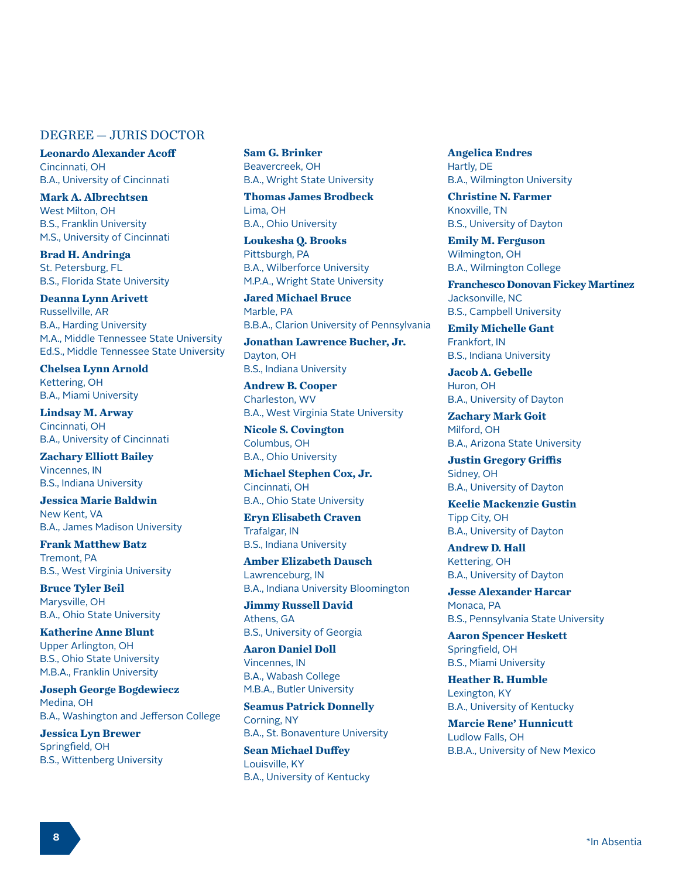## DEGREE — JURIS DOCTOR

**Leonardo Alexander Acoff** Cincinnati, OH B.A., University of Cincinnati

**Mark A. Albrechtsen** West Milton, OH B.S., Franklin University M.S., University of Cincinnati

**Brad H. Andringa** St. Petersburg, FL B.S., Florida State University

**Deanna Lynn Arivett** Russellville, AR B.A., Harding University M.A., Middle Tennessee State University Ed.S., Middle Tennessee State University

**Chelsea Lynn Arnold** Kettering, OH B.A., Miami University

**Lindsay M. Arway** Cincinnati, OH B.A., University of Cincinnati

**Zachary Elliott Bailey** Vincennes, IN B.S., Indiana University

**Jessica Marie Baldwin**  New Kent, VA B.A., James Madison University

**Frank Matthew Batz** Tremont, PA B.S., West Virginia University

**Bruce Tyler Beil** Marysville, OH B.A., Ohio State University

**Katherine Anne Blunt** Upper Arlington, OH B.S., Ohio State University M.B.A., Franklin University

**Joseph George Bogdewiecz** Medina, OH B.A., Washington and Jefferson College

**Jessica Lyn Brewer** Springfield, OH B.S., Wittenberg University

**Sam G. Brinker** Beavercreek, OH B.A., Wright State University

**Thomas James Brodbeck** Lima, OH B.A., Ohio University

**Loukesha Q. Brooks** Pittsburgh, PA B.A., Wilberforce University M.P.A., Wright State University

**Jared Michael Bruce** Marble, PA B.B.A., Clarion University of Pennsylvania

**Jonathan Lawrence Bucher, Jr.**  Dayton, OH B.S., Indiana University

**Andrew B. Cooper** Charleston, WV B.A., West Virginia State University

**Nicole S. Covington** Columbus, OH B.A., Ohio University

**Michael Stephen Cox, Jr.**  Cincinnati, OH B.A., Ohio State University

**Eryn Elisabeth Craven** Trafalgar, IN B.S., Indiana University

**Amber Elizabeth Dausch** Lawrenceburg, IN B.A., Indiana University Bloomington

**Jimmy Russell David**  Athens, GA B.S., University of Georgia

**Aaron Daniel Doll** Vincennes, IN B.A., Wabash College M.B.A., Butler University

**Seamus Patrick Donnelly** Corning, NY B.A., St. Bonaventure University

**Sean Michael Duffey** Louisville, KY B.A., University of Kentucky **Angelica Endres** Hartly, DE B.A., Wilmington University

**Christine N. Farmer**  Knoxville, TN B.S., University of Dayton

**Emily M. Ferguson** Wilmington, OH B.A., Wilmington College

**Franchesco Donovan Fickey Martinez** Jacksonville, NC B.S., Campbell University

**Emily Michelle Gant** Frankfort, IN B.S., Indiana University

**Jacob A. Gebelle** Huron, OH B.A., University of Dayton

**Zachary Mark Goit** Milford, OH B.A., Arizona State University

**Justin Gregory Griffis** Sidney, OH B.A., University of Dayton

**Keelie Mackenzie Gustin** Tipp City, OH B.A., University of Dayton

**Andrew D. Hall** Kettering, OH B.A., University of Dayton

**Jesse Alexander Harcar** Monaca, PA B.S., Pennsylvania State University

**Aaron Spencer Heskett** Springfield, OH B.S., Miami University

**Heather R. Humble** Lexington, KY B.A., University of Kentucky

**Marcie Rene' Hunnicutt** Ludlow Falls, OH B.B.A., University of New Mexico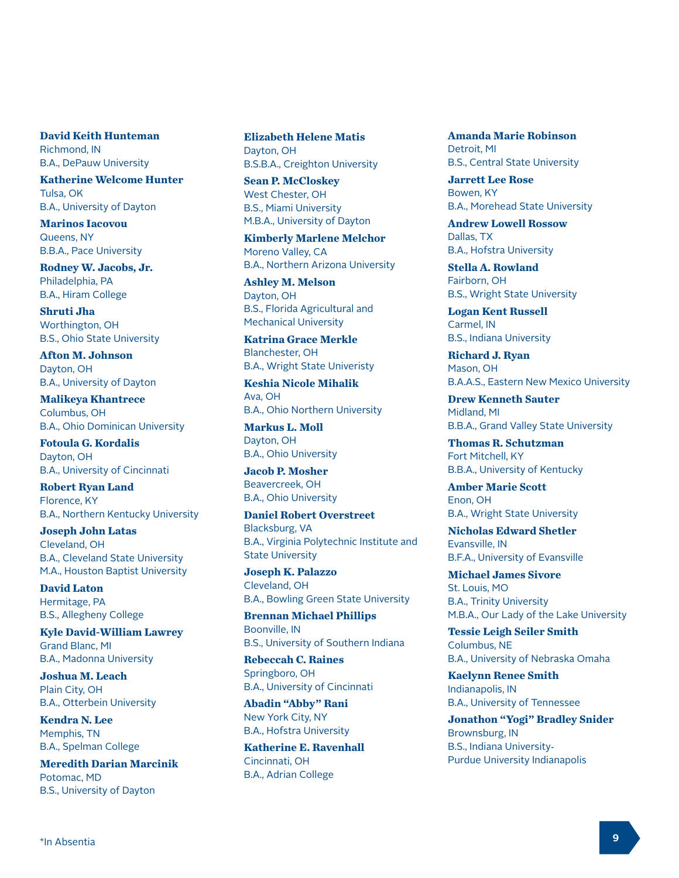**David Keith Hunteman** Richmond, IN B.A., DePauw University

**Katherine Welcome Hunter** Tulsa, OK B.A., University of Dayton

**Marinos Iacovou** Queens, NY B.B.A., Pace University

**Rodney W. Jacobs, Jr.** Philadelphia, PA B.A., Hiram College

**Shruti Jha** Worthington, OH B.S., Ohio State University

**Afton M. Johnson** Dayton, OH B.A., University of Dayton

**Malikeya Khantrece** Columbus, OH B.A., Ohio Dominican University

**Fotoula G. Kordalis**  Dayton, OH B.A., University of Cincinnati

**Robert Ryan Land** Florence, KY B.A., Northern Kentucky University

**Joseph John Latas** Cleveland, OH B.A., Cleveland State University M.A., Houston Baptist University

**David Laton** Hermitage, PA B.S., Allegheny College

**Kyle David-William Lawrey** Grand Blanc, MI B.A., Madonna University

**Joshua M. Leach** Plain City, OH B.A., Otterbein University

**Kendra N. Lee** Memphis, TN B.A., Spelman College

**Meredith Darian Marcinik** Potomac, MD B.S., University of Dayton

**Elizabeth Helene Matis** Dayton, OH B.S.B.A., Creighton University

**Sean P. McCloskey** West Chester, OH B.S., Miami University M.B.A., University of Dayton

**Kimberly Marlene Melchor** Moreno Valley, CA B.A., Northern Arizona University

**Ashley M. Melson** Dayton, OH B.S., Florida Agricultural and Mechanical University

**Katrina Grace Merkle** Blanchester, OH B.A., Wright State Univeristy

**Keshia Nicole Mihalik** Ava, OH B.A., Ohio Northern University

**Markus L. Moll** Dayton, OH B.A., Ohio University

**Jacob P. Mosher** Beavercreek, OH B.A., Ohio University

**Daniel Robert Overstreet** Blacksburg, VA B.A., Virginia Polytechnic Institute and State University

**Joseph K. Palazzo** Cleveland, OH B.A., Bowling Green State University

**Brennan Michael Phillips** Boonville, IN B.S., University of Southern Indiana

**Rebeccah C. Raines** Springboro, OH B.A., University of Cincinnati

**Abadin "Abby" Rani** New York City, NY B.A., Hofstra University

**Katherine E. Ravenhall** Cincinnati, OH B.A., Adrian College

**Amanda Marie Robinson** Detroit, MI B.S., Central State University

**Jarrett Lee Rose** Bowen, KY B.A., Morehead State University

**Andrew Lowell Rossow** Dallas, TX B.A., Hofstra University

**Stella A. Rowland** Fairborn, OH B.S., Wright State University

**Logan Kent Russell** Carmel, IN B.S., Indiana University

**Richard J. Ryan** Mason, OH B.A.A.S., Eastern New Mexico University

**Drew Kenneth Sauter** Midland, MI B.B.A., Grand Valley State University

**Thomas R. Schutzman** Fort Mitchell, KY B.B.A., University of Kentucky

**Amber Marie Scott** Enon, OH B.A., Wright State University

**Nicholas Edward Shetler** Evansville, IN B.F.A., University of Evansville

**Michael James Sivore** St. Louis, MO B.A., Trinity University M.B.A., Our Lady of the Lake University

**Tessie Leigh Seiler Smith** Columbus, NE B.A., University of Nebraska Omaha

**Kaelynn Renee Smith** Indianapolis, IN B.A., University of Tennessee

**Jonathon "Yogi" Bradley Snider** Brownsburg, IN B.S., Indiana University-Purdue University Indianapolis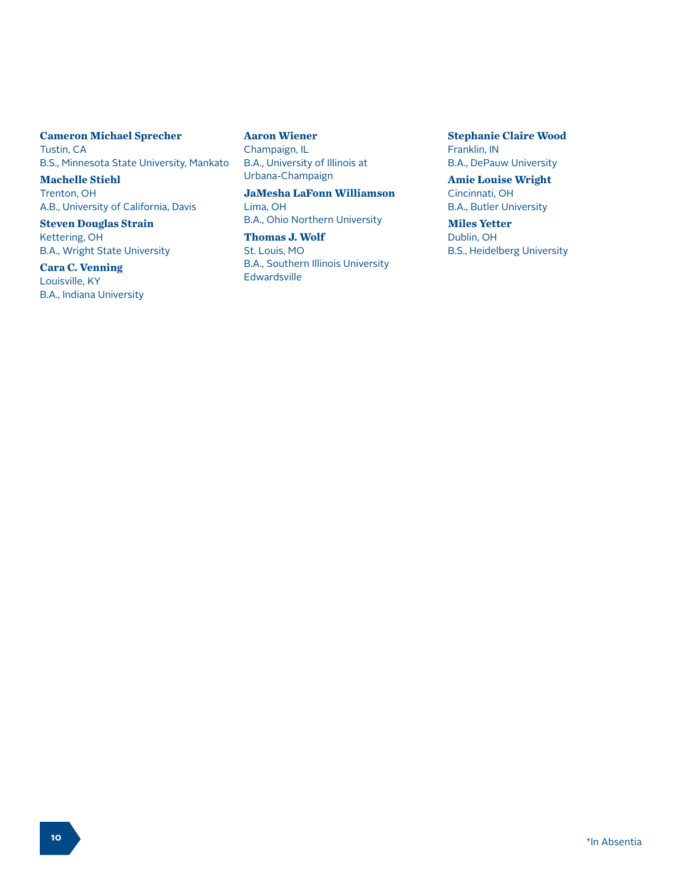## **Cameron Michael Sprecher** Tustin, CA B.S., Minnesota State University, Mankato

**Machelle Stiehl** Trenton, OH A.B., University of California, Davis

#### **Steven Douglas Strain** Kettering, OH B.A., Wright State University

**Cara C. Venning** Louisville, KY B.A., Indiana University **Aaron Wiener** Champaign, IL B.A., University of Illinois at Urbana-Champaign

**JaMesha LaFonn Williamson** Lima, OH B.A., Ohio Northern University

**Thomas J. Wolf** St. Louis, MO B.A., Southern Illinois University Edwardsville

**Stephanie Claire Wood** Franklin, IN B.A., DePauw University

**Amie Louise Wright** Cincinnati, OH B.A., Butler University

**Miles Yetter** Dublin, OH B.S., Heidelberg University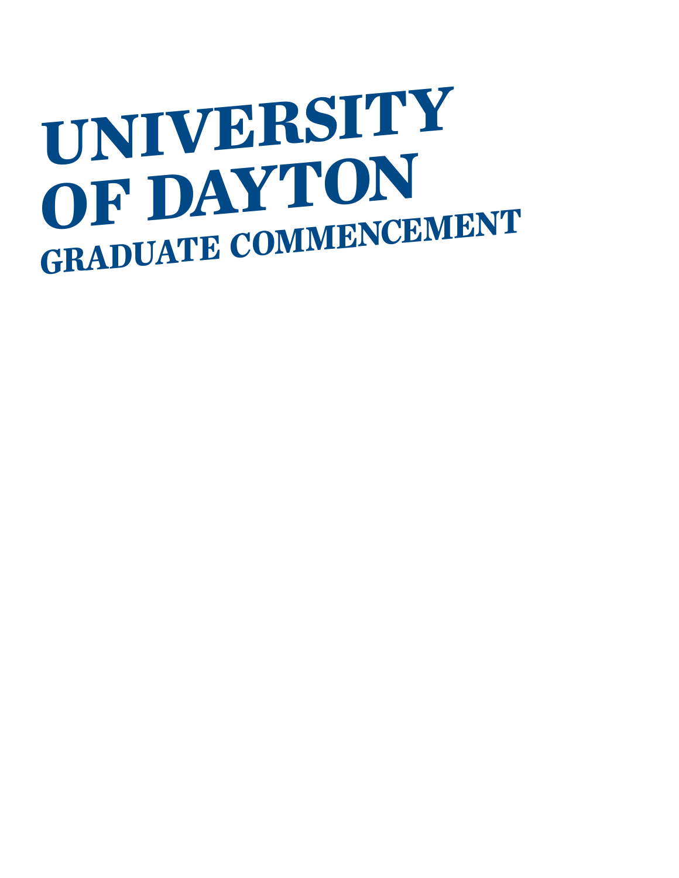# **UNIVERSITY OF DAYTON GRADUATE COMMENCEMENT**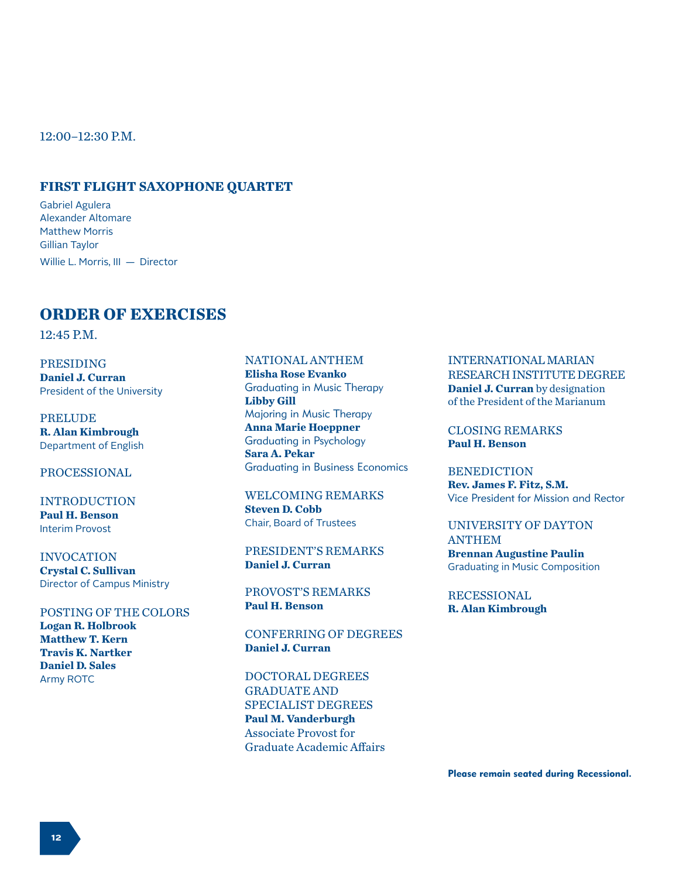12:00–12:30 P.M.

#### **FIRST FLIGHT SAXOPHONE QUARTET**

Gabriel Agulera Alexander Altomare Matthew Morris Gillian Taylor Willie L. Morris, III — Director

# **ORDER OF EXERCISES**

12:45 P.M.

PRESIDING **Daniel J. Curran** President of the University

PRELUDE **R. Alan Kimbrough** Department of English

#### PROCESSIONAL

INTRODUCTION **Paul H. Benson** Interim Provost

INVOCATION **Crystal C. Sullivan** Director of Campus Ministry

#### POSTING OF THE COLORS **Logan R. Holbrook**

**Matthew T. Kern Travis K. Nartker Daniel D. Sales** Army ROTC

## NATIONAL ANTHEM

**Elisha Rose Evanko** Graduating in Music Therapy **Libby Gill** Majoring in Music Therapy **Anna Marie Hoeppner** Graduating in Psychology **Sara A. Pekar** Graduating in Business Economics

WELCOMING REMARKS **Steven D. Cobb** Chair, Board of Trustees

PRESIDENT'S REMARKS **Daniel J. Curran**

PROVOST'S REMARKS **Paul H. Benson**

CONFERRING OF DEGREES **Daniel J. Curran**

DOCTORAL DEGREES GRADUATE AND SPECIALIST DEGREES **Paul M. Vanderburgh** Associate Provost for Graduate Academic Affairs

#### INTERNATIONAL MARIAN RESEARCH INSTITUTE DEGREE **Daniel J. Curran** by designation of the President of the Marianum

CLOSING REMARKS **Paul H. Benson**

BENEDICTION **Rev. James F. Fitz, S.M.** Vice President for Mission and Rector

#### UNIVERSITY OF DAYTON ANTHEM **Brennan Augustine Paulin** Graduating in Music Composition

RECESSIONAL

**R. Alan Kimbrough**

Please remain seated during Recessional.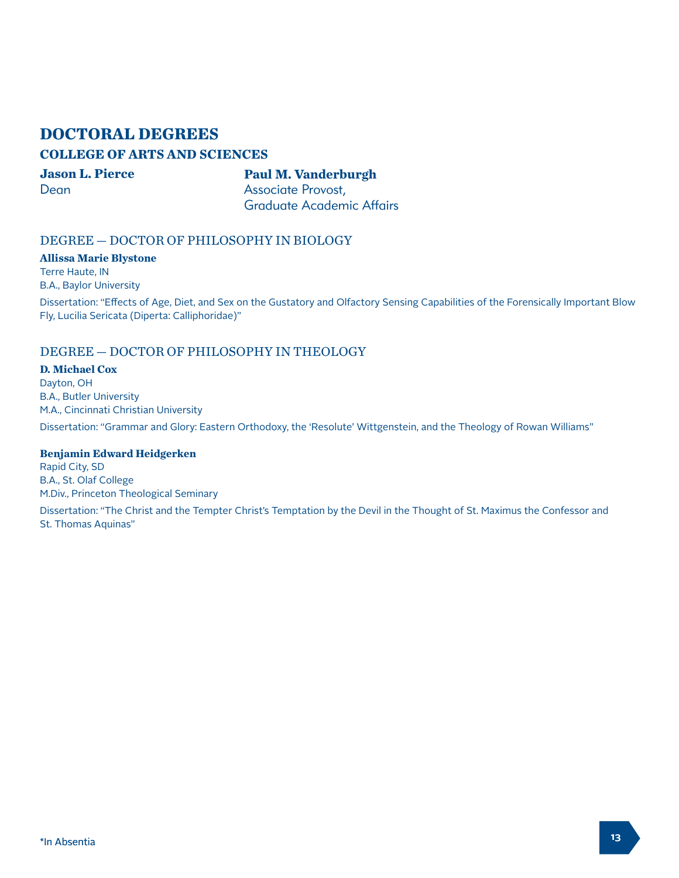# **DOCTORAL DEGREES**

# **COLLEGE OF ARTS AND SCIENCES**

**Jason L. Pierce Dean** 

**Paul M. Vanderburgh** Associate Provost, Graduate Academic Affairs

# DEGREE — DOCTOR OF PHILOSOPHY IN BIOLOGY

**Allissa Marie Blystone** Terre Haute, IN

B.A., Baylor University

Dissertation: "Effects of Age, Diet, and Sex on the Gustatory and Olfactory Sensing Capabilities of the Forensically Important Blow Fly, Lucilia Sericata (Diperta: Calliphoridae)"

# DEGREE — DOCTOR OF PHILOSOPHY IN THEOLOGY

#### **D. Michael Cox**

Dayton, OH B.A., Butler University M.A., Cincinnati Christian University Dissertation: "Grammar and Glory: Eastern Orthodoxy, the 'Resolute' Wittgenstein, and the Theology of Rowan Williams"

#### **Benjamin Edward Heidgerken**

Rapid City, SD B.A., St. Olaf College M.Div., Princeton Theological Seminary

Dissertation: "The Christ and the Tempter Christ's Temptation by the Devil in the Thought of St. Maximus the Confessor and St. Thomas Aquinas"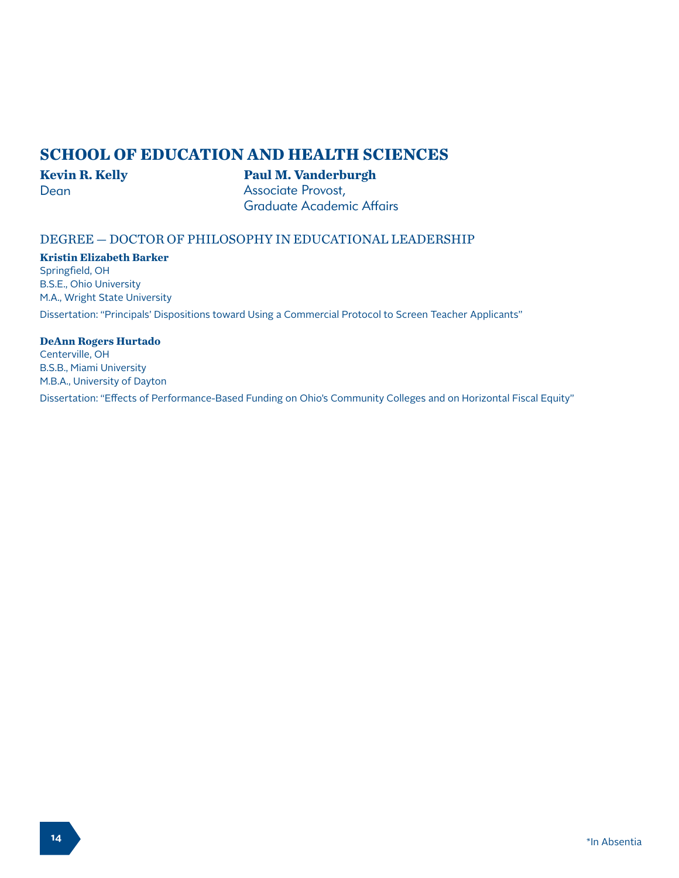# **SCHOOL OF EDUCATION AND HEALTH SCIENCES**

# **Kevin R. Kelly**

## **Paul M. Vanderburgh**

Dean

Associate Provost, Graduate Academic Affairs

# DEGREE — DOCTOR OF PHILOSOPHY IN EDUCATIONAL LEADERSHIP

#### **Kristin Elizabeth Barker**

Springfield, OH B.S.E., Ohio University M.A., Wright State University

Dissertation: "Principals' Dispositions toward Using a Commercial Protocol to Screen Teacher Applicants"

## **DeAnn Rogers Hurtado**

Centerville, OH B.S.B., Miami University M.B.A., University of Dayton

Dissertation: "Effects of Performance-Based Funding on Ohio's Community Colleges and on Horizontal Fiscal Equity"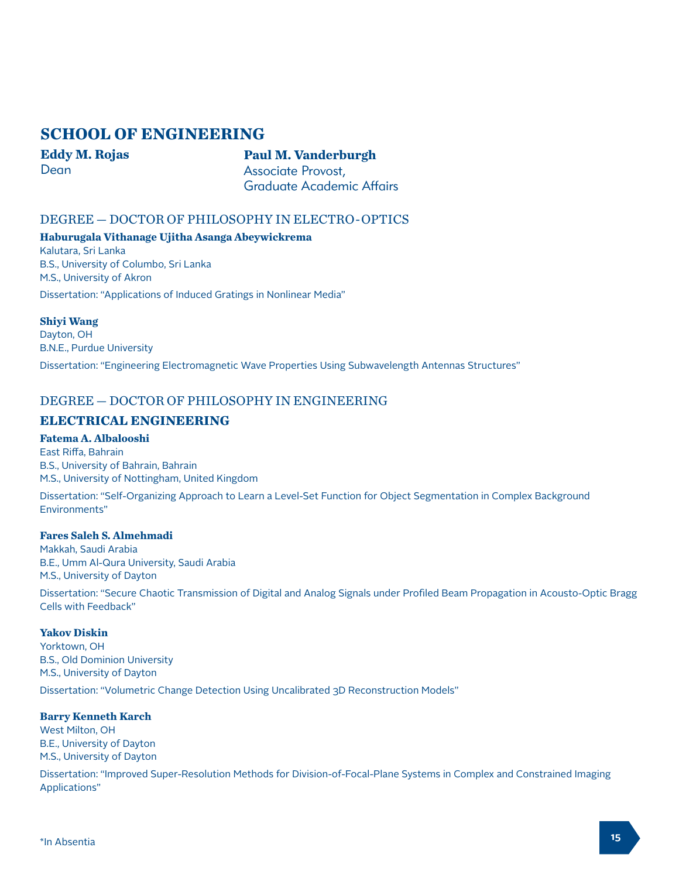# **SCHOOL OF ENGINEERING**

**Eddy M. Rojas** Dean

## **Paul M. Vanderburgh** Associate Provost, Graduate Academic Affairs

DEGREE — DOCTOR OF PHILOSOPHY IN ELECTRO-OPTICS

**Haburugala Vithanage Ujitha Asanga Abeywickrema** Kalutara, Sri Lanka

B.S., University of Columbo, Sri Lanka M.S., University of Akron

Dissertation: "Applications of Induced Gratings in Nonlinear Media"

#### **Shiyi Wang**

Dayton, OH B.N.E., Purdue University

Dissertation: "Engineering Electromagnetic Wave Properties Using Subwavelength Antennas Structures"

# DEGREE — DOCTOR OF PHILOSOPHY IN ENGINEERING

# **ELECTRICAL ENGINEERING**

# **Fatema A. Albalooshi**

East Riffa, Bahrain B.S., University of Bahrain, Bahrain M.S., University of Nottingham, United Kingdom

Dissertation: "Self-Organizing Approach to Learn a Level-Set Function for Object Segmentation in Complex Background Environments"

#### **Fares Saleh S. Almehmadi**

Makkah, Saudi Arabia B.E., Umm Al-Qura University, Saudi Arabia M.S., University of Dayton

Dissertation: "Secure Chaotic Transmission of Digital and Analog Signals under Profiled Beam Propagation in Acousto-Optic Bragg Cells with Feedback"

#### **Yakov Diskin**

Yorktown, OH B.S., Old Dominion University M.S., University of Dayton Dissertation: "Volumetric Change Detection Using Uncalibrated 3D Reconstruction Models"

#### **Barry Kenneth Karch**

West Milton, OH B.E., University of Dayton M.S., University of Dayton

Dissertation: "Improved Super-Resolution Methods for Division-of-Focal-Plane Systems in Complex and Constrained Imaging Applications"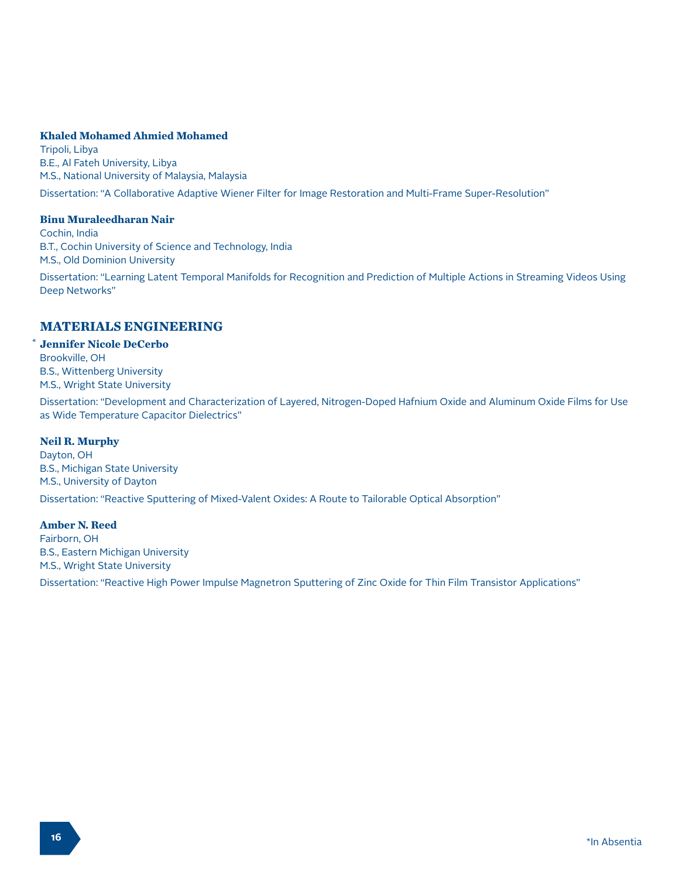#### **Khaled Mohamed Ahmied Mohamed**

Tripoli, Libya B.E., Al Fateh University, Libya M.S., National University of Malaysia, Malaysia

Dissertation: "A Collaborative Adaptive Wiener Filter for Image Restoration and Multi-Frame Super-Resolution"

#### **Binu Muraleedharan Nair**

Cochin, India B.T., Cochin University of Science and Technology, India M.S., Old Dominion University

Dissertation: "Learning Latent Temporal Manifolds for Recognition and Prediction of Multiple Actions in Streaming Videos Using Deep Networks"

# **MATERIALS ENGINEERING**

**Jennifer Nicole DeCerbo** Brookville, OH B.S., Wittenberg University M.S., Wright State University

Dissertation: "Development and Characterization of Layered, Nitrogen-Doped Hafnium Oxide and Aluminum Oxide Films for Use as Wide Temperature Capacitor Dielectrics"

#### **Neil R. Murphy**

\*

Dayton, OH B.S., Michigan State University M.S., University of Dayton Dissertation: "Reactive Sputtering of Mixed-Valent Oxides: A Route to Tailorable Optical Absorption"

#### **Amber N. Reed**

Fairborn, OH B.S., Eastern Michigan University M.S., Wright State University

Dissertation: "Reactive High Power Impulse Magnetron Sputtering of Zinc Oxide for Thin Film Transistor Applications"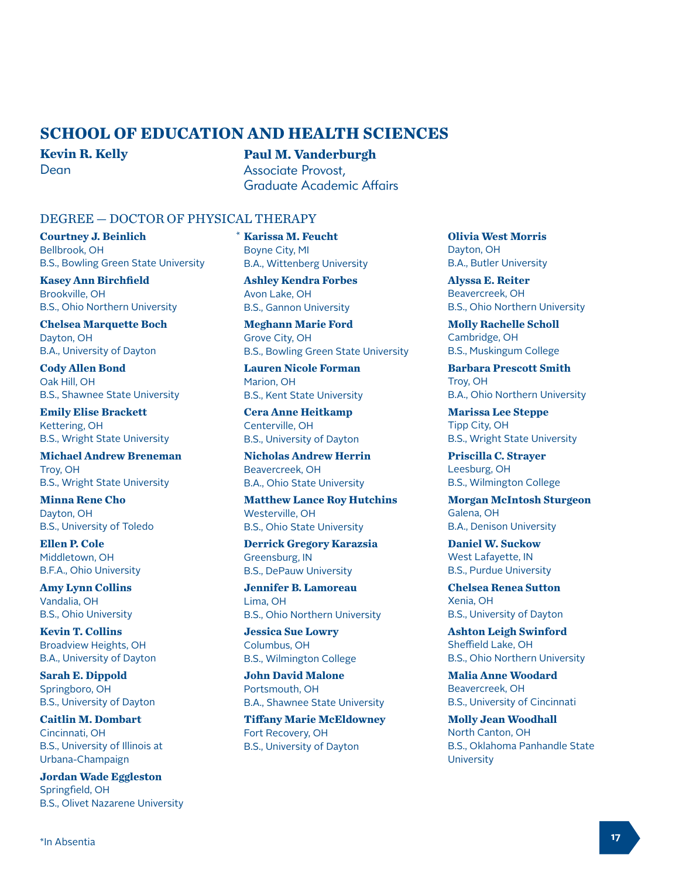# **SCHOOL OF EDUCATION AND HEALTH SCIENCES**

\*

**Kevin R. Kelly** Dean

**Paul M. Vanderburgh** Associate Provost, Graduate Academic Affairs

## DEGREE — DOCTOR OF PHYSICAL THERAPY

**Courtney J. Beinlich** Bellbrook, OH B.S., Bowling Green State University

**Kasey Ann Birchfield** Brookville, OH B.S., Ohio Northern University

**Chelsea Marquette Boch** Dayton, OH B.A., University of Dayton

**Cody Allen Bond** Oak Hill, OH B.S., Shawnee State University

**Emily Elise Brackett** Kettering, OH B.S., Wright State University

**Michael Andrew Breneman** Troy, OH B.S., Wright State University

**Minna Rene Cho** Dayton, OH B.S., University of Toledo

**Ellen P. Cole** Middletown, OH B.F.A., Ohio University

**Amy Lynn Collins** Vandalia, OH B.S., Ohio University

**Kevin T. Collins** Broadview Heights, OH B.A., University of Dayton

**Sarah E. Dippold** Springboro, OH B.S., University of Dayton

**Caitlin M. Dombart** Cincinnati, OH B.S., University of Illinois at Urbana-Champaign

**Jordan Wade Eggleston** Springfield, OH B.S., Olivet Nazarene University **Karissa M. Feucht** Boyne City, MI B.A., Wittenberg University

**Ashley Kendra Forbes** Avon Lake, OH B.S., Gannon University

**Meghann Marie Ford** Grove City, OH B.S., Bowling Green State University

**Lauren Nicole Forman** Marion, OH B.S., Kent State University

**Cera Anne Heitkamp** Centerville, OH B.S., University of Dayton

**Nicholas Andrew Herrin** Beavercreek, OH B.A., Ohio State University

**Matthew Lance Roy Hutchins** Westerville, OH B.S., Ohio State University

**Derrick Gregory Karazsia** Greensburg, IN B.S., DePauw University

**Jennifer B. Lamoreau** Lima, OH B.S., Ohio Northern University

**Jessica Sue Lowry** Columbus, OH B.S., Wilmington College

**John David Malone** Portsmouth, OH B.A., Shawnee State University

**Tiffany Marie McEldowney** Fort Recovery, OH B.S., University of Dayton

**Olivia West Morris** Dayton, OH B.A., Butler University

**Alyssa E. Reiter** Beavercreek, OH B.S., Ohio Northern University

**Molly Rachelle Scholl** Cambridge, OH B.S., Muskingum College

**Barbara Prescott Smith** Troy, OH B.A., Ohio Northern University

**Marissa Lee Steppe** Tipp City, OH B.S., Wright State University

**Priscilla C. Strayer** Leesburg, OH B.S., Wilmington College

**Morgan McIntosh Sturgeon** Galena, OH B.A., Denison University

**Daniel W. Suckow** West Lafayette, IN B.S., Purdue University

**Chelsea Renea Sutton** Xenia, OH B.S., University of Dayton

**Ashton Leigh Swinford** Sheffield Lake, OH B.S., Ohio Northern University

**Malia Anne Woodard** Beavercreek, OH B.S., University of Cincinnati

**Molly Jean Woodhall** North Canton, OH B.S., Oklahoma Panhandle State **University**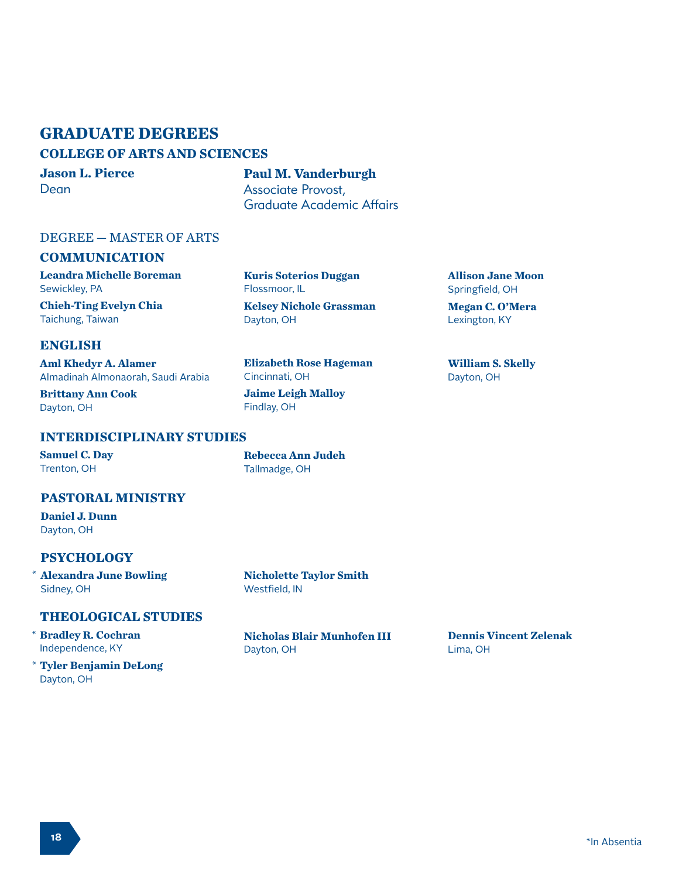# **GRADUATE DEGREES**

# **COLLEGE OF ARTS AND SCIENCES**

**Jason L. Pierce** Dean

**Paul M. Vanderburgh** Associate Provost, Graduate Academic Affairs

**Kuris Soterios Duggan**

**Kelsey Nichole Grassman**

**Elizabeth Rose Hageman**

Flossmoor, IL

Dayton, OH

Cincinnati, OH

Findlay, OH

# DEGREE — MASTER OF ARTS

# **COMMUNICATION**

**Leandra Michelle Boreman** Sewickley, PA

**Chieh-Ting Evelyn Chia** Taichung, Taiwan

**ENGLISH**

**Aml Khedyr A. Alamer**  Almadinah Almonaorah, Saudi Arabia

**Brittany Ann Cook** Dayton, OH

# **INTERDISCIPLINARY STUDIES**

**Samuel C. Day** Trenton, OH

**Rebecca Ann Judeh** Tallmadge, OH

**Jaime Leigh Malloy**

## **PASTORAL MINISTRY**

**Daniel J. Dunn** Dayton, OH

# **PSYCHOLOGY**

**Alexandra June Bowling** \* Sidney, OH

**Nicholette Taylor Smith** Westfield, IN

# **THEOLOGICAL STUDIES**

#### **Bradley R. Cochran** \* Independence, KY

**Tyler Benjamin DeLong** \*Dayton, OH

**Nicholas Blair Munhofen III** Dayton, OH

**Allison Jane Moon** Springfield, OH

**Megan C. O'Mera** Lexington, KY

**William S. Skelly** Dayton, OH

**Dennis Vincent Zelenak** Lima, OH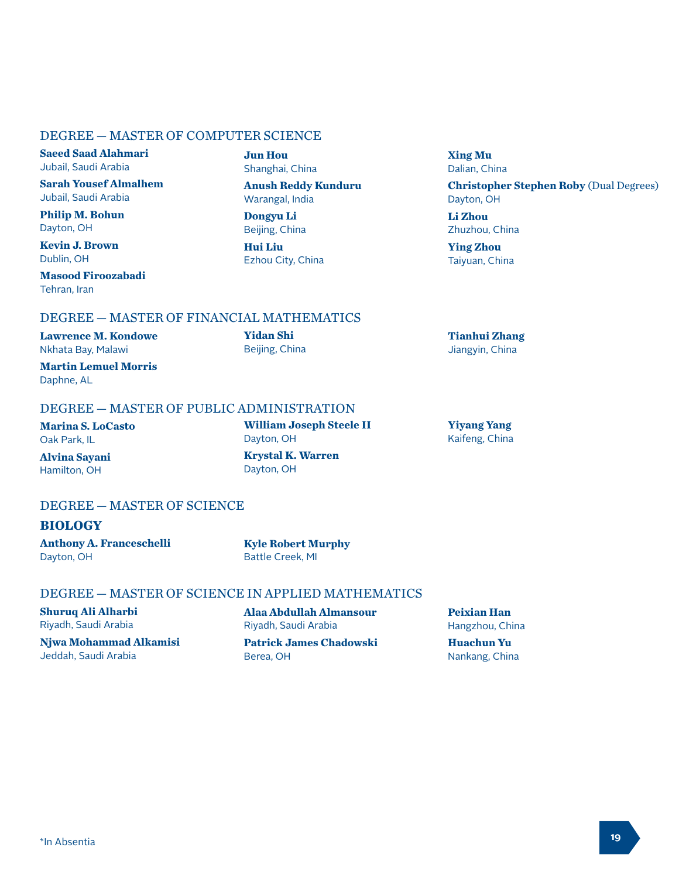# DEGREE — MASTER OF COMPUTER SCIENCE

**Saeed Saad Alahmari** Jubail, Saudi Arabia

**Sarah Yousef Almalhem** Jubail, Saudi Arabia

**Philip M. Bohun** Dayton, OH

**Kevin J. Brown** Dublin, OH

**Masood Firoozabadi**

**Jun Hou** Shanghai, China

**Anush Reddy Kunduru** Warangal, India

**Dongyu Li** Beijing, China

**Yidan Shi** Beijing, China

**Hui Liu** Ezhou City, China **Xing Mu** Dalian, China

**Christopher Stephen Roby** (Dual Degrees) Dayton, OH

**Li Zhou** Zhuzhou, China

**Ying Zhou** Taiyuan, China

**Yiyang Yang** Kaifeng, China

Tehran, Iran

**Tianhui Zhang** Jiangyin, China

**Martin Lemuel Morris** Daphne, AL

**Lawrence M. Kondowe** Nkhata Bay, Malawi

## DEGREE — MASTER OF PUBLIC ADMINISTRATION

DEGREE — MASTER OF FINANCIAL MATHEMATICS

**Marina S. LoCasto** Oak Park, IL

**Alvina Sayani** Hamilton, OH

**William Joseph Steele II** Dayton, OH **Krystal K. Warren** Dayton, OH

# DEGREE — MASTER OF SCIENCE

## **BIOLOGY**

**Anthony A. Franceschelli** Dayton, OH

**Kyle Robert Murphy** Battle Creek, MI

# DEGREE — MASTER OF SCIENCE IN APPLIED MATHEMATICS

**Shuruq Ali Alharbi** Riyadh, Saudi Arabia

**Njwa Mohammad Alkamisi** Jeddah, Saudi Arabia

**Alaa Abdullah Almansour** Riyadh, Saudi Arabia **Patrick James Chadowski** Berea, OH

**Peixian Han**

Hangzhou, China

**Huachun Yu** Nankang, China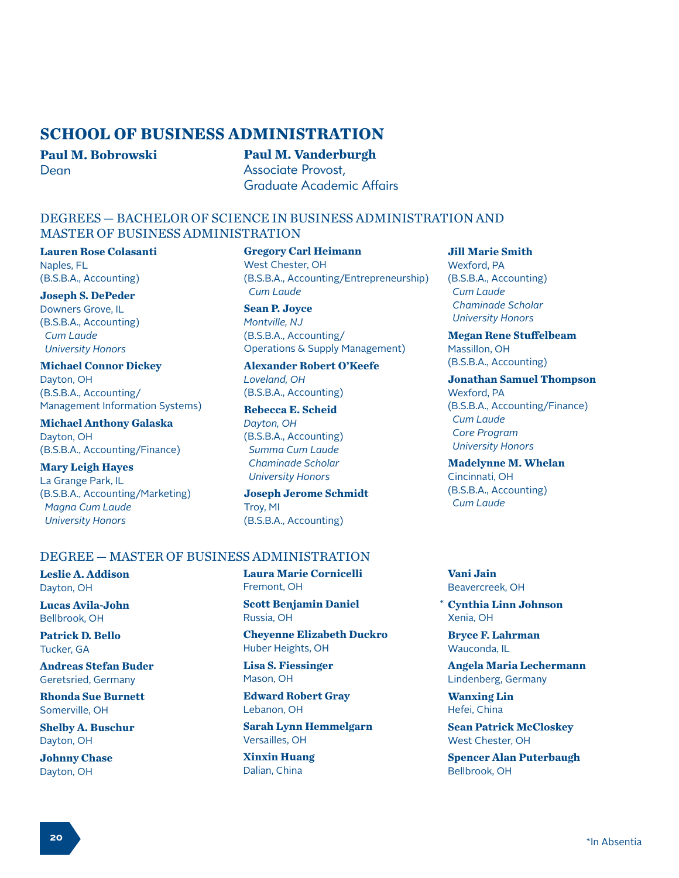# **SCHOOL OF BUSINESS ADMINISTRATION**

**Paul M. Bobrowski** Dean

# **Paul M. Vanderburgh**

Associate Provost, Graduate Academic Affairs

## DEGREES — BACHELOR OF SCIENCE IN BUSINESS ADMINISTRATION AND MASTER OF BUSINESS ADMINISTRATION

**Lauren Rose Colasanti** Naples, FL (B.S.B.A., Accounting)

**Joseph S. DePeder** Downers Grove, IL (B.S.B.A., Accounting)  *Cum Laude University Honors*

**Michael Connor Dickey** Dayton, OH (B.S.B.A., Accounting/ Management Information Systems)

**Michael Anthony Galaska** Dayton, OH (B.S.B.A., Accounting/Finance)

**Mary Leigh Hayes** La Grange Park, IL (B.S.B.A., Accounting/Marketing)  *Magna Cum Laude University Honors*

**Gregory Carl Heimann** West Chester, OH (B.S.B.A., Accounting/Entrepreneurship)  *Cum Laude*

**Sean P. Joyce** *Montville, NJ* (B.S.B.A., Accounting/ Operations & Supply Management)

**Alexander Robert O'Keefe** *Loveland, OH* (B.S.B.A., Accounting)

**Rebecca E. Scheid** *Dayton, OH* (B.S.B.A., Accounting)  *Summa Cum Laude Chaminade Scholar University Honors*

**Joseph Jerome Schmidt** Troy, MI (B.S.B.A., Accounting)

#### **Jill Marie Smith** Wexford, PA (B.S.B.A., Accounting)  *Cum Laude Chaminade Scholar*

 *University Honors*

**Megan Rene Stuffelbeam** Massillon, OH (B.S.B.A., Accounting)

**Jonathan Samuel Thompson** Wexford, PA (B.S.B.A., Accounting/Finance)  *Cum Laude Core Program University Honors*

**Madelynne M. Whelan** Cincinnati, OH (B.S.B.A., Accounting)  *Cum Laude*

# DEGREE — MASTER OF BUSINESS ADMINISTRATION

**Leslie A. Addison** Dayton, OH

**Lucas Avila-John** Bellbrook, OH

**Patrick D. Bello** Tucker, GA

**Andreas Stefan Buder** Geretsried, Germany

**Rhonda Sue Burnett** Somerville, OH

**Shelby A. Buschur** Dayton, OH

**Johnny Chase** Dayton, OH

**Laura Marie Cornicelli** Fremont, OH

**Scott Benjamin Daniel** Russia, OH

**Cheyenne Elizabeth Duckro** Huber Heights, OH

**Lisa S. Fiessinger** Mason, OH

**Edward Robert Gray** Lebanon, OH

**Sarah Lynn Hemmelgarn** Versailles, OH

**Xinxin Huang** Dalian, China

**Vani Jain** Beavercreek, OH

\*

**Cynthia Linn Johnson** Xenia, OH

**Bryce F. Lahrman** Wauconda, IL

**Angela Maria Lechermann** Lindenberg, Germany

**Wanxing Lin** Hefei, China

**Sean Patrick McCloskey** West Chester, OH

**Spencer Alan Puterbaugh** Bellbrook, OH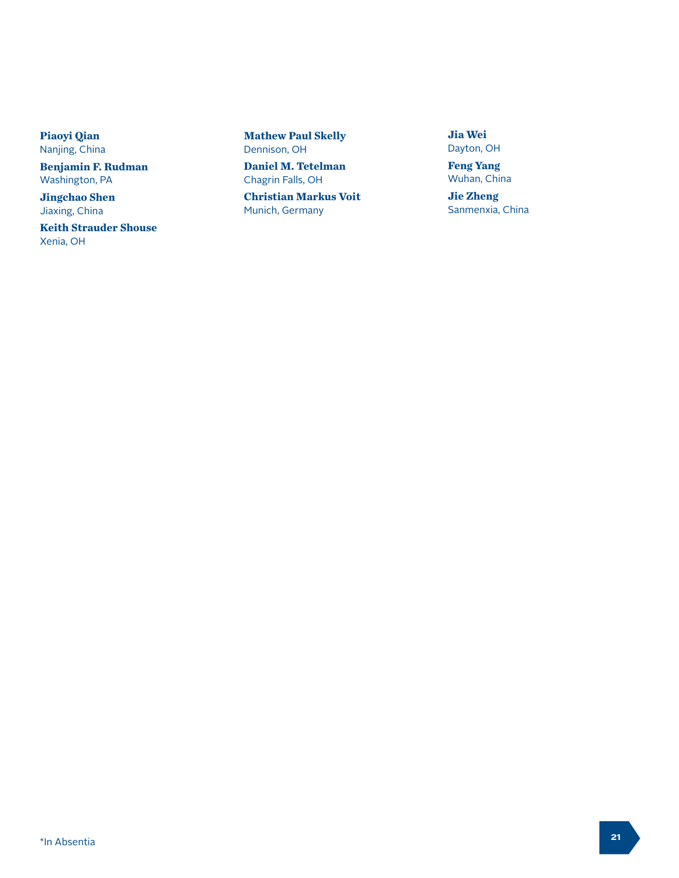**Piaoyi Qian** Nanjing, China

**Benjamin F. Rudman** Washington, PA

**Jingchao Shen** Jiaxing, China

**Keith Strauder Shouse** Xenia, OH

**Mathew Paul Skelly** Dennison, OH

**Daniel M. Tetelman** Chagrin Falls, OH

**Christian Markus Voit** Munich, Germany

**Jia Wei** Dayton, OH

**Feng Yang** Wuhan, China

**Jie Zheng** Sanmenxia, China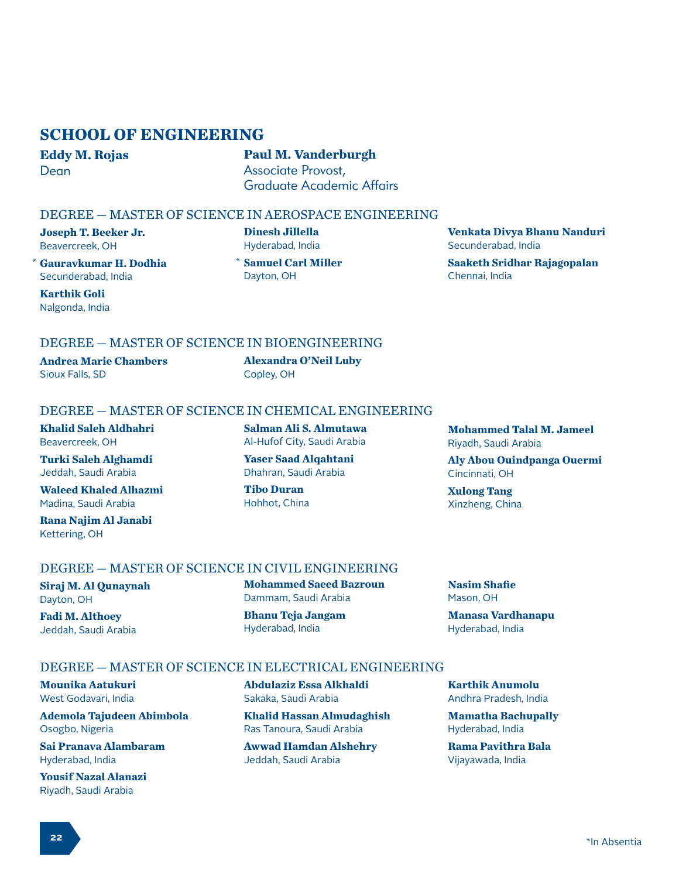# **SCHOOL OF ENGINEERING**

**Eddy M. Rojas** Dean

# **Paul M. Vanderburgh** Associate Provost, Graduate Academic Affairs

## DEGREE — MASTER OF SCIENCE IN AEROSPACE ENGINEERING

**Joseph T. Beeker Jr.** Beavercreek, OH

\* Gauravkumar H. Dodhia **\*** Secunderabad, India

**Karthik Goli** Nalgonda, India **Dinesh Jillella** Hyderabad, India

**Samuel Carl Miller** Dayton, OH

**Venkata Divya Bhanu Nanduri** Secunderabad, India **Saaketh Sridhar Rajagopalan** Chennai, India

# DEGREE — MASTER OF SCIENCE IN BIOENGINEERING

**Andrea Marie Chambers** Sioux Falls, SD

**Alexandra O'Neil Luby** Copley, OH

## DEGREE — MASTER OF SCIENCE IN CHEMICAL ENGINEERING

**Khalid Saleh Aldhahri** Beavercreek, OH

**Turki Saleh Alghamdi** Jeddah, Saudi Arabia

**Waleed Khaled Alhazmi** Madina, Saudi Arabia

**Rana Najim Al Janabi** Kettering, OH

**Salman Ali S. Almutawa** Al-Hufof City, Saudi Arabia

**Yaser Saad Alqahtani** Dhahran, Saudi Arabia

**Tibo Duran** Hohhot, China **Mohammed Talal M. Jameel** Riyadh, Saudi Arabia

**Aly Abou Ouindpanga Ouermi** Cincinnati, OH

**Xulong Tang** Xinzheng, China

**Nasim Shafie** Mason, OH

# DEGREE — MASTER OF SCIENCE IN CIVIL ENGINEERING

DEGREE — MASTER OF SCIENCE IN ELECTRICAL ENGINEERING

**Siraj M. Al Qunaynah** Dayton, OH

**Fadi M. Althoey** Jeddah, Saudi Arabia

**Mounika Aatukuri** West Godavari, India

Osogbo, Nigeria

Dammam, Saudi Arabia **Bhanu Teja Jangam**

**Mohammed Saeed Bazroun**

Hyderabad, India

**Karthik Anumolu**

**Manasa Vardhanapu** Hyderabad, India

Andhra Pradesh, India

**Mamatha Bachupally** Hyderabad, India

**Rama Pavithra Bala** Vijayawada, India

Hyderabad, India **Yousif Nazal Alanazi** Riyadh, Saudi Arabia

**Sai Pranava Alambaram**

**Ademola Tajudeen Abimbola**

**Abdulaziz Essa Alkhaldi** Sakaka, Saudi Arabia

**Khalid Hassan Almudaghish** Ras Tanoura, Saudi Arabia

**Awwad Hamdan Alshehry** Jeddah, Saudi Arabia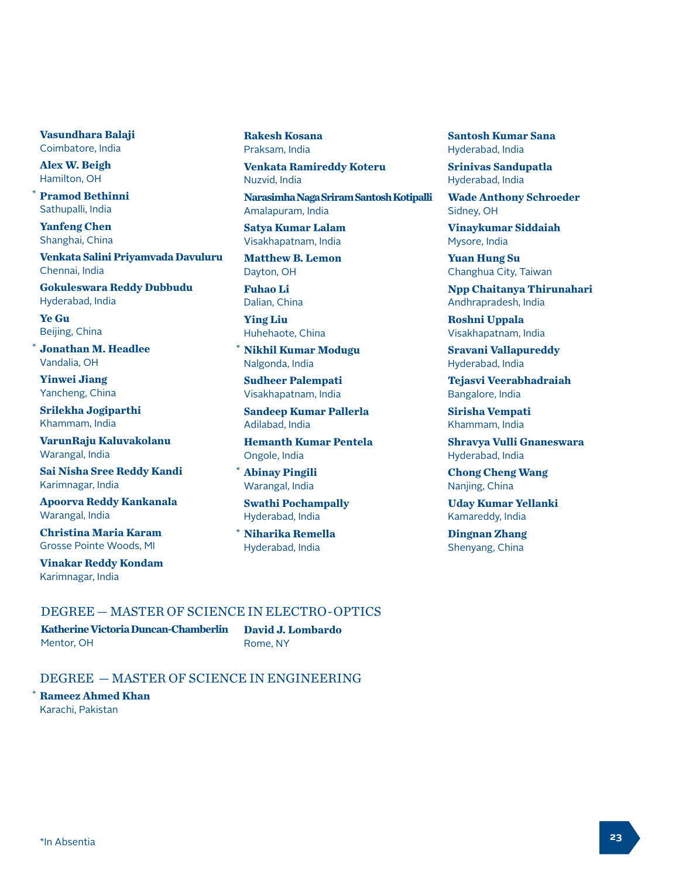**Vasundhara Balaji** Coimbatore, India

**Alex W. Beigh** Hamilton, OH

\*

**Pramod Bethinni** Sathupalli, India

**Yanfeng Chen** Shanghai, China

**Venkata Salini Priyamvada Davuluru** Chennai, India

**Gokuleswara Reddy Dubbudu** Hyderabad, India

**Ye Gu** Beijing, China

 $*$  **Jonathan M. Headlee** Vandalia, OH

**Yinwei Jiang** Yancheng, China

**Srilekha Jogiparthi** Khammam, India

**VarunRaju Kaluvakolanu** Warangal, India

**Sai Nisha Sree Reddy Kandi** Karimnagar, India

**Apoorva Reddy Kankanala** Warangal, India

**Christina Maria Karam** Grosse Pointe Woods, MI

**Vinakar Reddy Kondam** Karimnagar, India

**Rakesh Kosana** Praksam, India

**Venkata Ramireddy Koteru** Nuzvid, India

**Narasimha Naga Sriram Santosh Kotipalli** Amalapuram, India

**Satya Kumar Lalam** Visakhapatnam, India

**Matthew B. Lemon** Dayton, OH

**Fuhao Li** Dalian, China

**Ying Liu** Huhehaote, China

**Nikhil Kumar Modugu** Nalgonda, India

**Sudheer Palempati** Visakhapatnam, India

**Sandeep Kumar Pallerla** Adilabad, India

**Hemanth Kumar Pentela** Ongole, India

**Abinay Pingili** Warangal, India

\*

**Swathi Pochampally** Hyderabad, India

**Niharika Remella** Hyderabad, India \*

**Santosh Kumar Sana** Hyderabad, India

**Srinivas Sandupatla** Hyderabad, India

**Wade Anthony Schroeder** Sidney, OH

**Vinaykumar Siddaiah** Mysore, India

**Yuan Hung Su** Changhua City, Taiwan

**Npp Chaitanya Thirunahari** Andhrapradesh, India

**Roshni Uppala** Visakhapatnam, India

**Sravani Vallapureddy** Hyderabad, India

**Tejasvi Veerabhadraiah** Bangalore, India

**Sirisha Vempati** Khammam, India

**Shravya Vulli Gnaneswara** Hyderabad, India

**Chong Cheng Wang** Nanjing, China

**Uday Kumar Yellanki** Kamareddy, India

**Dingnan Zhang** Shenyang, China

# DEGREE — MASTER OF SCIENCE IN ELECTRO-OPTICS

**Katherine Victoria Duncan-Chamberlin** Mentor, OH

**David J. Lombardo** Rome, NY

## DEGREE — MASTER OF SCIENCE IN ENGINEERING

**Rameez Ahmed Khan** Karachi, Pakistan

\*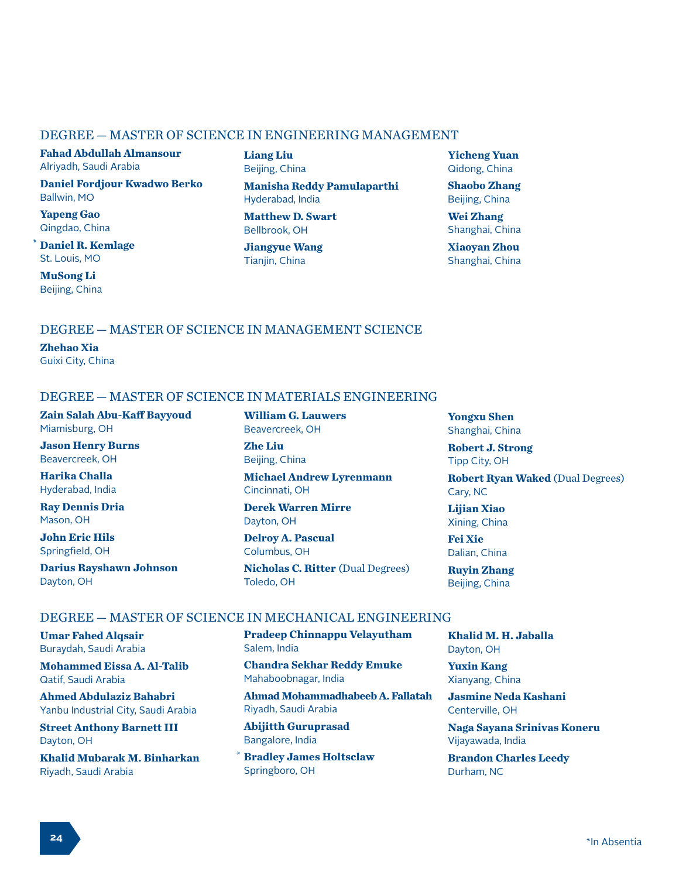#### DEGREE — MASTER OF SCIENCE IN ENGINEERING MANAGEMENT

**Fahad Abdullah Almansour** Alriyadh, Saudi Arabia

**Daniel Fordjour Kwadwo Berko** Ballwin, MO

**Yapeng Gao** Qingdao, China

**Daniel R. Kemlage** St. Louis, MO

**MuSong Li** Beijing, China

\*

**Liang Liu** Beijing, China

**Manisha Reddy Pamulaparthi** Hyderabad, India

**Matthew D. Swart** Bellbrook, OH

**Jiangyue Wang** Tianjin, China

**Yicheng Yuan** Qidong, China

**Shaobo Zhang** Beijing, China

**Wei Zhang** Shanghai, China

**Xiaoyan Zhou** Shanghai, China

# DEGREE — MASTER OF SCIENCE IN MANAGEMENT SCIENCE

**Zhehao Xia** Guixi City, China

# DEGREE — MASTER OF SCIENCE IN MATERIALS ENGINEERING

**Zain Salah Abu-Kaff Bayyoud** Miamisburg, OH

**Jason Henry Burns** Beavercreek, OH

**Harika Challa** Hyderabad, India

**Ray Dennis Dria** Mason, OH

**John Eric Hils** Springfield, OH

**Darius Rayshawn Johnson** Dayton, OH

**William G. Lauwers** Beavercreek, OH

**Zhe Liu** Beijing, China

**Michael Andrew Lyrenmann** Cincinnati, OH

**Derek Warren Mirre** Dayton, OH

**Delroy A. Pascual** Columbus, OH

**Nicholas C. Ritter** (Dual Degrees) Toledo, OH

**Yongxu Shen** Shanghai, China

**Robert J. Strong** Tipp City, OH

**Robert Ryan Waked** (Dual Degrees) Cary, NC

**Lijian Xiao** Xining, China

**Fei Xie** Dalian, China

**Ruyin Zhang** Beijing, China

#### DEGREE — MASTER OF SCIENCE IN MECHANICAL ENGINEERING

**Umar Fahed Alqsair** Buraydah, Saudi Arabia

**Mohammed Eissa A. Al-Talib** Qatif, Saudi Arabia

**Ahmed Abdulaziz Bahabri** Yanbu Industrial City, Saudi Arabia

**Street Anthony Barnett III** Dayton, OH

**Khalid Mubarak M. Binharkan** Riyadh, Saudi Arabia

**Pradeep Chinnappu Velayutham** Salem, India

**Chandra Sekhar Reddy Emuke** Mahaboobnagar, India

**Ahmad Mohammadhabeeb A. Fallatah** Riyadh, Saudi Arabia

**Abijitth Guruprasad** Bangalore, India

**Bradley James Holtsclaw** Springboro, OH \*

**Khalid M. H. Jaballa** Dayton, OH

**Yuxin Kang** Xianyang, China

**Jasmine Neda Kashani** Centerville, OH

**Naga Sayana Srinivas Koneru** Vijayawada, India

**Brandon Charles Leedy** Durham, NC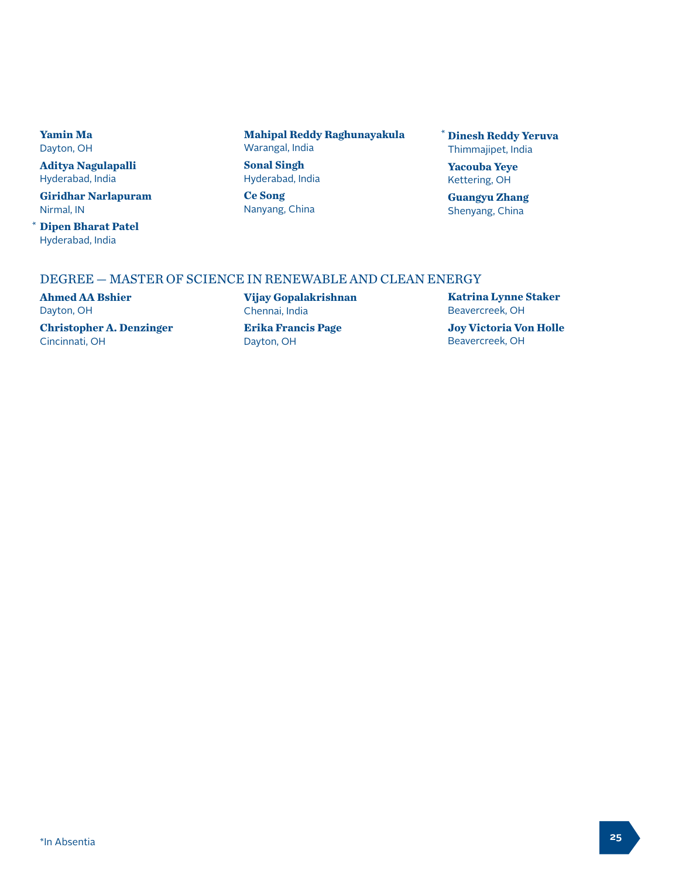**Yamin Ma** Dayton, OH

**Aditya Nagulapalli** Hyderabad, India

**Giridhar Narlapuram** Nirmal, IN

**Dipen Bharat Patel** \* Hyderabad, India

**Mahipal Reddy Raghunayakula** Warangal, India

**Sonal Singh** Hyderabad, India

**Ce Song** Nanyang, China **Dinesh Reddy Yeruva** \*Thimmajipet, India

**Yacouba Yeye** Kettering, OH

**Guangyu Zhang** Shenyang, China

#### DEGREE — MASTER OF SCIENCE IN RENEWABLE AND CLEAN ENERGY

**Ahmed AA Bshier** Dayton, OH

**Christopher A. Denzinger** Cincinnati, OH

**Vijay Gopalakrishnan** Chennai, India

**Erika Francis Page** Dayton, OH

**Katrina Lynne Staker** Beavercreek, OH

**Joy Victoria Von Holle** Beavercreek, OH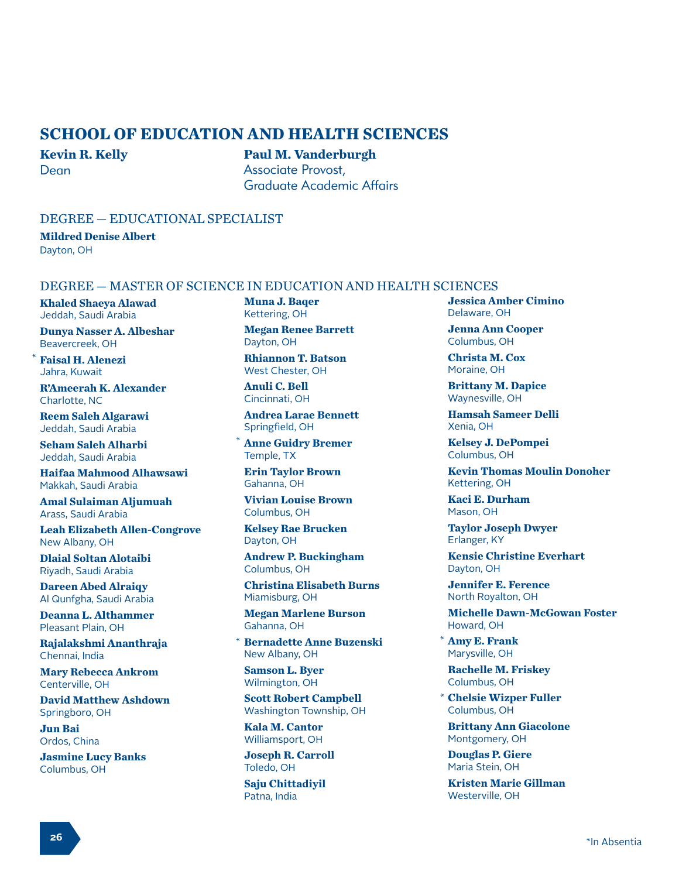# **SCHOOL OF EDUCATION AND HEALTH SCIENCES**

#### **Kevin R. Kelly** Dean

**Paul M. Vanderburgh** Associate Provost, Graduate Academic Affairs

## DEGREE — EDUCATIONAL SPECIALIST

**Mildred Denise Albert** Dayton, OH

#### DEGREE — MASTER OF SCIENCE IN EDUCATION AND HEALTH SCIENCES

**Khaled Shaeya Alawad** Jeddah, Saudi Arabia

**Dunya Nasser A. Albeshar** Beavercreek, OH

**Faisal H. Alenezi** Jahra, Kuwait

\*

**R'Ameerah K. Alexander** Charlotte, NC

**Reem Saleh Algarawi** Jeddah, Saudi Arabia

**Seham Saleh Alharbi** Jeddah, Saudi Arabia

**Haifaa Mahmood Alhawsawi** Makkah, Saudi Arabia

**Amal Sulaiman Aljumuah** Arass, Saudi Arabia

**Leah Elizabeth Allen-Congrove** New Albany, OH

**Dlaial Soltan Alotaibi** Riyadh, Saudi Arabia

**Dareen Abed Alraiqy** Al Qunfgha, Saudi Arabia

**Deanna L. Althammer** Pleasant Plain, OH

**Rajalakshmi Ananthraja** Chennai, India

**Mary Rebecca Ankrom** Centerville, OH

**David Matthew Ashdown** Springboro, OH

**Jun Bai** Ordos, China

**Jasmine Lucy Banks** Columbus, OH

**Muna J. Baqer** Kettering, OH

**Megan Renee Barrett** Dayton, OH

**Rhiannon T. Batson** West Chester, OH

**Anuli C. Bell** Cincinnati, OH

**Andrea Larae Bennett** Springfield, OH

**Anne Guidry Bremer** Temple, TX \*

**Erin Taylor Brown** Gahanna, OH

**Vivian Louise Brown** Columbus, OH

**Kelsey Rae Brucken** Dayton, OH

**Andrew P. Buckingham** Columbus, OH

**Christina Elisabeth Burns** Miamisburg, OH

**Megan Marlene Burson** Gahanna, OH

\* Bernadette Anne Buzenski New Albany, OH

**Samson L. Byer** Wilmington, OH

**Scott Robert Campbell** Washington Township, OH

**Kala M. Cantor** Williamsport, OH

**Joseph R. Carroll** Toledo, OH

**Saju Chittadiyil** Patna, India

**Jessica Amber Cimino** Delaware, OH

**Jenna Ann Cooper** Columbus, OH

**Christa M. Cox** Moraine, OH

**Brittany M. Dapice** Waynesville, OH

**Hamsah Sameer Delli** Xenia, OH

**Kelsey J. DePompei** Columbus, OH

**Kevin Thomas Moulin Donoher** Kettering, OH

**Kaci E. Durham** Mason, OH

**Taylor Joseph Dwyer** Erlanger, KY

**Kensie Christine Everhart** Dayton, OH

**Jennifer E. Ference** North Royalton, OH

**Michelle Dawn-McGowan Foster** Howard, OH

**Amy E. Frank** Marysville, OH

**Rachelle M. Friskey** Columbus, OH

**Chelsie Wizper Fuller** \*Columbus, OH

**Brittany Ann Giacolone** Montgomery, OH

**Douglas P. Giere** Maria Stein, OH

**Kristen Marie Gillman** Westerville, OH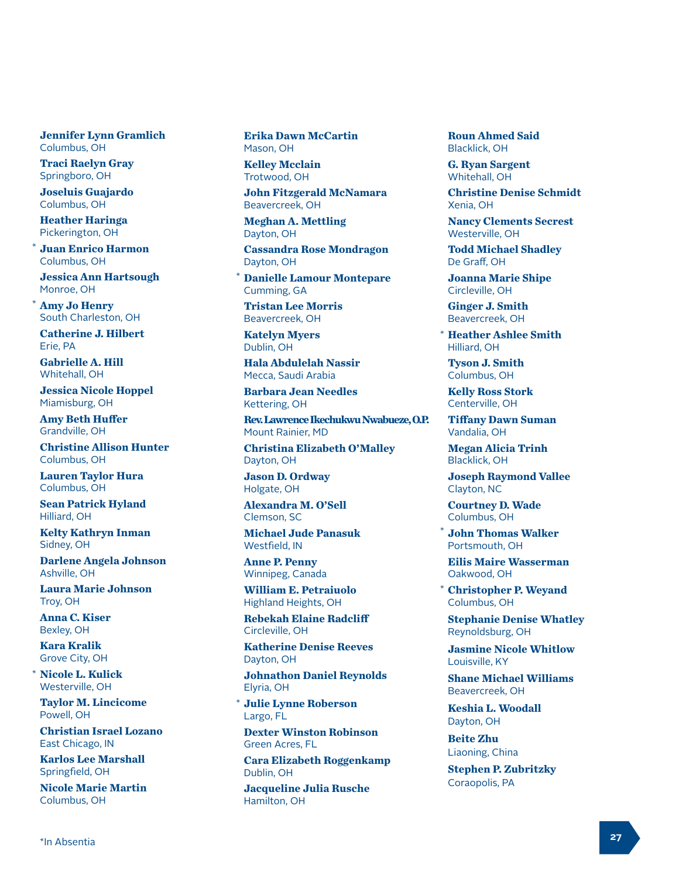**Jennifer Lynn Gramlich** Columbus, OH

**Traci Raelyn Gray** Springboro, OH

**Joseluis Guajardo** Columbus, OH

**Heather Haringa** Pickerington, OH

**Juan Enrico Harmon** Columbus, OH \*

**Jessica Ann Hartsough** Monroe, OH

**Amy Jo Henry** South Charleston, OH

\*

**Catherine J. Hilbert** Erie, PA

**Gabrielle A. Hill** Whitehall, OH

**Jessica Nicole Hoppel** Miamisburg, OH

**Amy Beth Huffer** Grandville, OH

**Christine Allison Hunter** Columbus, OH

**Lauren Taylor Hura** Columbus, OH

**Sean Patrick Hyland** Hilliard, OH

**Kelty Kathryn Inman** Sidney, OH

**Darlene Angela Johnson** Ashville, OH

**Laura Marie Johnson** Troy, OH

**Anna C. Kiser** Bexley, OH

**Kara Kralik** Grove City, OH

\*

**Nicole L. Kulick** Westerville, OH

**Taylor M. Lincicome** Powell, OH

**Christian Israel Lozano** East Chicago, IN

**Karlos Lee Marshall** Springfield, OH

**Nicole Marie Martin** Columbus, OH

**Erika Dawn McCartin** Mason, OH

**Kelley Mcclain** Trotwood, OH

**John Fitzgerald McNamara** Beavercreek, OH

**Meghan A. Mettling** Dayton, OH

**Cassandra Rose Mondragon** Dayton, OH

**Danielle Lamour Montepare** Cumming, GA \*

**Tristan Lee Morris** Beavercreek, OH

**Katelyn Myers** Dublin, OH

**Hala Abdulelah Nassir** Mecca, Saudi Arabia

**Barbara Jean Needles** Kettering, OH

**Rev. Lawrence Ikechukwu Nwabueze, O.P.** Mount Rainier, MD

**Christina Elizabeth O'Malley** Dayton, OH

**Jason D. Ordway** Holgate, OH

**Alexandra M. O'Sell** Clemson, SC

**Michael Jude Panasuk** Westfield, IN

**Anne P. Penny** Winnipeg, Canada

**William E. Petraiuolo** Highland Heights, OH

**Rebekah Elaine Radcliff** Circleville, OH

**Katherine Denise Reeves** Dayton, OH

**Johnathon Daniel Reynolds** Elyria, OH

**Julie Lynne Roberson** Largo, FL \*

**Dexter Winston Robinson** Green Acres, FL

**Cara Elizabeth Roggenkamp** Dublin, OH

**Jacqueline Julia Rusche** Hamilton, OH

**Roun Ahmed Said** Blacklick, OH

**G. Ryan Sargent** Whitehall, OH

**Christine Denise Schmidt** Xenia, OH

**Nancy Clements Secrest** Westerville, OH

**Todd Michael Shadley** De Graff, OH

**Joanna Marie Shipe** Circleville, OH

**Ginger J. Smith** Beavercreek, OH

**Heather Ashlee Smith** \* Hilliard, OH

**Tyson J. Smith** Columbus, OH

**Kelly Ross Stork** Centerville, OH

**Tiffany Dawn Suman** Vandalia, OH

**Megan Alicia Trinh** Blacklick, OH

**Joseph Raymond Vallee** Clayton, NC

**Courtney D. Wade** Columbus, OH

**John Thomas Walker** Portsmouth, OH \*

**Eilis Maire Wasserman** Oakwood, OH

**Christopher P. Weyand** Columbus, OH \*

**Stephanie Denise Whatley** Reynoldsburg, OH

**Jasmine Nicole Whitlow** Louisville, KY

**Shane Michael Williams** Beavercreek, OH

**Keshia L. Woodall** Dayton, OH

**Beite Zhu** Liaoning, China

**Stephen P. Zubritzky** Coraopolis, PA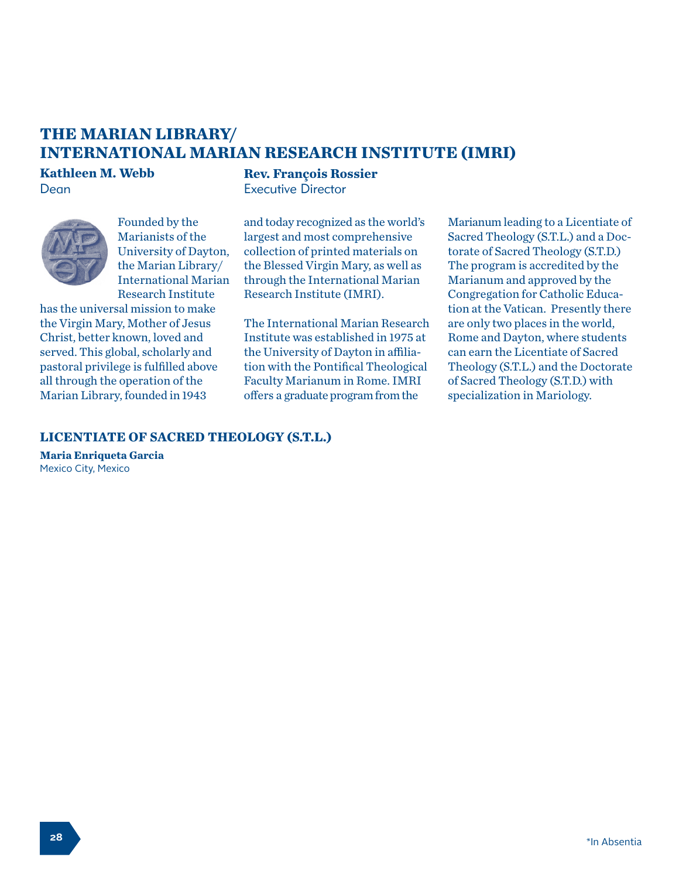# **THE MARIAN LIBRARY/ INTERNATIONAL MARIAN RESEARCH INSTITUTE (IMRI)**

# **Kathleen M. Webb** Dean



Founded by the Marianists of the University of Dayton, the Marian Library/ International Marian Research Institute

has the universal mission to make the Virgin Mary, Mother of Jesus Christ, better known, loved and served. This global, scholarly and pastoral privilege is fulfilled above all through the operation of the Marian Library, founded in 1943

**Rev. François Rossier** Executive Director

and today recognized as the world's largest and most comprehensive collection of printed materials on the Blessed Virgin Mary, as well as through the International Marian Research Institute (IMRI).

The International Marian Research Institute was established in 1975 at the University of Dayton in affiliation with the Pontifical Theological Faculty Marianum in Rome. IMRI offers a graduate program from the

Marianum leading to a Licentiate of Sacred Theology (S.T.L.) and a Doctorate of Sacred Theology (S.T.D.) The program is accredited by the Marianum and approved by the Congregation for Catholic Education at the Vatican. Presently there are only two places in the world, Rome and Dayton, where students can earn the Licentiate of Sacred Theology (S.T.L.) and the Doctorate of Sacred Theology (S.T.D.) with specialization in Mariology.

# **LICENTIATE OF SACRED THEOLOGY (S.T.L.)**

**Maria Enriqueta Garcia** Mexico City, Mexico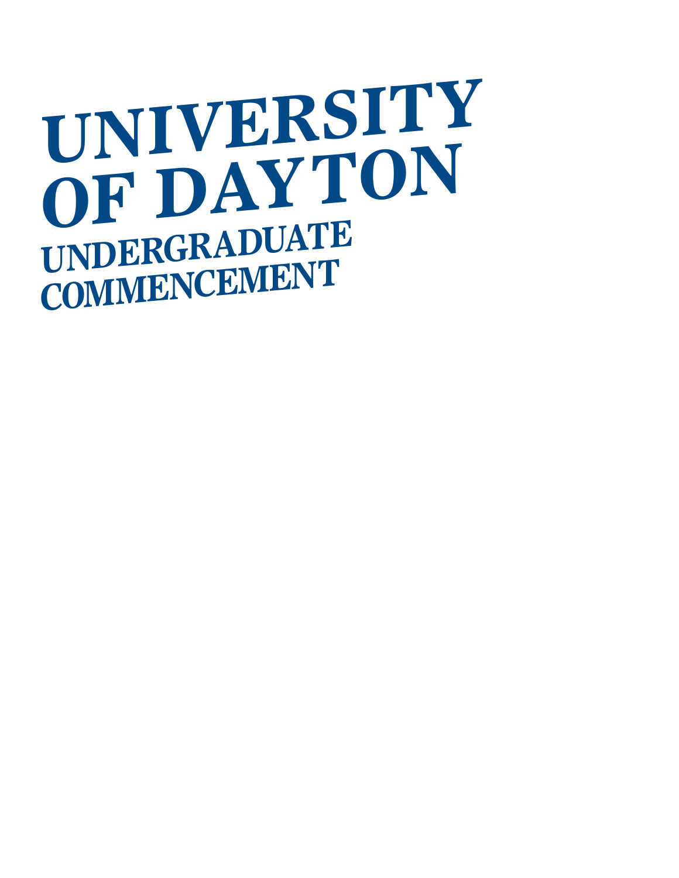# **UNIVERSITY OF DAYTON UNDERGRADUATE COMMENCEMENT**

- 
- 
- -
	- - - -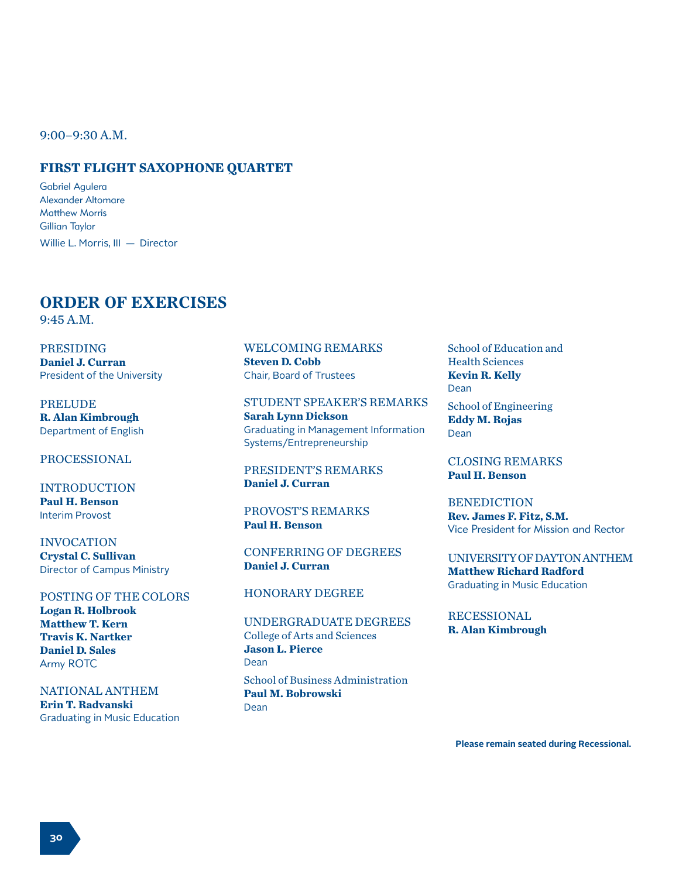9:00–9:30 A.M.

## **FIRST FLIGHT SAXOPHONE QUARTET**

Gabriel Agulera Alexander Altomare Matthew Morris Gillian Taylor Willie L. Morris, III — Director

#### **ORDER OF EXERCISES**  9:45 A.M.

PRESIDING **Daniel J. Curran**  President of the University

PRELUDE **R. Alan Kimbrough**  Department of English

#### PROCESSIONAL

INTRODUCTION **Paul H. Benson** Interim Provost

INVOCATION **Crystal C. Sullivan** Director of Campus Ministry

POSTING OF THE COLORS **Logan R. Holbrook Matthew T. Kern Travis K. Nartker Daniel D. Sales** Army ROTC

NATIONAL ANTHEM **Erin T. Radvanski** Graduating in Music Education

WELCOMING REMARKS **Steven D. Cobb** Chair, Board of Trustees

STUDENT SPEAKER'S REMARKS **Sarah Lynn Dickson** Graduating in Management Information Systems/Entrepreneurship

PRESIDENT'S REMARKS **Daniel J. Curran** 

PROVOST'S REMARKS **Paul H. Benson**

CONFERRING OF DEGREES **Daniel J. Curran** 

## HONORARY DEGREE

UNDERGRADUATE DEGREES College of Arts and Sciences **Jason L. Pierce**  Dean

School of Business Administration **Paul M. Bobrowski** Dean

School of Education and Health Sciences **Kevin R. Kelly** Dean

School of Engineering **Eddy M. Rojas** Dean

CLOSING REMARKS **Paul H. Benson**

**BENEDICTION Rev. James F. Fitz, S.M.** Vice President for Mission and Rector

UNIVERSITY OF DAYTON ANTHEM **Matthew Richard Radford** Graduating in Music Education

**RECESSIONAL R. Alan Kimbrough** 

**Please remain seated during Recessional.**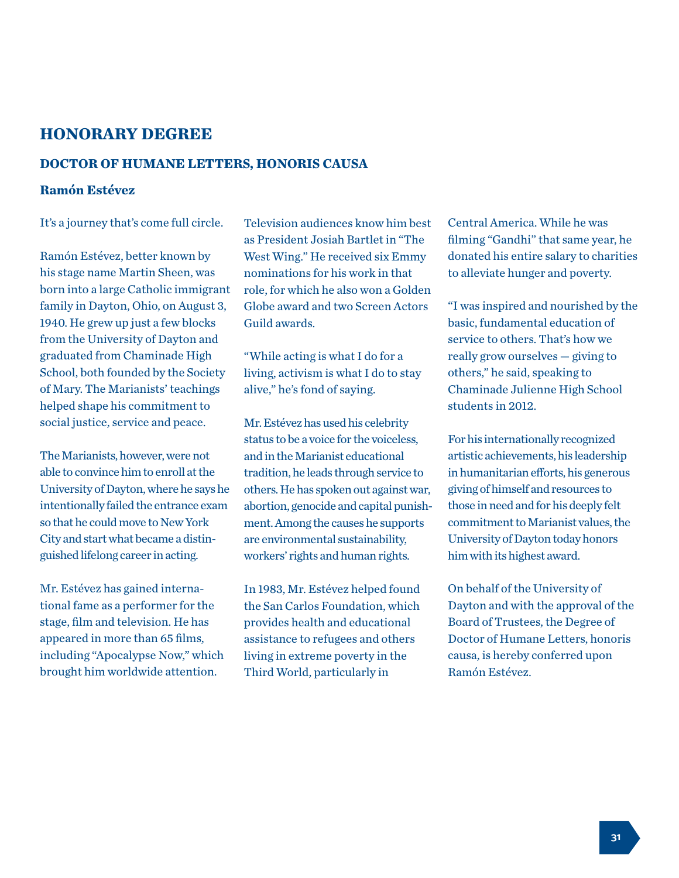# **HONORARY DEGREE**

## **DOCTOR OF HUMANE LETTERS, HONORIS CAUSA**

# **Ramón Estévez**

It's a journey that's come full circle.

Ramón Estévez, better known by his stage name Martin Sheen, was born into a large Catholic immigrant family in Dayton, Ohio, on August 3, 1940. He grew up just a few blocks from the University of Dayton and graduated from Chaminade High School, both founded by the Society of Mary. The Marianists' teachings helped shape his commitment to social justice, service and peace.

The Marianists, however, were not able to convince him to enroll at the University of Dayton, where he says he intentionally failed the entrance exam so that he could move to New York City and start what became a distinguished lifelong career in acting.

Mr. Estévez has gained international fame as a performer for the stage, film and television. He has appeared in more than 65 films, including "Apocalypse Now," which brought him worldwide attention.

Television audiences know him best as President Josiah Bartlet in "The West Wing." He received six Emmy nominations for his work in that role, for which he also won a Golden Globe award and two Screen Actors Guild awards.

"While acting is what I do for a living, activism is what I do to stay alive," he's fond of saying.

Mr. Estévez has used his celebrity status to be a voice for the voiceless, and in the Marianist educational tradition, he leads through service to others. He has spoken out against war, abortion, genocide and capital punishment. Among the causes he supports are environmental sustainability, workers' rights and human rights.

In 1983, Mr. Estévez helped found the San Carlos Foundation, which provides health and educational assistance to refugees and others living in extreme poverty in the Third World, particularly in

Central America. While he was filming "Gandhi" that same year, he donated his entire salary to charities to alleviate hunger and poverty.

"I was inspired and nourished by the basic, fundamental education of service to others. That's how we really grow ourselves — giving to others," he said, speaking to Chaminade Julienne High School students in 2012.

For his internationally recognized artistic achievements, his leadership in humanitarian efforts, his generous giving of himself and resources to those in need and for his deeply felt commitment to Marianist values, the University of Dayton today honors him with its highest award.

On behalf of the University of Dayton and with the approval of the Board of Trustees, the Degree of Doctor of Humane Letters, honoris causa, is hereby conferred upon Ramón Estévez.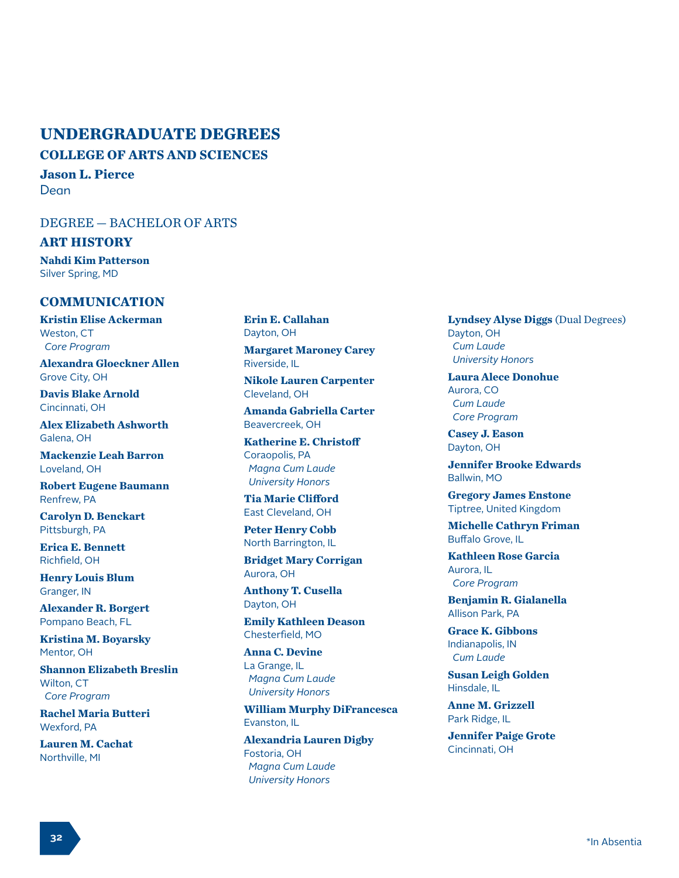# **UNDERGRADUATE DEGREES**

**COLLEGE OF ARTS AND SCIENCES**

**Jason L. Pierce**  Dean

# DEGREE — BACHELOR OF ARTS

#### **ART HISTORY**

**Nahdi Kim Patterson** Silver Spring, MD

# **COMMUNICATION**

**Kristin Elise Ackerman** Weston, CT  *Core Program*

**Alexandra Gloeckner Allen** Grove City, OH

**Davis Blake Arnold** Cincinnati, OH

**Alex Elizabeth Ashworth** Galena, OH

**Mackenzie Leah Barron** Loveland, OH

**Robert Eugene Baumann** Renfrew, PA

**Carolyn D. Benckart** Pittsburgh, PA

**Erica E. Bennett** Richfield, OH

**Henry Louis Blum** Granger, IN

**Alexander R. Borgert** Pompano Beach, FL

**Kristina M. Boyarsky** Mentor, OH

**Shannon Elizabeth Breslin** Wilton, CT  *Core Program*

**Rachel Maria Butteri** Wexford, PA

**Lauren M. Cachat** Northville, MI

**Erin E. Callahan** Dayton, OH

**Margaret Maroney Carey** Riverside, IL

**Nikole Lauren Carpenter** Cleveland, OH

**Amanda Gabriella Carter** Beavercreek, OH

**Katherine E. Christoff** Coraopolis, PA  *Magna Cum Laude University Honors*

**Tia Marie Clifford** East Cleveland, OH

**Peter Henry Cobb** North Barrington, IL

**Bridget Mary Corrigan** Aurora, OH

**Anthony T. Cusella** Dayton, OH

**Emily Kathleen Deason** Chesterfield, MO

**Anna C. Devine** La Grange, IL  *Magna Cum Laude University Honors*

**William Murphy DiFrancesca** Evanston, IL

**Alexandria Lauren Digby** Fostoria, OH  *Magna Cum Laude University Honors*

**Lyndsey Alyse Diggs** (Dual Degrees) Dayton, OH  *Cum Laude University Honors*

**Laura Alece Donohue** Aurora, CO  *Cum Laude Core Program*

**Casey J. Eason** Dayton, OH

**Jennifer Brooke Edwards** Ballwin, MO

**Gregory James Enstone** Tiptree, United Kingdom

**Michelle Cathryn Friman** Buffalo Grove, IL

**Kathleen Rose Garcia** Aurora, IL  *Core Program*

**Benjamin R. Gialanella** Allison Park, PA

**Grace K. Gibbons** Indianapolis, IN  *Cum Laude*

**Susan Leigh Golden** Hinsdale, IL

**Anne M. Grizzell** Park Ridge, IL

**Jennifer Paige Grote** Cincinnati, OH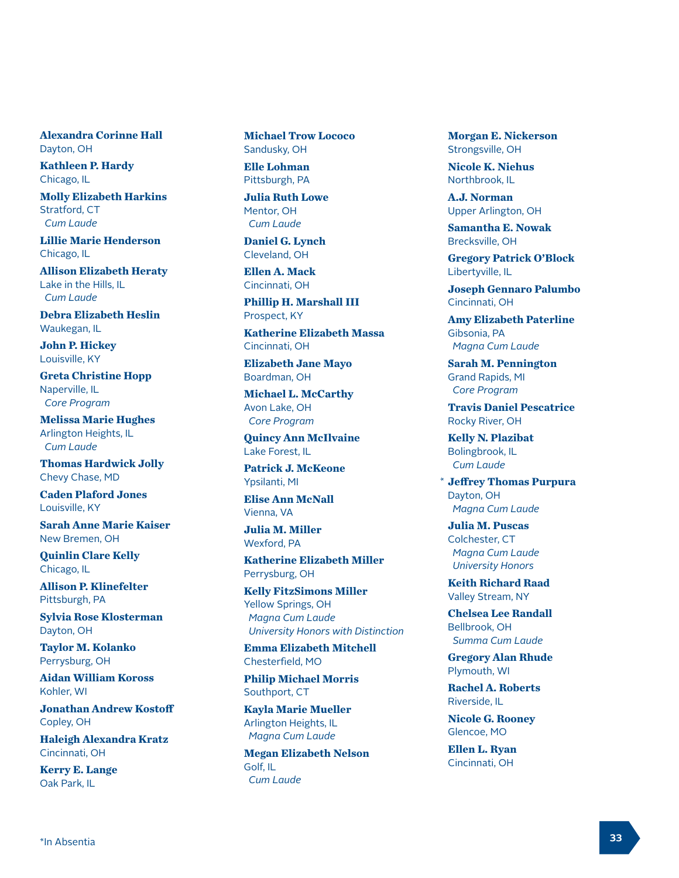**Alexandra Corinne Hall** Dayton, OH

**Kathleen P. Hardy** Chicago, IL

**Molly Elizabeth Harkins** Stratford, CT  *Cum Laude*

**Lillie Marie Henderson** Chicago, IL

**Allison Elizabeth Heraty** Lake in the Hills, IL  *Cum Laude*

**Debra Elizabeth Heslin** Waukegan, IL

**John P. Hickey** Louisville, KY

**Greta Christine Hopp** Naperville, IL  *Core Program*

**Melissa Marie Hughes** Arlington Heights, IL  *Cum Laude*

**Thomas Hardwick Jolly** Chevy Chase, MD

**Caden Plaford Jones** Louisville, KY

**Sarah Anne Marie Kaiser** New Bremen, OH

**Quinlin Clare Kelly** Chicago, IL

**Allison P. Klinefelter** Pittsburgh, PA

**Sylvia Rose Klosterman** Dayton, OH

**Taylor M. Kolanko** Perrysburg, OH

**Aidan William Koross** Kohler, WI

**Jonathan Andrew Kostoff** Copley, OH

**Haleigh Alexandra Kratz** Cincinnati, OH

**Kerry E. Lange** Oak Park, IL

**Michael Trow Lococo** Sandusky, OH

**Elle Lohman** Pittsburgh, PA

**Julia Ruth Lowe** Mentor, OH  *Cum Laude*

**Daniel G. Lynch** Cleveland, OH

**Ellen A. Mack** Cincinnati, OH

**Phillip H. Marshall III** Prospect, KY

**Katherine Elizabeth Massa** Cincinnati, OH

**Elizabeth Jane Mayo** Boardman, OH

**Michael L. McCarthy** Avon Lake, OH  *Core Program*

**Quincy Ann McIlvaine** Lake Forest, IL

**Patrick J. McKeone** Ypsilanti, MI

**Elise Ann McNall** Vienna, VA

**Julia M. Miller** Wexford, PA

**Katherine Elizabeth Miller** Perrysburg, OH

**Kelly FitzSimons Miller** Yellow Springs, OH  *Magna Cum Laude University Honors with Distinction* Cherry Cherrest, Philarics, Philarics, Philarics, Philarics, Philarics, Philarics, Philarics, Philarics, Philarics, Philarics, Philarics, Philarics, Philarics, Philarics, Philarics, Philarics, Philarics, Philarics, Philari

**Emma Elizabeth Mitchell** Chesterfield, MO

**Philip Michael Morris** Southport, CT

**Kayla Marie Mueller** Arlington Heights, IL  *Magna Cum Laude*

**Megan Elizabeth Nelson** Golf, IL  *Cum Laude*

**Morgan E. Nickerson** Strongsville, OH

**Nicole K. Niehus** Northbrook, IL

**A.J. Norman** Upper Arlington, OH

**Samantha E. Nowak** Brecksville, OH

**Gregory Patrick O'Block** Libertyville, IL

**Joseph Gennaro Palumbo** Cincinnati, OH

**Amy Elizabeth Paterline** Gibsonia, PA  *Magna Cum Laude*

**Sarah M. Pennington** Grand Rapids, MI  *Core Program*

**Travis Daniel Pescatrice** Rocky River, OH

**Kelly N. Plazibat** Bolingbrook, IL  *Cum Laude*

**Jeffrey Thomas Purpura** Dayton, OH  *Magna Cum Laude*

**Julia M. Puscas** Colchester, CT  *Magna Cum Laude University Honors*

**Keith Richard Raad** Valley Stream, NY

**Chelsea Lee Randall** Bellbrook, OH  *Summa Cum Laude*

**Gregory Alan Rhude** Plymouth, WI

**Rachel A. Roberts** Riverside, IL

**Nicole G. Rooney** Glencoe, MO

**Ellen L. Ryan** Cincinnati, OH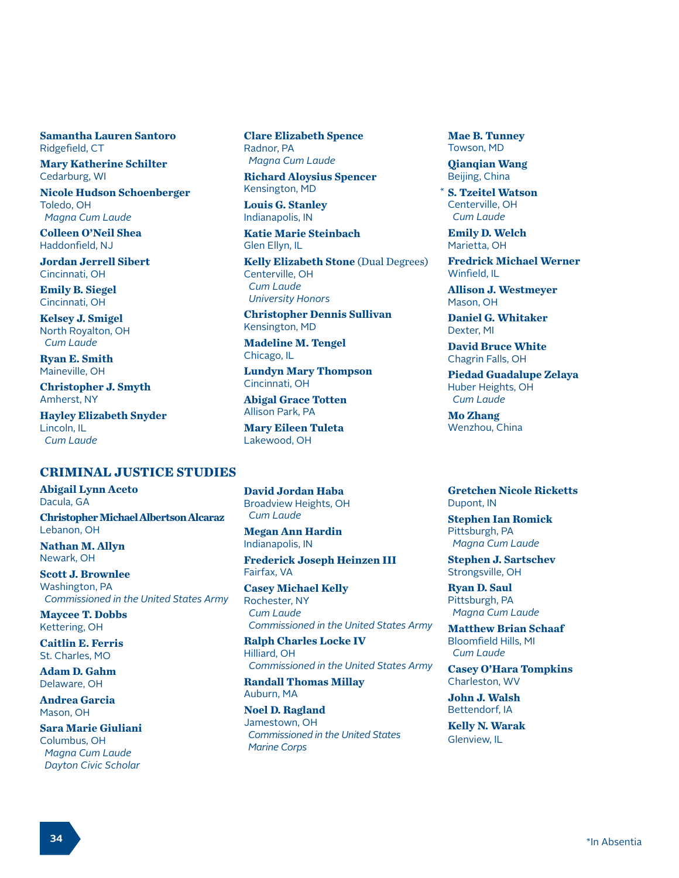**Samantha Lauren Santoro** Ridgefield, CT

**Mary Katherine Schilter** Cedarburg, WI

**Nicole Hudson Schoenberger** Toledo, OH  *Magna Cum Laude*

**Colleen O'Neil Shea** Haddonfield, NJ

**Jordan Jerrell Sibert** Cincinnati, OH

**Emily B. Siegel** Cincinnati, OH

**Kelsey J. Smigel** North Royalton, OH  *Cum Laude*

**Ryan E. Smith** Maineville, OH

**Christopher J. Smyth** Amherst, NY

**Hayley Elizabeth Snyder** Lincoln, IL  *Cum Laude*

## **CRIMINAL JUSTICE STUDIES**

**Abigail Lynn Aceto** Dacula, GA **Christopher Michael Albertson Alcaraz** Lebanon, OH

**Nathan M. Allyn** Newark, OH

**Scott J. Brownlee** Washington, PA  *Commissioned in the United States Army*

**Maycee T. Dobbs** Kettering, OH

**Caitlin E. Ferris** St. Charles, MO

**Adam D. Gahm** Delaware, OH

**Andrea Garcia** Mason, OH

**Sara Marie Giuliani** Columbus, OH  *Magna Cum Laude Dayton Civic Scholar*

**Clare Elizabeth Spence** Radnor, PA  *Magna Cum Laude*

**Richard Aloysius Spencer** Kensington, MD

**Louis G. Stanley** Indianapolis, IN

**Katie Marie Steinbach** Glen Ellyn, IL

**Kelly Elizabeth Stone** (Dual Degrees) Centerville, OH  *Cum Laude University Honors*

**Christopher Dennis Sullivan** Kensington, MD

**Madeline M. Tengel** Chicago, IL

**Lundyn Mary Thompson** Cincinnati, OH

**Abigal Grace Totten** Allison Park, PA

**Mary Eileen Tuleta** Lakewood, OH

**David Jordan Haba** Broadview Heights, OH  *Cum Laude*

**Megan Ann Hardin** Indianapolis, IN

**Frederick Joseph Heinzen III** Fairfax, VA

**Casey Michael Kelly** Rochester, NY  *Cum Laude Commissioned in the United States Army*

**Ralph Charles Locke IV** Hilliard, OH  *Commissioned in the United States Army*

**Randall Thomas Millay** Auburn, MA

**Noel D. Ragland** Jamestown, OH  *Commissioned in the United States Marine Corps*

**Mae B. Tunney** Towson, MD

**Qianqian Wang** Beijing, China

**S. Tzeitel Watson** Centerville, OH  *Cum Laude* \*

**Emily D. Welch** Marietta, OH

**Fredrick Michael Werner** Winfield, IL

**Allison J. Westmeyer** Mason, OH

**Daniel G. Whitaker** Dexter, MI

**David Bruce White** Chagrin Falls, OH

**Piedad Guadalupe Zelaya** Huber Heights, OH  *Cum Laude*

**Mo Zhang** Wenzhou, China

**Gretchen Nicole Ricketts** Dupont, IN

**Stephen Ian Romick** Pittsburgh, PA  *Magna Cum Laude*

**Stephen J. Sartschev** Strongsville, OH

**Ryan D. Saul** Pittsburgh, PA  *Magna Cum Laude*

**Matthew Brian Schaaf** Bloomfield Hills, MI  *Cum Laude*

**Casey O'Hara Tompkins** Charleston, WV

**John J. Walsh** Bettendorf, IA

**Kelly N. Warak** Glenview, IL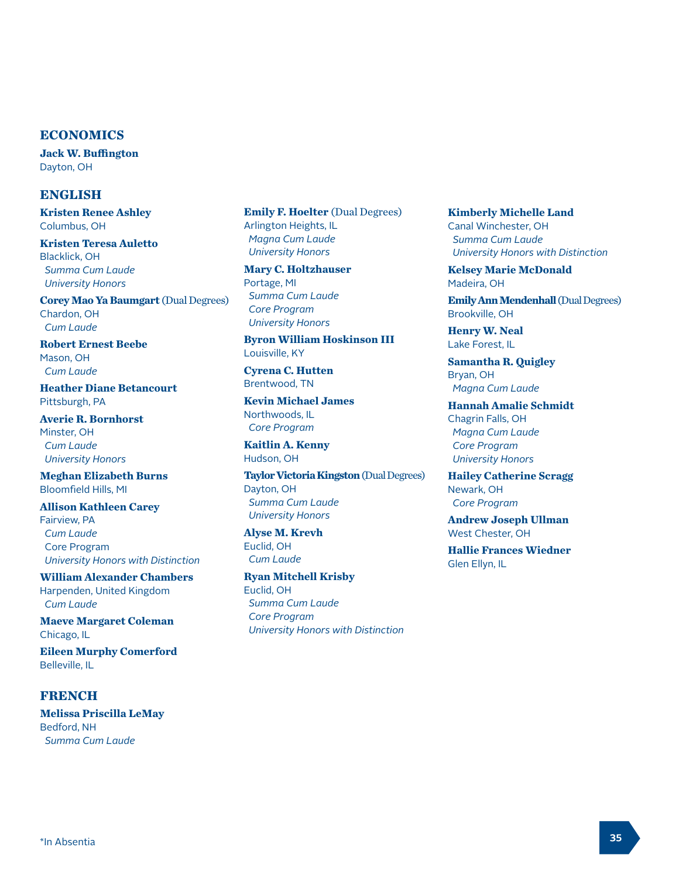#### **ECONOMICS**

**Jack W. Buffington** Dayton, OH

#### **ENGLISH**

**Kristen Renee Ashley** Columbus, OH

**Kristen Teresa Auletto** Blacklick, OH  *Summa Cum Laude University Honors*

**Corey Mao Ya Baumgart** (Dual Degrees) Chardon, OH  *Cum Laude* 

**Robert Ernest Beebe** Mason, OH  *Cum Laude* 

**Heather Diane Betancourt** Pittsburgh, PA

**Averie R. Bornhorst** Minster, OH  *Cum Laude University Honors*

**Meghan Elizabeth Burns** Bloomfield Hills, MI

**Allison Kathleen Carey** Fairview, PA  *Cum Laude* Core Program  *University Honors with Distinction*

**William Alexander Chambers** Harpenden, United Kingdom  *Cum Laude* 

**Maeve Margaret Coleman** Chicago, IL

**Eileen Murphy Comerford** Belleville, IL

## **FRENCH**

**Melissa Priscilla LeMay** Bedford, NH  *Summa Cum Laude*

**Emily F. Hoelter** (Dual Degrees) Arlington Heights, IL  *Magna Cum Laude University Honors*

**Mary C. Holtzhauser** Portage, MI  *Summa Cum Laude Core Program University Honors*

**Byron William Hoskinson III** Louisville, KY

**Cyrena C. Hutten** Brentwood, TN

**Kevin Michael James** Northwoods, IL  *Core Program*

**Kaitlin A. Kenny** Hudson, OH

**Taylor Victoria Kingston** (Dual Degrees) Dayton, OH  *Summa Cum Laude University Honors*

**Alyse M. Krevh** Euclid, OH  *Cum Laude* 

**Ryan Mitchell Krisby** Euclid, OH  *Summa Cum Laude Core Program University Honors with Distinction* **Kimberly Michelle Land** Canal Winchester, OH  *Summa Cum Laude University Honors with Distinction*

**Kelsey Marie McDonald** Madeira, OH

**Emily Ann Mendenhall** (Dual Degrees) Brookville, OH

**Henry W. Neal** Lake Forest, IL

**Samantha R. Quigley** Bryan, OH  *Magna Cum Laude* 

**Hannah Amalie Schmidt** Chagrin Falls, OH  *Magna Cum Laude Core Program University Honors*

**Hailey Catherine Scragg** Newark, OH  *Core Program*

**Andrew Joseph Ullman** West Chester, OH

**Hallie Frances Wiedner** Glen Ellyn, IL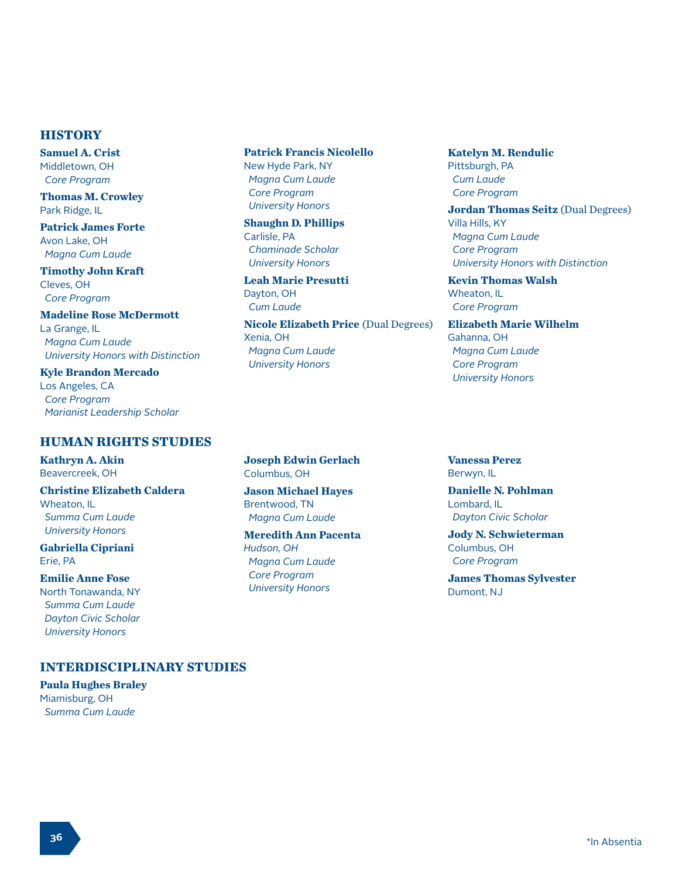## **HISTORY**

**Samuel A. Crist** Middletown, OH  *Core Program*

**Thomas M. Crowley** Park Ridge, IL

**Patrick James Forte** Avon Lake, OH  *Magna Cum Laude* 

**Timothy John Kraft** Cleves, OH  *Core Program*

**Madeline Rose McDermott** La Grange, IL  *Magna Cum Laude University Honors with Distinction*

**Kyle Brandon Mercado** Los Angeles, CA  *Core Program Marianist Leadership Scholar*

# **HUMAN RIGHTS STUDIES**

**Kathryn A. Akin** Beavercreek, OH

**Christine Elizabeth Caldera** Wheaton, IL  *Summa Cum Laude University Honors*

**Gabriella Cipriani** Erie, PA

**Emilie Anne Fose** North Tonawanda, NY  *Summa Cum Laude Dayton Civic Scholar University Honors*

# **INTERDISCIPLINARY STUDIES**

**Paula Hughes Braley** Miamisburg, OH  *Summa Cum Laude*

## **Patrick Francis Nicolello**

New Hyde Park, NY  *Magna Cum Laude Core Program University Honors*

**Shaughn D. Phillips** Carlisle, PA  *Chaminade Scholar University Honors*

**Leah Marie Presutti** Dayton, OH  *Cum Laude* 

**Nicole Elizabeth Price** (Dual Degrees) Xenia, OH  *Magna Cum Laude University Honors*

**Joseph Edwin Gerlach** Columbus, OH

**Jason Michael Hayes** Brentwood, TN  *Magna Cum Laude* 

**Meredith Ann Pacenta** *Hudson, OH Magna Cum Laude Core Program University Honors*

**Katelyn M. Rendulic** Pittsburgh, PA  *Cum Laude Core Program*

**Jordan Thomas Seitz** (Dual Degrees) Villa Hills, KY  *Magna Cum Laude Core Program University Honors with Distinction*

**Kevin Thomas Walsh** Wheaton, IL  *Core Program*

**Elizabeth Marie Wilhelm** Gahanna, OH  *Magna Cum Laude Core Program University Honors*

**Vanessa Perez** Berwyn, IL

**Danielle N. Pohlman** Lombard, IL  *Dayton Civic Scholar*

**Jody N. Schwieterman** Columbus, OH  *Core Program*

**James Thomas Sylvester** Dumont, NJ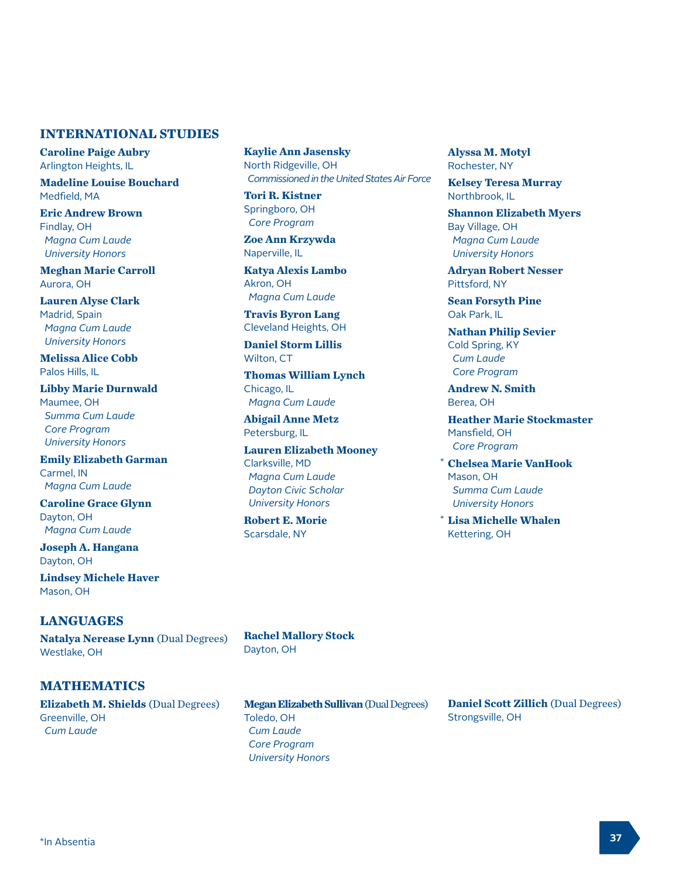#### **INTERNATIONAL STUDIES**

**Caroline Paige Aubry** Arlington Heights, IL

**Madeline Louise Bouchard** Medfield, MA

**Eric Andrew Brown** Findlay, OH  *Magna Cum Laude University Honors*

**Meghan Marie Carroll** Aurora, OH

**Lauren Alyse Clark** Madrid, Spain  *Magna Cum Laude University Honors*

**Melissa Alice Cobb** Palos Hills, IL

**Libby Marie Durnwald** Maumee, OH  *Summa Cum Laude Core Program University Honors*

**Emily Elizabeth Garman** Carmel, IN  *Magna Cum Laude* 

**Caroline Grace Glynn** Dayton, OH  *Magna Cum Laude* 

**Joseph A. Hangana** Dayton, OH

**Lindsey Michele Haver** Mason, OH

## **LANGUAGES**

**Natalya Nerease Lynn** (Dual Degrees) Westlake, OH

**MATHEMATICS**

**Elizabeth M. Shields** (Dual Degrees) Greenville, OH  *Cum Laude* 

**Kaylie Ann Jasensky** North Ridgeville, OH  *Commissioned in the United States Air Force*

**Tori R. Kistner** Springboro, OH  *Core Program*

**Zoe Ann Krzywda** Naperville, IL

**Katya Alexis Lambo** Akron, OH  *Magna Cum Laude* 

**Travis Byron Lang** Cleveland Heights, OH

**Daniel Storm Lillis** Wilton, CT

**Thomas William Lynch** Chicago, IL  *Magna Cum Laude* 

**Abigail Anne Metz** Petersburg, IL

**Lauren Elizabeth Mooney** Clarksville, MD  *Magna Cum Laude Dayton Civic Scholar University Honors*

**Robert E. Morie** Scarsdale, NY

**Alyssa M. Motyl** Rochester, NY

**Kelsey Teresa Murray** Northbrook, IL

**Shannon Elizabeth Myers** Bay Village, OH  *Magna Cum Laude University Honors*

**Adryan Robert Nesser** Pittsford, NY

**Sean Forsyth Pine** Oak Park, IL

**Nathan Philip Sevier** Cold Spring, KY  *Cum Laude Core Program*

**Andrew N. Smith** Berea, OH

**Heather Marie Stockmaster** Mansfield, OH  *Core Program*

**Chelsea Marie VanHook** \* Mason, OH  *Summa Cum Laude University Honors*

**Lisa Michelle Whalen** \*Kettering, OH

**Rachel Mallory Stock** Dayton, OH

**Megan Elizabeth Sullivan** (Dual Degrees) Toledo, OH  *Cum Laude Core Program University Honors*

**Daniel Scott Zillich** (Dual Degrees) Strongsville, OH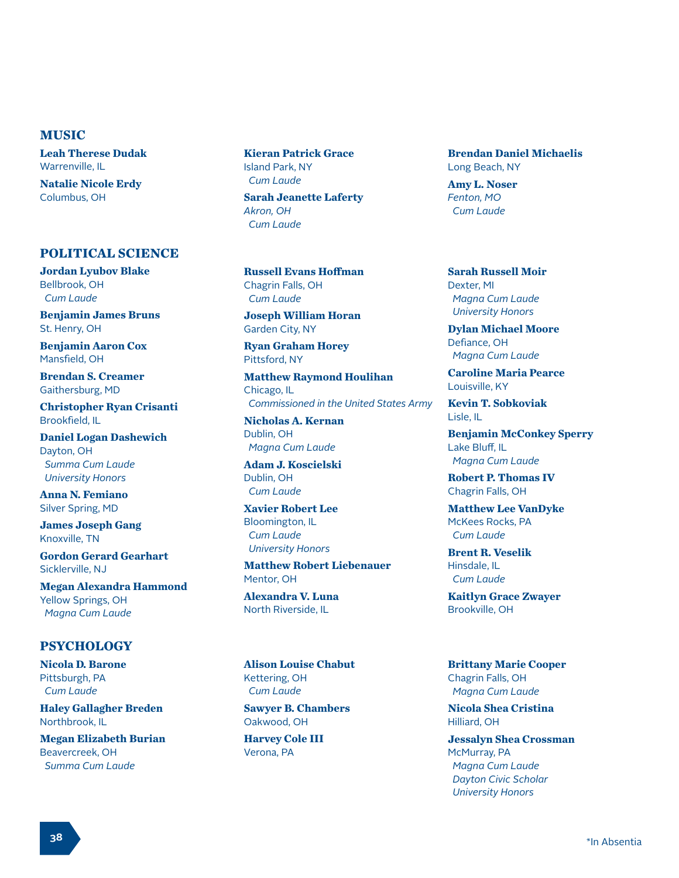#### **MUSIC**

**Leah Therese Dudak** Warrenville, IL

**Natalie Nicole Erdy** Columbus, OH

#### **POLITICAL SCIENCE**

**Jordan Lyubov Blake** Bellbrook, OH  *Cum Laude*

**Benjamin James Bruns** St. Henry, OH

**Benjamin Aaron Cox** Mansfield, OH

**Brendan S. Creamer** Gaithersburg, MD

**Christopher Ryan Crisanti** Brookfield, IL

**Daniel Logan Dashewich** Dayton, OH  *Summa Cum Laude University Honors*

**Anna N. Femiano** Silver Spring, MD

**James Joseph Gang** Knoxville, TN

**Gordon Gerard Gearhart** Sicklerville, NJ

**Megan Alexandra Hammond** Yellow Springs, OH  *Magna Cum Laude*

## **PSYCHOLOGY**

**Nicola D. Barone** Pittsburgh, PA  *Cum Laude*

**Haley Gallagher Breden** Northbrook, IL

**Megan Elizabeth Burian** Beavercreek, OH  *Summa Cum Laude*

**Kieran Patrick Grace** Island Park, NY  *Cum Laude*

**Sarah Jeanette Laferty** *Akron, OH Cum Laude*

**Russell Evans Hoffman** Chagrin Falls, OH  *Cum Laude*

**Joseph William Horan** Garden City, NY

**Ryan Graham Horey** Pittsford, NY

**Matthew Raymond Houlihan** Chicago, IL  *Commissioned in the United States Army*

**Nicholas A. Kernan** Dublin, OH  *Magna Cum Laude*

**Adam J. Koscielski** Dublin, OH  *Cum Laude*

**Xavier Robert Lee** Bloomington, IL  *Cum Laude University Honors*

**Matthew Robert Liebenauer** Mentor, OH

**Alexandra V. Luna** North Riverside, IL

**Alison Louise Chabut** Kettering, OH  *Cum Laude*

**Sawyer B. Chambers** Oakwood, OH

**Harvey Cole III** Verona, PA

**Brendan Daniel Michaelis** Long Beach, NY

**Amy L. Noser** *Fenton, MO Cum Laude*

**Sarah Russell Moir** Dexter, MI  *Magna Cum Laude University Honors*

**Dylan Michael Moore** Defiance, OH  *Magna Cum Laude*

**Caroline Maria Pearce** Louisville, KY

**Kevin T. Sobkoviak** Lisle, IL

**Benjamin McConkey Sperry** Lake Bluff, IL  *Magna Cum Laude*

**Robert P. Thomas IV** Chagrin Falls, OH

**Matthew Lee VanDyke** McKees Rocks, PA  *Cum Laude*

**Brent R. Veselik** Hinsdale, IL  *Cum Laude*

**Kaitlyn Grace Zwayer** Brookville, OH

**Brittany Marie Cooper** Chagrin Falls, OH  *Magna Cum Laude*

**Nicola Shea Cristina** Hilliard, OH

**Jessalyn Shea Crossman** McMurray, PA  *Magna Cum Laude Dayton Civic Scholar University Honors*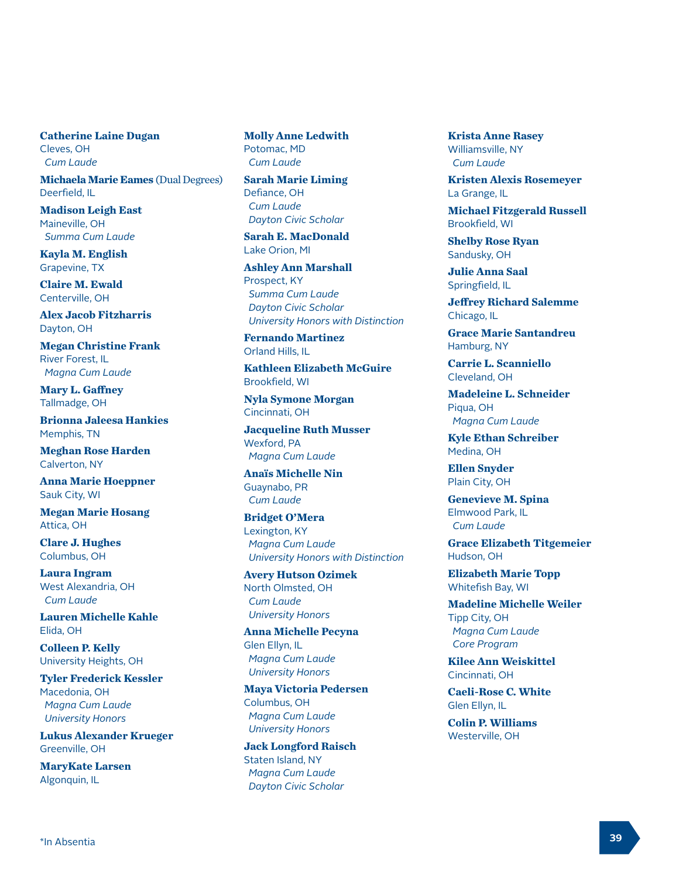**Catherine Laine Dugan** Cleves, OH  *Cum Laude*

**Michaela Marie Eames** (Dual Degrees) Deerfield, IL

**Madison Leigh East** Maineville, OH  *Summa Cum Laude*

**Kayla M. English** Grapevine, TX

**Claire M. Ewald** Centerville, OH

**Alex Jacob Fitzharris** Dayton, OH

**Megan Christine Frank** River Forest, IL  *Magna Cum Laude*

**Mary L. Gaffney** Tallmadge, OH

**Brionna Jaleesa Hankies** Memphis, TN

**Meghan Rose Harden** Calverton, NY

**Anna Marie Hoeppner** Sauk City, WI

**Megan Marie Hosang** Attica, OH

**Clare J. Hughes** Columbus, OH

**Laura Ingram** West Alexandria, OH  *Cum Laude*

**Lauren Michelle Kahle** Elida, OH

**Colleen P. Kelly** University Heights, OH

**Tyler Frederick Kessler** Macedonia, OH  *Magna Cum Laude University Honors*

**Lukus Alexander Krueger** Greenville, OH

**MaryKate Larsen** Algonquin, IL

**Molly Anne Ledwith** Potomac, MD  *Cum Laude*

**Sarah Marie Liming** Defiance, OH  *Cum Laude Dayton Civic Scholar*

**Sarah E. MacDonald** Lake Orion, MI

**Ashley Ann Marshall** Prospect, KY  *Summa Cum Laude Dayton Civic Scholar University Honors with Distinction*

**Fernando Martinez** Orland Hills, IL

**Kathleen Elizabeth McGuire** Brookfield, WI

**Nyla Symone Morgan** Cincinnati, OH

**Jacqueline Ruth Musser** Wexford, PA  *Magna Cum Laude*

**Anaïs Michelle Nin** Guaynabo, PR  *Cum Laude*

**Bridget O'Mera** Lexington, KY  *Magna Cum Laude University Honors with Distinction*

**Avery Hutson Ozimek** North Olmsted, OH  *Cum Laude University Honors*

**Anna Michelle Pecyna** Glen Ellyn, IL  *Magna Cum Laude University Honors*

**Maya Victoria Pedersen** Columbus, OH  *Magna Cum Laude University Honors*

**Jack Longford Raisch** Staten Island, NY  *Magna Cum Laude Dayton Civic Scholar*

**Krista Anne Rasey** Williamsville, NY  *Cum Laude*

**Kristen Alexis Rosemeyer** La Grange, IL

**Michael Fitzgerald Russell** Brookfield, WI

**Shelby Rose Ryan** Sandusky, OH

**Julie Anna Saal** Springfield, IL

**Jeffrey Richard Salemme** Chicago, IL

**Grace Marie Santandreu** Hamburg, NY

**Carrie L. Scanniello** Cleveland, OH

**Madeleine L. Schneider** Piqua, OH  *Magna Cum Laude*

**Kyle Ethan Schreiber** Medina, OH

**Ellen Snyder** Plain City, OH

**Genevieve M. Spina** Elmwood Park, IL  *Cum Laude*

**Grace Elizabeth Titgemeier** Hudson, OH

**Elizabeth Marie Topp** Whitefish Bay, WI

**Madeline Michelle Weiler** Tipp City, OH  *Magna Cum Laude Core Program*

**Kilee Ann Weiskittel** Cincinnati, OH

**Caeli-Rose C. White** Glen Ellyn, IL

**Colin P. Williams** Westerville, OH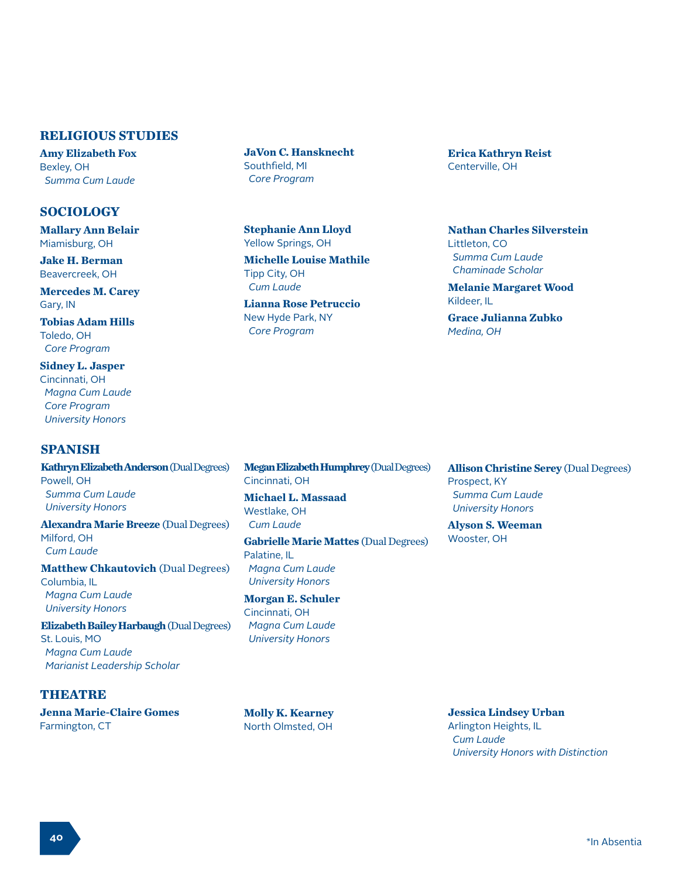#### **RELIGIOUS STUDIES**

**Amy Elizabeth Fox** Bexley, OH  *Summa Cum Laude*

#### **SOCIOLOGY**

**Mallary Ann Belair** Miamisburg, OH

**Jake H. Berman** Beavercreek, OH

**Mercedes M. Carey** Gary, IN

**Tobias Adam Hills** Toledo, OH  *Core Program*

**Sidney L. Jasper** Cincinnati, OH  *Magna Cum Laude Core Program University Honors*

#### **SPANISH**

**Kathryn Elizabeth Anderson** (Dual Degrees) Powell, OH  *Summa Cum Laude University Honors* **Alexandra Marie Breeze** (Dual Degrees)

Milford, OH  *Cum Laude*

**Matthew Chkautovich (Dual Degrees)** Columbia, IL  *Magna Cum Laude University Honors*

**Elizabeth Bailey Harbaugh** (Dual Degrees) St. Louis, MO  *Magna Cum Laude Marianist Leadership Scholar*

# **THEATRE**

**Jenna Marie-Claire Gomes** Farmington, CT

**JaVon C. Hansknecht** Southfield, MI  *Core Program*

**Stephanie Ann Lloyd** Yellow Springs, OH

**Michelle Louise Mathile** Tipp City, OH  *Cum Laude* 

**Lianna Rose Petruccio** New Hyde Park, NY  *Core Program*

**Erica Kathryn Reist** Centerville, OH

**Nathan Charles Silverstein** Littleton, CO  *Summa Cum Laude Chaminade Scholar*

**Melanie Margaret Wood** Kildeer, IL

**Grace Julianna Zubko** *Medina, OH* 

**Megan Elizabeth Humphrey** (Dual Degrees) Cincinnati, OH

**Michael L. Massaad** Westlake, OH  *Cum Laude*

**Gabrielle Marie Mattes** (Dual Degrees) Palatine, IL  *Magna Cum Laude University Honors*

**Morgan E. Schuler** Cincinnati, OH  *Magna Cum Laude University Honors*

**Molly K. Kearney** North Olmsted, OH

**Allison Christine Serey** (Dual Degrees) Prospect, KY  *Summa Cum Laude University Honors*

**Alyson S. Weeman** Wooster, OH

**Jessica Lindsey Urban** Arlington Heights, IL  *Cum Laude University Honors with Distinction*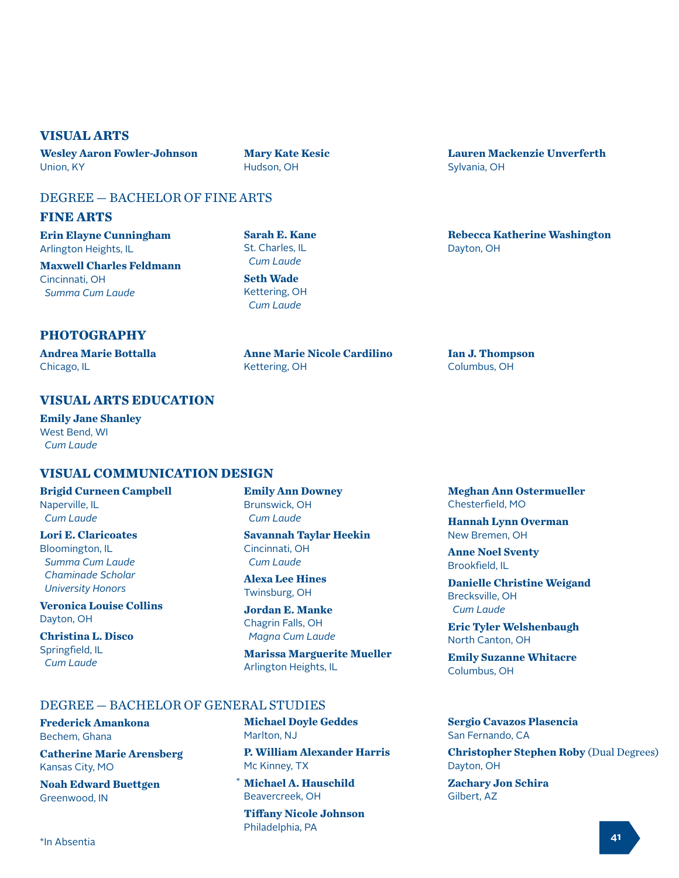# **VISUAL ARTS**

**Wesley Aaron Fowler-Johnson** Union, KY

**Mary Kate Kesic** Hudson, OH

# DEGREE — BACHELOR OF FINE ARTS

#### **FINE ARTS**

**Erin Elayne Cunningham** Arlington Heights, IL

**Maxwell Charles Feldmann** Cincinnati, OH  *Summa Cum Laude*

**Sarah E. Kane** St. Charles, IL  *Cum Laude*

**Seth Wade** Kettering, OH  *Cum Laude*

# **PHOTOGRAPHY**

**Andrea Marie Bottalla** Chicago, IL

**Anne Marie Nicole Cardilino** Kettering, OH

# **VISUAL ARTS EDUCATION**

**Emily Jane Shanley** West Bend, WI  *Cum Laude*

# **VISUAL COMMUNICATION DESIGN**

**Brigid Curneen Campbell** Naperville, IL  *Cum Laude* 

#### **Lori E. Claricoates** Bloomington, IL

 *Summa Cum Laude Chaminade Scholar University Honors*

**Veronica Louise Collins** Dayton, OH

**Christina L. Disco** Springfield, IL  *Cum Laude* 

**Emily Ann Downey** Brunswick, OH  *Cum Laude* 

**Savannah Taylar Heekin** Cincinnati, OH  *Cum Laude* 

**Alexa Lee Hines** Twinsburg, OH

**Jordan E. Manke** Chagrin Falls, OH  *Magna Cum Laude* 

**Marissa Marguerite Mueller** Arlington Heights, IL

## DEGREE — BACHELOR OF GENERAL STUDIES

**Frederick Amankona** Bechem, Ghana

**Catherine Marie Arensberg** Kansas City, MO

**Noah Edward Buettgen** Greenwood, IN

**Michael Doyle Geddes** Marlton, NJ

**P. William Alexander Harris** Mc Kinney, TX

**Michael A. Hauschild** \*Beavercreek, OH

**Tiffany Nicole Johnson** Philadelphia, PA

**Lauren Mackenzie Unverferth** Sylvania, OH

**Rebecca Katherine Washington** Dayton, OH

**Ian J. Thompson** Columbus, OH

**Meghan Ann Ostermueller** Chesterfield, MO

**Hannah Lynn Overman** New Bremen, OH

**Anne Noel Sventy** Brookfield, IL

**Danielle Christine Weigand**  Brecksville, OH  *Cum Laude* 

**Eric Tyler Welshenbaugh** North Canton, OH

**Emily Suzanne Whitacre** Columbus, OH

#### **Sergio Cavazos Plasencia** San Fernando, CA

**Christopher Stephen Roby** (Dual Degrees) Dayton, OH **Zachary Jon Schira**

Gilbert, AZ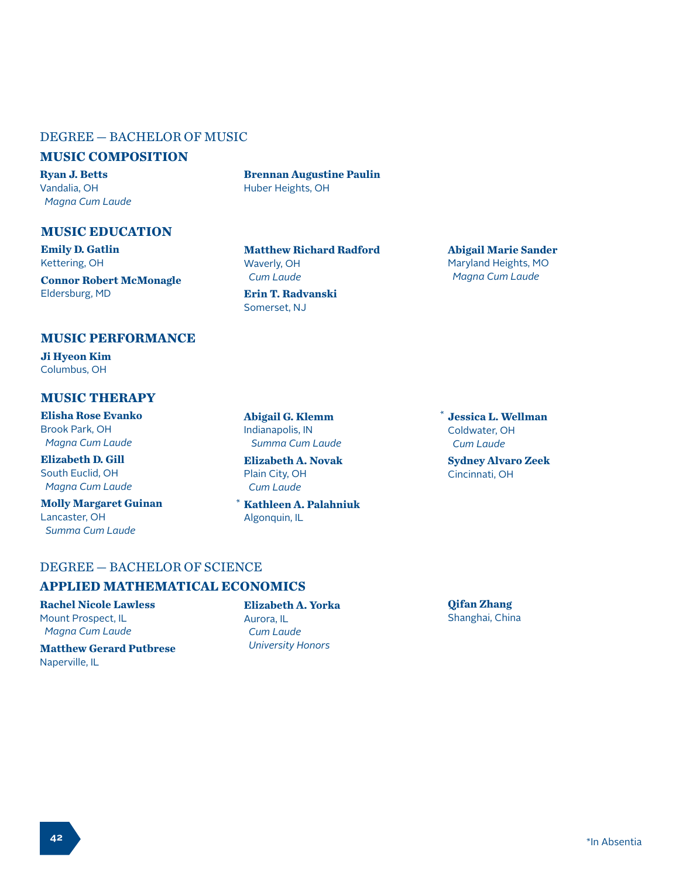# DEGREE — BACHELOR OF MUSIC

#### **MUSIC COMPOSITION**

**Ryan J. Betts** Vandalia, OH  *Magna Cum Laude*

**MUSIC EDUCATION**

**Emily D. Gatlin** Kettering, OH

**Connor Robert McMonagle** Eldersburg, MD

**Brennan Augustine Paulin** Huber Heights, OH

**Matthew Richard Radford** Waverly, OH  *Cum Laude*

**Erin T. Radvanski** Somerset, NJ

#### **Abigail Marie Sander** Maryland Heights, MO  *Magna Cum Laude*

#### **MUSIC PERFORMANCE**

**Ji Hyeon Kim** Columbus, OH

#### **MUSIC THERAPY**

**Elisha Rose Evanko** Brook Park, OH  *Magna Cum Laude*

**Elizabeth D. Gill** South Euclid, OH  *Magna Cum Laude*

**Molly Margaret Guinan** Lancaster, OH  *Summa Cum Laude*

**Abigail G. Klemm** Indianapolis, IN  *Summa Cum Laude*

**Elizabeth A. Novak** Plain City, OH  *Cum Laude*

**Kathleen A. Palahniuk** Algonquin, IL \*

**Jessica L. Wellman** \*Coldwater, OH  *Cum Laude*

**Sydney Alvaro Zeek** Cincinnati, OH

# DEGREE — BACHELOR OF SCIENCE

# **APPLIED MATHEMATICAL ECONOMICS**

**Rachel Nicole Lawless** Mount Prospect, IL  *Magna Cum Laude*

**Matthew Gerard Putbrese** Naperville, IL

#### **Elizabeth A. Yorka**

Aurora, IL  *Cum Laude University Honors* **Qifan Zhang** Shanghai, China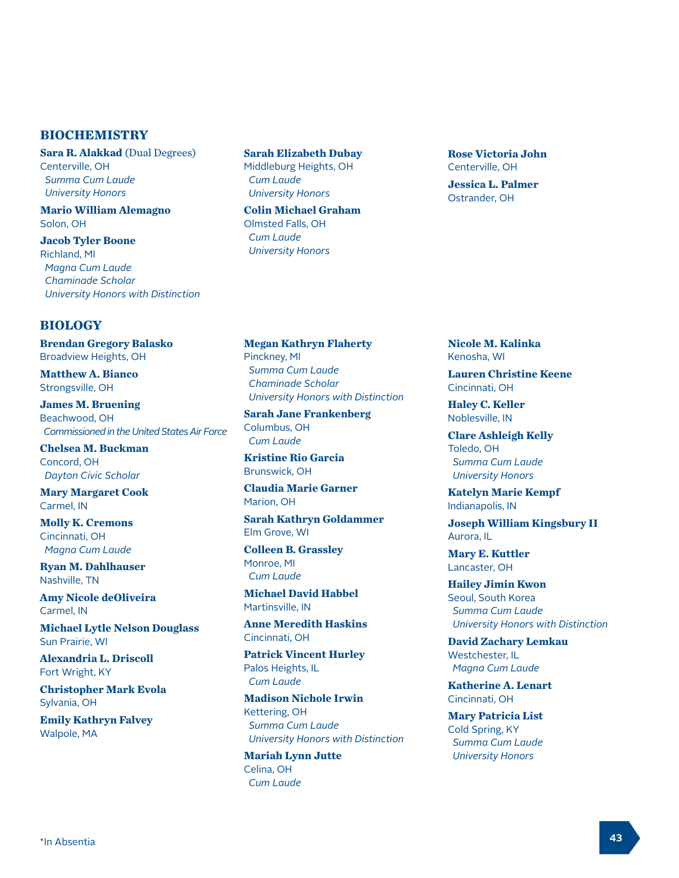#### **BIOCHEMISTRY**

**Sara R. Alakkad** (Dual Degrees) Centerville, OH  *Summa Cum Laude University Honors*

**Mario William Alemagno** Solon, OH

**Jacob Tyler Boone** Richland, MI  *Magna Cum Laude Chaminade Scholar University Honors with Distinction*

## **BIOLOGY**

**Brendan Gregory Balasko** Broadview Heights, OH

**Matthew A. Bianco** Strongsville, OH

**James M. Bruening** Beachwood, OH  *Commissioned in the United States Air Force*

**Chelsea M. Buckman** Concord, OH  *Dayton Civic Scholar*

**Mary Margaret Cook** Carmel, IN

**Molly K. Cremons** Cincinnati, OH  *Magna Cum Laude* 

**Ryan M. Dahlhauser** Nashville, TN

**Amy Nicole deOliveira** Carmel, IN

**Michael Lytle Nelson Douglass** Sun Prairie, WI

**Alexandria L. Driscoll** Fort Wright, KY

**Christopher Mark Evola** Sylvania, OH

**Emily Kathryn Falvey** Walpole, MA

**Sarah Elizabeth Dubay** Middleburg Heights, OH  *Cum Laude University Honors*

**Colin Michael Graham** Olmsted Falls, OH  *Cum Laude University Honors*

**Rose Victoria John** Centerville, OH

**Jessica L. Palmer** Ostrander, OH

**Megan Kathryn Flaherty** Pinckney, MI  *Summa Cum Laude Chaminade Scholar University Honors with Distinction*

**Sarah Jane Frankenberg** Columbus, OH  *Cum Laude* 

**Kristine Rio Garcia** Brunswick, OH

**Claudia Marie Garner** Marion, OH

**Sarah Kathryn Goldammer** Elm Grove, WI

**Colleen B. Grassley** Monroe, MI  *Cum Laude* 

**Michael David Habbel** Martinsville, IN

**Anne Meredith Haskins** Cincinnati, OH

**Patrick Vincent Hurley** Palos Heights, IL  *Cum Laude* 

**Madison Nichole Irwin** Kettering, OH  *Summa Cum Laude University Honors with Distinction*

**Mariah Lynn Jutte** Celina, OH  *Cum Laude* 

**Nicole M. Kalinka** Kenosha, WI

**Lauren Christine Keene** Cincinnati, OH

**Haley C. Keller** Noblesville, IN

**Clare Ashleigh Kelly** Toledo, OH  *Summa Cum Laude University Honors*

**Katelyn Marie Kempf** Indianapolis, IN

**Joseph William Kingsbury II** Aurora, IL

**Mary E. Kuttler** Lancaster, OH

**Hailey Jimin Kwon** Seoul, South Korea  *Summa Cum Laude University Honors with Distinction*

**David Zachary Lemkau** Westchester, IL  *Magna Cum Laude* 

**Katherine A. Lenart** Cincinnati, OH

**Mary Patricia List** Cold Spring, KY  *Summa Cum Laude University Honors*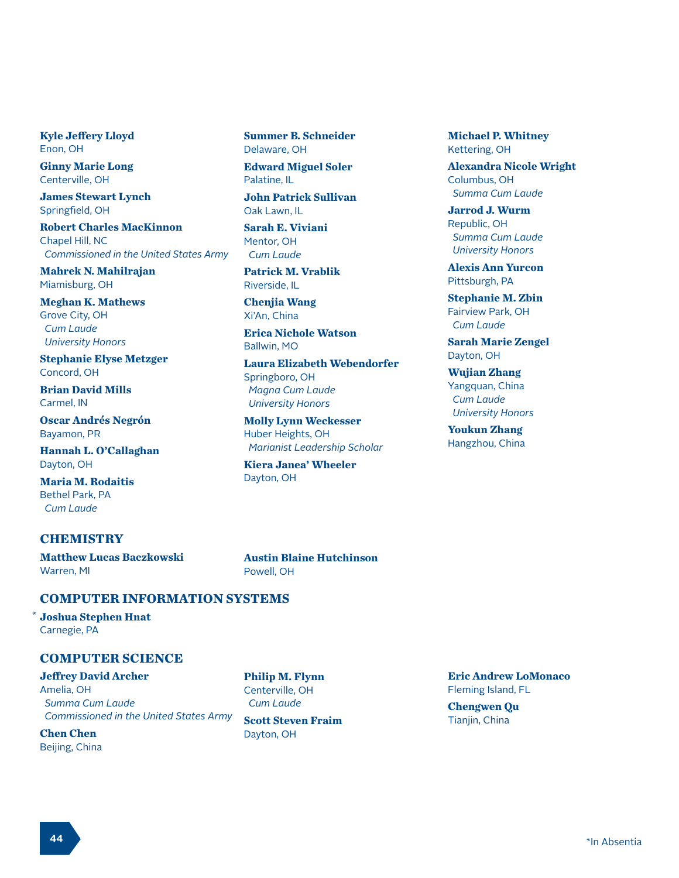**Kyle Jeffery Lloyd** Enon, OH

**Ginny Marie Long** Centerville, OH

**James Stewart Lynch** Springfield, OH

**Robert Charles MacKinnon** Chapel Hill, NC  *Commissioned in the United States Army*

**Mahrek N. Mahilrajan** Miamisburg, OH

**Meghan K. Mathews** Grove City, OH  *Cum Laude University Honors*

**Stephanie Elyse Metzger** Concord, OH

**Brian David Mills** Carmel, IN

**Oscar Andrés Negrón** Bayamon, PR

**Hannah L. O'Callaghan** Dayton, OH

**Maria M. Rodaitis** Bethel Park, PA  *Cum Laude* 

#### **CHEMISTRY**

**Matthew Lucas Baczkowski** Warren, MI

**Summer B. Schneider** Delaware, OH

**Edward Miguel Soler** Palatine, IL

**John Patrick Sullivan** Oak Lawn, IL

**Sarah E. Viviani** Mentor, OH  *Cum Laude* 

**Patrick M. Vrablik** Riverside, IL

**Chenjia Wang** Xi'An, China

**Erica Nichole Watson** Ballwin, MO

**Laura Elizabeth Webendorfer** Springboro, OH  *Magna Cum Laude University Honors*

**Molly Lynn Weckesser** Huber Heights, OH  *Marianist Leadership Scholar*

**Kiera Janea' Wheeler** Dayton, OH

**Michael P. Whitney** Kettering, OH

**Alexandra Nicole Wright** Columbus, OH  *Summa Cum Laude* 

**Jarrod J. Wurm** Republic, OH  *Summa Cum Laude University Honors*

**Alexis Ann Yurcon** Pittsburgh, PA

**Stephanie M. Zbin** Fairview Park, OH  *Cum Laude* 

**Sarah Marie Zengel** Dayton, OH

**Wujian Zhang** Yangquan, China  *Cum Laude University Honors*

**Youkun Zhang** Hangzhou, China

**Austin Blaine Hutchinson** Powell, OH

#### **COMPUTER INFORMATION SYSTEMS**

**Joshua Stephen Hnat** Carnegie, PA

\*

#### **COMPUTER SCIENCE**

**Jeffrey David Archer**

Amelia, OH  *Summa Cum Laude Commissioned in the United States Army*

**Chen Chen** Beijing, China

**Philip M. Flynn** Centerville, OH  *Cum Laude*

**Scott Steven Fraim** Dayton, OH

**Eric Andrew LoMonaco** Fleming Island, FL

**Chengwen Qu** Tianjin, China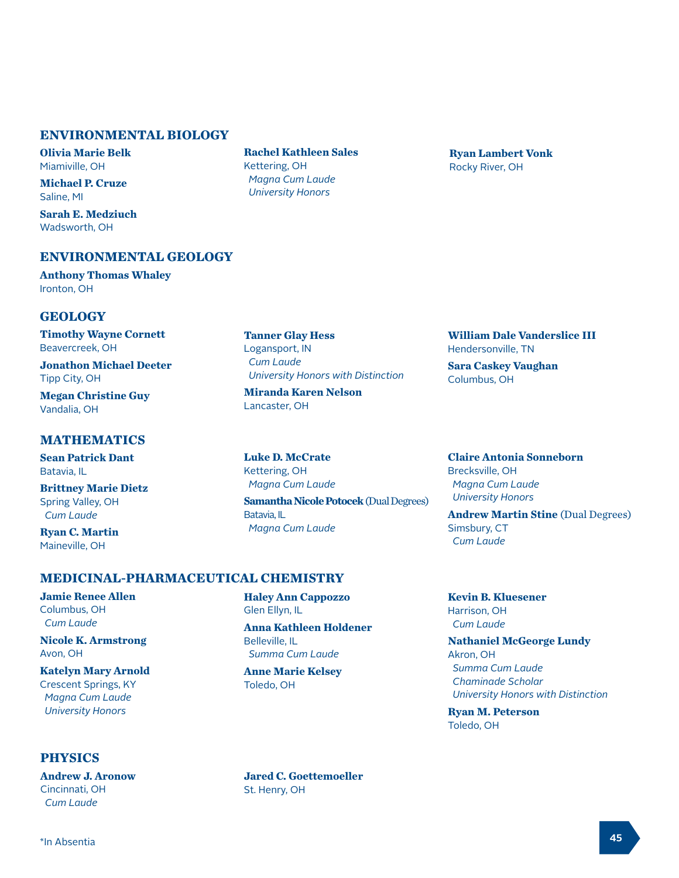# **ENVIRONMENTAL BIOLOGY**

**Olivia Marie Belk** Miamiville, OH

**Michael P. Cruze** Saline, MI

**Sarah E. Medziuch** Wadsworth, OH

# **ENVIRONMENTAL GEOLOGY**

**Anthony Thomas Whaley** Ironton, OH

# **GEOLOGY**

**Timothy Wayne Cornett** Beavercreek, OH

**Jonathon Michael Deeter** Tipp City, OH

**Megan Christine Guy** Vandalia, OH

## **MATHEMATICS**

**Sean Patrick Dant** Batavia, IL

**Brittney Marie Dietz** Spring Valley, OH  *Cum Laude*

**Ryan C. Martin** Maineville, OH

## **MEDICINAL-PHARMACEUTICAL CHEMISTRY**

**Jamie Renee Allen** Columbus, OH  *Cum Laude* 

**Nicole K. Armstrong** Avon, OH

# **Katelyn Mary Arnold**

Crescent Springs, KY  *Magna Cum Laude University Honors*

# **PHYSICS**

**Andrew J. Aronow** Cincinnati, OH  *Cum Laude*

**Rachel Kathleen Sales** Kettering, OH  *Magna Cum Laude University Honors*

**Ryan Lambert Vonk** Rocky River, OH

**Tanner Glay Hess** Logansport, IN  *Cum Laude University Honors with Distinction*

**Miranda Karen Nelson** Lancaster, OH

**Haley Ann Cappozzo**

 *Summa Cum Laude*  **Anne Marie Kelsey**

**Anna Kathleen Holdener**

Glen Ellyn, IL

Belleville, IL

Toledo, OH

**Luke D. McCrate** Kettering, OH  *Magna Cum Laude* **Samantha Nicole Potocek** (Dual Degrees) Batavia, IL  *Magna Cum Laude*

**William Dale Vanderslice III** Hendersonville, TN

**Sara Caskey Vaughan** Columbus, OH

**Claire Antonia Sonneborn** Brecksville, OH  *Magna Cum Laude University Honors*

**Andrew Martin Stine** (Dual Degrees) Simsbury, CT  *Cum Laude*

**Kevin B. Kluesener** Harrison, OH  *Cum Laude* 

**Nathaniel McGeorge Lundy** Akron, OH  *Summa Cum Laude Chaminade Scholar University Honors with Distinction*

**Ryan M. Peterson** Toledo, OH

**Jared C. Goettemoeller** St. Henry, OH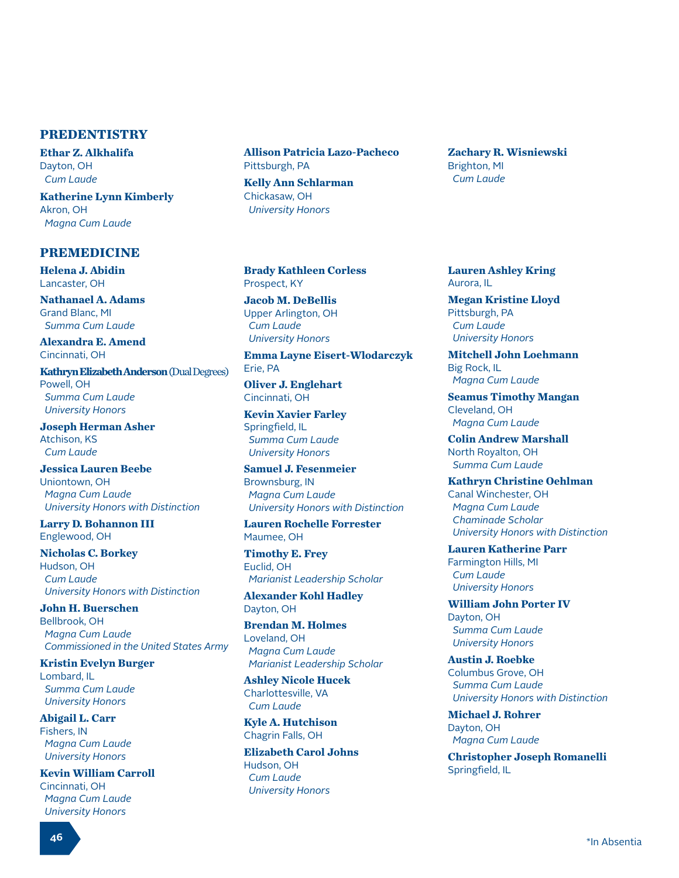## **PREDENTISTRY**

**Ethar Z. Alkhalifa** Dayton, OH  *Cum Laude*

**Katherine Lynn Kimberly** Akron, OH  *Magna Cum Laude*

#### **PREMEDICINE**

**Helena J. Abidin** Lancaster, OH

**Nathanael A. Adams** Grand Blanc, MI  *Summa Cum Laude* 

**Alexandra E. Amend** Cincinnati, OH

**Kathryn Elizabeth Anderson** (Dual Degrees) Powell, OH  *Summa Cum Laude University Honors*

**Joseph Herman Asher** Atchison, KS  *Cum Laude* 

**Jessica Lauren Beebe** Uniontown, OH  *Magna Cum Laude University Honors with Distinction*

**Larry D. Bohannon III** Englewood, OH

**Nicholas C. Borkey** Hudson, OH  *Cum Laude University Honors with Distinction*

**John H. Buerschen** Bellbrook, OH  *Magna Cum Laude Commissioned in the United States Army*

**Kristin Evelyn Burger** Lombard, IL  *Summa Cum Laude University Honors*

**Abigail L. Carr** Fishers, IN  *Magna Cum Laude University Honors*

**Kevin William Carroll** Cincinnati, OH  *Magna Cum Laude University Honors*

**Allison Patricia Lazo-Pacheco** Pittsburgh, PA

**Kelly Ann Schlarman** Chickasaw, OH  *University Honors*

**Brady Kathleen Corless** Prospect, KY

**Jacob M. DeBellis** Upper Arlington, OH  *Cum Laude University Honors*

**Emma Layne Eisert-Wlodarczyk** Erie, PA

**Oliver J. Englehart** Cincinnati, OH

**Kevin Xavier Farley** Springfield, IL  *Summa Cum Laude University Honors*

**Samuel J. Fesenmeier** Brownsburg, IN  *Magna Cum Laude University Honors with Distinction*

**Lauren Rochelle Forrester** Maumee, OH

**Timothy E. Frey** Euclid, OH  *Marianist Leadership Scholar*

**Alexander Kohl Hadley** Dayton, OH

**Brendan M. Holmes** Loveland, OH  *Magna Cum Laude Marianist Leadership Scholar*

**Ashley Nicole Hucek** Charlottesville, VA  *Cum Laude* 

**Kyle A. Hutchison** Chagrin Falls, OH

**Elizabeth Carol Johns** Hudson, OH  *Cum Laude University Honors*

**Zachary R. Wisniewski** Brighton, MI  *Cum Laude*

**Lauren Ashley Kring** Aurora, IL

**Megan Kristine Lloyd** Pittsburgh, PA  *Cum Laude University Honors*

**Mitchell John Loehmann** Big Rock, IL  *Magna Cum Laude* 

**Seamus Timothy Mangan** Cleveland, OH  *Magna Cum Laude* 

**Colin Andrew Marshall** North Royalton, OH  *Summa Cum Laude* 

**Kathryn Christine Oehlman** Canal Winchester, OH  *Magna Cum Laude Chaminade Scholar University Honors with Distinction*

**Lauren Katherine Parr** Farmington Hills, MI  *Cum Laude University Honors*

**William John Porter IV** Dayton, OH  *Summa Cum Laude University Honors*

**Austin J. Roebke** Columbus Grove, OH  *Summa Cum Laude University Honors with Distinction*

**Michael J. Rohrer** Dayton, OH  *Magna Cum Laude* 

**Christopher Joseph Romanelli** Springfield, IL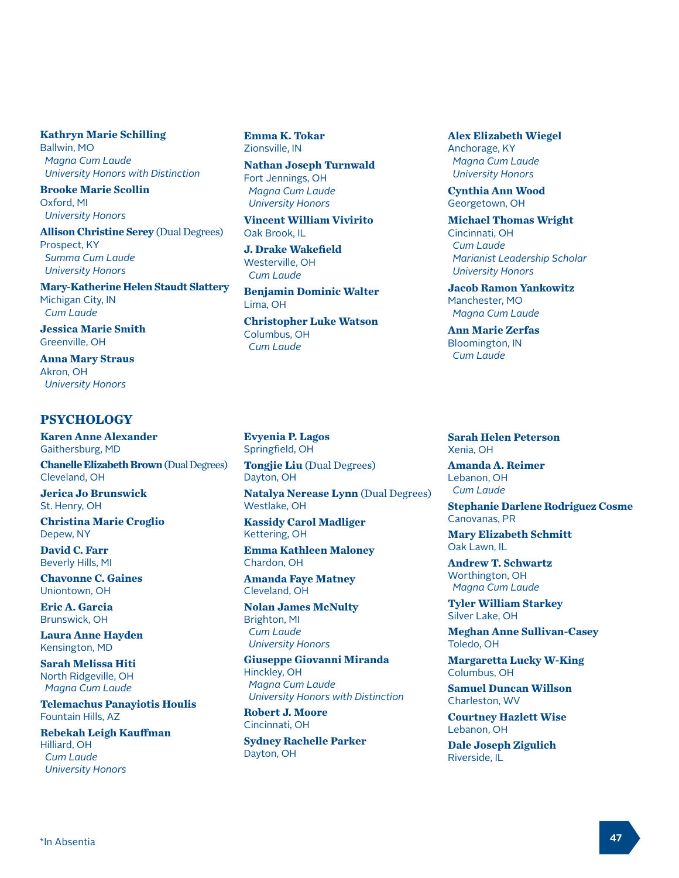#### **Kathryn Marie Schilling**

Ballwin, MO  *Magna Cum Laude University Honors with Distinction*

**Brooke Marie Scollin** Oxford, MI  *University Honors*

**Allison Christine Serey** (Dual Degrees) Prospect, KY  *Summa Cum Laude University Honors*

**Mary-Katherine Helen Staudt Slattery** Michigan City, IN  *Cum Laude* 

**Jessica Marie Smith** Greenville, OH

**Anna Mary Straus** Akron, OH  *University Honors*

#### **PSYCHOLOGY**

**Karen Anne Alexander** Gaithersburg, MD

**Chanelle Elizabeth Brown** (Dual Degrees) Cleveland, OH

**Jerica Jo Brunswick** St. Henry, OH

**Christina Marie Croglio** Depew, NY

**David C. Farr** Beverly Hills, MI

**Chavonne C. Gaines** Uniontown, OH

**Eric A. Garcia** Brunswick, OH

**Laura Anne Hayden** Kensington, MD

**Sarah Melissa Hiti** North Ridgeville, OH  *Magna Cum Laude*

**Telemachus Panayiotis Houlis** Fountain Hills, AZ

**Rebekah Leigh Kauffman** Hilliard, OH  *Cum Laude University Honors*

**Emma K. Tokar** Zionsville, IN

**Nathan Joseph Turnwald** Fort Jennings, OH  *Magna Cum Laude University Honors*

**Vincent William Vivirito** Oak Brook, IL

**J. Drake Wakefield** Westerville, OH  *Cum Laude* 

**Benjamin Dominic Walter** Lima, OH **Christopher Luke Watson**

Columbus, OH  *Cum Laude* 

**Evyenia P. Lagos** Springfield, OH

**Tongjie Liu** (Dual Degrees) Dayton, OH

**Natalya Nerease Lynn** (Dual Degrees) Westlake, OH

**Kassidy Carol Madliger** Kettering, OH

**Emma Kathleen Maloney** Chardon, OH

**Amanda Faye Matney** Cleveland, OH

**Nolan James McNulty** Brighton, MI  *Cum Laude University Honors*

**Giuseppe Giovanni Miranda** Hinckley, OH  *Magna Cum Laude University Honors with Distinction*

**Robert J. Moore** Cincinnati, OH

**Sydney Rachelle Parker** Dayton, OH

**Alex Elizabeth Wiegel** Anchorage, KY  *Magna Cum Laude University Honors*

**Cynthia Ann Wood** Georgetown, OH

**Michael Thomas Wright** Cincinnati, OH  *Cum Laude Marianist Leadership Scholar University Honors*

**Jacob Ramon Yankowitz** Manchester, MO  *Magna Cum Laude* 

**Ann Marie Zerfas** Bloomington, IN  *Cum Laude* 

**Sarah Helen Peterson** Xenia, OH

**Amanda A. Reimer** Lebanon, OH  *Cum Laude*

**Stephanie Darlene Rodriguez Cosme** Canovanas, PR

**Mary Elizabeth Schmitt** Oak Lawn, IL

**Andrew T. Schwartz** Worthington, OH  *Magna Cum Laude*

**Tyler William Starkey** Silver Lake, OH

**Meghan Anne Sullivan-Casey** Toledo, OH

**Margaretta Lucky W-King** Columbus, OH

**Samuel Duncan Willson** Charleston, WV

**Courtney Hazlett Wise** Lebanon, OH

**Dale Joseph Zigulich** Riverside, IL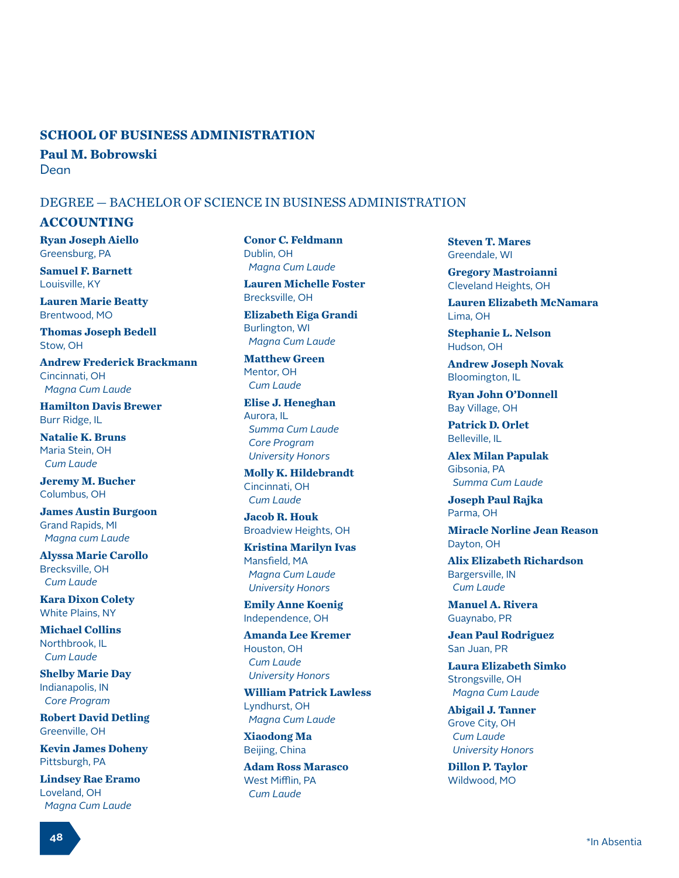#### **SCHOOL OF BUSINESS ADMINISTRATION**

**Paul M. Bobrowski** Dean

#### DEGREE — BACHELOR OF SCIENCE IN BUSINESS ADMINISTRATION

#### **ACCOUNTING**

**Ryan Joseph Aiello** Greensburg, PA

**Samuel F. Barnett** Louisville, KY

**Lauren Marie Beatty** Brentwood, MO

**Thomas Joseph Bedell** Stow, OH

**Andrew Frederick Brackmann** Cincinnati, OH  *Magna Cum Laude* 

**Hamilton Davis Brewer** Burr Ridge, IL

**Natalie K. Bruns** Maria Stein, OH  *Cum Laude*

**Jeremy M. Bucher** Columbus, OH

**James Austin Burgoon** Grand Rapids, MI  *Magna cum Laude*

**Alyssa Marie Carollo** Brecksville, OH  *Cum Laude* 

**Kara Dixon Colety** White Plains, NY

**Michael Collins** Northbrook, IL  *Cum Laude* 

**Shelby Marie Day** Indianapolis, IN  *Core Program*

**Robert David Detling** Greenville, OH

**Kevin James Doheny** Pittsburgh, PA

**Lindsey Rae Eramo** Loveland, OH  *Magna Cum Laude* 

**Conor C. Feldmann** Dublin, OH  *Magna Cum Laude* 

**Lauren Michelle Foster** Brecksville, OH

**Elizabeth Eiga Grandi** Burlington, WI  *Magna Cum Laude* 

**Matthew Green** Mentor, OH  *Cum Laude* 

**Elise J. Heneghan** Aurora, IL  *Summa Cum Laude Core Program University Honors*

**Molly K. Hildebrandt** Cincinnati, OH  *Cum Laude* 

**Jacob R. Houk** Broadview Heights, OH

**Kristina Marilyn Ivas** Mansfield, MA  *Magna Cum Laude University Honors*

**Emily Anne Koenig** Independence, OH

**Amanda Lee Kremer** Houston, OH  *Cum Laude University Honors*

**William Patrick Lawless** Lyndhurst, OH  *Magna Cum Laude* 

**Xiaodong Ma** Beijing, China

**Adam Ross Marasco** West Mifflin, PA  *Cum Laude* 

**Steven T. Mares** Greendale, WI

**Gregory Mastroianni** Cleveland Heights, OH

**Lauren Elizabeth McNamara** Lima, OH

**Stephanie L. Nelson** Hudson, OH

**Andrew Joseph Novak** Bloomington, IL

**Ryan John O'Donnell** Bay Village, OH

**Patrick D. Orlet** Belleville, IL

**Alex Milan Papulak** Gibsonia, PA  *Summa Cum Laude* 

**Joseph Paul Rajka** Parma, OH

**Miracle Norline Jean Reason** Dayton, OH

**Alix Elizabeth Richardson** Bargersville, IN  *Cum Laude* 

**Manuel A. Rivera** Guaynabo, PR

**Jean Paul Rodriguez** San Juan, PR

**Laura Elizabeth Simko** Strongsville, OH  *Magna Cum Laude* 

**Abigail J. Tanner** Grove City, OH  *Cum Laude University Honors*

**Dillon P. Taylor** Wildwood, MO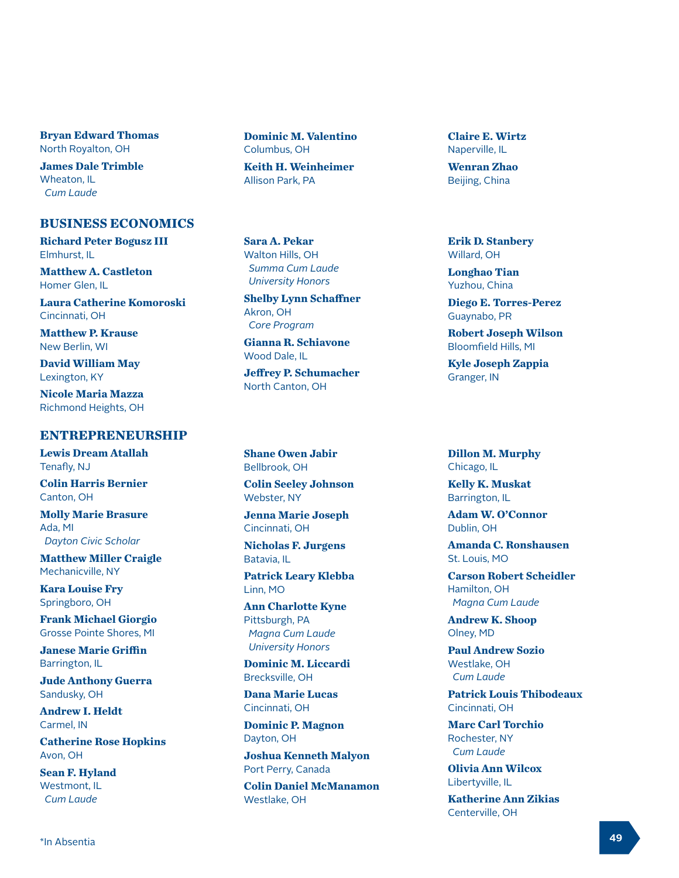**Bryan Edward Thomas** North Royalton, OH

**James Dale Trimble** Wheaton, IL  *Cum Laude* 

#### **BUSINESS ECONOMICS**

**Richard Peter Bogusz III** Elmhurst, IL

**Matthew A. Castleton** Homer Glen, IL

**Laura Catherine Komoroski** Cincinnati, OH

**Matthew P. Krause** New Berlin, WI

**David William May** Lexington, KY

**Nicole Maria Mazza** Richmond Heights, OH

#### **ENTREPRENEURSHIP**

**Lewis Dream Atallah** Tenafly, NJ

**Colin Harris Bernier** Canton, OH

**Molly Marie Brasure** Ada, MI  *Dayton Civic Scholar*

**Matthew Miller Craigle** Mechanicville, NY

**Kara Louise Fry** Springboro, OH

**Frank Michael Giorgio** Grosse Pointe Shores, MI

**Janese Marie Griffin** Barrington, IL

**Jude Anthony Guerra** Sandusky, OH

**Andrew I. Heldt** Carmel, IN

**Catherine Rose Hopkins** Avon, OH

**Sean F. Hyland** Westmont, IL  *Cum Laude*

**Dominic M. Valentino** Columbus, OH

**Keith H. Weinheimer** Allison Park, PA

**Sara A. Pekar** Walton Hills, OH  *Summa Cum Laude University Honors*

**Shelby Lynn Schaffner** Akron, OH  *Core Program*

**Gianna R. Schiavone** Wood Dale, IL

**Jeffrey P. Schumacher** North Canton, OH

**Shane Owen Jabir** Bellbrook, OH

**Colin Seeley Johnson** Webster, NY

**Jenna Marie Joseph** Cincinnati, OH

**Nicholas F. Jurgens** Batavia, IL

**Patrick Leary Klebba** Linn, MO

**Ann Charlotte Kyne** Pittsburgh, PA  *Magna Cum Laude University Honors*

**Dominic M. Liccardi** Brecksville, OH

**Dana Marie Lucas** Cincinnati, OH

**Dominic P. Magnon** Dayton, OH

**Joshua Kenneth Malyon** Port Perry, Canada

**Colin Daniel McManamon** Westlake, OH

**Claire E. Wirtz** Naperville, IL

**Wenran Zhao** Beijing, China

**Erik D. Stanbery** Willard, OH

**Longhao Tian** Yuzhou, China

**Diego E. Torres-Perez** Guaynabo, PR

**Robert Joseph Wilson** Bloomfield Hills, MI

**Kyle Joseph Zappia** Granger, IN

**Dillon M. Murphy** Chicago, IL

**Kelly K. Muskat** Barrington, IL

**Adam W. O'Connor** Dublin, OH

**Amanda C. Ronshausen** St. Louis, MO

**Carson Robert Scheidler** Hamilton, OH  *Magna Cum Laude*

**Andrew K. Shoop** Olney, MD

**Paul Andrew Sozio** Westlake, OH  *Cum Laude*

**Patrick Louis Thibodeaux** Cincinnati, OH

**Marc Carl Torchio** Rochester, NY  *Cum Laude*

**Olivia Ann Wilcox** Libertyville, IL

**Katherine Ann Zikias** Centerville, OH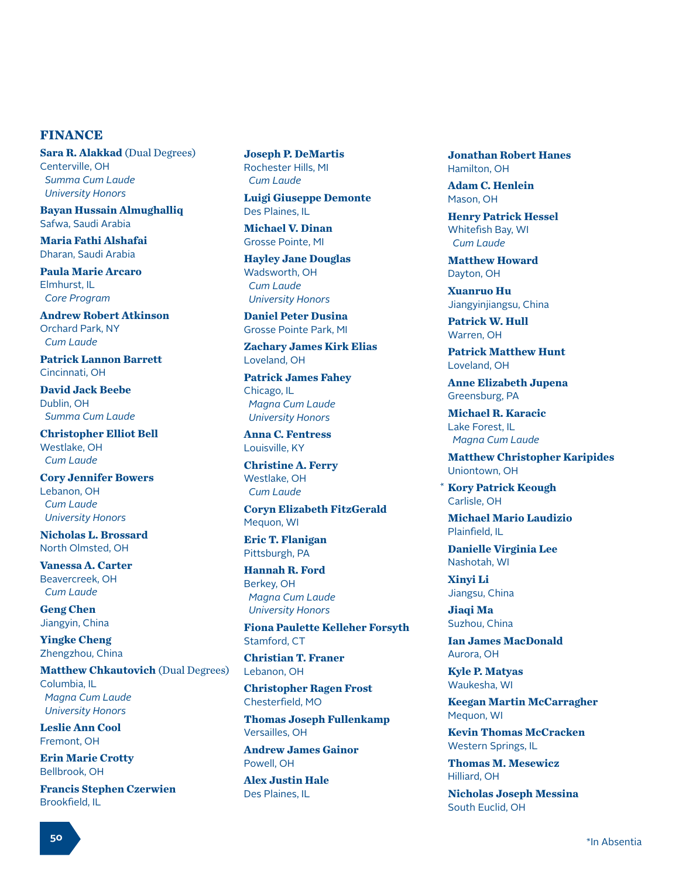#### **FINANCE**

**Sara R. Alakkad** (Dual Degrees) Centerville, OH  *Summa Cum Laude University Honors*

**Bayan Hussain Almughalliq** Safwa, Saudi Arabia

**Maria Fathi Alshafai** Dharan, Saudi Arabia

**Paula Marie Arcaro** Elmhurst, IL  *Core Program*

**Andrew Robert Atkinson** Orchard Park, NY  *Cum Laude*

**Patrick Lannon Barrett** Cincinnati, OH

**David Jack Beebe** Dublin, OH  *Summa Cum Laude*

**Christopher Elliot Bell** Westlake, OH  *Cum Laude*

**Cory Jennifer Bowers** Lebanon, OH  *Cum Laude University Honors*

**Nicholas L. Brossard** North Olmsted, OH

**Vanessa A. Carter** Beavercreek, OH  *Cum Laude*

**Geng Chen** Jiangyin, China

**Yingke Cheng** Zhengzhou, China

**Matthew Chkautovich (Dual Degrees)** Columbia, IL  *Magna Cum Laude University Honors*

**Leslie Ann Cool** Fremont, OH

**Erin Marie Crotty** Bellbrook, OH

**Francis Stephen Czerwien** Brookfield, IL

**Joseph P. DeMartis** Rochester Hills, MI  *Cum Laude*

**Luigi Giuseppe Demonte** Des Plaines, IL

**Michael V. Dinan** Grosse Pointe, MI

**Hayley Jane Douglas** Wadsworth, OH  *Cum Laude University Honors*

**Daniel Peter Dusina** Grosse Pointe Park, MI

**Zachary James Kirk Elias** Loveland, OH

**Patrick James Fahey** Chicago, IL  *Magna Cum Laude University Honors*

**Anna C. Fentress** Louisville, KY

**Christine A. Ferry** Westlake, OH  *Cum Laude*

**Coryn Elizabeth FitzGerald** Mequon, WI

**Eric T. Flanigan** Pittsburgh, PA

**Hannah R. Ford** Berkey, OH  *Magna Cum Laude University Honors*

**Fiona Paulette Kelleher Forsyth** Stamford, CT

**Christian T. Franer** Lebanon, OH

**Christopher Ragen Frost** Chesterfield, MO

**Thomas Joseph Fullenkamp** Versailles, OH

**Andrew James Gainor** Powell, OH

**Alex Justin Hale** Des Plaines, IL

**Jonathan Robert Hanes** Hamilton, OH

**Adam C. Henlein** Mason, OH

**Henry Patrick Hessel** Whitefish Bay, WI  *Cum Laude*

**Matthew Howard** Dayton, OH

**Xuanruo Hu** Jiangyinjiangsu, China

**Patrick W. Hull** Warren, OH

**Patrick Matthew Hunt** Loveland, OH

**Anne Elizabeth Jupena** Greensburg, PA

**Michael R. Karacic** Lake Forest, IL  *Magna Cum Laude*

**Matthew Christopher Karipides** Uniontown, OH

**Kory Patrick Keough** Carlisle, OH \*

**Michael Mario Laudizio** Plainfield, IL

**Danielle Virginia Lee** Nashotah, WI

**Xinyi Li** Jiangsu, China

**Jiaqi Ma** Suzhou, China

**Ian James MacDonald** Aurora, OH

**Kyle P. Matyas** Waukesha, WI

**Keegan Martin McCarragher** Mequon, WI

**Kevin Thomas McCracken** Western Springs, IL

**Thomas M. Mesewicz** Hilliard, OH

**Nicholas Joseph Messina** South Euclid, OH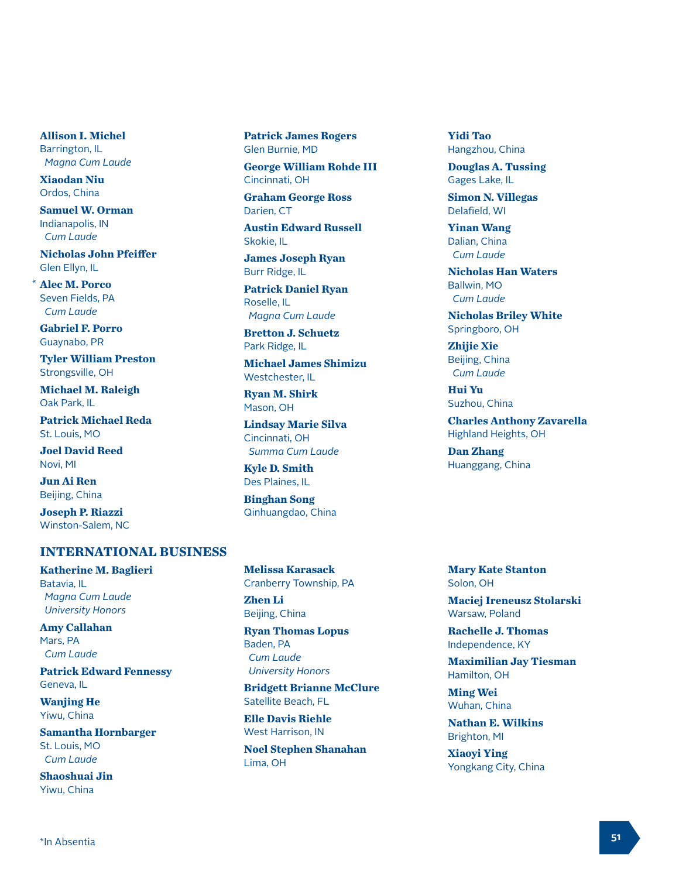**Allison I. Michel** Barrington, IL  *Magna Cum Laude*

**Xiaodan Niu** Ordos, China

**Samuel W. Orman** Indianapolis, IN  *Cum Laude*

**Nicholas John Pfeiffer** Glen Ellyn, IL

**Alec M. Porco** \*Seven Fields, PA  *Cum Laude*

**Gabriel F. Porro** Guaynabo, PR

**Tyler William Preston** Strongsville, OH

**Michael M. Raleigh** Oak Park, IL

**Patrick Michael Reda** St. Louis, MO

**Joel David Reed** Novi, MI

**Jun Ai Ren** Beijing, China

**Joseph P. Riazzi** Winston-Salem, NC

## **INTERNATIONAL BUSINESS**

**Katherine M. Baglieri** Batavia, IL  *Magna Cum Laude University Honors*

**Amy Callahan** Mars, PA  *Cum Laude*

**Patrick Edward Fennessy** Geneva, IL

**Wanjing He** Yiwu, China

**Samantha Hornbarger** St. Louis, MO  *Cum Laude*

**Shaoshuai Jin** Yiwu, China

**Patrick James Rogers** Glen Burnie, MD

**George William Rohde III** Cincinnati, OH

**Graham George Ross** Darien, CT

**Austin Edward Russell** Skokie, IL

**James Joseph Ryan** Burr Ridge, IL

**Patrick Daniel Ryan** Roselle, IL  *Magna Cum Laude*

**Bretton J. Schuetz** Park Ridge, IL

**Michael James Shimizu** Westchester, IL

**Ryan M. Shirk** Mason, OH

**Lindsay Marie Silva** Cincinnati, OH  *Summa Cum Laude*

**Kyle D. Smith** Des Plaines, IL

**Binghan Song** Qinhuangdao, China

**Melissa Karasack** Cranberry Township, PA **Zhen Li** Beijing, China

**Ryan Thomas Lopus** Baden, PA  *Cum Laude University Honors*

**Bridgett Brianne McClure** Satellite Beach, FL

**Elle Davis Riehle** West Harrison, IN

**Noel Stephen Shanahan** Lima, OH

**Yidi Tao** Hangzhou, China

**Douglas A. Tussing** Gages Lake, IL

**Simon N. Villegas** Delafield, WI

**Yinan Wang** Dalian, China  *Cum Laude*

**Nicholas Han Waters** Ballwin, MO  *Cum Laude*

**Nicholas Briley White** Springboro, OH

**Zhijie Xie** Beijing, China  *Cum Laude*

**Hui Yu** Suzhou, China

**Charles Anthony Zavarella** Highland Heights, OH

**Dan Zhang** Huanggang, China

**Mary Kate Stanton** Solon, OH

**Maciej Ireneusz Stolarski** Warsaw, Poland

**Rachelle J. Thomas** Independence, KY

**Maximilian Jay Tiesman** Hamilton, OH

**Ming Wei** Wuhan, China

**Nathan E. Wilkins** Brighton, MI

**Xiaoyi Ying** Yongkang City, China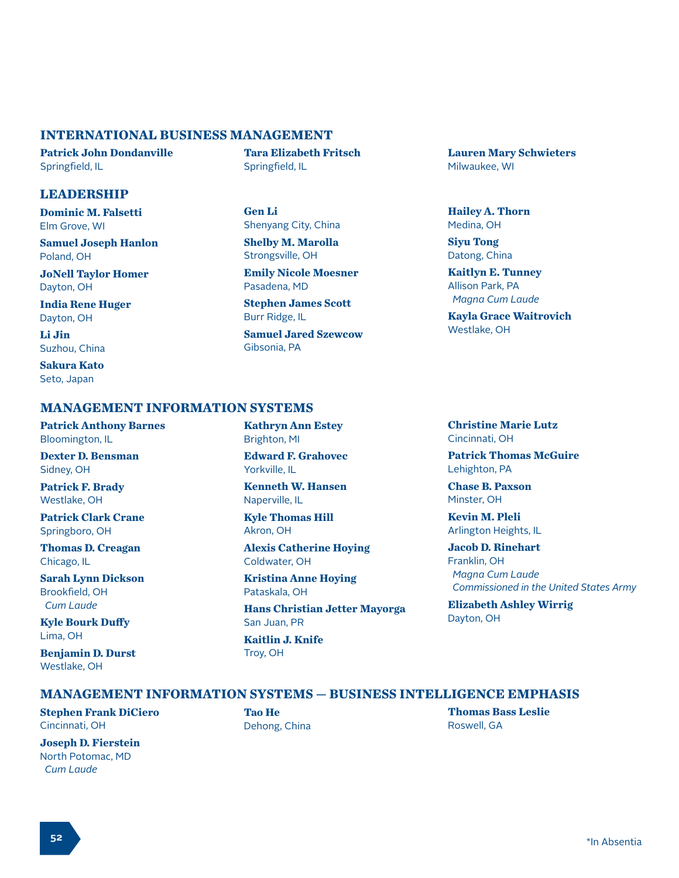#### **INTERNATIONAL BUSINESS MANAGEMENT**

**Patrick John Dondanville** Springfield, IL

#### **LEADERSHIP**

**Dominic M. Falsetti** Elm Grove, WI

**Samuel Joseph Hanlon** Poland, OH

**JoNell Taylor Homer** Dayton, OH

**India Rene Huger** Dayton, OH

**Li Jin** Suzhou, China

**Sakura Kato** Seto, Japan

#### **MANAGEMENT INFORMATION SYSTEMS**

**Patrick Anthony Barnes** Bloomington, IL

**Dexter D. Bensman** Sidney, OH

**Patrick F. Brady** Westlake, OH

**Patrick Clark Crane** Springboro, OH

**Thomas D. Creagan** Chicago, IL

**Sarah Lynn Dickson** Brookfield, OH  *Cum Laude*

**Kyle Bourk Duffy** Lima, OH

**Benjamin D. Durst** Westlake, OH

**Tara Elizabeth Fritsch** Springfield, IL

**Gen Li** Shenyang City, China

**Shelby M. Marolla** Strongsville, OH

**Emily Nicole Moesner** Pasadena, MD

**Stephen James Scott** Burr Ridge, IL

**Samuel Jared Szewcow** Gibsonia, PA

**Lauren Mary Schwieters** Milwaukee, WI

**Hailey A. Thorn** Medina, OH

**Siyu Tong** Datong, China

**Kaitlyn E. Tunney** Allison Park, PA  *Magna Cum Laude*

**Kayla Grace Waitrovich** Westlake, OH

# **Kathryn Ann Estey**

Brighton, MI

**Edward F. Grahovec** Yorkville, IL

**Kenneth W. Hansen** Naperville, IL

**Kyle Thomas Hill** Akron, OH

**Alexis Catherine Hoying** Coldwater, OH

**Kristina Anne Hoying** Pataskala, OH

**Hans Christian Jetter Mayorga** San Juan, PR

**Kaitlin J. Knife** Troy, OH

**Christine Marie Lutz** Cincinnati, OH

**Patrick Thomas McGuire** Lehighton, PA

**Chase B. Paxson** Minster, OH

**Kevin M. Pleli** Arlington Heights, IL

**Jacob D. Rinehart** Franklin, OH  *Magna Cum Laude Commissioned in the United States Army*

**Elizabeth Ashley Wirrig** Dayton, OH

#### **MANAGEMENT INFORMATION SYSTEMS — BUSINESS INTELLIGENCE EMPHASIS**

**Stephen Frank DiCiero** Cincinnati, OH

**Joseph D. Fierstein** North Potomac, MD  *Cum Laude*

**Tao He** Dehong, China **Thomas Bass Leslie** Roswell, GA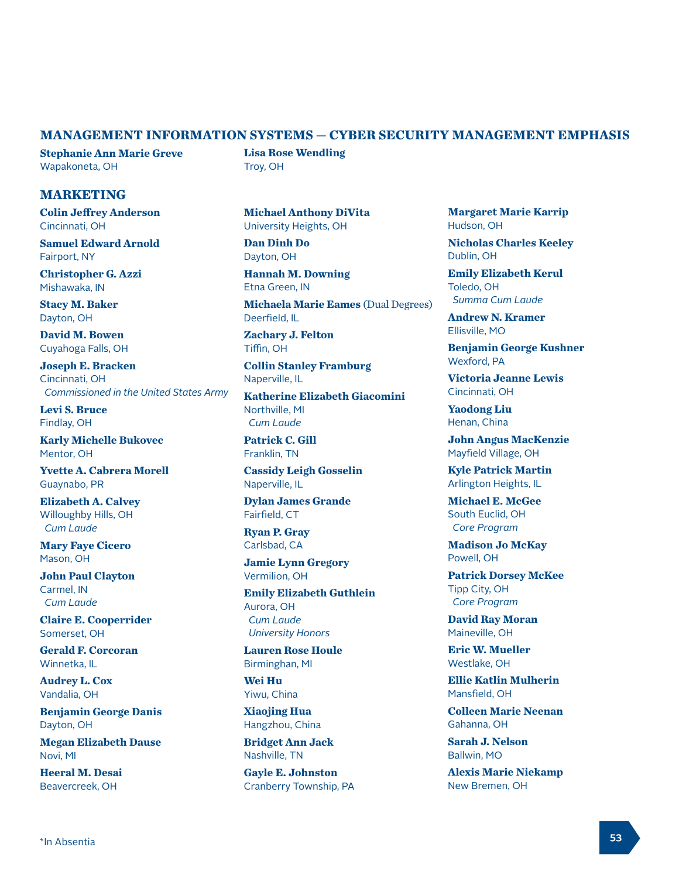#### **MANAGEMENT INFORMATION SYSTEMS — CYBER SECURITY MANAGEMENT EMPHASIS**

**Stephanie Ann Marie Greve** Wapakoneta, OH

#### **MARKETING**

**Colin Jeffrey Anderson** Cincinnati, OH

**Samuel Edward Arnold** Fairport, NY

**Christopher G. Azzi** Mishawaka, IN

**Stacy M. Baker** Dayton, OH

**David M. Bowen** Cuyahoga Falls, OH

**Joseph E. Bracken** Cincinnati, OH  *Commissioned in the United States Army*

**Levi S. Bruce** Findlay, OH

**Karly Michelle Bukovec** Mentor, OH

**Yvette A. Cabrera Morell** Guaynabo, PR

**Elizabeth A. Calvey** Willoughby Hills, OH  *Cum Laude*

**Mary Faye Cicero** Mason, OH

**John Paul Clayton** Carmel, IN  *Cum Laude*

**Claire E. Cooperrider** Somerset, OH

**Gerald F. Corcoran** Winnetka, IL

**Audrey L. Cox** Vandalia, OH

**Benjamin George Danis** Dayton, OH

**Megan Elizabeth Dause** Novi, MI

**Heeral M. Desai** Beavercreek, OH

**Lisa Rose Wendling** Troy, OH

**Michael Anthony DiVita** University Heights, OH

**Dan Dinh Do** Dayton, OH

**Hannah M. Downing** Etna Green, IN

**Michaela Marie Eames** (Dual Degrees) Deerfield, IL

**Zachary J. Felton** Tiffin, OH

**Collin Stanley Framburg** Naperville, IL

**Katherine Elizabeth Giacomini** Northville, MI  *Cum Laude*

**Patrick C. Gill** Franklin, TN

**Cassidy Leigh Gosselin** Naperville, IL

**Dylan James Grande** Fairfield, CT

**Ryan P. Gray** Carlsbad, CA

**Jamie Lynn Gregory** Vermilion, OH

**Emily Elizabeth Guthlein** Aurora, OH  *Cum Laude University Honors*

**Lauren Rose Houle** Birminghan, MI

**Wei Hu** Yiwu, China

**Xiaojing Hua** Hangzhou, China

**Bridget Ann Jack** Nashville, TN

**Gayle E. Johnston** Cranberry Township, PA **Margaret Marie Karrip** Hudson, OH

**Nicholas Charles Keeley** Dublin, OH

**Emily Elizabeth Kerul** Toledo, OH  *Summa Cum Laude*

**Andrew N. Kramer** Ellisville, MO

**Benjamin George Kushner** Wexford, PA

**Victoria Jeanne Lewis** Cincinnati, OH

**Yaodong Liu** Henan, China

**John Angus MacKenzie** Mayfield Village, OH

**Kyle Patrick Martin** Arlington Heights, IL

**Michael E. McGee** South Euclid, OH  *Core Program*

**Madison Jo McKay** Powell, OH

**Patrick Dorsey McKee** Tipp City, OH  *Core Program*

**David Ray Moran** Maineville, OH

**Eric W. Mueller** Westlake, OH

**Ellie Katlin Mulherin** Mansfield, OH

**Colleen Marie Neenan** Gahanna, OH

**Sarah J. Nelson** Ballwin, MO

**Alexis Marie Niekamp** New Bremen, OH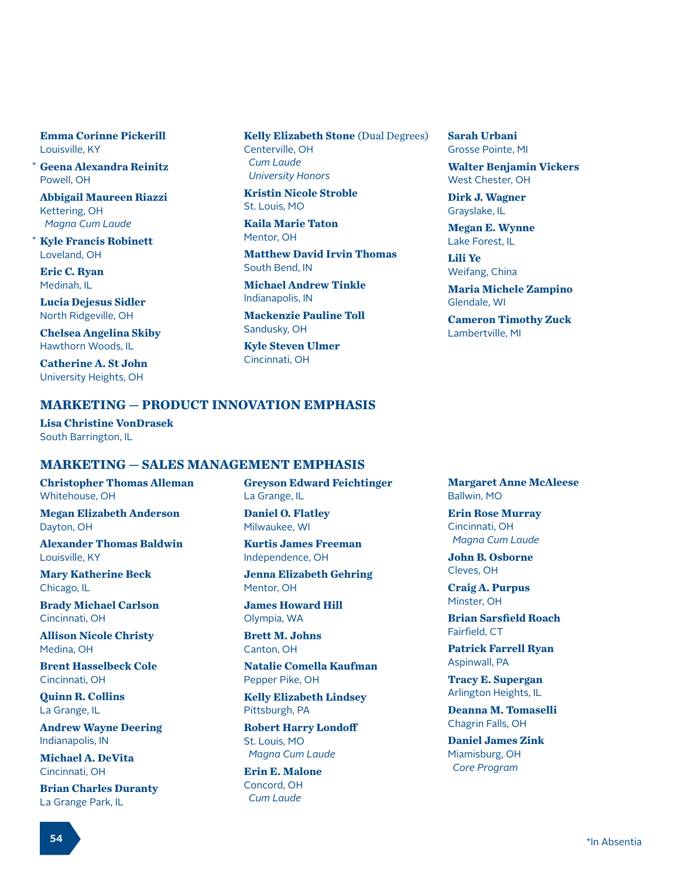**Emma Corinne Pickerill** Louisville, KY

**Geena Alexandra Reinitz** Powell, OH \*

**Abbigail Maureen Riazzi** Kettering, OH  *Magna Cum Laude*

**Kyle Francis Robinett** Loveland, OH \*

**Eric C. Ryan** Medinah, IL

**Lucia Dejesus Sidler** North Ridgeville, OH

**Chelsea Angelina Skiby** Hawthorn Woods, IL

**Catherine A. St John** University Heights, OH

**Kelly Elizabeth Stone** (Dual Degrees) Centerville, OH  *Cum Laude University Honors*

**Kristin Nicole Stroble** St. Louis, MO

**Kaila Marie Taton** Mentor, OH

**Matthew David Irvin Thomas** South Bend, IN

**Michael Andrew Tinkle** Indianapolis, IN

**Mackenzie Pauline Toll** Sandusky, OH

**Kyle Steven Ulmer** Cincinnati, OH

**Sarah Urbani** Grosse Pointe, MI

**Walter Benjamin Vickers** West Chester, OH

**Dirk J. Wagner** Grayslake, IL

**Megan E. Wynne** Lake Forest, IL

**Lili Ye** Weifang, China

**Maria Michele Zampino** Glendale, WI

**Cameron Timothy Zuck** Lambertville, MI

#### **MARKETING — PRODUCT INNOVATION EMPHASIS**

**Lisa Christine VonDrasek** South Barrington, IL

#### **MARKETING — SALES MANAGEMENT EMPHASIS**

**Christopher Thomas Alleman** Whitehouse, OH

**Megan Elizabeth Anderson** Dayton, OH

**Alexander Thomas Baldwin** Louisville, KY

**Mary Katherine Beck** Chicago, IL

**Brady Michael Carlson** Cincinnati, OH

**Allison Nicole Christy** Medina, OH

**Brent Hasselbeck Cole** Cincinnati, OH

**Quinn R. Collins** La Grange, IL

**Andrew Wayne Deering** Indianapolis, IN

**Michael A. DeVita** Cincinnati, OH

**Brian Charles Duranty** La Grange Park, IL

**Greyson Edward Feichtinger** La Grange, IL

**Daniel O. Flatley** Milwaukee, WI

**Kurtis James Freeman** Independence, OH

**Jenna Elizabeth Gehring** Mentor, OH

**James Howard Hill** Olympia, WA

**Brett M. Johns** Canton, OH

**Natalie Comella Kaufman** Pepper Pike, OH

**Kelly Elizabeth Lindsey** Pittsburgh, PA

**Robert Harry Londoff** St. Louis, MO  *Magna Cum Laude*

**Erin E. Malone** Concord, OH  *Cum Laude*

**Margaret Anne McAleese** Ballwin, MO

**Erin Rose Murray** Cincinnati, OH  *Magna Cum Laude*

**John B. Osborne** Cleves, OH

**Craig A. Purpus** Minster, OH

**Brian Sarsfield Roach** Fairfield, CT

**Patrick Farrell Ryan** Aspinwall, PA

**Tracy E. Supergan** Arlington Heights, IL

**Deanna M. Tomaselli** Chagrin Falls, OH

**Daniel James Zink** Miamisburg, OH  *Core Program*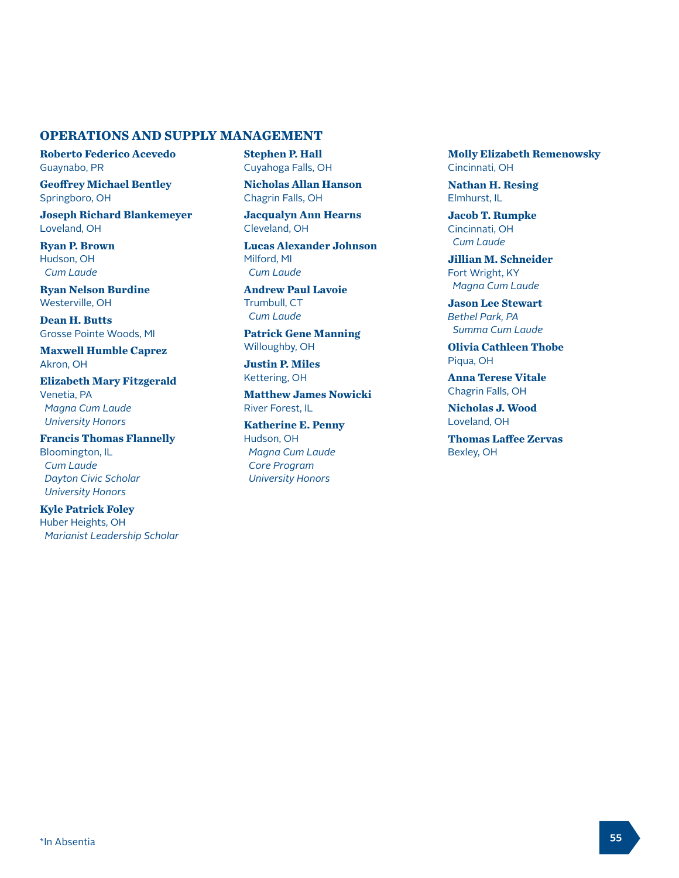### **OPERATIONS AND SUPPLY MANAGEMENT**

**Roberto Federico Acevedo** Guaynabo, PR

**Geoffrey Michael Bentley** Springboro, OH

**Joseph Richard Blankemeyer** Loveland, OH

**Ryan P. Brown** Hudson, OH  *Cum Laude* 

**Ryan Nelson Burdine** Westerville, OH

**Dean H. Butts** Grosse Pointe Woods, MI

**Maxwell Humble Caprez** Akron, OH

**Elizabeth Mary Fitzgerald** Venetia, PA  *Magna Cum Laude University Honors*

**Francis Thomas Flannelly** Bloomington, IL  *Cum Laude Dayton Civic Scholar University Honors*

**Kyle Patrick Foley** Huber Heights, OH  *Marianist Leadership Scholar* **Stephen P. Hall** Cuyahoga Falls, OH

**Nicholas Allan Hanson** Chagrin Falls, OH

**Jacqualyn Ann Hearns** Cleveland, OH

**Lucas Alexander Johnson** Milford, MI  *Cum Laude* 

**Andrew Paul Lavoie** Trumbull, CT  *Cum Laude* 

**Patrick Gene Manning** Willoughby, OH

**Justin P. Miles** Kettering, OH

**Matthew James Nowicki** River Forest, IL

**Katherine E. Penny** Hudson, OH  *Magna Cum Laude Core Program University Honors*

**Molly Elizabeth Remenowsky** Cincinnati, OH

**Nathan H. Resing** Elmhurst, IL

**Jacob T. Rumpke** Cincinnati, OH  *Cum Laude* 

**Jillian M. Schneider** Fort Wright, KY  *Magna Cum Laude* 

**Jason Lee Stewart** *Bethel Park, PA Summa Cum Laude* 

**Olivia Cathleen Thobe**  Piqua, OH

**Anna Terese Vitale** Chagrin Falls, OH

**Nicholas J. Wood** Loveland, OH

**Thomas Laffee Zervas** Bexley, OH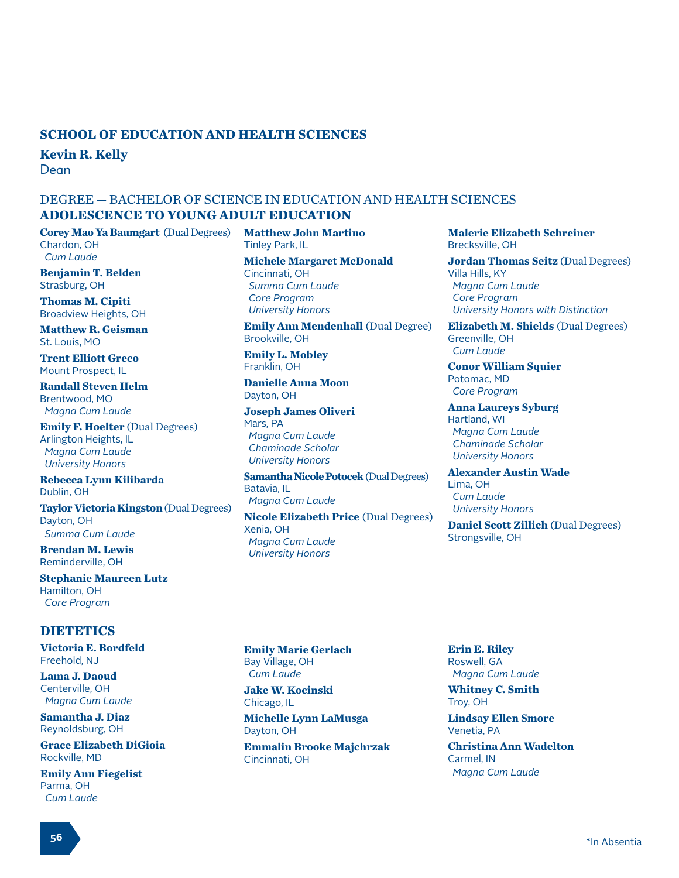#### **SCHOOL OF EDUCATION AND HEALTH SCIENCES**

**Kevin R. Kelly**

Dean

#### DEGREE — BACHELOR OF SCIENCE IN EDUCATION AND HEALTH SCIENCES **ADOLESCENCE TO YOUNG ADULT EDUCATION**

**Corey Mao Ya Baumgart** (Dual Degrees) Chardon, OH  *Cum Laude*

**Benjamin T. Belden** Strasburg, OH

**Thomas M. Cipiti** Broadview Heights, OH

**Matthew R. Geisman** St. Louis, MO

**Trent Elliott Greco** Mount Prospect, IL

**Randall Steven Helm** Brentwood, MO  *Magna Cum Laude* 

**Emily F. Hoelter** (Dual Degrees) Arlington Heights, IL  *Magna Cum Laude University Honors*

**Rebecca Lynn Kilibarda** Dublin, OH

**Taylor Victoria Kingston** (Dual Degrees) Dayton, OH  *Summa Cum Laude*

**Brendan M. Lewis** Reminderville, OH

**Stephanie Maureen Lutz** Hamilton, OH  *Core Program*

#### **DIETETICS**

**Victoria E. Bordfeld** Freehold, NJ

**Lama J. Daoud** Centerville, OH  *Magna Cum Laude*

**Samantha J. Diaz** Reynoldsburg, OH

**Grace Elizabeth DiGioia** Rockville, MD

**Emily Ann Fiegelist** Parma, OH  *Cum Laude*

**Matthew John Martino** Tinley Park, IL

**Michele Margaret McDonald** Cincinnati, OH  *Summa Cum Laude Core Program University Honors*

**Emily Ann Mendenhall (Dual Degree)** Brookville, OH

**Emily L. Mobley** Franklin, OH

**Danielle Anna Moon** Dayton, OH

**Joseph James Oliveri** Mars, PA  *Magna Cum Laude Chaminade Scholar University Honors*

**Samantha Nicole Potocek** (Dual Degrees) Batavia, IL  *Magna Cum Laude* 

**Nicole Elizabeth Price** (Dual Degrees) Xenia, OH  *Magna Cum Laude University Honors*

**Malerie Elizabeth Schreiner** Brecksville, OH

**Jordan Thomas Seitz** (Dual Degrees) Villa Hills, KY  *Magna Cum Laude Core Program University Honors with Distinction*

**Elizabeth M. Shields** (Dual Degrees) Greenville, OH  *Cum Laude* 

**Conor William Squier** Potomac, MD  *Core Program*

**Anna Laureys Syburg** Hartland, WI  *Magna Cum Laude Chaminade Scholar University Honors*

**Alexander Austin Wade** Lima, OH  *Cum Laude University Honors*

**Daniel Scott Zillich** (Dual Degrees) Strongsville, OH

**Emily Marie Gerlach** Bay Village, OH  *Cum Laude*

**Jake W. Kocinski** Chicago, IL

**Michelle Lynn LaMusga** Dayton, OH

**Emmalin Brooke Majchrzak** Cincinnati, OH

**Erin E. Riley** Roswell, GA  *Magna Cum Laude*

**Whitney C. Smith** Troy, OH

**Lindsay Ellen Smore** Venetia, PA

**Christina Ann Wadelton** Carmel, IN  *Magna Cum Laude*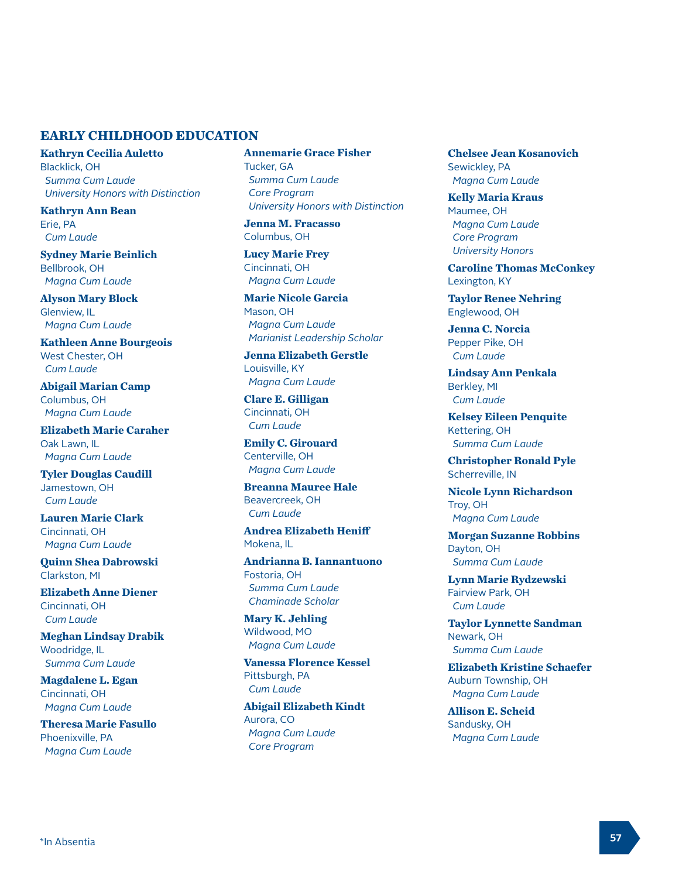#### **EARLY CHILDHOOD EDUCATION**

**Kathryn Cecilia Auletto** Blacklick, OH  *Summa Cum Laude University Honors with Distinction*

**Kathryn Ann Bean** Erie, PA  *Cum Laude* 

**Sydney Marie Beinlich** Bellbrook, OH  *Magna Cum Laude* 

**Alyson Mary Block** Glenview, IL  *Magna Cum Laude* 

**Kathleen Anne Bourgeois** West Chester, OH  *Cum Laude* 

**Abigail Marian Camp** Columbus, OH  *Magna Cum Laude* 

**Elizabeth Marie Caraher** Oak Lawn, IL  *Magna Cum Laude* 

**Tyler Douglas Caudill** Jamestown, OH  *Cum Laude* 

**Lauren Marie Clark** Cincinnati, OH  *Magna Cum Laude* 

**Quinn Shea Dabrowski** Clarkston, MI

**Elizabeth Anne Diener** Cincinnati, OH  *Cum Laude* 

**Meghan Lindsay Drabik** Woodridge, IL  *Summa Cum Laude* 

**Magdalene L. Egan** Cincinnati, OH  *Magna Cum Laude* 

**Theresa Marie Fasullo** Phoenixville, PA  *Magna Cum Laude* 

**Annemarie Grace Fisher** Tucker, GA  *Summa Cum Laude Core Program University Honors with Distinction*

**Jenna M. Fracasso** Columbus, OH

**Lucy Marie Frey** Cincinnati, OH  *Magna Cum Laude* 

**Marie Nicole Garcia** Mason, OH  *Magna Cum Laude Marianist Leadership Scholar*

**Jenna Elizabeth Gerstle** Louisville, KY  *Magna Cum Laude* 

**Clare E. Gilligan** Cincinnati, OH  *Cum Laude* 

**Emily C. Girouard** Centerville, OH  *Magna Cum Laude* 

**Breanna Mauree Hale** Beavercreek, OH  *Cum Laude* 

**Andrea Elizabeth Heniff** Mokena, IL

**Andrianna B. Iannantuono** Fostoria, OH  *Summa Cum Laude Chaminade Scholar*

**Mary K. Jehling** Wildwood, MO  *Magna Cum Laude* 

**Vanessa Florence Kessel** Pittsburgh, PA  *Cum Laude* 

**Abigail Elizabeth Kindt** Aurora, CO  *Magna Cum Laude Core Program*

**Chelsee Jean Kosanovich** Sewickley, PA  *Magna Cum Laude* 

**Kelly Maria Kraus** Maumee, OH  *Magna Cum Laude Core Program University Honors*

**Caroline Thomas McConkey** Lexington, KY

**Taylor Renee Nehring** Englewood, OH

**Jenna C. Norcia** Pepper Pike, OH  *Cum Laude* 

**Lindsay Ann Penkala** Berkley, MI  *Cum Laude* 

**Kelsey Eileen Penquite** Kettering, OH  *Summa Cum Laude* 

**Christopher Ronald Pyle** Scherreville, IN

**Nicole Lynn Richardson** Troy, OH  *Magna Cum Laude* 

**Morgan Suzanne Robbins** Dayton, OH  *Summa Cum Laude* 

**Lynn Marie Rydzewski** Fairview Park, OH  *Cum Laude* 

**Taylor Lynnette Sandman** Newark, OH  *Summa Cum Laude* 

**Elizabeth Kristine Schaefer** Auburn Township, OH  *Magna Cum Laude* 

**Allison E. Scheid** Sandusky, OH  *Magna Cum Laude*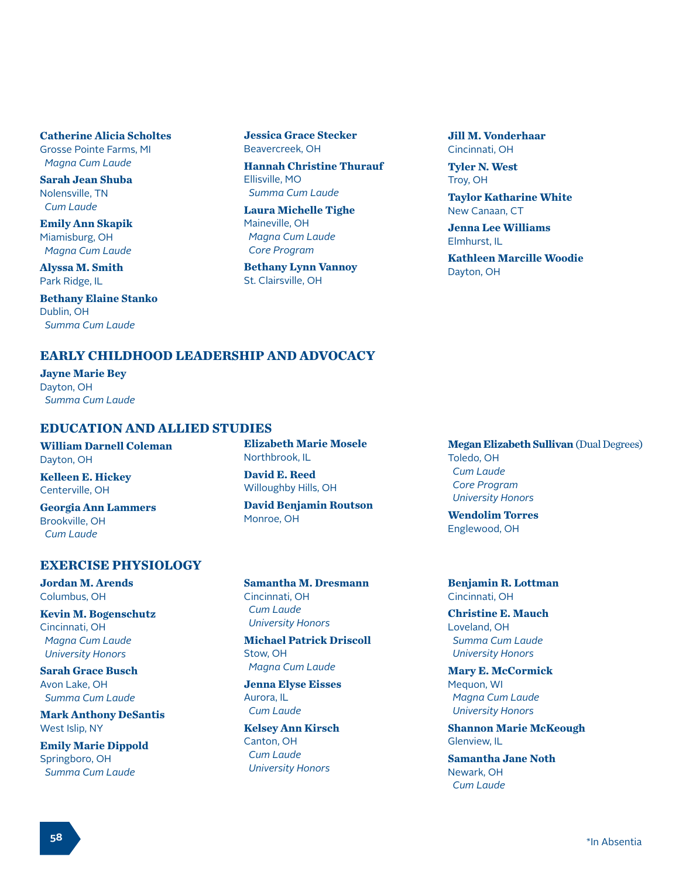**Catherine Alicia Scholtes** Grosse Pointe Farms, MI  *Magna Cum Laude* 

**Sarah Jean Shuba** Nolensville, TN  *Cum Laude* 

**Emily Ann Skapik** Miamisburg, OH  *Magna Cum Laude* 

**Alyssa M. Smith** Park Ridge, IL

**Bethany Elaine Stanko** Dublin, OH  *Summa Cum Laude* 

**Jessica Grace Stecker** Beavercreek, OH

**Hannah Christine Thurauf** Ellisville, MO  *Summa Cum Laude* 

**Laura Michelle Tighe** Maineville, OH  *Magna Cum Laude Core Program*

**Bethany Lynn Vannoy** St. Clairsville, OH

**Jill M. Vonderhaar** Cincinnati, OH

**Tyler N. West** Troy, OH

**Taylor Katharine White** New Canaan, CT

**Jenna Lee Williams** Elmhurst, IL

**Kathleen Marcille Woodie** Dayton, OH

# **EARLY CHILDHOOD LEADERSHIP AND ADVOCACY**

**Jayne Marie Bey** Dayton, OH  *Summa Cum Laude*

#### **EDUCATION AND ALLIED STUDIES**

**William Darnell Coleman** Dayton, OH

**Kelleen E. Hickey** Centerville, OH

**Georgia Ann Lammers** Brookville, OH  *Cum Laude* 

## **EXERCISE PHYSIOLOGY**

**Jordan M. Arends** Columbus, OH

**Kevin M. Bogenschutz** Cincinnati, OH  *Magna Cum Laude University Honors*

**Sarah Grace Busch** Avon Lake, OH  *Summa Cum Laude* 

**Mark Anthony DeSantis** West Islip, NY

**Emily Marie Dippold** Springboro, OH  *Summa Cum Laude* 

**Elizabeth Marie Mosele** Northbrook, IL **David E. Reed**

Willoughby Hills, OH **David Benjamin Routson** Monroe, OH

**Samantha M. Dresmann** Cincinnati, OH  *Cum Laude University Honors*

**Michael Patrick Driscoll** Stow, OH  *Magna Cum Laude*

**Jenna Elyse Eisses** Aurora, IL  *Cum Laude* 

**Kelsey Ann Kirsch** Canton, OH  *Cum Laude University Honors*

**Megan Elizabeth Sullivan** (Dual Degrees) Toledo, OH  *Cum Laude Core Program University Honors*

**Wendolim Torres** Englewood, OH

**Benjamin R. Lottman** Cincinnati, OH

**Christine E. Mauch** Loveland, OH  *Summa Cum Laude University Honors*

**Mary E. McCormick** Mequon, WI  *Magna Cum Laude University Honors*

**Shannon Marie McKeough** Glenview, IL

**Samantha Jane Noth** Newark, OH  *Cum Laude*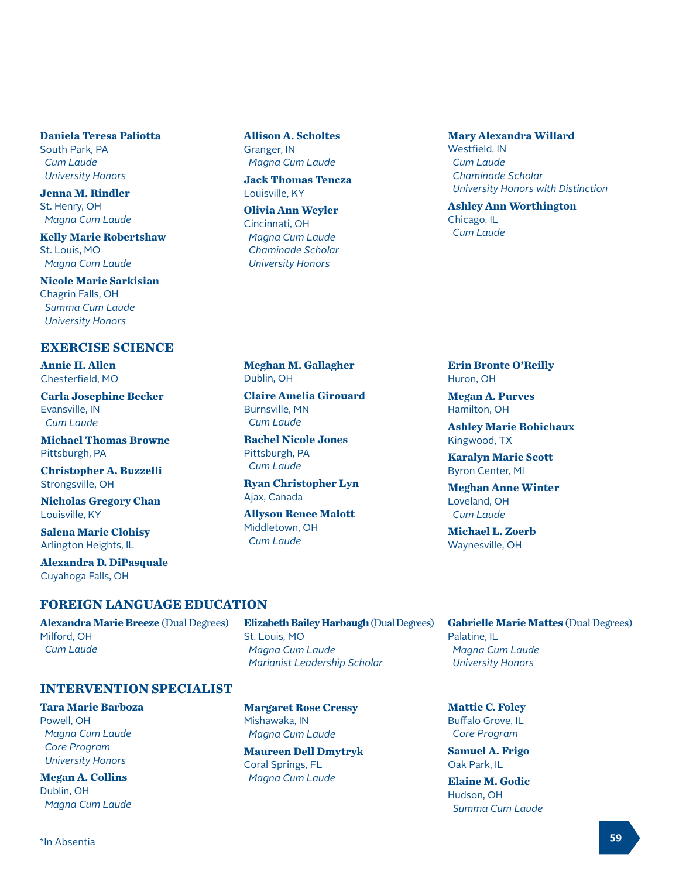**Daniela Teresa Paliotta** South Park, PA  *Cum Laude University Honors*

**Jenna M. Rindler** St. Henry, OH  *Magna Cum Laude* 

**Kelly Marie Robertshaw** St. Louis, MO  *Magna Cum Laude* 

**Nicole Marie Sarkisian** Chagrin Falls, OH  *Summa Cum Laude University Honors*

# **EXERCISE SCIENCE**

**Annie H. Allen** Chesterfield, MO

**Carla Josephine Becker** Evansville, IN  *Cum Laude*

**Michael Thomas Browne** Pittsburgh, PA

**Christopher A. Buzzelli** Strongsville, OH

**Nicholas Gregory Chan** Louisville, KY

**Salena Marie Clohisy** Arlington Heights, IL

**Alexandra D. DiPasquale** Cuyahoga Falls, OH

#### **FOREIGN LANGUAGE EDUCATION**

**Alexandra Marie Breeze** (Dual Degrees) Milford, OH  *Cum Laude*

**INTERVENTION SPECIALIST**

**Allison A. Scholtes** Granger, IN  *Magna Cum Laude* 

**Jack Thomas Tencza** Louisville, KY

**Olivia Ann Weyler** Cincinnati, OH  *Magna Cum Laude Chaminade Scholar University Honors*

**Mary Alexandra Willard** Westfield, IN  *Cum Laude Chaminade Scholar University Honors with Distinction*

**Ashley Ann Worthington** Chicago, IL  *Cum Laude* 

**Meghan M. Gallagher** Dublin, OH

**Claire Amelia Girouard** Burnsville, MN  *Cum Laude*

**Rachel Nicole Jones** Pittsburgh, PA  *Cum Laude*

**Ryan Christopher Lyn** Ajax, Canada

**Allyson Renee Malott** Middletown, OH  *Cum Laude*

#### **Erin Bronte O'Reilly** Huron, OH

**Megan A. Purves** Hamilton, OH

**Ashley Marie Robichaux** Kingwood, TX

**Karalyn Marie Scott** Byron Center, MI

**Meghan Anne Winter** Loveland, OH  *Cum Laude*

**Michael L. Zoerb** Waynesville, OH

**Gabrielle Marie Mattes** (Dual Degrees) Palatine, IL  *Magna Cum Laude University Honors*

**Mattie C. Foley** Buffalo Grove, IL  *Core Program*

**Samuel A. Frigo** Oak Park, IL

**Elaine M. Godic** Hudson, OH  *Summa Cum Laude* 

**Tara Marie Barboza**

Powell, OH  *Magna Cum Laude Core Program University Honors*

**Megan A. Collins** Dublin, OH  *Magna Cum Laude*  **Margaret Rose Cressy** Mishawaka, IN  *Magna Cum Laude* 

 *Marianist Leadership Scholar*

St. Louis, MO  *Magna Cum Laude*

**Elizabeth Bailey Harbaugh** (Dual Degrees)

**Maureen Dell Dmytryk** Coral Springs, FL  *Magna Cum Laude*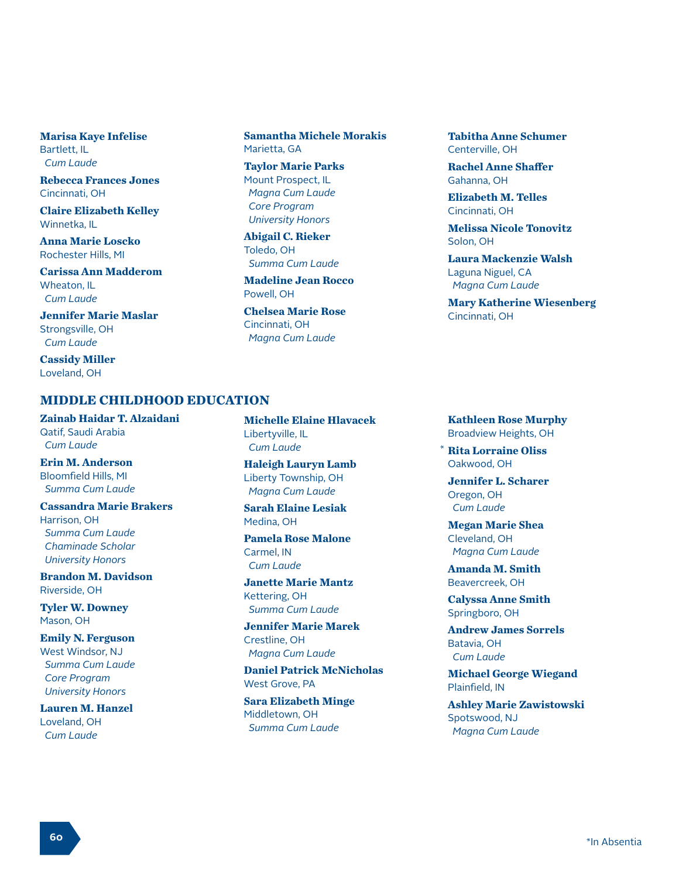**Marisa Kaye Infelise** Bartlett, IL  *Cum Laude* 

**Rebecca Frances Jones** Cincinnati, OH

**Claire Elizabeth Kelley** Winnetka, IL

**Anna Marie Loscko** Rochester Hills, MI

**Carissa Ann Madderom** Wheaton, IL  *Cum Laude* 

**Jennifer Marie Maslar** Strongsville, OH  *Cum Laude* 

**Cassidy Miller** Loveland, OH

#### **MIDDLE CHILDHOOD EDUCATION**

**Zainab Haidar T. Alzaidani** Qatif, Saudi Arabia  *Cum Laude* 

**Erin M. Anderson** Bloomfield Hills, MI  *Summa Cum Laude* 

**Cassandra Marie Brakers** Harrison, OH  *Summa Cum Laude*

 *Chaminade Scholar University Honors*

**Brandon M. Davidson** Riverside, OH

**Tyler W. Downey** Mason, OH

**Emily N. Ferguson** West Windsor, NJ  *Summa Cum Laude Core Program*

**Lauren M. Hanzel** Loveland, OH  *Cum Laude* 

 *University Honors*

**Samantha Michele Morakis** Marietta, GA

**Taylor Marie Parks** Mount Prospect, IL  *Magna Cum Laude Core Program University Honors*

**Abigail C. Rieker** Toledo, OH  *Summa Cum Laude* 

**Madeline Jean Rocco** Powell, OH

**Chelsea Marie Rose** Cincinnati, OH  *Magna Cum Laude* 

**Tabitha Anne Schumer** Centerville, OH

**Rachel Anne Shaffer** Gahanna, OH

**Elizabeth M. Telles** Cincinnati, OH

**Melissa Nicole Tonovitz** Solon, OH

**Laura Mackenzie Walsh** Laguna Niguel, CA  *Magna Cum Laude* 

**Mary Katherine Wiesenberg** Cincinnati, OH

**Michelle Elaine Hlavacek** Libertyville, IL  *Cum Laude* 

**Haleigh Lauryn Lamb** Liberty Township, OH  *Magna Cum Laude* 

**Sarah Elaine Lesiak** Medina, OH

**Pamela Rose Malone** Carmel, IN  *Cum Laude* 

**Janette Marie Mantz** Kettering, OH  *Summa Cum Laude* 

**Jennifer Marie Marek** Crestline, OH  *Magna Cum Laude* 

**Daniel Patrick McNicholas** West Grove, PA

**Sara Elizabeth Minge** Middletown, OH  *Summa Cum Laude* 

**Kathleen Rose Murphy** Broadview Heights, OH

**Rita Lorraine Oliss** \*Oakwood, OH

**Jennifer L. Scharer** Oregon, OH  *Cum Laude* 

**Megan Marie Shea** Cleveland, OH  *Magna Cum Laude* 

**Amanda M. Smith** Beavercreek, OH

**Calyssa Anne Smith** Springboro, OH

**Andrew James Sorrels** Batavia, OH  *Cum Laude* 

**Michael George Wiegand** Plainfield, IN

**Ashley Marie Zawistowski** Spotswood, NJ  *Magna Cum Laude*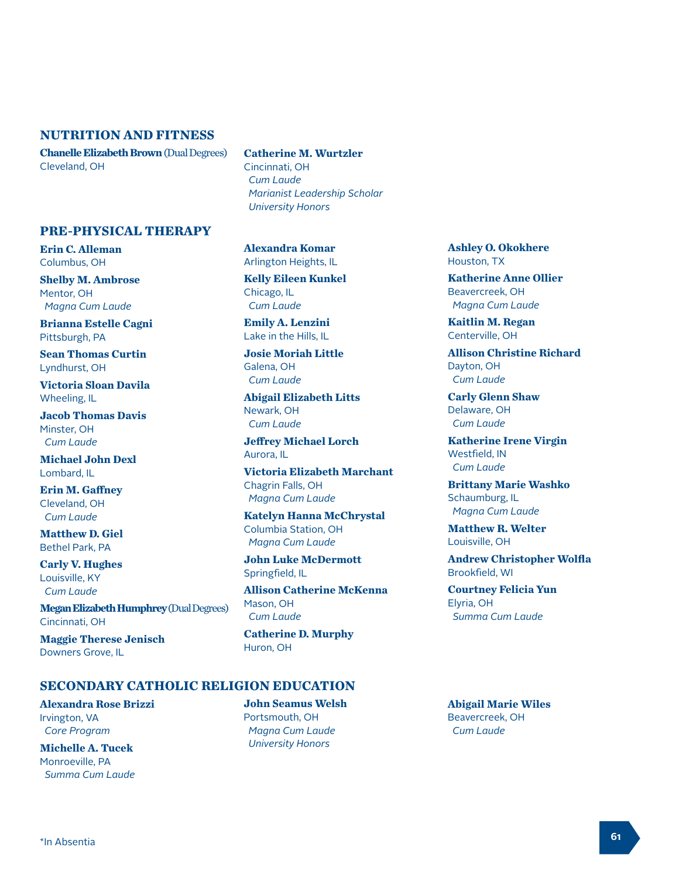#### **NUTRITION AND FITNESS**

**PRE-PHYSICAL THERAPY**

**Erin C. Alleman** Columbus, OH

Mentor, OH

Pittsburgh, PA

Lyndhurst, OH

Wheeling, IL

Minster, OH  *Cum Laude*

Lombard, IL

**Shelby M. Ambrose**

 *Magna Cum Laude* **Brianna Estelle Cagni**

**Sean Thomas Curtin**

**Victoria Sloan Davila**

**Jacob Thomas Davis**

**Michael John Dexl**

**Erin M. Gaffney** Cleveland, OH  *Cum Laude* **Matthew D. Giel** Bethel Park, PA **Carly V. Hughes** Louisville, KY  *Cum Laude*

Cincinnati, OH

Downers Grove, IL

**Chanelle Elizabeth Brown** (Dual Degrees) Cleveland, OH

#### **Catherine M. Wurtzler**

Cincinnati, OH  *Cum Laude Marianist Leadership Scholar University Honors*

**Alexandra Komar** Arlington Heights, IL

**Kelly Eileen Kunkel** Chicago, IL  *Cum Laude*

**Emily A. Lenzini** Lake in the Hills, IL

**Josie Moriah Little** Galena, OH  *Cum Laude*

**Abigail Elizabeth Litts** Newark, OH  *Cum Laude*

**Jeffrey Michael Lorch** Aurora, IL

**Victoria Elizabeth Marchant** Chagrin Falls, OH  *Magna Cum Laude*

**Katelyn Hanna McChrystal** Columbia Station, OH  *Magna Cum Laude*

**John Luke McDermott** Springfield, IL

**Allison Catherine McKenna** Mason, OH  *Cum Laude*

**Catherine D. Murphy** Huron, OH

**Ashley O. Okokhere** Houston, TX

**Katherine Anne Ollier** Beavercreek, OH  *Magna Cum Laude*

**Kaitlin M. Regan** Centerville, OH

**Allison Christine Richard** Dayton, OH  *Cum Laude*

**Carly Glenn Shaw** Delaware, OH  *Cum Laude*

**Katherine Irene Virgin** Westfield, IN  *Cum Laude*

**Brittany Marie Washko** Schaumburg, IL  *Magna Cum Laude*

**Matthew R. Welter** Louisville, OH

**Andrew Christopher Wolfla** Brookfield, WI

**Courtney Felicia Yun** Elyria, OH  *Summa Cum Laude*

#### **SECONDARY CATHOLIC RELIGION EDUCATION**

**Alexandra Rose Brizzi** Irvington, VA  *Core Program*

**Maggie Therese Jenisch**

**Megan Elizabeth Humphrey** (Dual Degrees)

**Michelle A. Tucek** Monroeville, PA  *Summa Cum Laude*

**John Seamus Welsh** Portsmouth, OH  *Magna Cum Laude University Honors*

**Abigail Marie Wiles** Beavercreek, OH  *Cum Laude*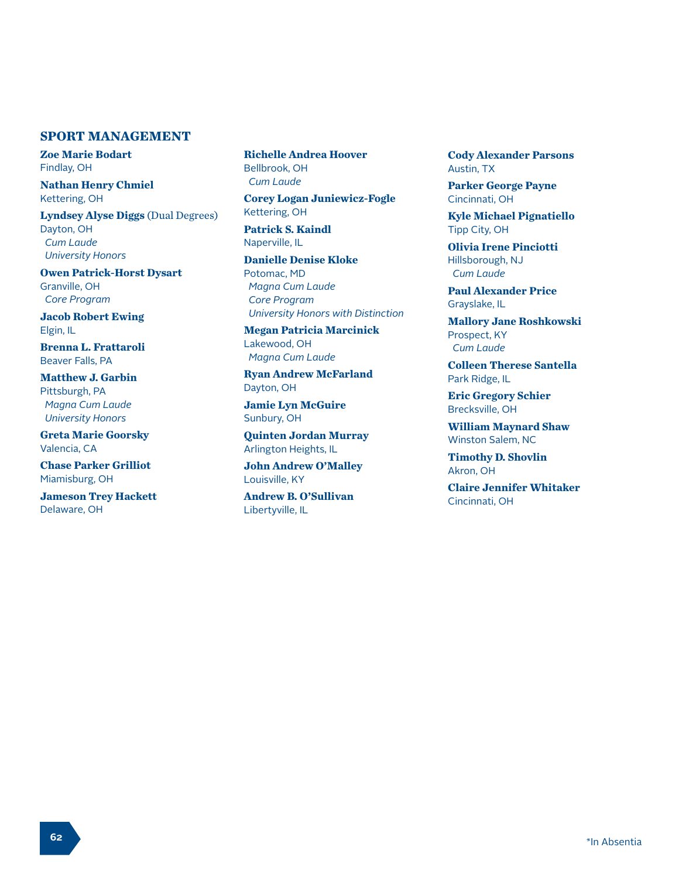## **SPORT MANAGEMENT**

**Zoe Marie Bodart** Findlay, OH

**Nathan Henry Chmiel** Kettering, OH

**Lyndsey Alyse Diggs** (Dual Degrees) Dayton, OH  *Cum Laude University Honors*

**Owen Patrick-Horst Dysart** Granville, OH  *Core Program*

**Jacob Robert Ewing** Elgin, IL

**Brenna L. Frattaroli** Beaver Falls, PA

**Matthew J. Garbin** Pittsburgh, PA  *Magna Cum Laude University Honors*

**Greta Marie Goorsky** Valencia, CA

**Chase Parker Grilliot** Miamisburg, OH

**Jameson Trey Hackett** Delaware, OH

**Richelle Andrea Hoover** Bellbrook, OH  *Cum Laude* 

**Corey Logan Juniewicz-Fogle** Kettering, OH

**Patrick S. Kaindl** Naperville, IL

**Danielle Denise Kloke** Potomac, MD  *Magna Cum Laude Core Program University Honors with Distinction*

**Megan Patricia Marcinick** Lakewood, OH  *Magna Cum Laude* 

**Ryan Andrew McFarland** Dayton, OH

**Jamie Lyn McGuire** Sunbury, OH

**Quinten Jordan Murray** Arlington Heights, IL

**John Andrew O'Malley** Louisville, KY

**Andrew B. O'Sullivan** Libertyville, IL

**Cody Alexander Parsons** Austin, TX

**Parker George Payne** Cincinnati, OH

**Kyle Michael Pignatiello** Tipp City, OH

**Olivia Irene Pinciotti** Hillsborough, NJ  *Cum Laude* 

**Paul Alexander Price** Grayslake, IL

**Mallory Jane Roshkowski** Prospect, KY  *Cum Laude* 

**Colleen Therese Santella** Park Ridge, IL

**Eric Gregory Schier** Brecksville, OH

**William Maynard Shaw** Winston Salem, NC

**Timothy D. Shovlin** Akron, OH

**Claire Jennifer Whitaker** Cincinnati, OH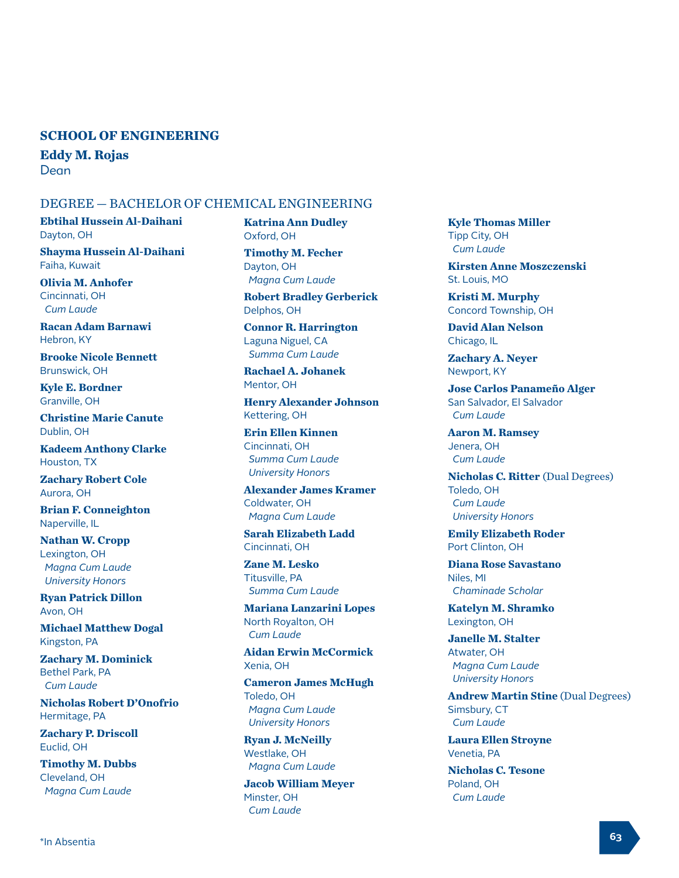#### **SCHOOL OF ENGINEERING**

**Eddy M. Rojas**  Dean

#### DEGREE — BACHELOR OF CHEMICAL ENGINEERING

**Ebtihal Hussein Al-Daihani** Dayton, OH

**Shayma Hussein Al-Daihani** Faiha, Kuwait

**Olivia M. Anhofer** Cincinnati, OH  *Cum Laude* 

**Racan Adam Barnawi** Hebron, KY

**Brooke Nicole Bennett** Brunswick, OH

**Kyle E. Bordner** Granville, OH

**Christine Marie Canute** Dublin, OH

**Kadeem Anthony Clarke** Houston, TX

**Zachary Robert Cole** Aurora, OH

**Brian F. Conneighton** Naperville, IL

**Nathan W. Cropp** Lexington, OH  *Magna Cum Laude University Honors*

**Ryan Patrick Dillon** Avon, OH

**Michael Matthew Dogal** Kingston, PA

**Zachary M. Dominick** Bethel Park, PA  *Cum Laude* 

**Nicholas Robert D'Onofrio** Hermitage, PA

**Zachary P. Driscoll** Euclid, OH

**Timothy M. Dubbs** Cleveland, OH  *Magna Cum Laude* 

**Katrina Ann Dudley** Oxford, OH

**Timothy M. Fecher** Dayton, OH  *Magna Cum Laude* 

**Robert Bradley Gerberick** Delphos, OH

**Connor R. Harrington** Laguna Niguel, CA  *Summa Cum Laude* 

**Rachael A. Johanek** Mentor, OH

**Henry Alexander Johnson** Kettering, OH

**Erin Ellen Kinnen** Cincinnati, OH  *Summa Cum Laude University Honors*

**Alexander James Kramer** Coldwater, OH  *Magna Cum Laude* 

**Sarah Elizabeth Ladd** Cincinnati, OH

**Zane M. Lesko** Titusville, PA  *Summa Cum Laude* 

**Mariana Lanzarini Lopes** North Royalton, OH  *Cum Laude* 

**Aidan Erwin McCormick** Xenia, OH

**Cameron James McHugh** Toledo, OH  *Magna Cum Laude University Honors*

**Ryan J. McNeilly** Westlake, OH  *Magna Cum Laude* 

**Jacob William Meyer** Minster, OH  *Cum Laude* 

**Kyle Thomas Miller** Tipp City, OH  *Cum Laude* 

**Kirsten Anne Moszczenski** St. Louis, MO

**Kristi M. Murphy** Concord Township, OH

**David Alan Nelson** Chicago, IL

**Zachary A. Neyer** Newport, KY

**Jose Carlos Panameño Alger** San Salvador, El Salvador  *Cum Laude* 

**Aaron M. Ramsey** Jenera, OH  *Cum Laude* 

**Nicholas C. Ritter** (Dual Degrees) Toledo, OH  *Cum Laude University Honors*

**Emily Elizabeth Roder** Port Clinton, OH

**Diana Rose Savastano** Niles, MI  *Chaminade Scholar*

**Katelyn M. Shramko** Lexington, OH

**Janelle M. Stalter** Atwater, OH  *Magna Cum Laude University Honors*

**Andrew Martin Stine** (Dual Degrees) Simsbury, CT  *Cum Laude* 

**Laura Ellen Stroyne** Venetia, PA

**Nicholas C. Tesone** Poland, OH  *Cum Laude*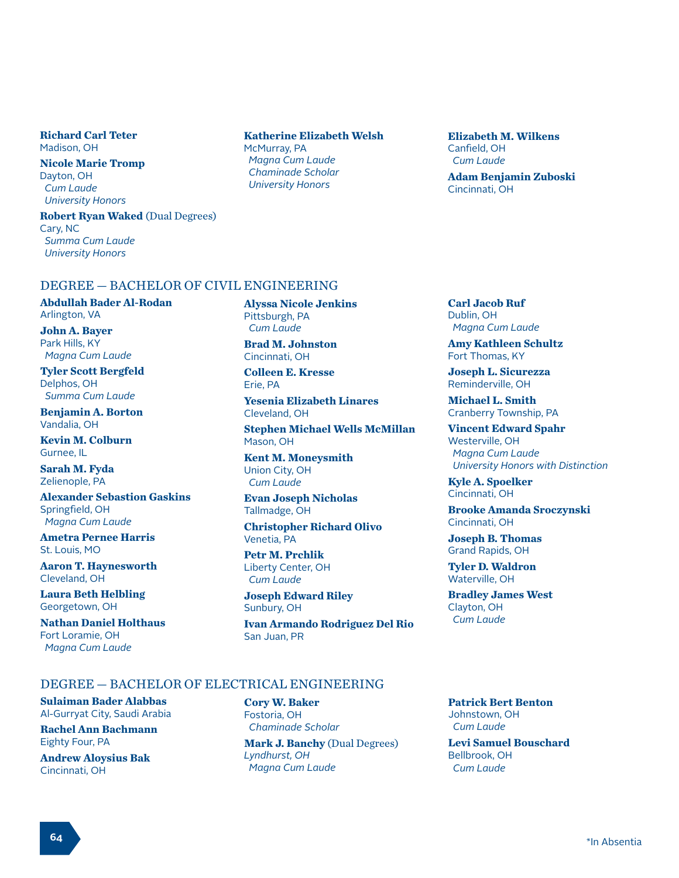**Richard Carl Teter** Madison, OH

**Nicole Marie Tromp** Dayton, OH  *Cum Laude University Honors*

**Robert Ryan Waked** (Dual Degrees) Cary, NC  *Summa Cum Laude University Honors*

#### **Katherine Elizabeth Welsh**

McMurray, PA  *Magna Cum Laude Chaminade Scholar University Honors*

**Elizabeth M. Wilkens** Canfield, OH  *Cum Laude* 

**Adam Benjamin Zuboski** Cincinnati, OH

#### DEGREE — BACHELOR OF CIVIL ENGINEERING

**Abdullah Bader Al-Rodan** Arlington, VA

**John A. Bayer** Park Hills, KY  *Magna Cum Laude*

**Tyler Scott Bergfeld** Delphos, OH  *Summa Cum Laude*

**Benjamin A. Borton** Vandalia, OH

**Kevin M. Colburn** Gurnee, IL

**Sarah M. Fyda** Zelienople, PA

**Alexander Sebastion Gaskins** Springfield, OH  *Magna Cum Laude*

**Ametra Pernee Harris** St. Louis, MO

**Aaron T. Haynesworth** Cleveland, OH

**Laura Beth Helbling** Georgetown, OH

**Nathan Daniel Holthaus** Fort Loramie, OH  *Magna Cum Laude*

**Alyssa Nicole Jenkins** Pittsburgh, PA  *Cum Laude*

**Brad M. Johnston** Cincinnati, OH

**Colleen E. Kresse** Erie, PA

**Yesenia Elizabeth Linares** Cleveland, OH

**Stephen Michael Wells McMillan** Mason, OH

**Kent M. Moneysmith** Union City, OH  *Cum Laude*

**Evan Joseph Nicholas** Tallmadge, OH

**Christopher Richard Olivo** Venetia, PA

**Petr M. Prchlik** Liberty Center, OH  *Cum Laude*

**Joseph Edward Riley** Sunbury, OH

**Ivan Armando Rodriguez Del Rio** San Juan, PR

**Carl Jacob Ruf** Dublin, OH  *Magna Cum Laude*

**Amy Kathleen Schultz** Fort Thomas, KY

**Joseph L. Sicurezza** Reminderville, OH

**Michael L. Smith** Cranberry Township, PA

**Vincent Edward Spahr** Westerville, OH  *Magna Cum Laude University Honors with Distinction*

**Kyle A. Spoelker** Cincinnati, OH

**Brooke Amanda Sroczynski** Cincinnati, OH

**Joseph B. Thomas** Grand Rapids, OH

**Tyler D. Waldron** Waterville, OH

**Bradley James West** Clayton, OH  *Cum Laude*

# DEGREE — BACHELOR OF ELECTRICAL ENGINEERING

**Sulaiman Bader Alabbas** Al-Gurryat City, Saudi Arabia

**Rachel Ann Bachmann** Eighty Four, PA

**Andrew Aloysius Bak** Cincinnati, OH

**Cory W. Baker** Fostoria, OH  *Chaminade Scholar* **Mark J. Banchy** (Dual Degrees)

*Lyndhurst, OH Magna Cum Laude* **Patrick Bert Benton** Johnstown, OH  *Cum Laude*

**Levi Samuel Bouschard** Bellbrook, OH  *Cum Laude*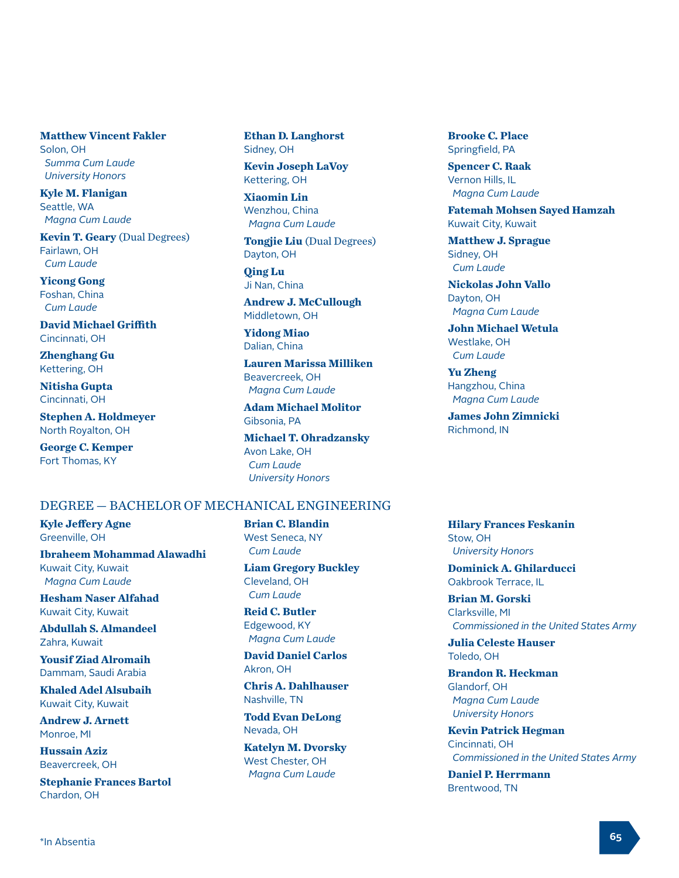**Matthew Vincent Fakler** Solon, OH  *Summa Cum Laude University Honors*

**Kyle M. Flanigan** Seattle, WA  *Magna Cum Laude*

**Kevin T. Geary** (Dual Degrees) Fairlawn, OH  *Cum Laude*

**Yicong Gong** Foshan, China  *Cum Laude*

**David Michael Griffith** Cincinnati, OH

**Zhenghang Gu** Kettering, OH

**Nitisha Gupta** Cincinnati, OH

**Stephen A. Holdmeyer** North Royalton, OH

**George C. Kemper** Fort Thomas, KY

**Ethan D. Langhorst** Sidney, OH

**Kevin Joseph LaVoy** Kettering, OH

**Xiaomin Lin** Wenzhou, China  *Magna Cum Laude*

**Tongjie Liu** (Dual Degrees) Dayton, OH

**Qing Lu** Ji Nan, China

**Andrew J. McCullough** Middletown, OH

**Yidong Miao** Dalian, China

**Lauren Marissa Milliken** Beavercreek, OH  *Magna Cum Laude*

**Adam Michael Molitor** Gibsonia, PA

**Michael T. Ohradzansky** Avon Lake, OH  *Cum Laude University Honors*

#### DEGREE — BACHELOR OF MECHANICAL ENGINEERING

**Kyle Jeffery Agne** Greenville, OH

**Ibraheem Mohammad Alawadhi** Kuwait City, Kuwait  *Magna Cum Laude*

**Hesham Naser Alfahad** Kuwait City, Kuwait

**Abdullah S. Almandeel** Zahra, Kuwait

**Yousif Ziad Alromaih** Dammam, Saudi Arabia

**Khaled Adel Alsubaih** Kuwait City, Kuwait

**Andrew J. Arnett** Monroe, MI

**Hussain Aziz** Beavercreek, OH

**Stephanie Frances Bartol** Chardon, OH

**Brian C. Blandin** West Seneca, NY  *Cum Laude*

**Liam Gregory Buckley** Cleveland, OH  *Cum Laude*

**Reid C. Butler** Edgewood, KY  *Magna Cum Laude*

**David Daniel Carlos** Akron, OH

**Chris A. Dahlhauser** Nashville, TN

**Todd Evan DeLong** Nevada, OH

**Katelyn M. Dvorsky** West Chester, OH  *Magna Cum Laude*

**Brooke C. Place** Springfield, PA

**Spencer C. Raak** Vernon Hills, IL  *Magna Cum Laude*

**Fatemah Mohsen Sayed Hamzah** Kuwait City, Kuwait

**Matthew J. Sprague** Sidney, OH  *Cum Laude*

**Nickolas John Vallo** Dayton, OH  *Magna Cum Laude*

**John Michael Wetula** Westlake, OH  *Cum Laude*

**Yu Zheng** Hangzhou, China  *Magna Cum Laude*

**James John Zimnicki** Richmond, IN

#### **Hilary Frances Feskanin** Stow, OH  *University Honors*

**Dominick A. Ghilarducci** Oakbrook Terrace, IL

**Brian M. Gorski** Clarksville, MI  *Commissioned in the United States Army*

**Julia Celeste Hauser** Toledo, OH

**Brandon R. Heckman** Glandorf, OH  *Magna Cum Laude University Honors*

**Kevin Patrick Hegman** Cincinnati, OH  *Commissioned in the United States Army*

**Daniel P. Herrmann** Brentwood, TN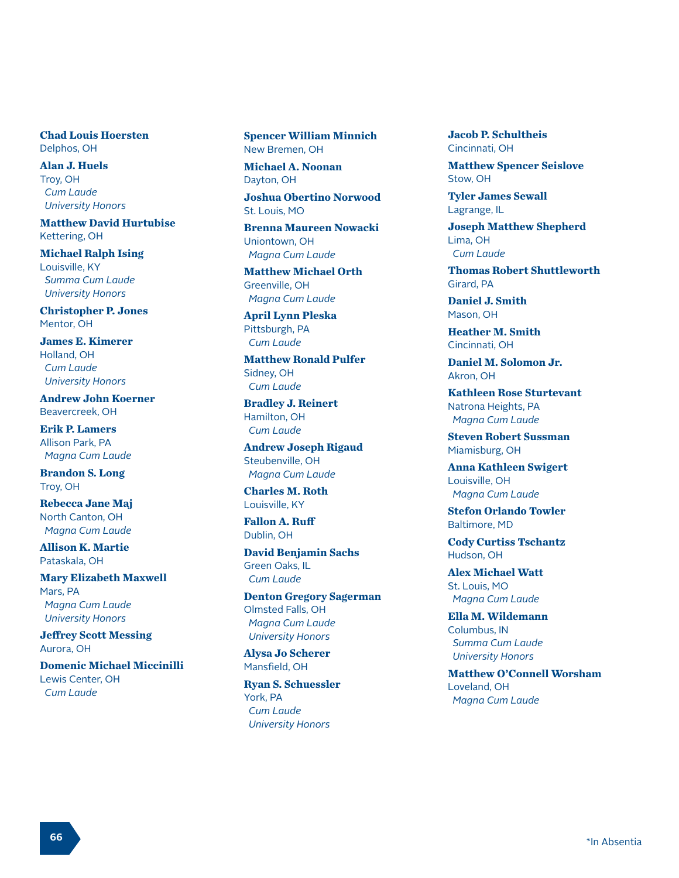**Chad Louis Hoersten** Delphos, OH

**Alan J. Huels** Troy, OH  *Cum Laude University Honors*

**Matthew David Hurtubise** Kettering, OH

**Michael Ralph Ising** Louisville, KY  *Summa Cum Laude University Honors*

**Christopher P. Jones** Mentor, OH

**James E. Kimerer** Holland, OH  *Cum Laude University Honors*

**Andrew John Koerner** Beavercreek, OH

**Erik P. Lamers** Allison Park, PA  *Magna Cum Laude*

**Brandon S. Long** Troy, OH

**Rebecca Jane Maj** North Canton, OH  *Magna Cum Laude*

**Allison K. Martie** Pataskala, OH

**Mary Elizabeth Maxwell** Mars, PA  *Magna Cum Laude University Honors*

**Jeffrey Scott Messing** Aurora, OH

**Domenic Michael Miccinilli** Lewis Center, OH  *Cum Laude*

**Spencer William Minnich** New Bremen, OH

**Michael A. Noonan** Dayton, OH

**Joshua Obertino Norwood** St. Louis, MO

**Brenna Maureen Nowacki** Uniontown, OH  *Magna Cum Laude*

**Matthew Michael Orth** Greenville, OH  *Magna Cum Laude*

**April Lynn Pleska** Pittsburgh, PA  *Cum Laude*

**Matthew Ronald Pulfer** Sidney, OH  *Cum Laude*

**Bradley J. Reinert** Hamilton, OH  *Cum Laude*

**Andrew Joseph Rigaud** Steubenville, OH  *Magna Cum Laude*

**Charles M. Roth** Louisville, KY

**Fallon A. Ruff** Dublin, OH

**David Benjamin Sachs** Green Oaks, IL  *Cum Laude*

**Denton Gregory Sagerman** Olmsted Falls, OH  *Magna Cum Laude University Honors*

**Alysa Jo Scherer** Mansfield, OH

**Ryan S. Schuessler** York, PA  *Cum Laude University Honors*

**Jacob P. Schultheis** Cincinnati, OH

**Matthew Spencer Seislove** Stow, OH

**Tyler James Sewall** Lagrange, IL

**Joseph Matthew Shepherd** Lima, OH  *Cum Laude*

**Thomas Robert Shuttleworth** Girard, PA

**Daniel J. Smith** Mason, OH

**Heather M. Smith** Cincinnati, OH

**Daniel M. Solomon Jr.** Akron, OH

**Kathleen Rose Sturtevant** Natrona Heights, PA  *Magna Cum Laude*

**Steven Robert Sussman** Miamisburg, OH

**Anna Kathleen Swigert** Louisville, OH  *Magna Cum Laude*

**Stefon Orlando Towler** Baltimore, MD

**Cody Curtiss Tschantz** Hudson, OH

**Alex Michael Watt** St. Louis, MO  *Magna Cum Laude*

**Ella M. Wildemann** Columbus, IN  *Summa Cum Laude University Honors*

**Matthew O'Connell Worsham** Loveland, OH  *Magna Cum Laude*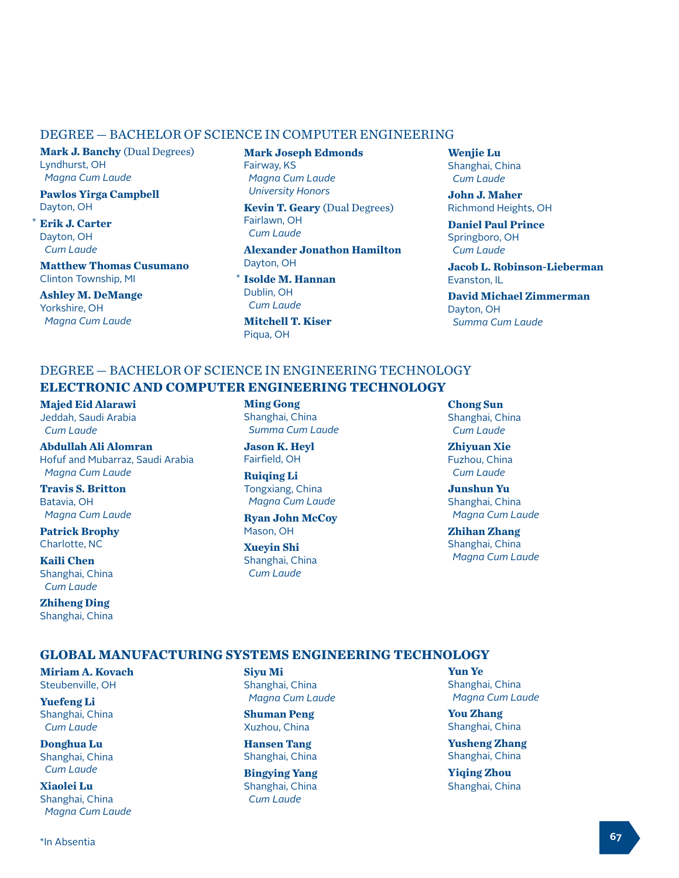#### DEGREE — BACHELOR OF SCIENCE IN COMPUTER ENGINEERING

**Mark J. Banchy** (Dual Degrees) Lyndhurst, OH  *Magna Cum Laude*

**Pawlos Yirga Campbell** Dayton, OH

**Erik J. Carter** Dayton, OH  *Cum Laude*

\*

**Matthew Thomas Cusumano** Clinton Township, MI

**Ashley M. DeMange** Yorkshire, OH  *Magna Cum Laude*

**Mark Joseph Edmonds** Fairway, KS  *Magna Cum Laude University Honors*

**Kevin T. Geary** (Dual Degrees) Fairlawn, OH  *Cum Laude*

**Alexander Jonathon Hamilton** Dayton, OH

**Isolde M. Hannan** \*Dublin, OH  *Cum Laude*

**Mitchell T. Kiser** Piqua, OH

**Wenjie Lu** Shanghai, China  *Cum Laude*

**John J. Maher** Richmond Heights, OH

**Daniel Paul Prince** Springboro, OH  *Cum Laude*

**Jacob L. Robinson-Lieberman** Evanston, IL

**David Michael Zimmerman** Dayton, OH  *Summa Cum Laude*

# DEGREE — BACHELOR OF SCIENCE IN ENGINEERING TECHNOLOGY **ELECTRONIC AND COMPUTER ENGINEERING TECHNOLOGY**

**Majed Eid Alarawi** Jeddah, Saudi Arabia  *Cum Laude*

**Abdullah Ali Alomran** Hofuf and Mubarraz, Saudi Arabia  *Magna Cum Laude*

**Travis S. Britton** Batavia, OH  *Magna Cum Laude*

**Patrick Brophy** Charlotte, NC

**Kaili Chen** Shanghai, China  *Cum Laude*

**Zhiheng Ding** Shanghai, China **Ming Gong** Shanghai, China  *Summa Cum Laude*

**Jason K. Heyl** Fairfield, OH

**Ruiqing Li** Tongxiang, China  *Magna Cum Laude*

**Ryan John McCoy** Mason, OH

**Xueyin Shi** Shanghai, China  *Cum Laude*

**Chong Sun** Shanghai, China  *Cum Laude*

**Zhiyuan Xie** Fuzhou, China  *Cum Laude*

**Junshun Yu** Shanghai, China  *Magna Cum Laude*

**Zhihan Zhang** Shanghai, China  *Magna Cum Laude*

## **GLOBAL MANUFACTURING SYSTEMS ENGINEERING TECHNOLOGY**

**Miriam A. Kovach** Steubenville, OH

**Yuefeng Li** Shanghai, China  *Cum Laude*

**Donghua Lu** Shanghai, China  *Cum Laude*

**Xiaolei Lu** Shanghai, China  *Magna Cum Laude* **Siyu Mi** Shanghai, China  *Magna Cum Laude*

**Shuman Peng** Xuzhou, China

**Hansen Tang** Shanghai, China

**Bingying Yang** Shanghai, China  *Cum Laude*

**Yun Ye** Shanghai, China  *Magna Cum Laude*

**You Zhang** Shanghai, China

**Yusheng Zhang** Shanghai, China

**Yiqing Zhou** Shanghai, China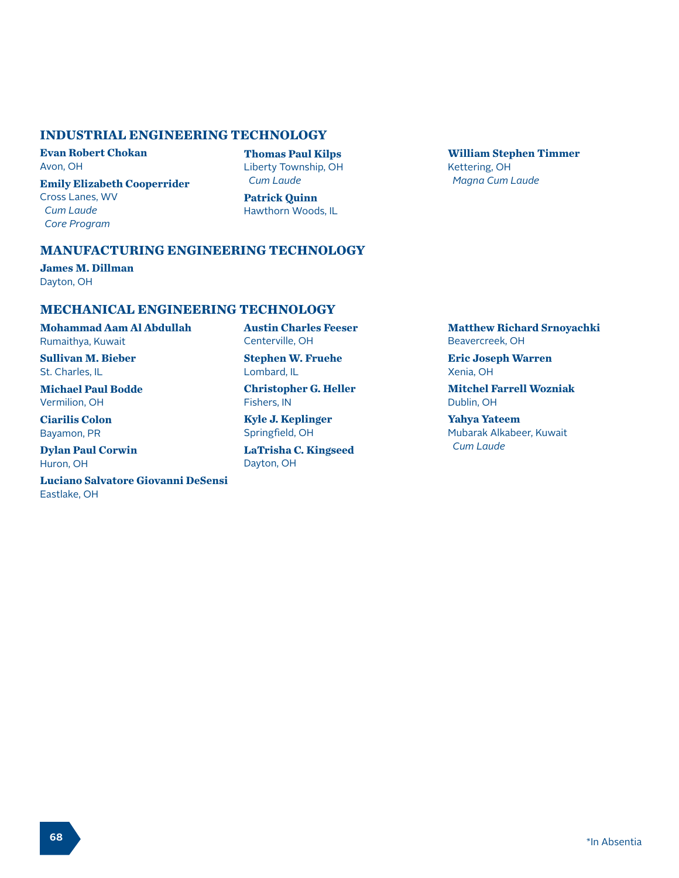#### **INDUSTRIAL ENGINEERING TECHNOLOGY**

**Evan Robert Chokan** Avon, OH

**Emily Elizabeth Cooperrider** Cross Lanes, WV  *Cum Laude Core Program*

**Thomas Paul Kilps** Liberty Township, OH  *Cum Laude*

**Patrick Quinn** Hawthorn Woods, IL **William Stephen Timmer** Kettering, OH  *Magna Cum Laude*

# **MANUFACTURING ENGINEERING TECHNOLOGY**

**James M. Dillman** Dayton, OH

#### **MECHANICAL ENGINEERING TECHNOLOGY**

**Mohammad Aam Al Abdullah** Rumaithya, Kuwait

**Sullivan M. Bieber** St. Charles, IL

**Michael Paul Bodde** Vermilion, OH

**Ciarilis Colon** Bayamon, PR

**Dylan Paul Corwin** Huron, OH

**Luciano Salvatore Giovanni DeSensi** Eastlake, OH

**Austin Charles Feeser** Centerville, OH

**Stephen W. Fruehe** Lombard, IL

**Christopher G. Heller** Fishers, IN

**Kyle J. Keplinger** Springfield, OH

**LaTrisha C. Kingseed** Dayton, OH

**Matthew Richard Srnoyachki** Beavercreek, OH

**Eric Joseph Warren** Xenia, OH

**Mitchel Farrell Wozniak** Dublin, OH

**Yahya Yateem** Mubarak Alkabeer, Kuwait  *Cum Laude*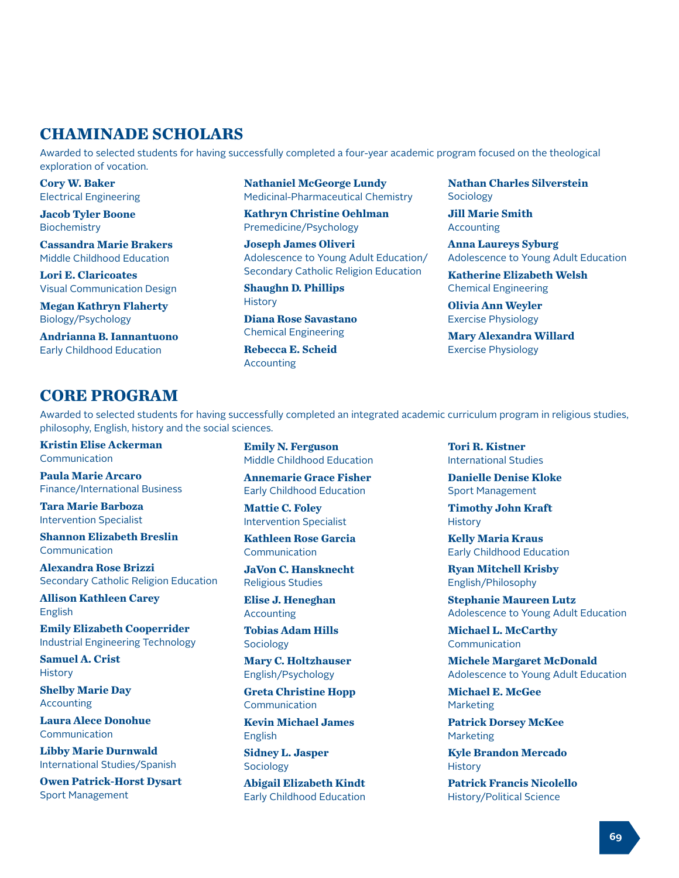# **CHAMINADE SCHOLARS**

Awarded to selected students for having successfully completed a four-year academic program focused on the theological exploration of vocation.

**Cory W. Baker** Electrical Engineering

**Jacob Tyler Boone Biochemistry** 

**Cassandra Marie Brakers** Middle Childhood Education

**Lori E. Claricoates** Visual Communication Design

**Megan Kathryn Flaherty** Biology/Psychology

**Andrianna B. Iannantuono** Early Childhood Education

**Nathaniel McGeorge Lundy** Medicinal-Pharmaceutical Chemistry

**Kathryn Christine Oehlman** Premedicine/Psychology

**Joseph James Oliveri** Adolescence to Young Adult Education/ Secondary Catholic Religion Education

**Shaughn D. Phillips History** 

**Diana Rose Savastano** Chemical Engineering

**Rebecca E. Scheid** Accounting

**Nathan Charles Silverstein** Sociology

**Jill Marie Smith** Accounting

**Anna Laureys Syburg** Adolescence to Young Adult Education

**Katherine Elizabeth Welsh** Chemical Engineering

**Olivia Ann Weyler** Exercise Physiology

**Mary Alexandra Willard** Exercise Physiology

# **CORE PROGRAM**

Awarded to selected students for having successfully completed an integrated academic curriculum program in religious studies, philosophy, English, history and the social sciences.

**Kristin Elise Ackerman Communication** 

**Paula Marie Arcaro** Finance/International Business

**Tara Marie Barboza** Intervention Specialist

**Shannon Elizabeth Breslin** Communication

**Alexandra Rose Brizzi** Secondary Catholic Religion Education

**Allison Kathleen Carey** English

**Emily Elizabeth Cooperrider** Industrial Engineering Technology

**Samuel A. Crist History** 

**Shelby Marie Day** Accounting

**Laura Alece Donohue** Communication

**Libby Marie Durnwald** International Studies/Spanish

**Owen Patrick-Horst Dysart** Sport Management

**Emily N. Ferguson** Middle Childhood Education

**Annemarie Grace Fisher** Early Childhood Education

**Mattie C. Foley** Intervention Specialist

**Kathleen Rose Garcia** Communication

**JaVon C. Hansknecht** Religious Studies

**Elise J. Heneghan Accounting** 

**Tobias Adam Hills Sociology** 

**Mary C. Holtzhauser** English/Psychology

**Greta Christine Hopp** Communication

**Kevin Michael James** English

**Sidney L. Jasper Sociology** 

**Abigail Elizabeth Kindt** Early Childhood Education **Tori R. Kistner** International Studies

**Danielle Denise Kloke** Sport Management

**Timothy John Kraft History** 

**Kelly Maria Kraus** Early Childhood Education

**Ryan Mitchell Krisby** English/Philosophy

**Stephanie Maureen Lutz** Adolescence to Young Adult Education

**Michael L. McCarthy** Communication

**Michele Margaret McDonald** Adolescence to Young Adult Education

**Michael E. McGee** Marketing

**Patrick Dorsey McKee** Marketing

**Kyle Brandon Mercado History** 

**Patrick Francis Nicolello** History/Political Science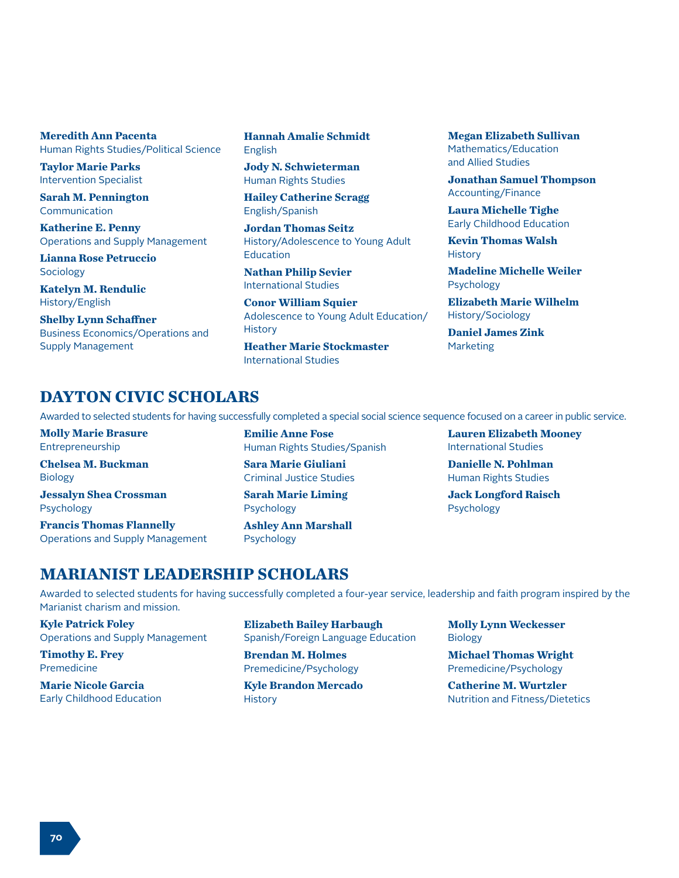**Meredith Ann Pacenta** Human Rights Studies/Political Science

**Taylor Marie Parks** Intervention Specialist

**Sarah M. Pennington** Communication

**Katherine E. Penny** Operations and Supply Management

**Lianna Rose Petruccio** Sociology

**Katelyn M. Rendulic** History/English

**Shelby Lynn Schaffner** Business Economics/Operations and Supply Management

**Hannah Amalie Schmidt** English

**Jody N. Schwieterman** Human Rights Studies

**Hailey Catherine Scragg** English/Spanish

**Jordan Thomas Seitz** History/Adolescence to Young Adult Education

**Nathan Philip Sevier** International Studies

**Conor William Squier** Adolescence to Young Adult Education/ **History** 

**Heather Marie Stockmaster** International Studies

**Megan Elizabeth Sullivan** Mathematics/Education and Allied Studies

**Jonathan Samuel Thompson** Accounting/Finance

**Laura Michelle Tighe** Early Childhood Education

**Kevin Thomas Walsh History** 

**Madeline Michelle Weiler** Psychology

**Elizabeth Marie Wilhelm** History/Sociology

**Daniel James Zink** Marketing

# **DAYTON CIVIC SCHOLARS**

Awarded to selected students for having successfully completed a special social science sequence focused on a career in public service.

**Molly Marie Brasure** Entrepreneurship

**Chelsea M. Buckman** Biology

**Jessalyn Shea Crossman** Psychology

**Francis Thomas Flannelly** Operations and Supply Management **Emilie Anne Fose** Human Rights Studies/Spanish

**Sara Marie Giuliani** Criminal Justice Studies

**Sarah Marie Liming** Psychology

**Ashley Ann Marshall** Psychology

**Lauren Elizabeth Mooney** International Studies

**Danielle N. Pohlman** Human Rights Studies

**Jack Longford Raisch** Psychology

# **MARIANIST LEADERSHIP SCHOLARS**

Awarded to selected students for having successfully completed a four-year service, leadership and faith program inspired by the Marianist charism and mission.

**Kyle Patrick Foley** Operations and Supply Management

**Timothy E. Frey** Premedicine

**Marie Nicole Garcia** Early Childhood Education **Elizabeth Bailey Harbaugh** Spanish/Foreign Language Education

**Brendan M. Holmes** Premedicine/Psychology

**Kyle Brandon Mercado History** 

**Molly Lynn Weckesser** Biology

**Michael Thomas Wright** Premedicine/Psychology

**Catherine M. Wurtzler** Nutrition and Fitness/Dietetics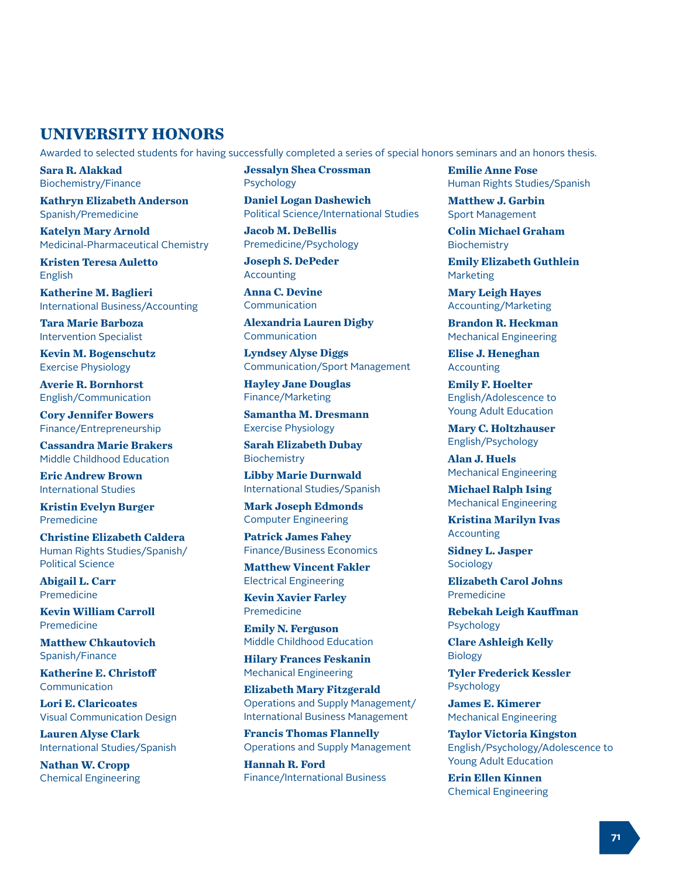# **UNIVERSITY HONORS**

Awarded to selected students for having successfully completed a series of special honors seminars and an honors thesis.

**Sara R. Alakkad** Biochemistry/Finance

**Kathryn Elizabeth Anderson** Spanish/Premedicine

**Katelyn Mary Arnold** Medicinal-Pharmaceutical Chemistry

**Kristen Teresa Auletto** English

**Katherine M. Baglieri** International Business/Accounting

**Tara Marie Barboza** Intervention Specialist

**Kevin M. Bogenschutz** Exercise Physiology

**Averie R. Bornhorst** English/Communication

**Cory Jennifer Bowers** Finance/Entrepreneurship

**Cassandra Marie Brakers** Middle Childhood Education

**Eric Andrew Brown** International Studies

**Kristin Evelyn Burger** Premedicine

**Christine Elizabeth Caldera** Human Rights Studies/Spanish/ Political Science

**Abigail L. Carr** Premedicine

**Kevin William Carroll** Premedicine

**Matthew Chkautovich** Spanish/Finance

**Katherine E. Christoff** Communication

**Lori E. Claricoates** Visual Communication Design

**Lauren Alyse Clark** International Studies/Spanish

**Nathan W. Cropp** Chemical Engineering **Jessalyn Shea Crossman** Psychology

**Daniel Logan Dashewich** Political Science/International Studies

**Jacob M. DeBellis** Premedicine/Psychology

**Joseph S. DePeder Accounting** 

**Anna C. Devine** Communication

**Alexandria Lauren Digby** Communication

**Lyndsey Alyse Diggs** Communication/Sport Management

**Hayley Jane Douglas** Finance/Marketing

**Samantha M. Dresmann** Exercise Physiology

**Sarah Elizabeth Dubay Biochemistry** 

**Libby Marie Durnwald** International Studies/Spanish

**Mark Joseph Edmonds** Computer Engineering

**Patrick James Fahey** Finance/Business Economics

**Matthew Vincent Fakler** Electrical Engineering

**Kevin Xavier Farley** Premedicine

**Emily N. Ferguson** Middle Childhood Education

**Hilary Frances Feskanin** Mechanical Engineering

**Elizabeth Mary Fitzgerald** Operations and Supply Management/ International Business Management

**Francis Thomas Flannelly** Operations and Supply Management

**Hannah R. Ford** Finance/International Business **Emilie Anne Fose** Human Rights Studies/Spanish

**Matthew J. Garbin** Sport Management

**Colin Michael Graham** Biochemistry

**Emily Elizabeth Guthlein** Marketing

**Mary Leigh Hayes** Accounting/Marketing

**Brandon R. Heckman** Mechanical Engineering

**Elise J. Heneghan** Accounting

**Emily F. Hoelter** English/Adolescence to Young Adult Education

**Mary C. Holtzhauser** English/Psychology

**Alan J. Huels** Mechanical Engineering

**Michael Ralph Ising** Mechanical Engineering

**Kristina Marilyn Ivas** Accounting

**Sidney L. Jasper** Sociology

**Elizabeth Carol Johns** Premedicine

**Rebekah Leigh Kauffman** Psychology

**Clare Ashleigh Kelly** Biology

**Tyler Frederick Kessler** Psychology

**James E. Kimerer** Mechanical Engineering

**Taylor Victoria Kingston** English/Psychology/Adolescence to Young Adult Education

**Erin Ellen Kinnen** Chemical Engineering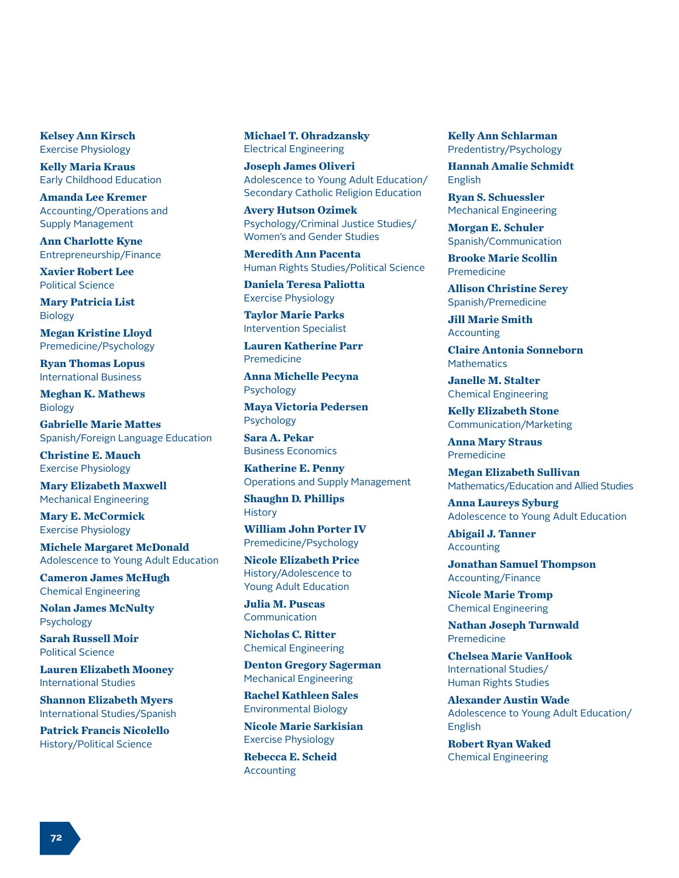**Kelsey Ann Kirsch** Exercise Physiology

**Kelly Maria Kraus** Early Childhood Education

**Amanda Lee Kremer** Accounting/Operations and Supply Management

**Ann Charlotte Kyne** Entrepreneurship/Finance

**Xavier Robert Lee** Political Science

**Mary Patricia List** Biology

**Megan Kristine Lloyd** Premedicine/Psychology

**Ryan Thomas Lopus** International Business

**Meghan K. Mathews** Biology

**Gabrielle Marie Mattes** Spanish/Foreign Language Education

**Christine E. Mauch** Exercise Physiology

**Mary Elizabeth Maxwell** Mechanical Engineering

**Mary E. McCormick** Exercise Physiology

**Michele Margaret McDonald** Adolescence to Young Adult Education

**Cameron James McHugh** Chemical Engineering

**Nolan James McNulty** Psychology

**Sarah Russell Moir** Political Science

**Lauren Elizabeth Mooney** International Studies

**Shannon Elizabeth Myers** International Studies/Spanish

**Patrick Francis Nicolello** History/Political Science

**Michael T. Ohradzansky** Electrical Engineering

**Joseph James Oliveri** Adolescence to Young Adult Education/ Secondary Catholic Religion Education

**Avery Hutson Ozimek** Psychology/Criminal Justice Studies/ Women's and Gender Studies

**Meredith Ann Pacenta** Human Rights Studies/Political Science

**Daniela Teresa Paliotta** Exercise Physiology

**Taylor Marie Parks** Intervention Specialist

**Lauren Katherine Parr** Premedicine

**Anna Michelle Pecyna** Psychology

**Maya Victoria Pedersen** Psychology

**Sara A. Pekar** Business Economics

**Katherine E. Penny** Operations and Supply Management **Shaughn D. Phillips**

**History** 

**William John Porter IV** Premedicine/Psychology

**Nicole Elizabeth Price** History/Adolescence to Young Adult Education

**Julia M. Puscas** Communication

**Nicholas C. Ritter** Chemical Engineering

**Denton Gregory Sagerman** Mechanical Engineering

**Rachel Kathleen Sales** Environmental Biology

**Nicole Marie Sarkisian** Exercise Physiology

**Rebecca E. Scheid Accounting** 

**Kelly Ann Schlarman** Predentistry/Psychology

**Hannah Amalie Schmidt** English

**Ryan S. Schuessler** Mechanical Engineering

**Morgan E. Schuler** Spanish/Communication

**Brooke Marie Scollin** Premedicine

**Allison Christine Serey** Spanish/Premedicine

**Jill Marie Smith** Accounting

**Claire Antonia Sonneborn Mathematics** 

**Janelle M. Stalter** Chemical Engineering

**Kelly Elizabeth Stone** Communication/Marketing

**Anna Mary Straus** Premedicine

**Megan Elizabeth Sullivan** Mathematics/Education and Allied Studies

**Anna Laureys Syburg** Adolescence to Young Adult Education

**Abigail J. Tanner** Accounting

**Jonathan Samuel Thompson** Accounting/Finance

**Nicole Marie Tromp** Chemical Engineering

**Nathan Joseph Turnwald** Premedicine

**Chelsea Marie VanHook** International Studies/ Human Rights Studies

**Alexander Austin Wade** Adolescence to Young Adult Education/ English

**Robert Ryan Waked** Chemical Engineering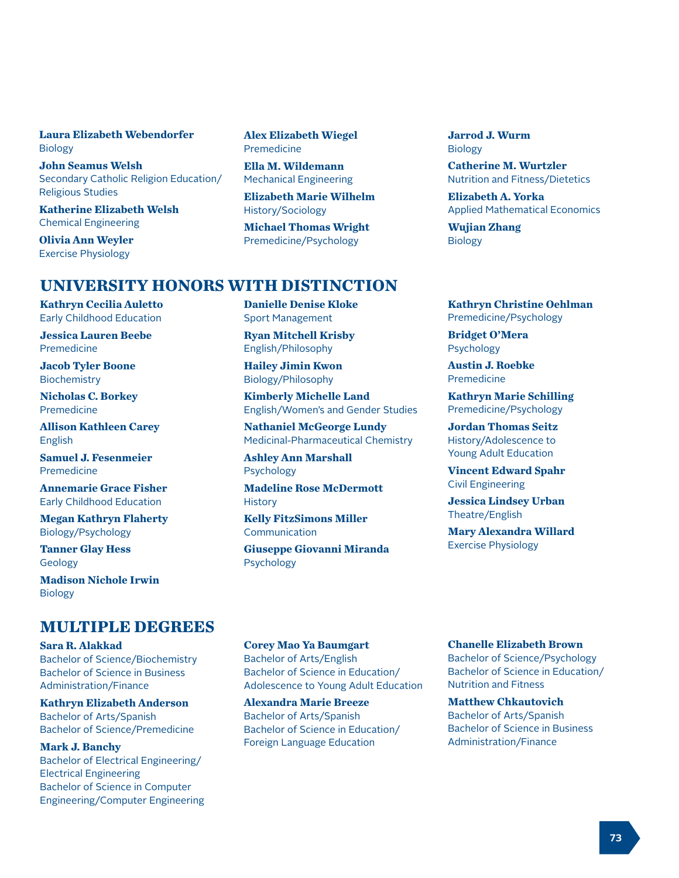### **Laura Elizabeth Webendorfer** Biology

**John Seamus Welsh** Secondary Catholic Religion Education/ Religious Studies

**Katherine Elizabeth Welsh** Chemical Engineering

**Olivia Ann Weyler** Exercise Physiology

**Alex Elizabeth Wiegel** Premedicine

**Ella M. Wildemann** Mechanical Engineering

**Elizabeth Marie Wilhelm** History/Sociology

**Michael Thomas Wright** Premedicine/Psychology

## **UNIVERSITY HONORS WITH DISTINCTION**

**Kathryn Cecilia Auletto** Early Childhood Education

**Jessica Lauren Beebe** Premedicine

**Jacob Tyler Boone** Biochemistry

**Nicholas C. Borkey** Premedicine

**Allison Kathleen Carey** English

**Samuel J. Fesenmeier** Premedicine

**Annemarie Grace Fisher** Early Childhood Education

**Megan Kathryn Flaherty** Biology/Psychology

**Tanner Glay Hess** Geology

**Madison Nichole Irwin** Biology

## **MULTIPLE DEGREES**

**Sara R. Alakkad** Bachelor of Science/Biochemistry Bachelor of Science in Business Administration/Finance

**Kathryn Elizabeth Anderson** Bachelor of Arts/Spanish Bachelor of Science/Premedicine

**Mark J. Banchy** Bachelor of Electrical Engineering/ Electrical Engineering Bachelor of Science in Computer Engineering/Computer Engineering **Danielle Denise Kloke** Sport Management

**Ryan Mitchell Krisby** English/Philosophy

**Hailey Jimin Kwon** Biology/Philosophy

**Kimberly Michelle Land** English/Women's and Gender Studies

**Nathaniel McGeorge Lundy** Medicinal-Pharmaceutical Chemistry

**Ashley Ann Marshall** Psychology

**Madeline Rose McDermott History** 

**Kelly FitzSimons Miller** Communication

**Giuseppe Giovanni Miranda** Psychology

**Jarrod J. Wurm** Biology

**Catherine M. Wurtzler** Nutrition and Fitness/Dietetics

**Elizabeth A. Yorka** Applied Mathematical Economics

**Wujian Zhang** Biology

**Kathryn Christine Oehlman** Premedicine/Psychology

**Bridget O'Mera** Psychology

**Austin J. Roebke** Premedicine

**Kathryn Marie Schilling** Premedicine/Psychology

**Jordan Thomas Seitz** History/Adolescence to Young Adult Education

**Vincent Edward Spahr** Civil Engineering

**Jessica Lindsey Urban** Theatre/English

**Mary Alexandra Willard** Exercise Physiology

**Corey Mao Ya Baumgart** Bachelor of Arts/English Bachelor of Science in Education/ Adolescence to Young Adult Education

**Alexandra Marie Breeze** Bachelor of Arts/Spanish Bachelor of Science in Education/ Foreign Language Education

**Chanelle Elizabeth Brown**

Bachelor of Science/Psychology Bachelor of Science in Education/ Nutrition and Fitness

**Matthew Chkautovich** Bachelor of Arts/Spanish Bachelor of Science in Business Administration/Finance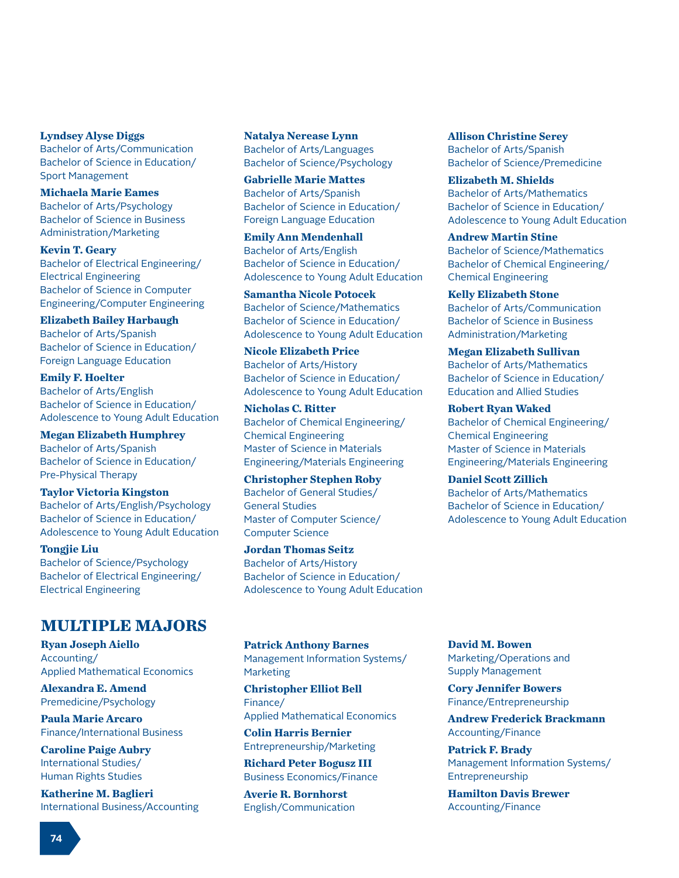**Lyndsey Alyse Diggs** Bachelor of Arts/Communication

Bachelor of Science in Education/ Sport Management

**Michaela Marie Eames** Bachelor of Arts/Psychology Bachelor of Science in Business Administration/Marketing

**Kevin T. Geary** Bachelor of Electrical Engineering/ Electrical Engineering Bachelor of Science in Computer Engineering/Computer Engineering

**Elizabeth Bailey Harbaugh** Bachelor of Arts/Spanish Bachelor of Science in Education/ Foreign Language Education

**Emily F. Hoelter** Bachelor of Arts/English Bachelor of Science in Education/ Adolescence to Young Adult Education

**Megan Elizabeth Humphrey** Bachelor of Arts/Spanish Bachelor of Science in Education/ Pre-Physical Therapy

**Taylor Victoria Kingston** Bachelor of Arts/English/Psychology Bachelor of Science in Education/ Adolescence to Young Adult Education

**Tongjie Liu** Bachelor of Science/Psychology Bachelor of Electrical Engineering/ Electrical Engineering

# **MULTIPLE MAJORS**

**Ryan Joseph Aiello** Accounting/ Applied Mathematical Economics

**Alexandra E. Amend** Premedicine/Psychology

**Paula Marie Arcaro** Finance/International Business

**Caroline Paige Aubry** International Studies/ Human Rights Studies

**Katherine M. Baglieri** International Business/Accounting **Natalya Nerease Lynn** Bachelor of Arts/Languages Bachelor of Science/Psychology

**Gabrielle Marie Mattes** Bachelor of Arts/Spanish Bachelor of Science in Education/ Foreign Language Education

**Emily Ann Mendenhall** Bachelor of Arts/English Bachelor of Science in Education/ Adolescence to Young Adult Education

**Samantha Nicole Potocek** Bachelor of Science/Mathematics Bachelor of Science in Education/ Adolescence to Young Adult Education

**Nicole Elizabeth Price** Bachelor of Arts/History Bachelor of Science in Education/ Adolescence to Young Adult Education

**Nicholas C. Ritter** Bachelor of Chemical Engineering/ Chemical Engineering Master of Science in Materials Engineering/Materials Engineering

**Christopher Stephen Roby** Bachelor of General Studies/ General Studies Master of Computer Science/ Computer Science

**Jordan Thomas Seitz** Bachelor of Arts/History Bachelor of Science in Education/ Adolescence to Young Adult Education

**Patrick Anthony Barnes** Management Information Systems/ Marketing

**Christopher Elliot Bell** Finance/ Applied Mathematical Economics

**Colin Harris Bernier** Entrepreneurship/Marketing

**Richard Peter Bogusz III** Business Economics/Finance

**Averie R. Bornhorst** English/Communication **Allison Christine Serey** Bachelor of Arts/Spanish Bachelor of Science/Premedicine

**Elizabeth M. Shields** Bachelor of Arts/Mathematics Bachelor of Science in Education/ Adolescence to Young Adult Education

**Andrew Martin Stine** Bachelor of Science/Mathematics Bachelor of Chemical Engineering/ Chemical Engineering

**Kelly Elizabeth Stone** Bachelor of Arts/Communication Bachelor of Science in Business Administration/Marketing

**Megan Elizabeth Sullivan** Bachelor of Arts/Mathematics Bachelor of Science in Education/ Education and Allied Studies

**Robert Ryan Waked** Bachelor of Chemical Engineering/ Chemical Engineering Master of Science in Materials Engineering/Materials Engineering

**Daniel Scott Zillich** Bachelor of Arts/Mathematics Bachelor of Science in Education/ Adolescence to Young Adult Education

**David M. Bowen** Marketing/Operations and Supply Management

**Cory Jennifer Bowers** Finance/Entrepreneurship

**Andrew Frederick Brackmann** Accounting/Finance

**Patrick F. Brady** Management Information Systems/ Entrepreneurship

**Hamilton Davis Brewer** Accounting/Finance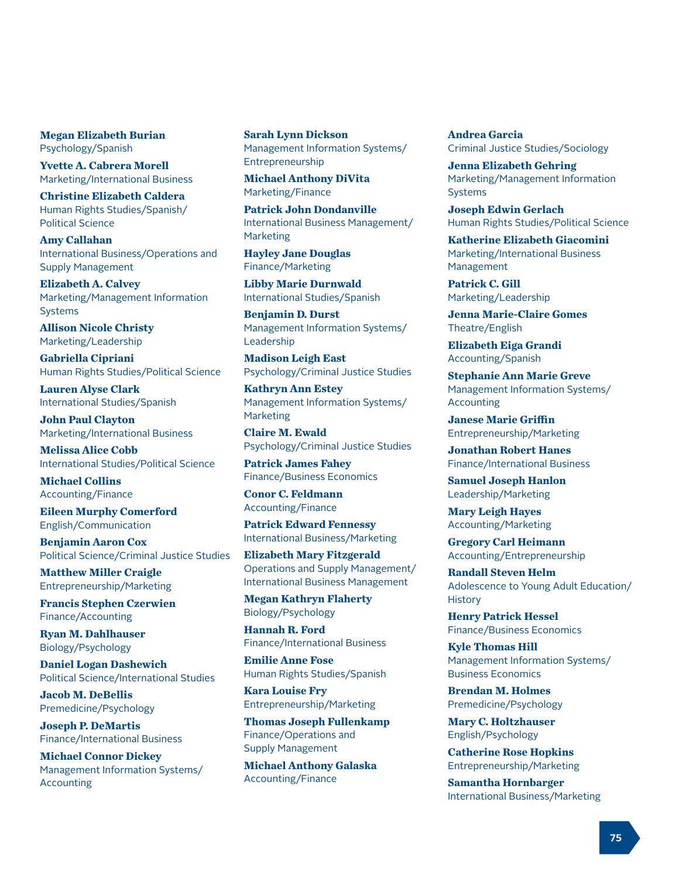### **Megan Elizabeth Burian** Psychology/Spanish

**Yvette A. Cabrera Morell** Marketing/International Business

**Christine Elizabeth Caldera** Human Rights Studies/Spanish/ Political Science

**Amy Callahan** International Business/Operations and Supply Management

**Elizabeth A. Calvey** Marketing/Management Information Systems

**Allison Nicole Christy** Marketing/Leadership

**Gabriella Cipriani** Human Rights Studies/Political Science

**Lauren Alyse Clark** International Studies/Spanish

**John Paul Clayton** Marketing/International Business

**Melissa Alice Cobb** International Studies/Political Science

**Michael Collins** Accounting/Finance

**Eileen Murphy Comerford** English/Communication

**Benjamin Aaron Cox** Political Science/Criminal Justice Studies

**Matthew Miller Craigle** Entrepreneurship/Marketing

**Francis Stephen Czerwien** Finance/Accounting

**Ryan M. Dahlhauser** Biology/Psychology

**Daniel Logan Dashewich** Political Science/International Studies

**Jacob M. DeBellis** Premedicine/Psychology

**Joseph P. DeMartis** Finance/International Business

**Michael Connor Dickey** Management Information Systems/ Accounting

**Sarah Lynn Dickson** Management Information Systems/ Entrepreneurship

**Michael Anthony DiVita** Marketing/Finance

**Patrick John Dondanville** International Business Management/ **Marketing** 

**Hayley Jane Douglas** Finance/Marketing

**Libby Marie Durnwald** International Studies/Spanish

**Benjamin D. Durst** Management Information Systems/ Leadership

**Madison Leigh East** Psychology/Criminal Justice Studies

**Kathryn Ann Estey** Management Information Systems/ Marketing

**Claire M. Ewald** Psychology/Criminal Justice Studies

**Patrick James Fahey** Finance/Business Economics

**Conor C. Feldmann** Accounting/Finance

**Patrick Edward Fennessy** International Business/Marketing

**Elizabeth Mary Fitzgerald** Operations and Supply Management/ International Business Management

**Megan Kathryn Flaherty** Biology/Psychology

**Hannah R. Ford** Finance/International Business

**Emilie Anne Fose** Human Rights Studies/Spanish

**Kara Louise Fry** Entrepreneurship/Marketing

**Thomas Joseph Fullenkamp** Finance/Operations and Supply Management

**Michael Anthony Galaska** Accounting/Finance

**Andrea Garcia** Criminal Justice Studies/Sociology

**Jenna Elizabeth Gehring** Marketing/Management Information Systems

**Joseph Edwin Gerlach** Human Rights Studies/Political Science

**Katherine Elizabeth Giacomini** Marketing/International Business Management

**Patrick C. Gill** Marketing/Leadership

**Jenna Marie-Claire Gomes** Theatre/English

**Elizabeth Eiga Grandi** Accounting/Spanish

**Stephanie Ann Marie Greve** Management Information Systems/ Accounting

**Janese Marie Griffin** Entrepreneurship/Marketing

**Jonathan Robert Hanes** Finance/International Business

**Samuel Joseph Hanlon** Leadership/Marketing

**Mary Leigh Hayes** Accounting/Marketing

**Gregory Carl Heimann** Accounting/Entrepreneurship

**Randall Steven Helm** Adolescence to Young Adult Education/ **History** 

**Henry Patrick Hessel** Finance/Business Economics

**Kyle Thomas Hill** Management Information Systems/ Business Economics

**Brendan M. Holmes** Premedicine/Psychology

**Mary C. Holtzhauser** English/Psychology

**Catherine Rose Hopkins** Entrepreneurship/Marketing

**Samantha Hornbarger** International Business/Marketing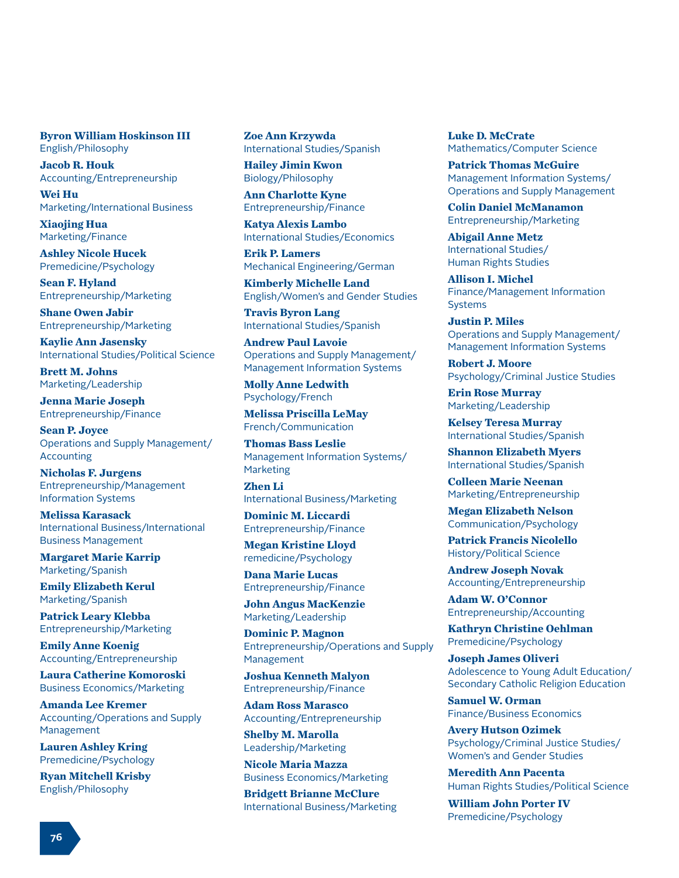### **Byron William Hoskinson III** English/Philosophy

**Jacob R. Houk** Accounting/Entrepreneurship

**Wei Hu** Marketing/International Business

**Xiaojing Hua** Marketing/Finance

**Ashley Nicole Hucek** Premedicine/Psychology

**Sean F. Hyland** Entrepreneurship/Marketing

**Shane Owen Jabir** Entrepreneurship/Marketing

**Kaylie Ann Jasensky** International Studies/Political Science

**Brett M. Johns** Marketing/Leadership

**Jenna Marie Joseph** Entrepreneurship/Finance

**Sean P. Joyce** Operations and Supply Management/ Accounting

**Nicholas F. Jurgens** Entrepreneurship/Management Information Systems

**Melissa Karasack** International Business/International Business Management

**Margaret Marie Karrip** Marketing/Spanish

**Emily Elizabeth Kerul** Marketing/Spanish

**Patrick Leary Klebba** Entrepreneurship/Marketing

**Emily Anne Koenig** Accounting/Entrepreneurship

**Laura Catherine Komoroski** Business Economics/Marketing

**Amanda Lee Kremer** Accounting/Operations and Supply Management

**Lauren Ashley Kring** Premedicine/Psychology

**Ryan Mitchell Krisby** English/Philosophy

**Zoe Ann Krzywda** International Studies/Spanish

**Hailey Jimin Kwon** Biology/Philosophy

**Ann Charlotte Kyne** Entrepreneurship/Finance

**Katya Alexis Lambo** International Studies/Economics

**Erik P. Lamers** Mechanical Engineering/German

**Kimberly Michelle Land** English/Women's and Gender Studies

**Travis Byron Lang** International Studies/Spanish

**Andrew Paul Lavoie** Operations and Supply Management/ Management Information Systems

**Molly Anne Ledwith** Psychology/French

**Melissa Priscilla LeMay** French/Communication

**Thomas Bass Leslie** Management Information Systems/ **Marketing** 

**Zhen Li** International Business/Marketing

**Dominic M. Liccardi** Entrepreneurship/Finance

**Megan Kristine Lloyd** remedicine/Psychology

**Dana Marie Lucas** Entrepreneurship/Finance

**John Angus MacKenzie** Marketing/Leadership

**Dominic P. Magnon** Entrepreneurship/Operations and Supply Management

**Joshua Kenneth Malyon** Entrepreneurship/Finance

**Adam Ross Marasco** Accounting/Entrepreneurship

**Shelby M. Marolla** Leadership/Marketing

**Nicole Maria Mazza** Business Economics/Marketing

**Bridgett Brianne McClure** International Business/Marketing **Luke D. McCrate** Mathematics/Computer Science

**Patrick Thomas McGuire** Management Information Systems/ Operations and Supply Management

**Colin Daniel McManamon** Entrepreneurship/Marketing

**Abigail Anne Metz** International Studies/ Human Rights Studies

**Allison I. Michel** Finance/Management Information Systems

**Justin P. Miles** Operations and Supply Management/ Management Information Systems

**Robert J. Moore** Psychology/Criminal Justice Studies

**Erin Rose Murray** Marketing/Leadership

**Kelsey Teresa Murray** International Studies/Spanish

**Shannon Elizabeth Myers** International Studies/Spanish

**Colleen Marie Neenan** Marketing/Entrepreneurship

**Megan Elizabeth Nelson** Communication/Psychology

**Patrick Francis Nicolello** History/Political Science

**Andrew Joseph Novak** Accounting/Entrepreneurship

**Adam W. O'Connor** Entrepreneurship/Accounting

**Kathryn Christine Oehlman** Premedicine/Psychology

**Joseph James Oliveri** Adolescence to Young Adult Education/ Secondary Catholic Religion Education

**Samuel W. Orman** Finance/Business Economics

**Avery Hutson Ozimek** Psychology/Criminal Justice Studies/ Women's and Gender Studies

**Meredith Ann Pacenta** Human Rights Studies/Political Science

**William John Porter IV** Premedicine/Psychology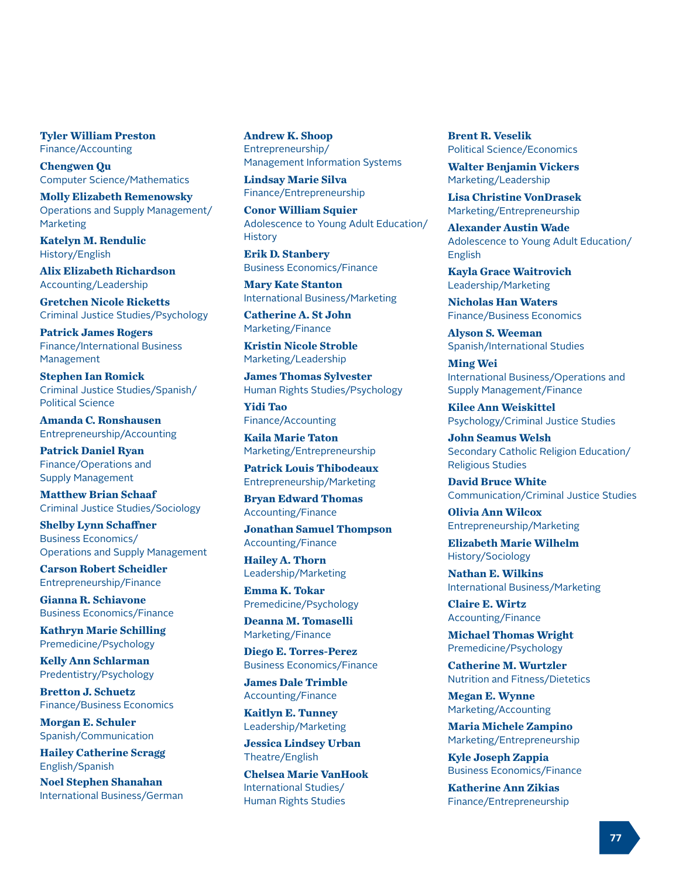**Tyler William Preston** Finance/Accounting

**Chengwen Qu** Computer Science/Mathematics

**Molly Elizabeth Remenowsky** Operations and Supply Management/ Marketing

**Katelyn M. Rendulic** History/English

**Alix Elizabeth Richardson** Accounting/Leadership

**Gretchen Nicole Ricketts** Criminal Justice Studies/Psychology

**Patrick James Rogers** Finance/International Business Management

**Stephen Ian Romick** Criminal Justice Studies/Spanish/ Political Science

**Amanda C. Ronshausen** Entrepreneurship/Accounting

**Patrick Daniel Ryan** Finance/Operations and Supply Management

**Matthew Brian Schaaf** Criminal Justice Studies/Sociology

**Shelby Lynn Schaffner** Business Economics/ Operations and Supply Management

**Carson Robert Scheidler** Entrepreneurship/Finance

**Gianna R. Schiavone** Business Economics/Finance

**Kathryn Marie Schilling** Premedicine/Psychology

**Kelly Ann Schlarman** Predentistry/Psychology

**Bretton J. Schuetz** Finance/Business Economics

**Morgan E. Schuler** Spanish/Communication

**Hailey Catherine Scragg** English/Spanish

**Noel Stephen Shanahan** International Business/German **Andrew K. Shoop** Entrepreneurship/ Management Information Systems

**Lindsay Marie Silva** Finance/Entrepreneurship

**Conor William Squier** Adolescence to Young Adult Education/ **History** 

**Erik D. Stanbery** Business Economics/Finance

**Mary Kate Stanton** International Business/Marketing

**Catherine A. St John** Marketing/Finance

**Kristin Nicole Stroble** Marketing/Leadership

**James Thomas Sylvester** Human Rights Studies/Psychology

**Yidi Tao** Finance/Accounting

**Kaila Marie Taton** Marketing/Entrepreneurship

**Patrick Louis Thibodeaux** Entrepreneurship/Marketing

**Bryan Edward Thomas** Accounting/Finance

**Jonathan Samuel Thompson** Accounting/Finance

**Hailey A. Thorn** Leadership/Marketing

**Emma K. Tokar** Premedicine/Psychology

**Deanna M. Tomaselli** Marketing/Finance

**Diego E. Torres-Perez** Business Economics/Finance

**James Dale Trimble** Accounting/Finance

**Kaitlyn E. Tunney** Leadership/Marketing

**Jessica Lindsey Urban** Theatre/English

**Chelsea Marie VanHook** International Studies/ Human Rights Studies

**Brent R. Veselik** Political Science/Economics

**Walter Benjamin Vickers** Marketing/Leadership

**Lisa Christine VonDrasek** Marketing/Entrepreneurship

**Alexander Austin Wade** Adolescence to Young Adult Education/ English

**Kayla Grace Waitrovich** Leadership/Marketing

**Nicholas Han Waters** Finance/Business Economics

**Alyson S. Weeman** Spanish/International Studies

**Ming Wei** International Business/Operations and Supply Management/Finance

**Kilee Ann Weiskittel** Psychology/Criminal Justice Studies

**John Seamus Welsh** Secondary Catholic Religion Education/ Religious Studies

**David Bruce White** Communication/Criminal Justice Studies

**Olivia Ann Wilcox** Entrepreneurship/Marketing

**Elizabeth Marie Wilhelm** History/Sociology

**Nathan E. Wilkins** International Business/Marketing

**Claire E. Wirtz** Accounting/Finance

**Michael Thomas Wright** Premedicine/Psychology

**Catherine M. Wurtzler** Nutrition and Fitness/Dietetics

**Megan E. Wynne** Marketing/Accounting

**Maria Michele Zampino** Marketing/Entrepreneurship

**Kyle Joseph Zappia** Business Economics/Finance

**Katherine Ann Zikias** Finance/Entrepreneurship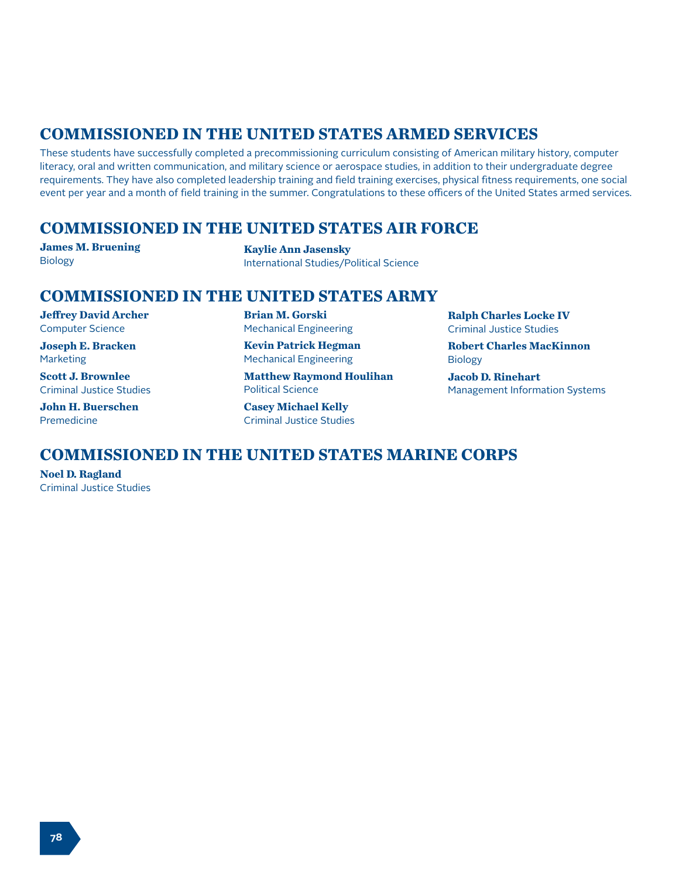# **COMMISSIONED IN THE UNITED STATES ARMED SERVICES**

These students have successfully completed a precommissioning curriculum consisting of American military history, computer literacy, oral and written communication, and military science or aerospace studies, in addition to their undergraduate degree requirements. They have also completed leadership training and field training exercises, physical fitness requirements, one social event per year and a month of field training in the summer. Congratulations to these officers of the United States armed services.

## **COMMISSIONED IN THE UNITED STATES AIR FORCE**

**James M. Bruening** Biology

**Kaylie Ann Jasensky** International Studies/Political Science

## **COMMISSIONED IN THE UNITED STATES ARMY**

**Jeffrey David Archer** Computer Science

**Joseph E. Bracken** Marketing

**Scott J. Brownlee** Criminal Justice Studies

**John H. Buerschen** Premedicine

**Brian M. Gorski** Mechanical Engineering

**Kevin Patrick Hegman** Mechanical Engineering

**Matthew Raymond Houlihan** Political Science

**Casey Michael Kelly** Criminal Justice Studies **Ralph Charles Locke IV** Criminal Justice Studies

**Robert Charles MacKinnon** Biology

**Jacob D. Rinehart** Management Information Systems

# **COMMISSIONED IN THE UNITED STATES MARINE CORPS**

**Noel D. Ragland** Criminal Justice Studies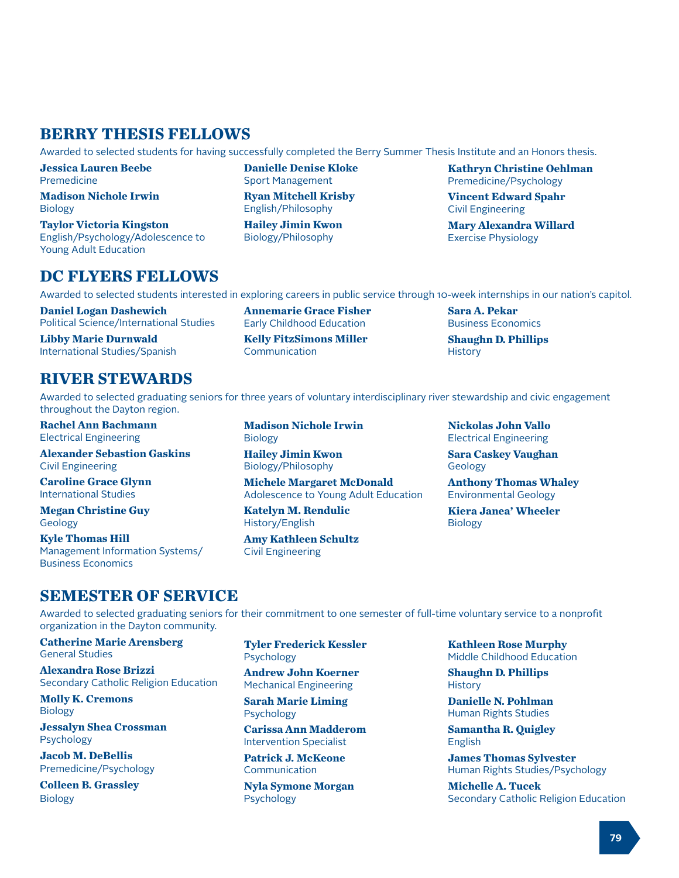# **BERRY THESIS FELLOWS**

Awarded to selected students for having successfully completed the Berry Summer Thesis Institute and an Honors thesis.

**Danielle Denise Kloke** Sport Management **Ryan Mitchell Krisby** English/Philosophy **Hailey Jimin Kwon** Biology/Philosophy

**Jessica Lauren Beebe** Premedicine

**Madison Nichole Irwin** Biology

**Taylor Victoria Kingston** English/Psychology/Adolescence to Young Adult Education

## **DC FLYERS FELLOWS**

Awarded to selected students interested in exploring careers in public service through 10-week internships in our nation's capitol.

**Daniel Logan Dashewich** Political Science/International Studies

**Libby Marie Durnwald** International Studies/Spanish

# **RIVER STEWARDS**

Awarded to selected graduating seniors for three years of voluntary interdisciplinary river stewardship and civic engagement throughout the Dayton region.

**Rachel Ann Bachmann** Electrical Engineering

**Alexander Sebastion Gaskins** Civil Engineering

**Caroline Grace Glynn** International Studies

**Megan Christine Guy** Geology

**Kyle Thomas Hill** Management Information Systems/ Business Economics

**Madison Nichole Irwin** Biology **Hailey Jimin Kwon**

**Annemarie Grace Fisher** Early Childhood Education **Kelly FitzSimons Miller**

Communication

Biology/Philosophy **Michele Margaret McDonald** Adolescence to Young Adult Education

**Katelyn M. Rendulic** History/English

**Amy Kathleen Schultz** Civil Engineering

**Sara A. Pekar** Business Economics **Shaughn D. Phillips**

**History** 

**Nickolas John Vallo** Electrical Engineering

**Sara Caskey Vaughan** Geology

**Anthony Thomas Whaley** Environmental Geology

**Kiera Janea' Wheeler** Biology

## **SEMESTER OF SERVICE**

Awarded to selected graduating seniors for their commitment to one semester of full-time voluntary service to a nonprofit organization in the Dayton community.

**Catherine Marie Arensberg** General Studies

**Alexandra Rose Brizzi** Secondary Catholic Religion Education

**Molly K. Cremons** Biology

**Jessalyn Shea Crossman** Psychology

**Jacob M. DeBellis** Premedicine/Psychology

**Colleen B. Grassley** Biology

**Tyler Frederick Kessler** Psychology

**Andrew John Koerner** Mechanical Engineering

**Sarah Marie Liming** Psychology

**Carissa Ann Madderom** Intervention Specialist

**Patrick J. McKeone** Communication

**Nyla Symone Morgan** Psychology

**Kathleen Rose Murphy** Middle Childhood Education

**Shaughn D. Phillips History** 

**Danielle N. Pohlman** Human Rights Studies

**Samantha R. Quigley** English

**James Thomas Sylvester** Human Rights Studies/Psychology

**Michelle A. Tucek** Secondary Catholic Religion Education

**Kathryn Christine Oehlman** Premedicine/Psychology

**Vincent Edward Spahr** Civil Engineering

**Mary Alexandra Willard** Exercise Physiology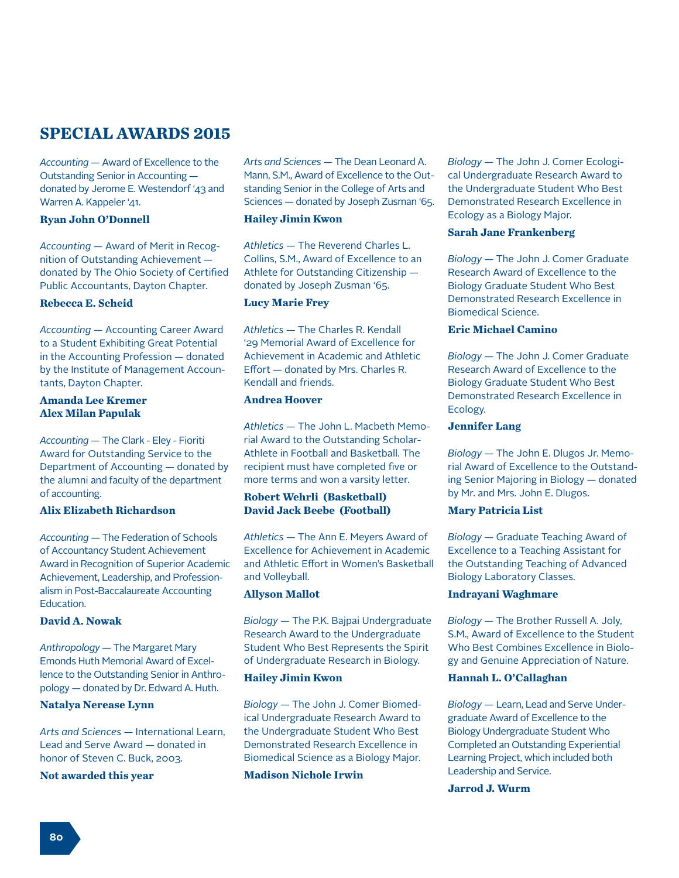# **SPECIAL AWARDS 2015**

*Accounting —* Award of Excellence to the Outstanding Senior in Accounting donated by Jerome E. Westendorf '43 and Warren A. Kappeler '41.

### **Ryan John O'Donnell**

*Accounting —* Award of Merit in Recognition of Outstanding Achievement donated by The Ohio Society of Certified Public Accountants, Dayton Chapter.

### **Rebecca E. Scheid**

*Accounting —* Accounting Career Award to a Student Exhibiting Great Potential in the Accounting Profession — donated by the Institute of Management Accountants, Dayton Chapter.

### **Amanda Lee Kremer Alex Milan Papulak**

*Accounting —* The Clark - Eley - Fioriti Award for Outstanding Service to the Department of Accounting — donated by the alumni and faculty of the department of accounting.

### **Alix Elizabeth Richardson**

*Accounting* — The Federation of Schools of Accountancy Student Achievement Award in Recognition of Superior Academic Achievement, Leadership, and Professionalism in Post-Baccalaureate Accounting Education.

### **David A. Nowak**

*Anthropology* — The Margaret Mary Emonds Huth Memorial Award of Excellence to the Outstanding Senior in Anthropology — donated by Dr. Edward A. Huth.

### **Natalya Nerease Lynn**

*Arts and Sciences* — International Learn, Lead and Serve Award — donated in honor of Steven C. Buck, 2003.

#### **Not awarded this year**

*Arts and Sciences* — The Dean Leonard A. Mann, S.M., Award of Excellence to the Outstanding Senior in the College of Arts and Sciences — donated by Joseph Zusman '65.

### **Hailey Jimin Kwon**

*Athletics* — The Reverend Charles L. Collins, S.M., Award of Excellence to an Athlete for Outstanding Citizenship donated by Joseph Zusman '65.

### **Lucy Marie Frey**

*Athletics* — The Charles R. Kendall '29 Memorial Award of Excellence for Achievement in Academic and Athletic Effort — donated by Mrs. Charles R. Kendall and friends.

### **Andrea Hoover**

*Athletics* — The John L. Macbeth Memorial Award to the Outstanding Scholar-Athlete in Football and Basketball. The recipient must have completed five or more terms and won a varsity letter.

### **Robert Wehrli (Basketball) David Jack Beebe (Football)**

*Athletics* — The Ann E. Meyers Award of Excellence for Achievement in Academic and Athletic Effort in Women's Basketball and Volleyball.

#### **Allyson Mallot**

*Biology* — The P.K. Bajpai Undergraduate Research Award to the Undergraduate Student Who Best Represents the Spirit of Undergraduate Research in Biology.

#### **Hailey Jimin Kwon**

*Biology* — The John J. Comer Biomedical Undergraduate Research Award to the Undergraduate Student Who Best Demonstrated Research Excellence in Biomedical Science as a Biology Major.

### **Madison Nichole Irwin**

*Biology* — The John J. Comer Ecological Undergraduate Research Award to the Undergraduate Student Who Best Demonstrated Research Excellence in Ecology as a Biology Major.

### **Sarah Jane Frankenberg**

*Biology* — The John J. Comer Graduate Research Award of Excellence to the Biology Graduate Student Who Best Demonstrated Research Excellence in Biomedical Science.

### **Eric Michael Camino**

*Biology* — The John J. Comer Graduate Research Award of Excellence to the Biology Graduate Student Who Best Demonstrated Research Excellence in Ecology.

### **Jennifer Lang**

*Biology* — The John E. Dlugos Jr. Memorial Award of Excellence to the Outstanding Senior Majoring in Biology — donated by Mr. and Mrs. John E. Dlugos.

### **Mary Patricia List**

*Biology* — Graduate Teaching Award of Excellence to a Teaching Assistant for the Outstanding Teaching of Advanced Biology Laboratory Classes.

### **Indrayani Waghmare**

*Biology* — The Brother Russell A. Joly, S.M., Award of Excellence to the Student Who Best Combines Excellence in Biology and Genuine Appreciation of Nature.

### **Hannah L. O'Callaghan**

*Biology* — Learn, Lead and Serve Undergraduate Award of Excellence to the Biology Undergraduate Student Who Completed an Outstanding Experiential Learning Project, which included both Leadership and Service.

### **Jarrod J. Wurm**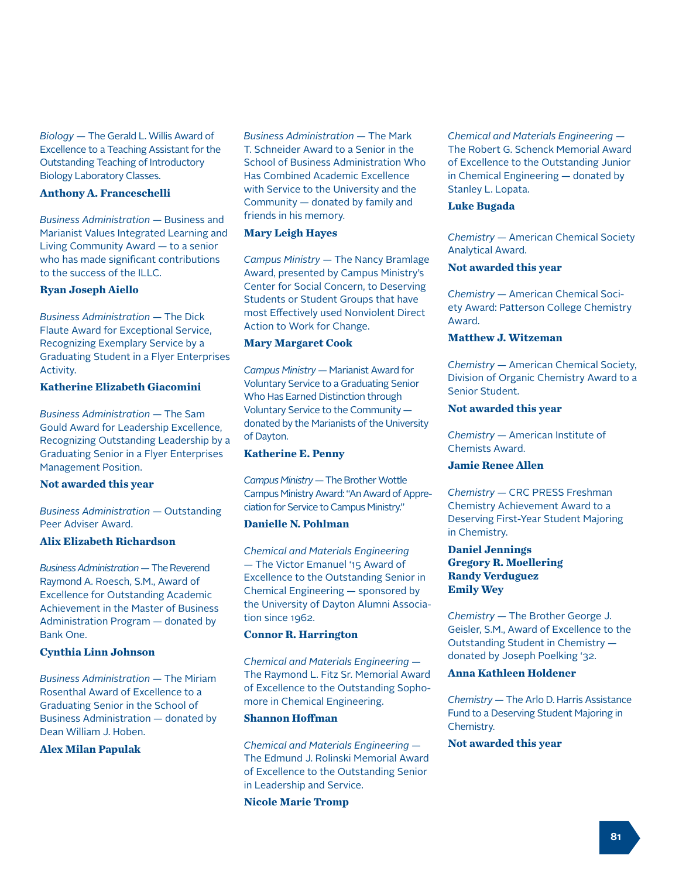*Biology* — The Gerald L. Willis Award of Excellence to a Teaching Assistant for the Outstanding Teaching of Introductory Biology Laboratory Classes.

#### **Anthony A. Franceschelli**

*Business Administration* — Business and Marianist Values Integrated Learning and Living Community Award — to a senior who has made significant contributions to the success of the ILLC.

### **Ryan Joseph Aiello**

*Business Administration* — The Dick Flaute Award for Exceptional Service, Recognizing Exemplary Service by a Graduating Student in a Flyer Enterprises Activity.

### **Katherine Elizabeth Giacomini**

*Business Administration* — The Sam Gould Award for Leadership Excellence, Recognizing Outstanding Leadership by a Graduating Senior in a Flyer Enterprises Management Position.

### **Not awarded this year**

*Business Administration* — Outstanding Peer Adviser Award.

### **Alix Elizabeth Richardson**

*Business Administration* — The Reverend Raymond A. Roesch, S.M., Award of Excellence for Outstanding Academic Achievement in the Master of Business Administration Program — donated by Bank One.

#### **Cynthia Linn Johnson**

*Business Administration* — The Miriam Rosenthal Award of Excellence to a Graduating Senior in the School of Business Administration — donated by Dean William J. Hoben.

### **Alex Milan Papulak**

*Business Administration* — The Mark T. Schneider Award to a Senior in the School of Business Administration Who Has Combined Academic Excellence with Service to the University and the Community — donated by family and friends in his memory.

#### **Mary Leigh Hayes**

*Campus Ministry* — The Nancy Bramlage Award, presented by Campus Ministry's Center for Social Concern, to Deserving Students or Student Groups that have most Effectively used Nonviolent Direct Action to Work for Change.

#### **Mary Margaret Cook**

*Campus Ministry* — Marianist Award for Voluntary Service to a Graduating Senior Who Has Earned Distinction through Voluntary Service to the Community donated by the Marianists of the University of Dayton.

#### **Katherine E. Penny**

*Campus Ministry* — The Brother Wottle Campus Ministry Award: "An Award of Appreciation for Service to Campus Ministry."

### **Danielle N. Pohlman**

*Chemical and Materials Engineering*  — The Victor Emanuel '15 Award of Excellence to the Outstanding Senior in Chemical Engineering — sponsored by the University of Dayton Alumni Association since 1962.

### **Connor R. Harrington**

*Chemical and Materials Engineering* — The Raymond L. Fitz Sr. Memorial Award of Excellence to the Outstanding Sophomore in Chemical Engineering.

#### **Shannon Hoffman**

*Chemical and Materials Engineering* — The Edmund J. Rolinski Memorial Award of Excellence to the Outstanding Senior in Leadership and Service.

**Nicole Marie Tromp**

*Chemical and Materials Engineering* — The Robert G. Schenck Memorial Award of Excellence to the Outstanding Junior in Chemical Engineering — donated by Stanley L. Lopata.

#### **Luke Bugada**

*Chemistry* — American Chemical Society Analytical Award.

#### **Not awarded this year**

*Chemistry* — American Chemical Society Award: Patterson College Chemistry Award.

### **Matthew J. Witzeman**

*Chemistry* — American Chemical Society, Division of Organic Chemistry Award to a Senior Student.

### **Not awarded this year**

*Chemistry* — American Institute of Chemists Award.

### **Jamie Renee Allen**

*Chemistry* — CRC PRESS Freshman Chemistry Achievement Award to a Deserving First-Year Student Majoring in Chemistry.

### **Daniel Jennings Gregory R. Moellering Randy Verduguez Emily Wey**

*Chemistry* — The Brother George J. Geisler, S.M., Award of Excellence to the Outstanding Student in Chemistry donated by Joseph Poelking '32.

#### **Anna Kathleen Holdener**

*Chemistry* — The Arlo D. Harris Assistance Fund to a Deserving Student Majoring in Chemistry.

### **Not awarded this year**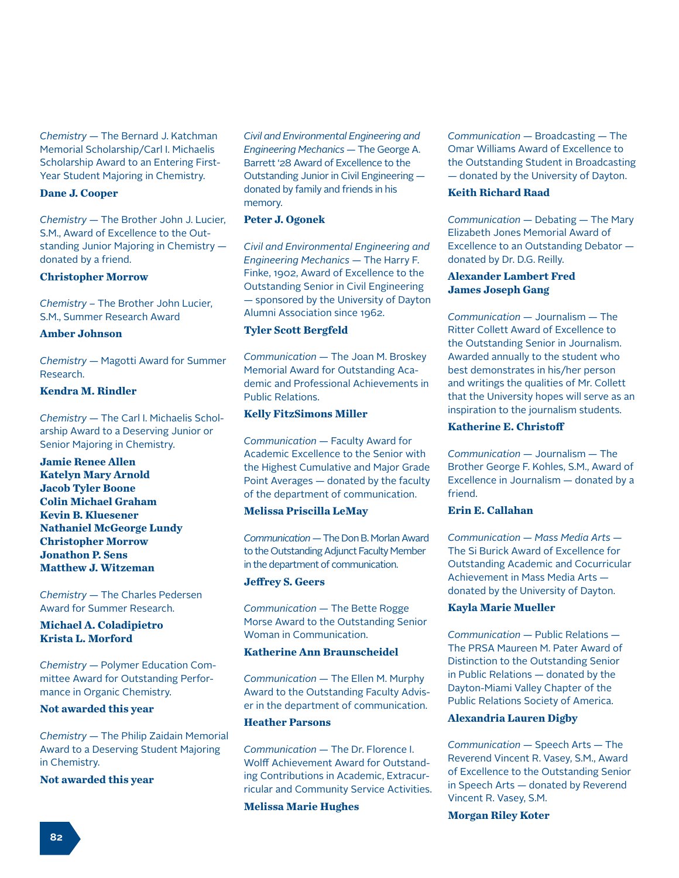*Chemistry* — The Bernard J. Katchman Memorial Scholarship/Carl I. Michaelis Scholarship Award to an Entering First-Year Student Majoring in Chemistry.

#### **Dane J. Cooper**

*Chemistry* — The Brother John J. Lucier, S.M., Award of Excellence to the Outstanding Junior Majoring in Chemistry donated by a friend.

#### **Christopher Morrow**

*Chemistry* – The Brother John Lucier, S.M., Summer Research Award

#### **Amber Johnson**

*Chemistry* — Magotti Award for Summer Research.

### **Kendra M. Rindler**

*Chemistry* — The Carl I. Michaelis Scholarship Award to a Deserving Junior or Senior Majoring in Chemistry.

**Jamie Renee Allen Katelyn Mary Arnold Jacob Tyler Boone Colin Michael Graham Kevin B. Kluesener Nathaniel McGeorge Lundy Christopher Morrow Jonathon P. Sens Matthew J. Witzeman**

*Chemistry* — The Charles Pedersen Award for Summer Research.

### **Michael A. Coladipietro Krista L. Morford**

*Chemistry* — Polymer Education Committee Award for Outstanding Performance in Organic Chemistry.

#### **Not awarded this year**

*Chemistry* — The Philip Zaidain Memorial Award to a Deserving Student Majoring in Chemistry.

### **Not awarded this year**

*Civil and Environmental Engineering and Engineering Mechanics* — The George A. Barrett '28 Award of Excellence to the Outstanding Junior in Civil Engineering donated by family and friends in his memory.

### **Peter J. Ogonek**

*Civil and Environmental Engineering and Engineering Mechanics* — The Harry F. Finke, 1902, Award of Excellence to the Outstanding Senior in Civil Engineering — sponsored by the University of Dayton Alumni Association since 1962.

### **Tyler Scott Bergfeld**

*Communication* — The Joan M. Broskey Memorial Award for Outstanding Academic and Professional Achievements in Public Relations.

### **Kelly FitzSimons Miller**

*Communication* — Faculty Award for Academic Excellence to the Senior with the Highest Cumulative and Major Grade Point Averages — donated by the faculty of the department of communication.

### **Melissa Priscilla LeMay**

*Communication* — The Don B. Morlan Award to the Outstanding Adjunct Faculty Member in the department of communication.

#### **Jeffrey S. Geers**

*Communication* — The Bette Rogge Morse Award to the Outstanding Senior Woman in Communication.

### **Katherine Ann Braunscheidel**

*Communication* — The Ellen M. Murphy Award to the Outstanding Faculty Adviser in the department of communication.

#### **Heather Parsons**

*Communication* — The Dr. Florence I. Wolff Achievement Award for Outstanding Contributions in Academic, Extracurricular and Community Service Activities.

**Melissa Marie Hughes**

*Communication* — Broadcasting — The Omar Williams Award of Excellence to the Outstanding Student in Broadcasting — donated by the University of Dayton.

#### **Keith Richard Raad**

*Communication* — Debating — The Mary Elizabeth Jones Memorial Award of Excellence to an Outstanding Debator donated by Dr. D.G. Reilly.

### **Alexander Lambert Fred James Joseph Gang**

*Communication* — Journalism — The Ritter Collett Award of Excellence to the Outstanding Senior in Journalism. Awarded annually to the student who best demonstrates in his/her person and writings the qualities of Mr. Collett that the University hopes will serve as an inspiration to the journalism students.

### **Katherine E. Christoff**

*Communication* — Journalism *—* The Brother George F. Kohles, S.M., Award of Excellence in Journalism — donated by a friend.

### **Erin E. Callahan**

*Communication — Mass Media Arts —*  The Si Burick Award of Excellence for Outstanding Academic and Cocurricular Achievement in Mass Media Arts donated by the University of Dayton.

#### **Kayla Marie Mueller**

*Communication* — Public Relations — The PRSA Maureen M. Pater Award of Distinction to the Outstanding Senior in Public Relations — donated by the Dayton-Miami Valley Chapter of the Public Relations Society of America.

#### **Alexandria Lauren Digby**

*Communication* — Speech Arts — The Reverend Vincent R. Vasey, S.M., Award of Excellence to the Outstanding Senior in Speech Arts — donated by Reverend Vincent R. Vasey, S.M.

#### **Morgan Riley Koter**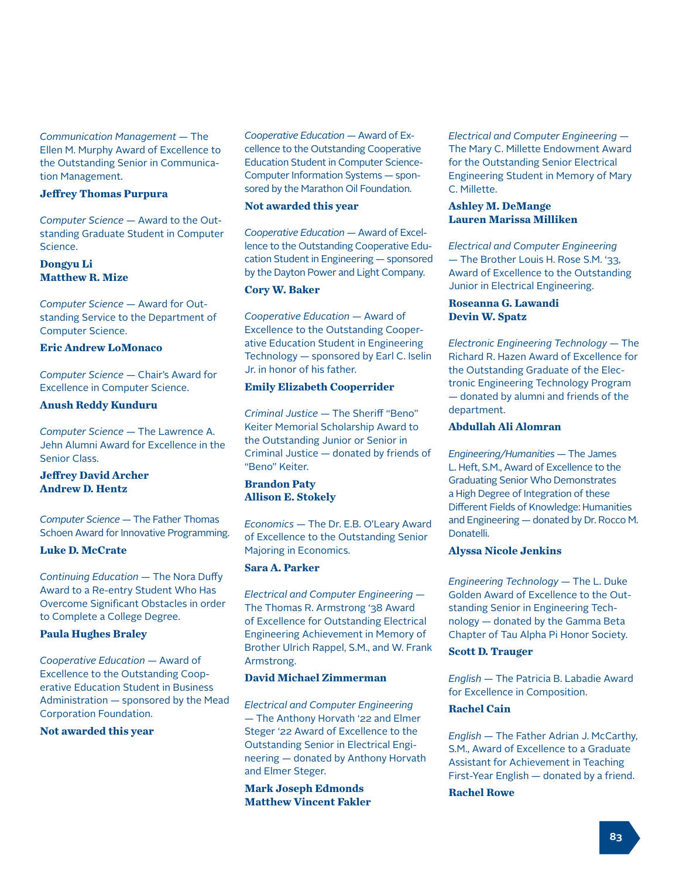*Communication Management* — The Ellen M. Murphy Award of Excellence to the Outstanding Senior in Communication Management.

#### **Jeffrey Thomas Purpura**

*Computer Science* — Award to the Outstanding Graduate Student in Computer Science.

### **Dongyu Li Matthew R. Mize**

*Computer Science* — Award for Outstanding Service to the Department of Computer Science.

### **Eric Andrew LoMonaco**

*Computer Science* — Chair's Award for Excellence in Computer Science.

### **Anush Reddy Kunduru**

*Computer Science* — The Lawrence A. Jehn Alumni Award for Excellence in the Senior Class.

### **Jeffrey David Archer Andrew D. Hentz**

*Computer Science* — The Father Thomas Schoen Award for Innovative Programming.

#### **Luke D. McCrate**

*Continuing Education* — The Nora Duffy Award to a Re-entry Student Who Has Overcome Significant Obstacles in order to Complete a College Degree.

#### **Paula Hughes Braley**

*Cooperative Education* — Award of Excellence to the Outstanding Cooperative Education Student in Business Administration — sponsored by the Mead Corporation Foundation.

#### **Not awarded this year**

*Cooperative Education* — Award of Excellence to the Outstanding Cooperative Education Student in Computer Science-Computer Information Systems — sponsored by the Marathon Oil Foundation.

#### **Not awarded this year**

*Cooperative Education* — Award of Excellence to the Outstanding Cooperative Education Student in Engineering — sponsored by the Dayton Power and Light Company.

### **Cory W. Baker**

*Cooperative Education* — Award of Excellence to the Outstanding Cooperative Education Student in Engineering Technology — sponsored by Earl C. Iselin Jr. in honor of his father.

#### **Emily Elizabeth Cooperrider**

*Criminal Justice* — The Sheriff "Beno" Keiter Memorial Scholarship Award to the Outstanding Junior or Senior in Criminal Justice — donated by friends of "Beno" Keiter.

### **Brandon Paty Allison E. Stokely**

*Economics* — The Dr. E.B. O'Leary Award of Excellence to the Outstanding Senior Majoring in Economics.

### **Sara A. Parker**

*Electrical and Computer Engineering* — The Thomas R. Armstrong '38 Award of Excellence for Outstanding Electrical Engineering Achievement in Memory of Brother Ulrich Rappel, S.M., and W. Frank Armstrong.

#### **David Michael Zimmerman**

*Electrical and Computer Engineering* — The Anthony Horvath '22 and Elmer Steger '22 Award of Excellence to the Outstanding Senior in Electrical Engineering — donated by Anthony Horvath and Elmer Steger.

**Mark Joseph Edmonds Matthew Vincent Fakler** *Electrical and Computer Engineering* — The Mary C. Millette Endowment Award for the Outstanding Senior Electrical Engineering Student in Memory of Mary C. Millette.

#### **Ashley M. DeMange Lauren Marissa Milliken**

*Electrical and Computer Engineering*  — The Brother Louis H. Rose S.M. '33, Award of Excellence to the Outstanding Junior in Electrical Engineering.

#### **Roseanna G. Lawandi Devin W. Spatz**

*Electronic Engineering Technology* — The Richard R. Hazen Award of Excellence for the Outstanding Graduate of the Electronic Engineering Technology Program — donated by alumni and friends of the department.

### **Abdullah Ali Alomran**

*Engineering/Humanities* — The James L. Heft, S.M., Award of Excellence to the Graduating Senior Who Demonstrates a High Degree of Integration of these Different Fields of Knowledge: Humanities and Engineering — donated by Dr. Rocco M. Donatelli.

### **Alyssa Nicole Jenkins**

*Engineering Technology* — The L. Duke Golden Award of Excellence to the Outstanding Senior in Engineering Technology — donated by the Gamma Beta Chapter of Tau Alpha Pi Honor Society.

### **Scott D. Trauger**

*English* — The Patricia B. Labadie Award for Excellence in Composition.

#### **Rachel Cain**

*English* — The Father Adrian J. McCarthy, S.M., Award of Excellence to a Graduate Assistant for Achievement in Teaching First-Year English — donated by a friend.

#### **Rachel Rowe**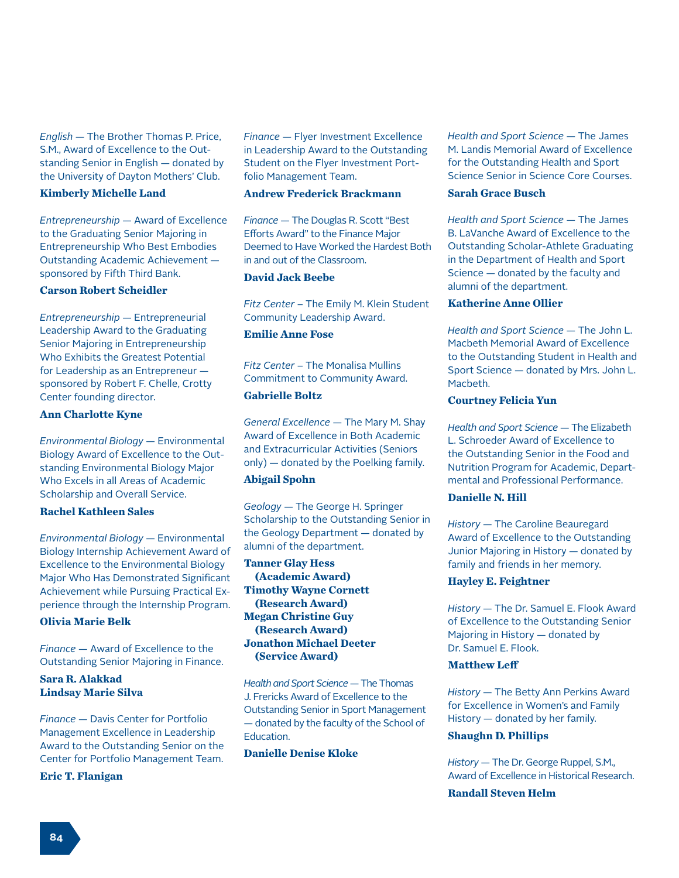*English* — The Brother Thomas P. Price, S.M., Award of Excellence to the Outstanding Senior in English — donated by the University of Dayton Mothers' Club.

#### **Kimberly Michelle Land**

*Entrepreneurship* — Award of Excellence to the Graduating Senior Majoring in Entrepreneurship Who Best Embodies Outstanding Academic Achievement sponsored by Fifth Third Bank.

#### **Carson Robert Scheidler**

*Entrepreneurship* — Entrepreneurial Leadership Award to the Graduating Senior Majoring in Entrepreneurship Who Exhibits the Greatest Potential for Leadership as an Entrepreneur sponsored by Robert F. Chelle, Crotty Center founding director.

#### **Ann Charlotte Kyne**

*Environmental Biology* — Environmental Biology Award of Excellence to the Outstanding Environmental Biology Major Who Excels in all Areas of Academic Scholarship and Overall Service.

### **Rachel Kathleen Sales**

*Environmental Biology* — Environmental Biology Internship Achievement Award of Excellence to the Environmental Biology Major Who Has Demonstrated Significant Achievement while Pursuing Practical Experience through the Internship Program.

### **Olivia Marie Belk**

*Finance* — Award of Excellence to the Outstanding Senior Majoring in Finance.

### **Sara R. Alakkad Lindsay Marie Silva**

*Finance* — Davis Center for Portfolio Management Excellence in Leadership Award to the Outstanding Senior on the Center for Portfolio Management Team.

#### **Eric T. Flanigan**

*Finance* — Flyer Investment Excellence in Leadership Award to the Outstanding Student on the Flyer Investment Portfolio Management Team.

#### **Andrew Frederick Brackmann**

*Finance* — The Douglas R. Scott "Best Efforts Award" to the Finance Major Deemed to Have Worked the Hardest Both in and out of the Classroom.

### **David Jack Beebe**

*Fitz Center* – The Emily M. Klein Student Community Leadership Award.

### **Emilie Anne Fose**

*Fitz Center* – The Monalisa Mullins Commitment to Community Award. **Gabrielle Boltz**

*General Excellence* — The Mary M. Shay Award of Excellence in Both Academic and Extracurricular Activities (Seniors only) — donated by the Poelking family.

### **Abigail Spohn**

*Geology* — The George H. Springer Scholarship to the Outstanding Senior in the Geology Department — donated by alumni of the department.

**Tanner Glay Hess (Academic Award) Timothy Wayne Cornett (Research Award) Megan Christine Guy (Research Award) Jonathon Michael Deeter (Service Award)**

*Health and Sport Science* — The Thomas J. Frericks Award of Excellence to the Outstanding Senior in Sport Management — donated by the faculty of the School of Education.

### **Danielle Denise Kloke**

*Health and Sport Science* — The James M. Landis Memorial Award of Excellence for the Outstanding Health and Sport Science Senior in Science Core Courses.

#### **Sarah Grace Busch**

*Health and Sport Science* — The James B. LaVanche Award of Excellence to the Outstanding Scholar-Athlete Graduating in the Department of Health and Sport Science — donated by the faculty and alumni of the department.

### **Katherine Anne Ollier**

*Health and Sport Science* — The John L. Macbeth Memorial Award of Excellence to the Outstanding Student in Health and Sport Science — donated by Mrs. John L. Macbeth.

#### **Courtney Felicia Yun**

*Health and Sport Science* — The Elizabeth L. Schroeder Award of Excellence to the Outstanding Senior in the Food and Nutrition Program for Academic, Departmental and Professional Performance.

#### **Danielle N. Hill**

*History* — The Caroline Beauregard Award of Excellence to the Outstanding Junior Majoring in History — donated by family and friends in her memory.

#### **Hayley E. Feightner**

*History* — The Dr. Samuel E. Flook Award of Excellence to the Outstanding Senior Majoring in History — donated by Dr. Samuel E. Flook.

#### **Matthew Leff**

*History* — The Betty Ann Perkins Award for Excellence in Women's and Family History — donated by her family.

#### **Shaughn D. Phillips**

*History* — The Dr. George Ruppel, S.M., Award of Excellence in Historical Research.

#### **Randall Steven Helm**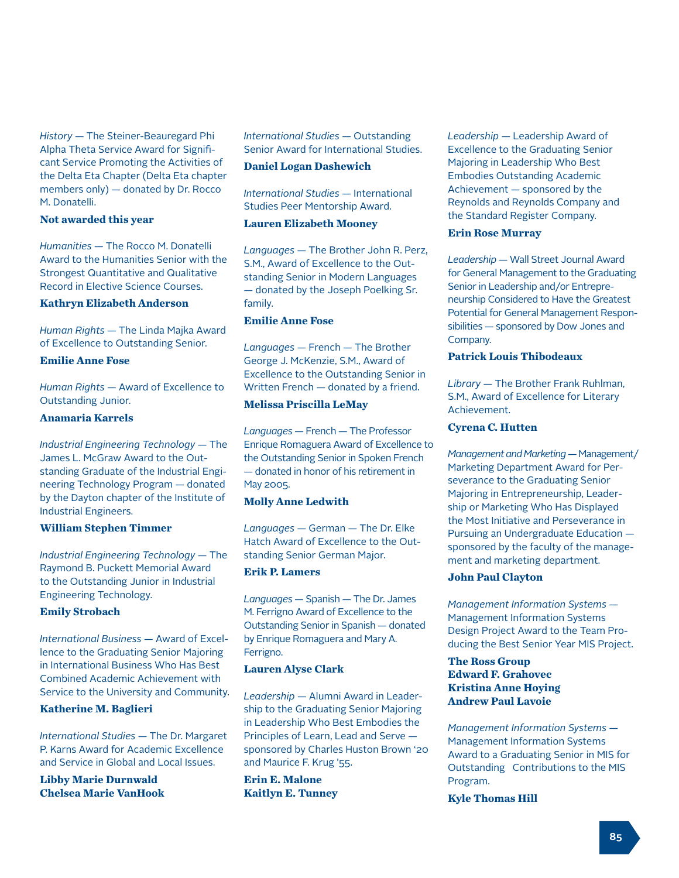*History* — The Steiner-Beauregard Phi Alpha Theta Service Award for Significant Service Promoting the Activities of the Delta Eta Chapter (Delta Eta chapter members only) — donated by Dr. Rocco M. Donatelli.

### **Not awarded this year**

*Humanities* — The Rocco M. Donatelli Award to the Humanities Senior with the Strongest Quantitative and Qualitative Record in Elective Science Courses.

### **Kathryn Elizabeth Anderson**

*Human Rights* — The Linda Majka Award of Excellence to Outstanding Senior.

### **Emilie Anne Fose**

*Human Rights* — Award of Excellence to Outstanding Junior.

#### **Anamaria Karrels**

*Industrial Engineering Technology* — The James L. McGraw Award to the Outstanding Graduate of the Industrial Engineering Technology Program — donated by the Dayton chapter of the Institute of Industrial Engineers.

#### **William Stephen Timmer**

*Industrial Engineering Technology* — The Raymond B. Puckett Memorial Award to the Outstanding Junior in Industrial Engineering Technology.

### **Emily Strobach**

*International Business* — Award of Excellence to the Graduating Senior Majoring in International Business Who Has Best Combined Academic Achievement with Service to the University and Community.

### **Katherine M. Baglieri**

*International Studies* — The Dr. Margaret P. Karns Award for Academic Excellence and Service in Global and Local Issues.

**Libby Marie Durnwald Chelsea Marie VanHook** *International Studies* — Outstanding Senior Award for International Studies.

### **Daniel Logan Dashewich**

*International Studies* — International Studies Peer Mentorship Award.

### **Lauren Elizabeth Mooney**

*Languages* — The Brother John R. Perz, S.M., Award of Excellence to the Outstanding Senior in Modern Languages — donated by the Joseph Poelking Sr. family.

### **Emilie Anne Fose**

*Languages* — French — The Brother George J. McKenzie, S.M., Award of Excellence to the Outstanding Senior in Written French — donated by a friend.

### **Melissa Priscilla LeMay**

*Languages* — French — The Professor Enrique Romaguera Award of Excellence to the Outstanding Senior in Spoken French — donated in honor of his retirement in May 2005.

#### **Molly Anne Ledwith**

*Languages* — German — The Dr. Elke Hatch Award of Excellence to the Outstanding Senior German Major.

### **Erik P. Lamers**

*Languages* — Spanish — The Dr. James M. Ferrigno Award of Excellence to the Outstanding Senior in Spanish — donated by Enrique Romaguera and Mary A. Ferrigno.

#### **Lauren Alyse Clark**

*Leadership* — Alumni Award in Leadership to the Graduating Senior Majoring in Leadership Who Best Embodies the Principles of Learn, Lead and Serve sponsored by Charles Huston Brown '20 and Maurice F. Krug '55.

**Erin E. Malone Kaitlyn E. Tunney** *Leadership* — Leadership Award of Excellence to the Graduating Senior Majoring in Leadership Who Best Embodies Outstanding Academic Achievement — sponsored by the Reynolds and Reynolds Company and the Standard Register Company.

#### **Erin Rose Murray**

*Leadership* — Wall Street Journal Award for General Management to the Graduating Senior in Leadership and/or Entrepreneurship Considered to Have the Greatest Potential for General Management Responsibilities — sponsored by Dow Jones and Company.

### **Patrick Louis Thibodeaux**

*Library* — The Brother Frank Ruhlman, S.M., Award of Excellence for Literary Achievement.

### **Cyrena C. Hutten**

*Management and Marketing* — Management/ Marketing Department Award for Perseverance to the Graduating Senior Majoring in Entrepreneurship, Leadership or Marketing Who Has Displayed the Most Initiative and Perseverance in Pursuing an Undergraduate Education sponsored by the faculty of the management and marketing department.

#### **John Paul Clayton**

*Management Information Systems* — Management Information Systems Design Project Award to the Team Producing the Best Senior Year MIS Project.

### **The Ross Group Edward F. Grahovec Kristina Anne Hoying Andrew Paul Lavoie**

*Management Information Systems* — Management Information Systems Award to a Graduating Senior in MIS for Outstanding Contributions to the MIS Program.

### **Kyle Thomas Hill**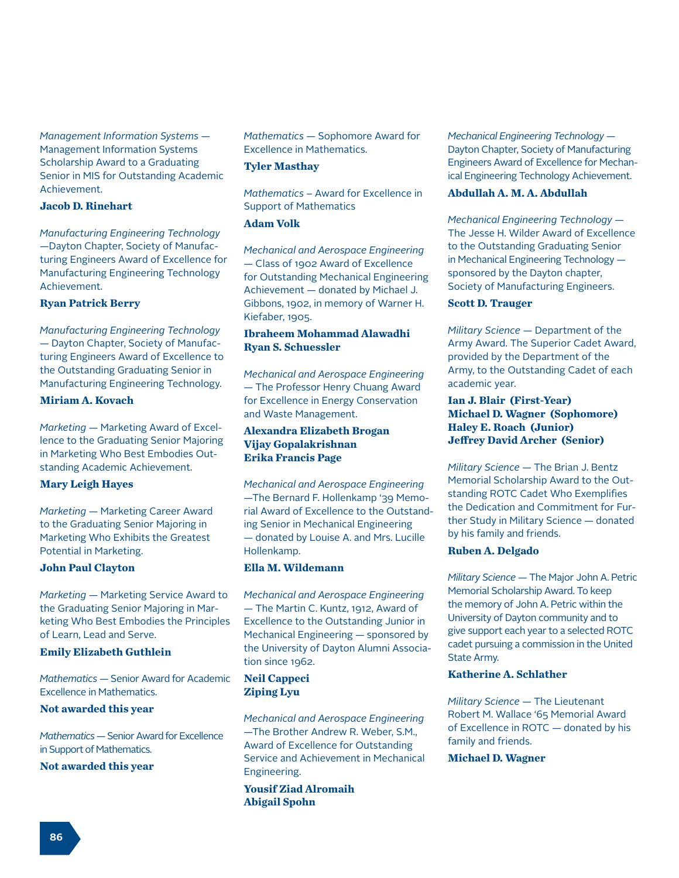*Management Information Systems* — Management Information Systems Scholarship Award to a Graduating Senior in MIS for Outstanding Academic Achievement.

#### **Jacob D. Rinehart**

*Manufacturing Engineering Technology*  —Dayton Chapter, Society of Manufacturing Engineers Award of Excellence for Manufacturing Engineering Technology Achievement.

#### **Ryan Patrick Berry**

*Manufacturing Engineering Technology*  — Dayton Chapter, Society of Manufacturing Engineers Award of Excellence to the Outstanding Graduating Senior in Manufacturing Engineering Technology.

### **Miriam A. Kovach**

*Marketing* — Marketing Award of Excellence to the Graduating Senior Majoring in Marketing Who Best Embodies Outstanding Academic Achievement.

#### **Mary Leigh Hayes**

*Marketing* — Marketing Career Award to the Graduating Senior Majoring in Marketing Who Exhibits the Greatest Potential in Marketing.

#### **John Paul Clayton**

*Marketing* — Marketing Service Award to the Graduating Senior Majoring in Marketing Who Best Embodies the Principles of Learn, Lead and Serve.

#### **Emily Elizabeth Guthlein**

*Mathematics* — Senior Award for Academic Excellence in Mathematics.

#### **Not awarded this year**

*Mathematics* — Senior Award for Excellence in Support of Mathematics.

#### **Not awarded this year**

*Mathematics* — Sophomore Award for Excellence in Mathematics.

### **Tyler Masthay**

*Mathematics* – Award for Excellence in Support of Mathematics

### **Adam Volk**

*Mechanical and Aerospace Engineering* — Class of 1902 Award of Excellence for Outstanding Mechanical Engineering Achievement — donated by Michael J. Gibbons, 1902, in memory of Warner H. Kiefaber, 1905.

### **Ibraheem Mohammad Alawadhi Ryan S. Schuessler**

*Mechanical and Aerospace Engineering*  — The Professor Henry Chuang Award for Excellence in Energy Conservation and Waste Management.

### **Alexandra Elizabeth Brogan Vijay Gopalakrishnan Erika Francis Page**

*Mechanical and Aerospace Engineering* —The Bernard F. Hollenkamp '39 Memorial Award of Excellence to the Outstanding Senior in Mechanical Engineering — donated by Louise A. and Mrs. Lucille Hollenkamp.

### **Ella M. Wildemann**

*Mechanical and Aerospace Engineering*  — The Martin C. Kuntz, 1912, Award of Excellence to the Outstanding Junior in Mechanical Engineering — sponsored by the University of Dayton Alumni Association since 1962.

### **Neil Cappeci Ziping Lyu**

*Mechanical and Aerospace Engineering*  —The Brother Andrew R. Weber, S.M., Award of Excellence for Outstanding Service and Achievement in Mechanical Engineering.

**Yousif Ziad Alromaih Abigail Spohn**

*Mechanical Engineering Technology* — Dayton Chapter, Society of Manufacturing Engineers Award of Excellence for Mechanical Engineering Technology Achievement.

#### **Abdullah A. M. A. Abdullah**

*Mechanical Engineering Technology* — The Jesse H. Wilder Award of Excellence to the Outstanding Graduating Senior in Mechanical Engineering Technology sponsored by the Dayton chapter, Society of Manufacturing Engineers.

### **Scott D. Trauger**

*Military Science* — Department of the Army Award. The Superior Cadet Award, provided by the Department of the Army, to the Outstanding Cadet of each academic year.

### **Ian J. Blair (First-Year) Michael D. Wagner (Sophomore) Haley E. Roach (Junior) Jeffrey David Archer (Senior)**

*Military Science* — The Brian J. Bentz Memorial Scholarship Award to the Outstanding ROTC Cadet Who Exemplifies the Dedication and Commitment for Further Study in Military Science — donated by his family and friends.

#### **Ruben A. Delgado**

*Military Science* — The Major John A. Petric Memorial Scholarship Award. To keep the memory of John A. Petric within the University of Dayton community and to give support each year to a selected ROTC cadet pursuing a commission in the United State Army.

### **Katherine A. Schlather**

*Military Science* — The Lieutenant Robert M. Wallace '65 Memorial Award of Excellence in ROTC — donated by his family and friends.

#### **Michael D. Wagner**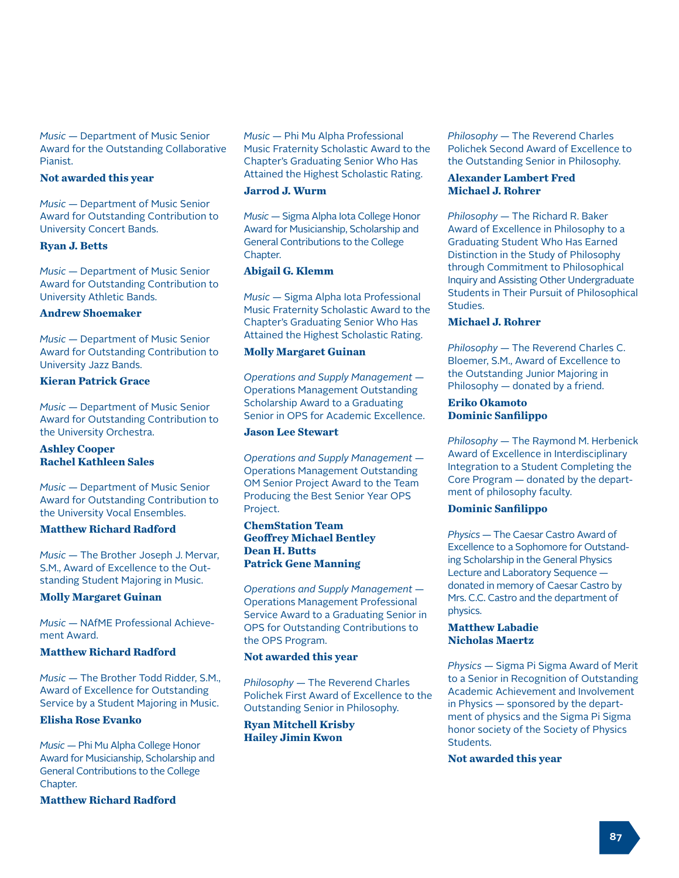*Music* — Department of Music Senior Award for the Outstanding Collaborative Pianist.

#### **Not awarded this year**

*Music* — Department of Music Senior Award for Outstanding Contribution to University Concert Bands.

#### **Ryan J. Betts**

*Music* — Department of Music Senior Award for Outstanding Contribution to University Athletic Bands.

#### **Andrew Shoemaker**

*Music* — Department of Music Senior Award for Outstanding Contribution to University Jazz Bands.

### **Kieran Patrick Grace**

*Music* — Department of Music Senior Award for Outstanding Contribution to the University Orchestra.

### **Ashley Cooper Rachel Kathleen Sales**

*Music* — Department of Music Senior Award for Outstanding Contribution to the University Vocal Ensembles.

### **Matthew Richard Radford**

*Music* — The Brother Joseph J. Mervar, S.M., Award of Excellence to the Outstanding Student Majoring in Music.

### **Molly Margaret Guinan**

*Music* — NAfME Professional Achievement Award.

#### **Matthew Richard Radford**

*Music* — The Brother Todd Ridder, S.M., Award of Excellence for Outstanding Service by a Student Majoring in Music.

### **Elisha Rose Evanko**

*Music* — Phi Mu Alpha College Honor Award for Musicianship, Scholarship and General Contributions to the College Chapter.

**Matthew Richard Radford**

*Music* — Phi Mu Alpha Professional Music Fraternity Scholastic Award to the Chapter's Graduating Senior Who Has Attained the Highest Scholastic Rating.

#### **Jarrod J. Wurm**

*Music* — Sigma Alpha Iota College Honor Award for Musicianship, Scholarship and General Contributions to the College Chapter.

#### **Abigail G. Klemm**

*Music* — Sigma Alpha Iota Professional Music Fraternity Scholastic Award to the Chapter's Graduating Senior Who Has Attained the Highest Scholastic Rating.

#### **Molly Margaret Guinan**

*Operations and Supply Management* — Operations Management Outstanding Scholarship Award to a Graduating Senior in OPS for Academic Excellence.

### **Jason Lee Stewart**

*Operations and Supply Management* — Operations Management Outstanding OM Senior Project Award to the Team Producing the Best Senior Year OPS Project.

### **ChemStation Team Geoffrey Michael Bentley Dean H. Butts Patrick Gene Manning**

*Operations and Supply Management* — Operations Management Professional Service Award to a Graduating Senior in OPS for Outstanding Contributions to the OPS Program.

### **Not awarded this year**

*Philosophy* — The Reverend Charles Polichek First Award of Excellence to the Outstanding Senior in Philosophy.

**Ryan Mitchell Krisby Hailey Jimin Kwon**

*Philosophy* — The Reverend Charles Polichek Second Award of Excellence to the Outstanding Senior in Philosophy.

### **Alexander Lambert Fred Michael J. Rohrer**

*Philosophy* — The Richard R. Baker Award of Excellence in Philosophy to a Graduating Student Who Has Earned Distinction in the Study of Philosophy through Commitment to Philosophical Inquiry and Assisting Other Undergraduate Students in Their Pursuit of Philosophical Studies.

### **Michael J. Rohrer**

*Philosophy* — The Reverend Charles C. Bloemer, S.M., Award of Excellence to the Outstanding Junior Majoring in Philosophy — donated by a friend.

#### **Eriko Okamoto Dominic Sanfilippo**

*Philosophy* — The Raymond M. Herbenick Award of Excellence in Interdisciplinary Integration to a Student Completing the Core Program — donated by the department of philosophy faculty.

### **Dominic Sanfilippo**

*Physics* — The Caesar Castro Award of Excellence to a Sophomore for Outstanding Scholarship in the General Physics Lecture and Laboratory Sequence donated in memory of Caesar Castro by Mrs. C.C. Castro and the department of physics.

#### **Matthew Labadie Nicholas Maertz**

*Physics* — Sigma Pi Sigma Award of Merit to a Senior in Recognition of Outstanding Academic Achievement and Involvement in Physics — sponsored by the department of physics and the Sigma Pi Sigma honor society of the Society of Physics Students.

**Not awarded this year**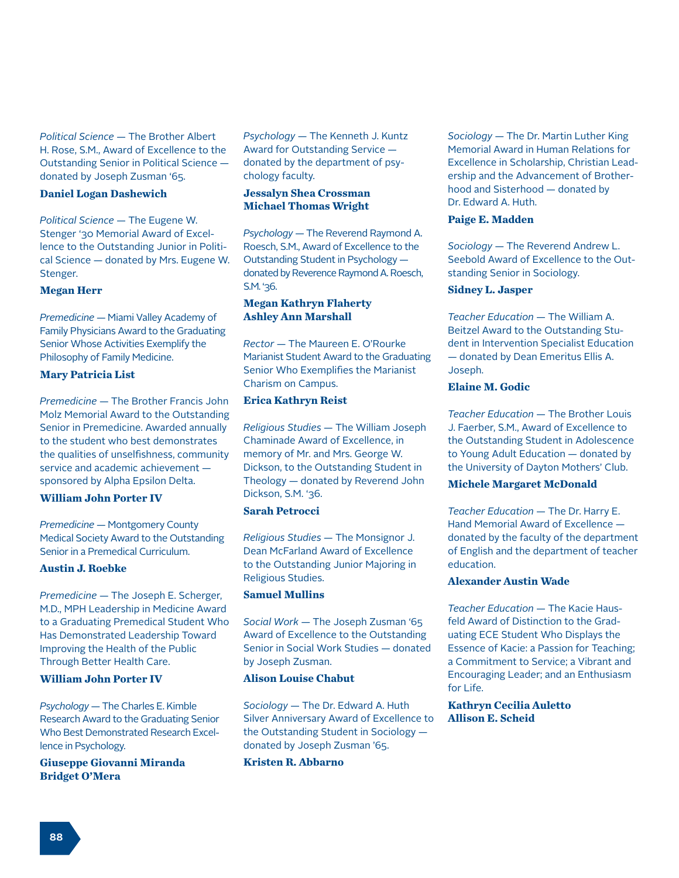*Political Science* — The Brother Albert H. Rose, S.M., Award of Excellence to the Outstanding Senior in Political Science donated by Joseph Zusman '65.

#### **Daniel Logan Dashewich**

*Political Science* — The Eugene W. Stenger '30 Memorial Award of Excellence to the Outstanding Junior in Political Science — donated by Mrs. Eugene W. Stenger.

#### **Megan Herr**

*Premedicine* — Miami Valley Academy of Family Physicians Award to the Graduating Senior Whose Activities Exemplify the Philosophy of Family Medicine.

#### **Mary Patricia List**

*Premedicine* — The Brother Francis John Molz Memorial Award to the Outstanding Senior in Premedicine. Awarded annually to the student who best demonstrates the qualities of unselfishness, community service and academic achievement sponsored by Alpha Epsilon Delta.

#### **William John Porter IV**

*Premedicine* — Montgomery County Medical Society Award to the Outstanding Senior in a Premedical Curriculum.

### **Austin J. Roebke**

*Premedicine* — The Joseph E. Scherger, M.D., MPH Leadership in Medicine Award to a Graduating Premedical Student Who Has Demonstrated Leadership Toward Improving the Health of the Public Through Better Health Care.

#### **William John Porter IV**

*Psychology* — The Charles E. Kimble Research Award to the Graduating Senior Who Best Demonstrated Research Excellence in Psychology.

**Giuseppe Giovanni Miranda Bridget O'Mera**

*Psychology* — The Kenneth J. Kuntz Award for Outstanding Service donated by the department of psychology faculty.

### **Jessalyn Shea Crossman Michael Thomas Wright**

*Psychology* — The Reverend Raymond A. Roesch, S.M., Award of Excellence to the Outstanding Student in Psychology donated by Reverence Raymond A. Roesch, S.M. '36.

### **Megan Kathryn Flaherty Ashley Ann Marshall**

*Rector* — The Maureen E. O'Rourke Marianist Student Award to the Graduating Senior Who Exemplifies the Marianist Charism on Campus.

### **Erica Kathryn Reist**

*Religious Studies* — The William Joseph Chaminade Award of Excellence, in memory of Mr. and Mrs. George W. Dickson, to the Outstanding Student in Theology — donated by Reverend John Dickson, S.M. '36.

### **Sarah Petrocci**

*Religious Studies* — The Monsignor J. Dean McFarland Award of Excellence to the Outstanding Junior Majoring in Religious Studies.

#### **Samuel Mullins**

*Social Work* — The Joseph Zusman '65 Award of Excellence to the Outstanding Senior in Social Work Studies — donated by Joseph Zusman.

#### **Alison Louise Chabut**

*Sociology* — The Dr. Edward A. Huth Silver Anniversary Award of Excellence to the Outstanding Student in Sociology donated by Joseph Zusman '65.

**Kristen R. Abbarno**

*Sociology* — The Dr. Martin Luther King Memorial Award in Human Relations for Excellence in Scholarship, Christian Leadership and the Advancement of Brotherhood and Sisterhood — donated by Dr. Edward A. Huth.

### **Paige E. Madden**

*Sociology* — The Reverend Andrew L. Seebold Award of Excellence to the Outstanding Senior in Sociology.

#### **Sidney L. Jasper**

*Teacher Education* — The William A. Beitzel Award to the Outstanding Student in Intervention Specialist Education — donated by Dean Emeritus Ellis A. Joseph.

### **Elaine M. Godic**

*Teacher Education* — The Brother Louis J. Faerber, S.M., Award of Excellence to the Outstanding Student in Adolescence to Young Adult Education — donated by the University of Dayton Mothers' Club.

### **Michele Margaret McDonald**

*Teacher Education* — The Dr. Harry E. Hand Memorial Award of Excellence donated by the faculty of the department of English and the department of teacher education.

### **Alexander Austin Wade**

*Teacher Education* — The Kacie Hausfeld Award of Distinction to the Graduating ECE Student Who Displays the Essence of Kacie: a Passion for Teaching; a Commitment to Service; a Vibrant and Encouraging Leader; and an Enthusiasm for Life.

**Kathryn Cecilia Auletto Allison E. Scheid**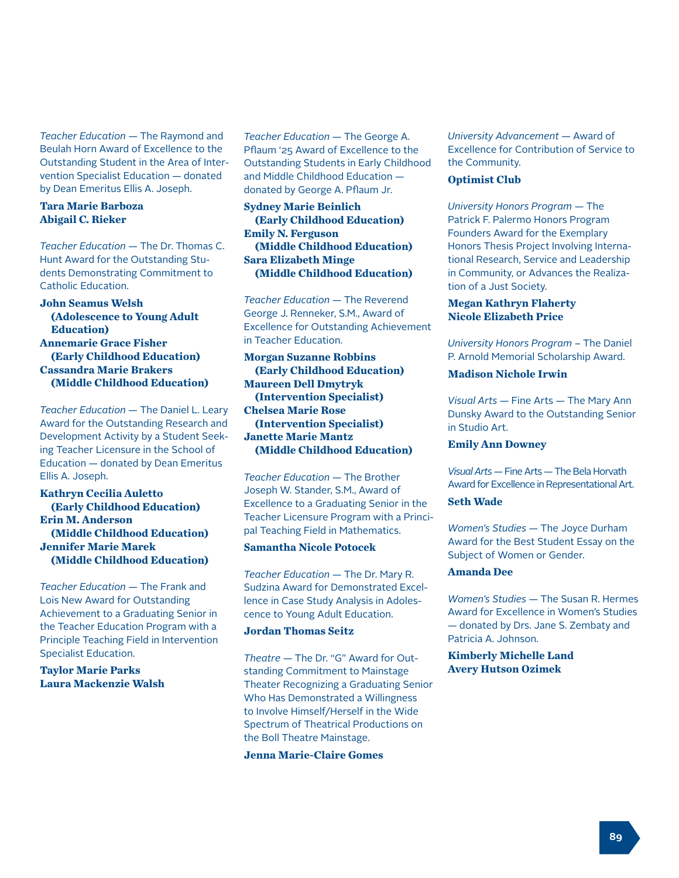*Teacher Education* — The Raymond and Beulah Horn Award of Excellence to the Outstanding Student in the Area of Intervention Specialist Education — donated by Dean Emeritus Ellis A. Joseph.

### **Tara Marie Barboza Abigail C. Rieker**

*Teacher Education* — The Dr. Thomas C. Hunt Award for the Outstanding Students Demonstrating Commitment to Catholic Education.

**John Seamus Welsh (Adolescence to Young Adult Education) Annemarie Grace Fisher (Early Childhood Education) Cassandra Marie Brakers (Middle Childhood Education)**

*Teacher Education* — The Daniel L. Leary Award for the Outstanding Research and Development Activity by a Student Seeking Teacher Licensure in the School of Education — donated by Dean Emeritus Ellis A. Joseph.

**Kathryn Cecilia Auletto (Early Childhood Education) Erin M. Anderson (Middle Childhood Education) Jennifer Marie Marek (Middle Childhood Education)**

*Teacher Education* — The Frank and Lois New Award for Outstanding Achievement to a Graduating Senior in the Teacher Education Program with a Principle Teaching Field in Intervention Specialist Education.

**Taylor Marie Parks Laura Mackenzie Walsh** *Teacher Education* — The George A. Pflaum '25 Award of Excellence to the Outstanding Students in Early Childhood and Middle Childhood Education donated by George A. Pflaum Jr.

**Sydney Marie Beinlich (Early Childhood Education) Emily N. Ferguson (Middle Childhood Education) Sara Elizabeth Minge (Middle Childhood Education)**

*Teacher Education* — The Reverend George J. Renneker, S.M., Award of Excellence for Outstanding Achievement in Teacher Education.

**Morgan Suzanne Robbins (Early Childhood Education) Maureen Dell Dmytryk (Intervention Specialist) Chelsea Marie Rose (Intervention Specialist) Janette Marie Mantz (Middle Childhood Education)**

*Teacher Education* — The Brother Joseph W. Stander, S.M., Award of Excellence to a Graduating Senior in the Teacher Licensure Program with a Principal Teaching Field in Mathematics.

### **Samantha Nicole Potocek**

*Teacher Education* — The Dr. Mary R. Sudzina Award for Demonstrated Excellence in Case Study Analysis in Adolescence to Young Adult Education.

### **Jordan Thomas Seitz**

*Theatre* — The Dr. "G" Award for Outstanding Commitment to Mainstage Theater Recognizing a Graduating Senior Who Has Demonstrated a Willingness to Involve Himself/Herself in the Wide Spectrum of Theatrical Productions on the Boll Theatre Mainstage.

#### **Jenna Marie-Claire Gomes**

*University Advancement* — Award of Excellence for Contribution of Service to the Community.

#### **Optimist Club**

*University Honors Program* — The Patrick F. Palermo Honors Program Founders Award for the Exemplary Honors Thesis Project Involving International Research, Service and Leadership in Community, or Advances the Realization of a Just Society.

#### **Megan Kathryn Flaherty Nicole Elizabeth Price**

*University Honors Program* – The Daniel P. Arnold Memorial Scholarship Award.

### **Madison Nichole Irwin**

*Visual Arts* — Fine Arts — The Mary Ann Dunsky Award to the Outstanding Senior in Studio Art.

#### **Emily Ann Downey**

*Visual Arts* — Fine Arts — The Bela Horvath Award for Excellence in Representational Art.

### **Seth Wade**

*Women's Studies* — The Joyce Durham Award for the Best Student Essay on the Subject of Women or Gender.

#### **Amanda Dee**

*Women's Studies* — The Susan R. Hermes Award for Excellence in Women's Studies — donated by Drs. Jane S. Zembaty and Patricia A. Johnson.

### **Kimberly Michelle Land Avery Hutson Ozimek**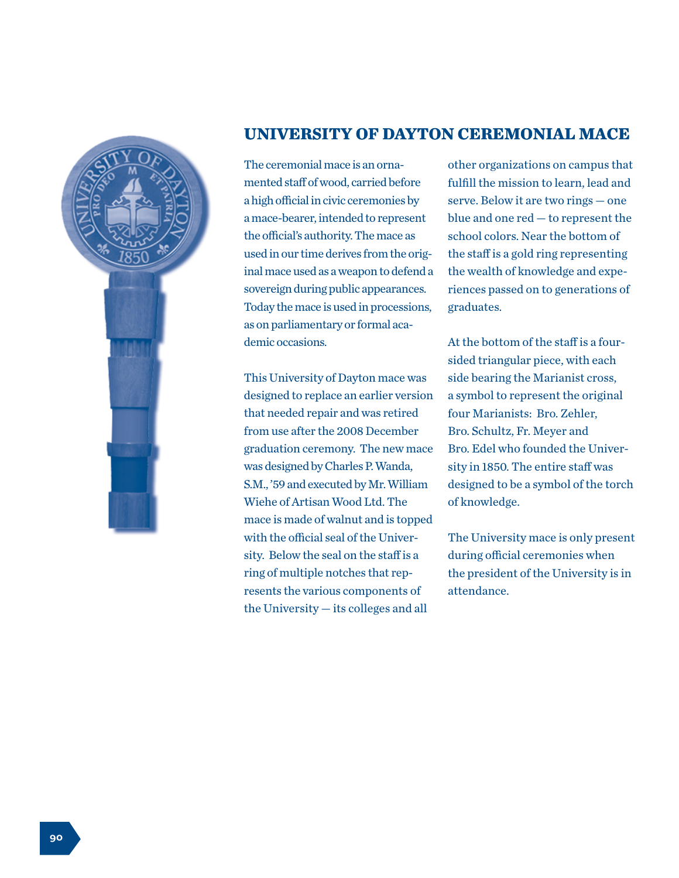

## **UNIVERSITY OF DAYTON CEREMONIAL MACE**

The ceremonial mace is an ornamented staff of wood, carried before a high official in civic ceremonies by a mace-bearer, intended to represent the official's authority. The mace as used in our time derives from the original mace used as a weapon to defend a sovereign during public appearances. Today the mace is used in processions, as on parliamentary or formal academic occasions.

This University of Dayton mace was designed to replace an earlier version that needed repair and was retired from use after the 2008 December graduation ceremony. The new mace was designed by Charles P. Wanda, S.M., '59 and executed by Mr. William Wiehe of Artisan Wood Ltd. The mace is made of walnut and is topped with the official seal of the University. Below the seal on the staff is a ring of multiple notches that represents the various components of the University — its colleges and all

other organizations on campus that fulfill the mission to learn, lead and serve. Below it are two rings — one blue and one red — to represent the school colors. Near the bottom of the staff is a gold ring representing the wealth of knowledge and experiences passed on to generations of graduates.

At the bottom of the staff is a foursided triangular piece, with each side bearing the Marianist cross, a symbol to represent the original four Marianists: Bro. Zehler, Bro. Schultz, Fr. Meyer and Bro. Edel who founded the University in 1850. The entire staff was designed to be a symbol of the torch of knowledge.

The University mace is only present during official ceremonies when the president of the University is in attendance.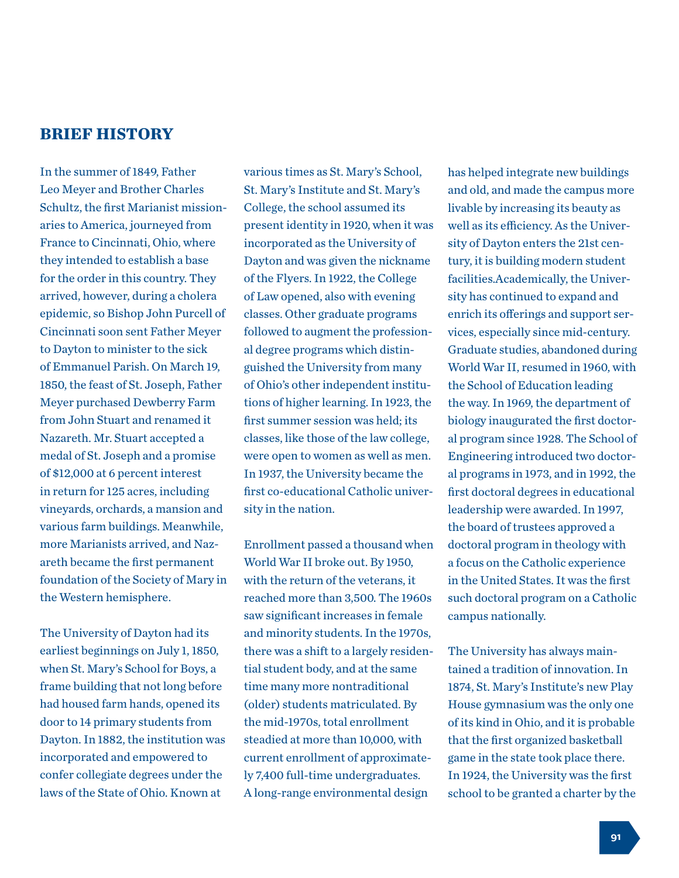## **BRIEF HISTORY**

In the summer of 1849, Father Leo Meyer and Brother Charles Schultz, the first Marianist missionaries to America, journeyed from France to Cincinnati, Ohio, where they intended to establish a base for the order in this country. They arrived, however, during a cholera epidemic, so Bishop John Purcell of Cincinnati soon sent Father Meyer to Dayton to minister to the sick of Emmanuel Parish. On March 19, 1850, the feast of St. Joseph, Father Meyer purchased Dewberry Farm from John Stuart and renamed it Nazareth. Mr. Stuart accepted a medal of St. Joseph and a promise of \$12,000 at 6 percent interest in return for 125 acres, including vineyards, orchards, a mansion and various farm buildings. Meanwhile, more Marianists arrived, and Nazareth became the first permanent foundation of the Society of Mary in the Western hemisphere.

The University of Dayton had its earliest beginnings on July 1, 1850, when St. Mary's School for Boys, a frame building that not long before had housed farm hands, opened its door to 14 primary students from Dayton. In 1882, the institution was incorporated and empowered to confer collegiate degrees under the laws of the State of Ohio. Known at

various times as St. Mary's School, St. Mary's Institute and St. Mary's College, the school assumed its present identity in 1920, when it was incorporated as the University of Dayton and was given the nickname of the Flyers. In 1922, the College of Law opened, also with evening classes. Other graduate programs followed to augment the professional degree programs which distinguished the University from many of Ohio's other independent institutions of higher learning. In 1923, the first summer session was held; its classes, like those of the law college, were open to women as well as men. In 1937, the University became the first co-educational Catholic university in the nation.

Enrollment passed a thousand when World War II broke out. By 1950, with the return of the veterans, it reached more than 3,500. The 1960s saw significant increases in female and minority students. In the 1970s, there was a shift to a largely residential student body, and at the same time many more nontraditional (older) students matriculated. By the mid-1970s, total enrollment steadied at more than 10,000, with current enrollment of approximately 7,400 full-time undergraduates. A long-range environmental design

has helped integrate new buildings and old, and made the campus more livable by increasing its beauty as well as its efficiency. As the University of Dayton enters the 21st century, it is building modern student facilities.Academically, the University has continued to expand and enrich its offerings and support services, especially since mid-century. Graduate studies, abandoned during World War II, resumed in 1960, with the School of Education leading the way. In 1969, the department of biology inaugurated the first doctoral program since 1928. The School of Engineering introduced two doctoral programs in 1973, and in 1992, the first doctoral degrees in educational leadership were awarded. In 1997, the board of trustees approved a doctoral program in theology with a focus on the Catholic experience in the United States. It was the first such doctoral program on a Catholic campus nationally.

The University has always maintained a tradition of innovation. In 1874, St. Mary's Institute's new Play House gymnasium was the only one of its kind in Ohio, and it is probable that the first organized basketball game in the state took place there. In 1924, the University was the first school to be granted a charter by the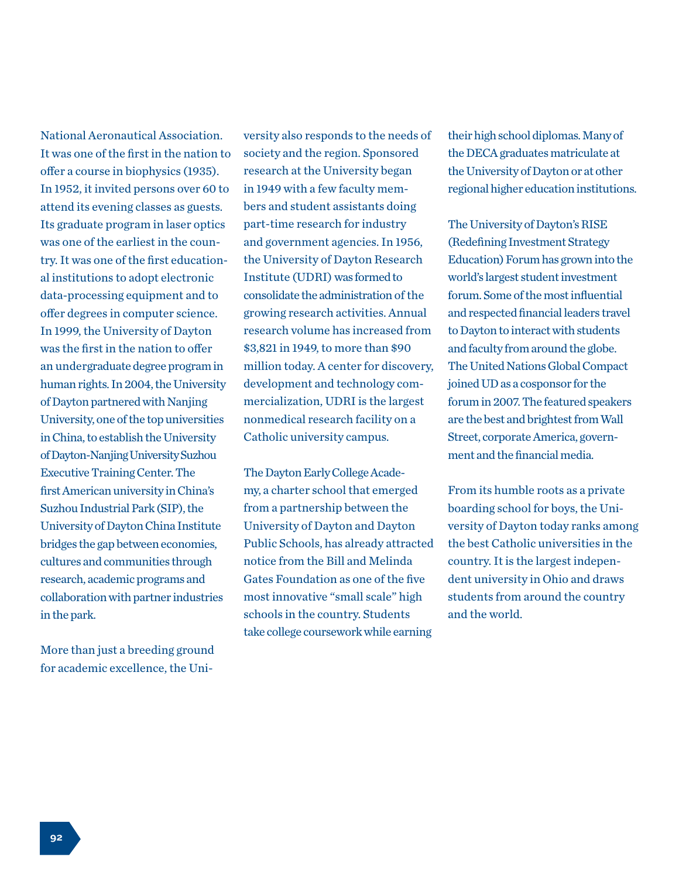National Aeronautical Association. It was one of the first in the nation to offer a course in biophysics (1935). In 1952, it invited persons over 60 to attend its evening classes as guests. Its graduate program in laser optics was one of the earliest in the country. It was one of the first educational institutions to adopt electronic data-processing equipment and to offer degrees in computer science. In 1999, the University of Dayton was the first in the nation to offer an undergraduate degree program in human rights. In 2004, the University of Dayton partnered with Nanjing University, one of the top universities in China, to establish the University of Dayton-Nanjing University Suzhou Executive Training Center. The first American university in China's Suzhou Industrial Park (SIP), the University of Dayton China Institute bridges the gap between economies, cultures and communities through research, academic programs and collaboration with partner industries in the park.

More than just a breeding ground for academic excellence, the Uni-

versity also responds to the needs of society and the region. Sponsored research at the University began in 1949 with a few faculty members and student assistants doing part-time research for industry and government agencies. In 1956, the University of Dayton Research Institute (UDRI) was formed to consolidate the administration of the growing research activities. Annual research volume has increased from \$3,821 in 1949, to more than \$90 million today. A center for discovery, development and technology commercialization, UDRI is the largest nonmedical research facility on a Catholic university campus.

The Dayton Early College Academy, a charter school that emerged from a partnership between the University of Dayton and Dayton Public Schools, has already attracted notice from the Bill and Melinda Gates Foundation as one of the five most innovative "small scale" high schools in the country. Students take college coursework while earning

their high school diplomas. Many of the DECA graduates matriculate at the University of Dayton or at other regional higher education institutions.

The University of Dayton's RISE (Redefining Investment Strategy Education) Forum has grown into the world's largest student investment forum. Some of the most influential and respected financial leaders travel to Dayton to interact with students and faculty from around the globe. The United Nations Global Compact joined UD as a cosponsor for the forum in 2007. The featured speakers are the best and brightest from Wall Street, corporate America, government and the financial media.

From its humble roots as a private boarding school for boys, the University of Dayton today ranks among the best Catholic universities in the country. It is the largest independent university in Ohio and draws students from around the country and the world.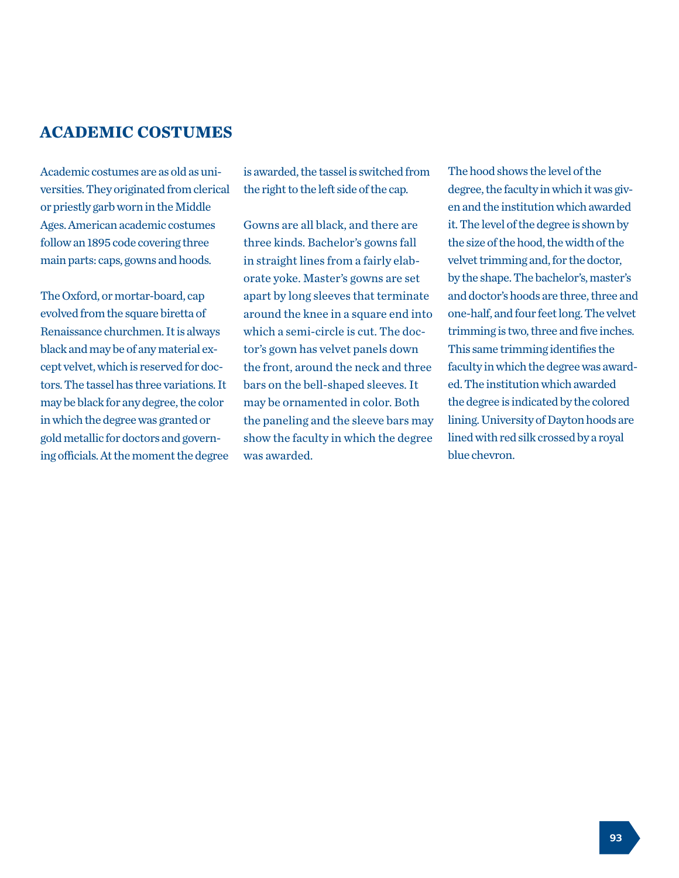## **ACADEMIC COSTUMES**

Academic costumes are as old as universities. They originated from clerical or priestly garb worn in the Middle Ages. American academic costumes follow an 1895 code covering three main parts: caps, gowns and hoods.

The Oxford, or mortar-board, cap evolved from the square biretta of Renaissance churchmen. It is always black and may be of any material except velvet, which is reserved for doctors. The tassel has three variations. It may be black for any degree, the color in which the degree was granted or gold metallic for doctors and governing officials. At the moment the degree is awarded, the tassel is switched from the right to the left side of the cap.

Gowns are all black, and there are three kinds. Bachelor's gowns fall in straight lines from a fairly elaborate yoke. Master's gowns are set apart by long sleeves that terminate around the knee in a square end into which a semi-circle is cut. The doctor's gown has velvet panels down the front, around the neck and three bars on the bell-shaped sleeves. It may be ornamented in color. Both the paneling and the sleeve bars may show the faculty in which the degree was awarded.

The hood shows the level of the degree, the faculty in which it was given and the institution which awarded it. The level of the degree is shown by the size of the hood, the width of the velvet trimming and, for the doctor, by the shape. The bachelor's, master's and doctor's hoods are three, three and one-half, and four feet long. The velvet trimming is two, three and five inches. This same trimming identifies the faculty in which the degree was awarded. The institution which awarded the degree is indicated by the colored lining. University of Dayton hoods are lined with red silk crossed by a royal blue chevron.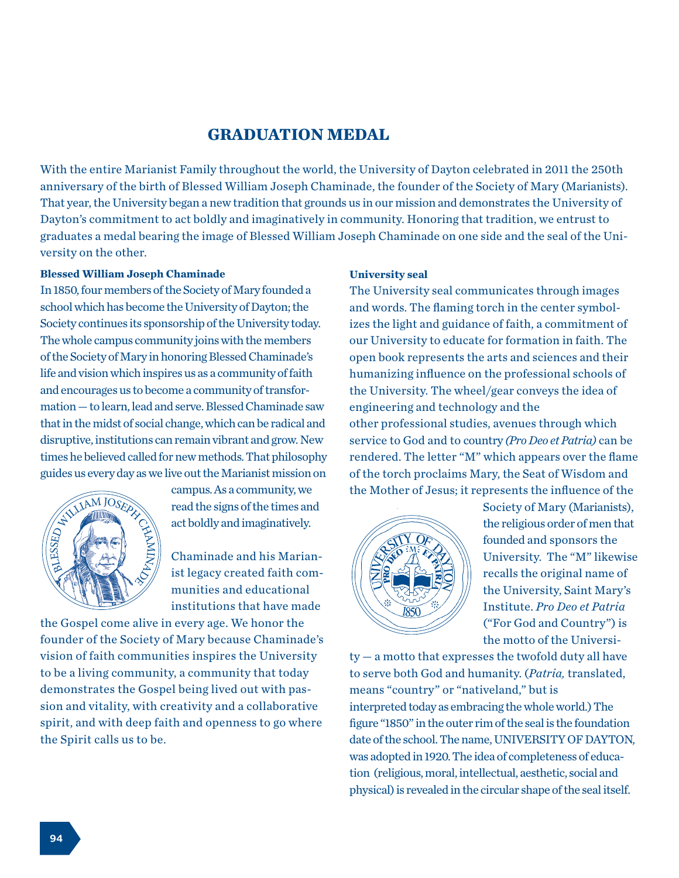## **GRADUATION MEDAL**

With the entire Marianist Family throughout the world, the University of Dayton celebrated in 2011 the 250th anniversary of the birth of Blessed William Joseph Chaminade, the founder of the Society of Mary (Marianists). That year, the University began a new tradition that grounds us in our mission and demonstrates the University of Dayton's commitment to act boldly and imaginatively in community. Honoring that tradition, we entrust to graduates a medal bearing the image of Blessed William Joseph Chaminade on one side and the seal of the University on the other.

## **Blessed William Joseph Chaminade**

In 1850, four members of the Society of Mary founded a school which has become the University of Dayton; the Society continues its sponsorship of the University today. <br>izes the light and guidance of faith, a commitment of The whole campus community joins with the members our  $\frac{1}{2}$ of the Society of Mary in honoring Blessed Chaminade's open book represents the arts and sciences a life and vision which inspires us as a community of faith humanizing influence on the professional scho and encourages us to become a community of transfor-<br>and encourages us to become a community of transfor-<br>the University. The wheel/gear conveys the ide mation — to learn, lead and serve. Blessed Chaminade saw that in the midst of social change, which can be radical and disruptive, institutions can remain vibrant and grow. New times he believed called for new methods. That philosophy ance no sensitive cancer of the University The Phrose physiological state of Dayton is celebration on guides us every day as we live out the Marianist mission on ides us every day as we live out the Marianist mission on d encourages us to become a community of transfor-20 th and the big and a bend which on the redical and  $\epsilon$ In vibrant and grow. New nethous. I hat philosopi ve, institutions can re<br>Believed called for ne<br>Bevery day as we live<br>can



campus. As a community, we campus. As a community, we<br>read the signs of the times and<br>act boldly and imaginatively act boldly and imaginatively.  $\mathbf{v}$  of the University of the University of the University of the University of the University of the University of the University of the University of the University of the University of the University of the Univers

Chaminade and his Marianist legacy created faith com- $\left\{\left|\left\{\right|\right\}\right\}\right\}$  munities and educational institutions that have made  $\mathbb{R}^n$  ist legacy created faith com- $\mathbb{R}$   $\mathbb{Z}$   $\mathbb{R}$   $\mathbb{Z}$  Chaminade and instruction

the Gospel come alive in every age. We honor the founder of the Society of Mary because Chaminade's vision of faith communities inspires the University to be a living community, a community that today of social changes community, a community since today demonstrates the Gospel being lived out with passion and vitality, with creativity and a collaborative spirit, and with deep faith and openness to go where the Spirit calls us to be. monstrates the Gospel being lived out with pa n iaith communities msphes the University iving community, a community that today

of the Society of Mary because Chaminade's vision of

community that the community that the community that the community that the community that the community that the

# **University seal**

Ersity today. The fight and guidance of faith, a commitment of members our University to educate for formation in faith. The other professional studies, avenues through which  $T_{\text{total}}$   $T_{\text{total}}$   $T_{\text{total}}$  is  $T_{\text{total}}$  and  $T_{\text{total}}$  and  $T_{\text{total}}$ rendered. The letter "M" which appears over the flame of the torch proclaims Mary, the Seat of Wisdom and the Mother of Jesus; it represents the influence of the four members of the Society of Mary founded a The University seal communicates through images thich has become the University of Dayton; the and words. The flaming torch in the center symbolizes the light and guidance of faith, a commitment of open book represents the arts and sciences and their **humanizing influence on the professional schools of** the University. The wheel/gear conveys the idea of engineering and technology and the service to God and to country *(Pro Deo et Patria)* can be stigate the order of the professional method in the professional professional professional professional professional professional professional professional professional professional professional professional professional p



**Example 20 Society of Mary (Marianists), and the professional Society of Mary (Marianists),** the religious order of men that  $\sqrt{\frac{N}{N}}$  founded and sponsors the **Avenues the Countries of Avenues Countries of Avenues (***Pro Deo 30***) University. The "M" likewise**  $\Vert \Vert$  recalls the original name of  $\textit{m} \equiv \textit{m}$  the University, Saint Mary's /// Institute. *Pro Deo et Patria*  $\sim$  ("For God and Country") is the motto of the Universi-UILIVEISILY. THE M HREW.

ty — a motto that expresses the twofold duty all have to serve both God and humanity. (*Patria*, translated, recommended the original name of the original name of the original name of the original name of the original n means "country" or "nativeland," but is interpreted today as embracing the whole world.) The figure "1850" in the outer rim of the seal is the foundation date of the school. The name, UNIVERSITY OF DAYTON, was adopted in 1920. The idea of completeness of education (religious, moral, intellectual, aesthetic, social and  $\begin{array}{cccccccccccc}\n1 & 1 & 1 & 1 & 1 & 1 & 1 & 1 & 1\n\end{array}$ physical) is revealed in the circular shape of the seal itself.  $-$  a motto that expresses the twofold duty all have physical in the circular shape of the circular shape of the seal in the seal in the seal in the seal in the seal in the seal in the seal in the seal in the seal in the seal in the seal in the seal in the seal in the seal i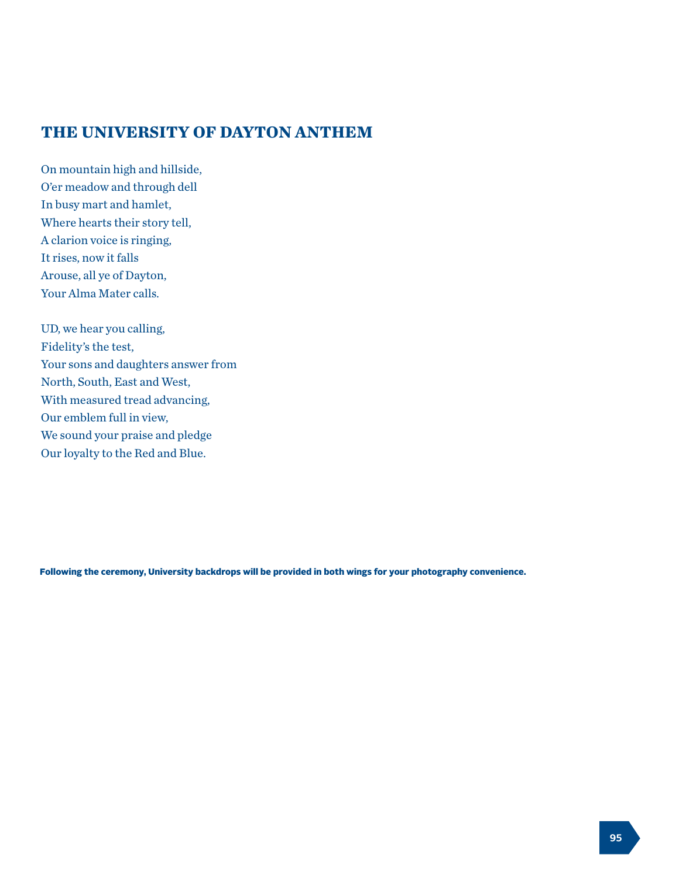# **THE UNIVERSITY OF DAYTON ANTHEM**

On mountain high and hillside, O'er meadow and through dell In busy mart and hamlet, Where hearts their story tell, A clarion voice is ringing, It rises, now it falls Arouse, all ye of Dayton, Your Alma Mater calls.

UD, we hear you calling, Fidelity's the test, Your sons and daughters answer from North, South, East and West, With measured tread advancing, Our emblem full in view, We sound your praise and pledge Our loyalty to the Red and Blue.

Following the ceremony, University backdrops will be provided in both wings for your photography convenience.